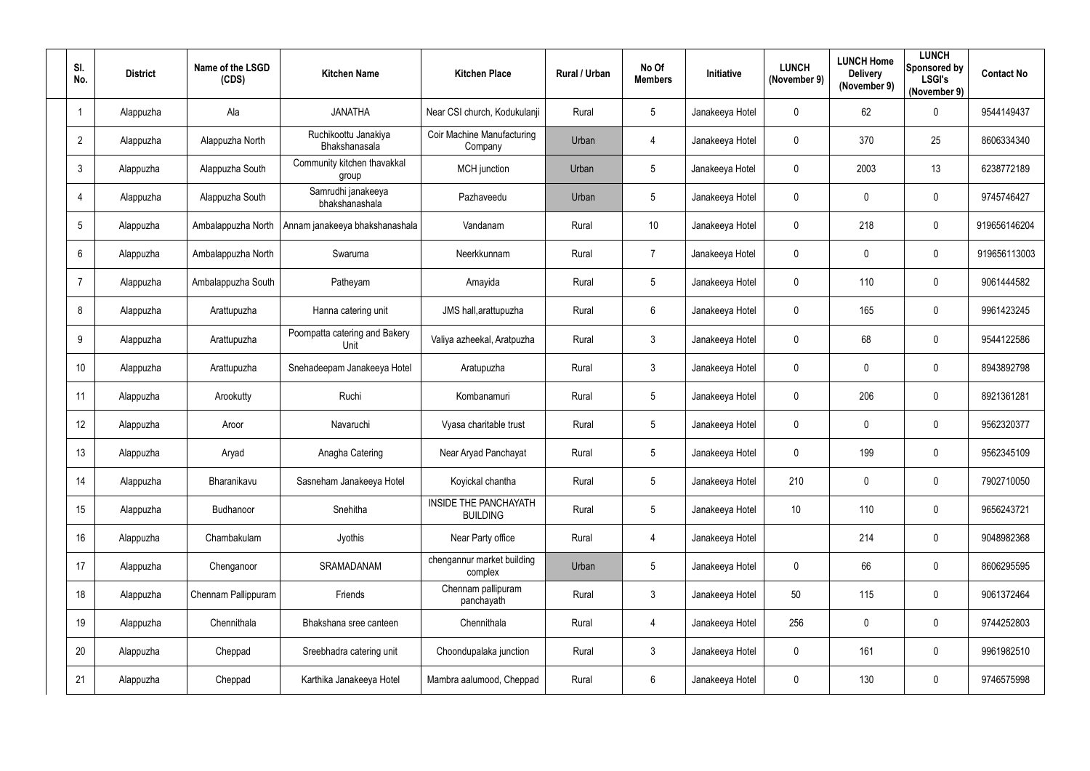| SI.<br>No.      | <b>District</b> | Name of the LSGD<br>(CDS) | <b>Kitchen Name</b>                   | <b>Kitchen Place</b>                            | Rural / Urban | No Of<br><b>Members</b> | Initiative      | <b>LUNCH</b><br>(November 9) | <b>LUNCH Home</b><br><b>Delivery</b><br>(November 9) | <b>LUNCH</b><br>Sponsored by<br><b>LSGI's</b><br>(November 9) | <b>Contact No</b> |
|-----------------|-----------------|---------------------------|---------------------------------------|-------------------------------------------------|---------------|-------------------------|-----------------|------------------------------|------------------------------------------------------|---------------------------------------------------------------|-------------------|
|                 | Alappuzha       | Ala                       | <b>JANATHA</b>                        | Near CSI church, Kodukulanji                    | Rural         | $5\phantom{.0}$         | Janakeeya Hotel | $\overline{0}$               | 62                                                   | $\mathbf 0$                                                   | 9544149437        |
| $\overline{2}$  | Alappuzha       | Alappuzha North           | Ruchikoottu Janakiya<br>Bhakshanasala | Coir Machine Manufacturing<br>Company           | Urban         | $\overline{4}$          | Janakeeya Hotel | $\boldsymbol{0}$             | 370                                                  | 25                                                            | 8606334340        |
| 3               | Alappuzha       | Alappuzha South           | Community kitchen thavakkal<br>group  | <b>MCH</b> junction                             | Urban         | $5\phantom{.0}$         | Janakeeya Hotel | $\mathbf 0$                  | 2003                                                 | 13                                                            | 6238772189        |
| 4               | Alappuzha       | Alappuzha South           | Samrudhi janakeeya<br>bhakshanashala  | Pazhaveedu                                      | Urban         | $\sqrt{5}$              | Janakeeya Hotel | $\boldsymbol{0}$             | $\mathbf 0$                                          | $\overline{0}$                                                | 9745746427        |
| $5\overline{)}$ | Alappuzha       | Ambalappuzha North        | Annam janakeeya bhakshanashala        | Vandanam                                        | Rural         | 10                      | Janakeeya Hotel | $\mathbf 0$                  | 218                                                  | $\mathbf 0$                                                   | 919656146204      |
| $6\phantom{.}6$ | Alappuzha       | Ambalappuzha North        | Swaruma                               | Neerkkunnam                                     | Rural         | $\overline{7}$          | Janakeeya Hotel | $\overline{0}$               | $\mathbf 0$                                          | $\mathbf 0$                                                   | 919656113003      |
| -7              | Alappuzha       | Ambalappuzha South        | Patheyam                              | Amayida                                         | Rural         | $5\overline{)}$         | Janakeeya Hotel | $\mathbf 0$                  | 110                                                  | $\mathbf 0$                                                   | 9061444582        |
| 8               | Alappuzha       | Arattupuzha               | Hanna catering unit                   | JMS hall, arattupuzha                           | Rural         | $6\overline{6}$         | Janakeeya Hotel | $\mathbf 0$                  | 165                                                  | $\mathbf 0$                                                   | 9961423245        |
| 9               | Alappuzha       | Arattupuzha               | Poompatta catering and Bakery<br>Unit | Valiya azheekal, Aratpuzha                      | Rural         | $\mathbf{3}$            | Janakeeya Hotel | $\boldsymbol{0}$             | 68                                                   | $\overline{0}$                                                | 9544122586        |
| 10              | Alappuzha       | Arattupuzha               | Snehadeepam Janakeeya Hotel           | Aratupuzha                                      | Rural         | $\mathbf{3}$            | Janakeeya Hotel | $\mathbf 0$                  | $\mathbf 0$                                          | $\overline{0}$                                                | 8943892798        |
| 11              | Alappuzha       | Arookutty                 | Ruchi                                 | Kombanamuri                                     | Rural         | $5\overline{)}$         | Janakeeya Hotel | $\overline{0}$               | 206                                                  | $\boldsymbol{0}$                                              | 8921361281        |
| 12              | Alappuzha       | Aroor                     | Navaruchi                             | Vyasa charitable trust                          | Rural         | $5\phantom{.0}$         | Janakeeya Hotel | $\mathbf 0$                  | $\mathbf 0$                                          | $\overline{0}$                                                | 9562320377        |
| 13              | Alappuzha       | Aryad                     | Anagha Catering                       | Near Aryad Panchayat                            | Rural         | 5                       | Janakeeya Hotel | $\mathbf 0$                  | 199                                                  | 0                                                             | 9562345109        |
| 14              | Alappuzha       | Bharanikavu               | Sasneham Janakeeya Hotel              | Koyickal chantha                                | Rural         | $5\phantom{.0}$         | Janakeeya Hotel | 210                          | $\mathbf 0$                                          | $\mathbf 0$                                                   | 7902710050        |
| 15              | Alappuzha       | Budhanoor                 | Snehitha                              | <b>INSIDE THE PANCHAYATH</b><br><b>BUILDING</b> | Rural         | $5\phantom{.0}$         | Janakeeya Hotel | 10 <sup>°</sup>              | 110                                                  | $\mathbf 0$                                                   | 9656243721        |
| 16              | Alappuzha       | Chambakulam               | Jyothis                               | Near Party office                               | Rural         | $\overline{4}$          | Janakeeya Hotel |                              | 214                                                  | $\mathbf 0$                                                   | 9048982368        |
| 17              | Alappuzha       | Chenganoor                | SRAMADANAM                            | chengannur market building<br>complex           | Urban         | $5\overline{)}$         | Janakeeya Hotel | $\overline{0}$               | 66                                                   | $\mathbf 0$                                                   | 8606295595        |
| 18              | Alappuzha       | Chennam Pallippuram       | Friends                               | Chennam pallipuram<br>panchayath                | Rural         | $3\phantom{.0}$         | Janakeeya Hotel | 50                           | 115                                                  | $\mathbf 0$                                                   | 9061372464        |
| 19              | Alappuzha       | Chennithala               | Bhakshana sree canteen                | Chennithala                                     | Rural         | $\overline{4}$          | Janakeeya Hotel | 256                          | $\mathbf 0$                                          | $\mathbf 0$                                                   | 9744252803        |
| 20              | Alappuzha       | Cheppad                   | Sreebhadra catering unit              | Choondupalaka junction                          | Rural         | $3\phantom{.0}$         | Janakeeya Hotel | $\mathbf 0$                  | 161                                                  | $\mathbf 0$                                                   | 9961982510        |
| 21              | Alappuzha       | Cheppad                   | Karthika Janakeeya Hotel              | Mambra aalumood, Cheppad                        | Rural         | $6\overline{6}$         | Janakeeya Hotel | $\boldsymbol{0}$             | 130                                                  | $\bm{0}$                                                      | 9746575998        |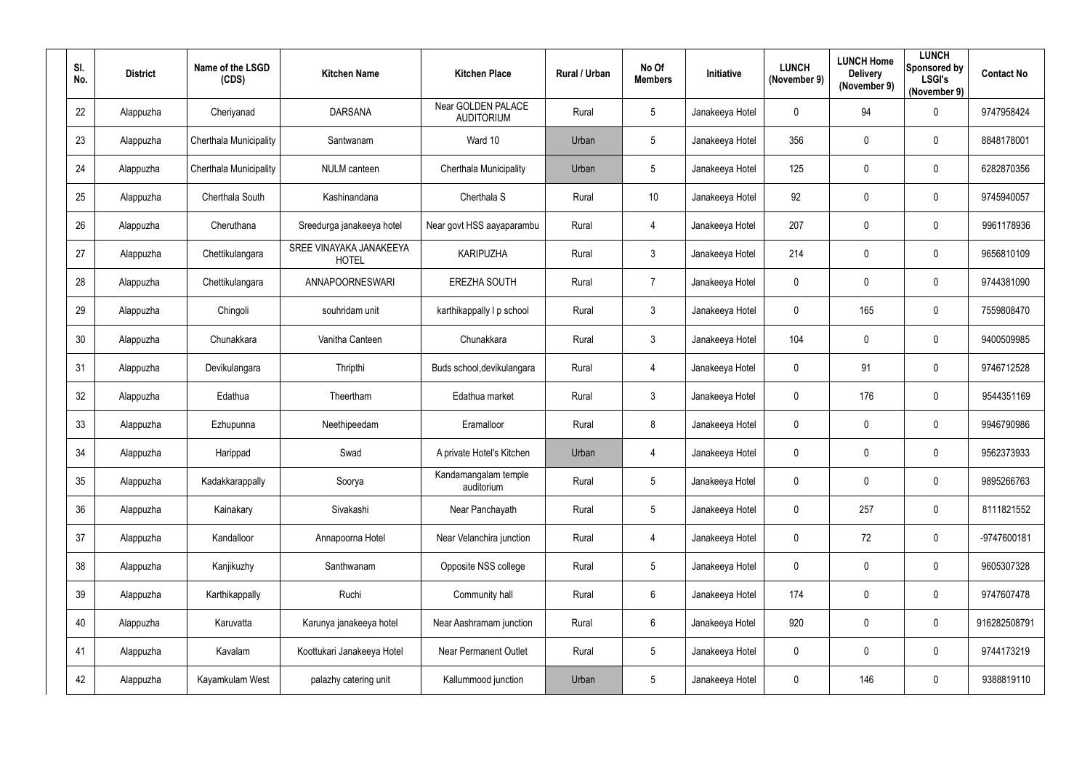| SI.<br>No. | <b>District</b> | Name of the LSGD<br>(CDS)     | <b>Kitchen Name</b>                     | <b>Kitchen Place</b>                    | Rural / Urban | No Of<br><b>Members</b> | Initiative      | <b>LUNCH</b><br>(November 9) | <b>LUNCH Home</b><br><b>Delivery</b><br>(November 9) | <b>LUNCH</b><br>Sponsored by<br><b>LSGI's</b><br>(November 9) | <b>Contact No</b> |
|------------|-----------------|-------------------------------|-----------------------------------------|-----------------------------------------|---------------|-------------------------|-----------------|------------------------------|------------------------------------------------------|---------------------------------------------------------------|-------------------|
| 22         | Alappuzha       | Cheriyanad                    | <b>DARSANA</b>                          | Near GOLDEN PALACE<br><b>AUDITORIUM</b> | Rural         | $5\phantom{.0}$         | Janakeeya Hotel | $\mathbf 0$                  | 94                                                   | $\mathbf 0$                                                   | 9747958424        |
| 23         | Alappuzha       | <b>Cherthala Municipality</b> | Santwanam                               | Ward 10                                 | Urban         | $5\overline{)}$         | Janakeeya Hotel | 356                          | 0                                                    | $\mathbf 0$                                                   | 8848178001        |
| 24         | Alappuzha       | Cherthala Municipality        | <b>NULM</b> canteen                     | Cherthala Municipality                  | Urban         | $5\phantom{.0}$         | Janakeeya Hotel | 125                          | $\mathbf 0$                                          | $\mathbf 0$                                                   | 6282870356        |
| 25         | Alappuzha       | Cherthala South               | Kashinandana                            | Cherthala S                             | Rural         | 10                      | Janakeeya Hotel | 92                           | 0                                                    | $\mathbf 0$                                                   | 9745940057        |
| 26         | Alappuzha       | Cheruthana                    | Sreedurga janakeeya hotel               | Near govt HSS aayaparambu               | Rural         | 4                       | Janakeeya Hotel | 207                          | $\overline{0}$                                       | $\overline{0}$                                                | 9961178936        |
| 27         | Alappuzha       | Chettikulangara               | SREE VINAYAKA JANAKEEYA<br><b>HOTEL</b> | <b>KARIPUZHA</b>                        | Rural         | $\mathbf{3}$            | Janakeeya Hotel | 214                          | $\mathbf 0$                                          | $\mathbf 0$                                                   | 9656810109        |
| 28         | Alappuzha       | Chettikulangara               | ANNAPOORNESWARI                         | <b>EREZHA SOUTH</b>                     | Rural         | $\overline{7}$          | Janakeeya Hotel | $\mathbf 0$                  | 0                                                    | $\mathbf 0$                                                   | 9744381090        |
| 29         | Alappuzha       | Chingoli                      | souhridam unit                          | karthikappally I p school               | Rural         | 3                       | Janakeeya Hotel | $\mathbf 0$                  | 165                                                  | $\mathbf 0$                                                   | 7559808470        |
| 30         | Alappuzha       | Chunakkara                    | Vanitha Canteen                         | Chunakkara                              | Rural         | $\mathbf{3}$            | Janakeeya Hotel | 104                          | $\overline{0}$                                       | $\overline{0}$                                                | 9400509985        |
| 31         | Alappuzha       | Devikulangara                 | Thripthi                                | Buds school, devikulangara              | Rural         | 4                       | Janakeeya Hotel | $\mathbf 0$                  | 91                                                   | $\mathbf 0$                                                   | 9746712528        |
| 32         | Alappuzha       | Edathua                       | Theertham                               | Edathua market                          | Rural         | 3                       | Janakeeya Hotel | $\mathbf 0$                  | 176                                                  | $\boldsymbol{0}$                                              | 9544351169        |
| 33         | Alappuzha       | Ezhupunna                     | Neethipeedam                            | Eramalloor                              | Rural         | 8                       | Janakeeya Hotel | $\mathbf 0$                  | $\overline{0}$                                       | $\overline{0}$                                                | 9946790986        |
| 34         | Alappuzha       | Harippad                      | Swad                                    | A private Hotel's Kitchen               | Urban         | 4                       | Janakeeya Hotel | $\mathbf 0$                  | 0                                                    | $\mathbf 0$                                                   | 9562373933        |
| 35         | Alappuzha       | Kadakkarappally               | Soorya                                  | Kandamangalam temple<br>auditorium      | Rural         | $5\overline{)}$         | Janakeeya Hotel | $\mathbf 0$                  | $\mathbf 0$                                          | $\boldsymbol{0}$                                              | 9895266763        |
| 36         | Alappuzha       | Kainakary                     | Sivakashi                               | Near Panchayath                         | Rural         | $5\overline{)}$         | Janakeeya Hotel | $\boldsymbol{0}$             | 257                                                  | $\pmb{0}$                                                     | 8111821552        |
| 37         | Alappuzha       | Kandalloor                    | Annapoorna Hotel                        | Near Velanchira junction                | Rural         | $\overline{4}$          | Janakeeya Hotel | $\pmb{0}$                    | 72                                                   | $\mathbf 0$                                                   | -9747600181       |
| 38         | Alappuzha       | Kanjikuzhy                    | Santhwanam                              | Opposite NSS college                    | Rural         | $5\overline{)}$         | Janakeeya Hotel | $\overline{0}$               | $\mathbf 0$                                          | $\mathbf 0$                                                   | 9605307328        |
| 39         | Alappuzha       | Karthikappally                | Ruchi                                   | Community hall                          | Rural         | $6\overline{6}$         | Janakeeya Hotel | 174                          | $\mathbf 0$                                          | $\mathbf 0$                                                   | 9747607478        |
| 40         | Alappuzha       | Karuvatta                     | Karunya janakeeya hotel                 | Near Aashramam junction                 | Rural         | $6\overline{6}$         | Janakeeya Hotel | 920                          | $\mathbf 0$                                          | $\pmb{0}$                                                     | 916282508791      |
| 41         | Alappuzha       | Kavalam                       | Koottukari Janakeeya Hotel              | Near Permanent Outlet                   | Rural         | $5\overline{)}$         | Janakeeya Hotel | $\boldsymbol{0}$             | $\mathbf 0$                                          | $\mathbf 0$                                                   | 9744173219        |
| 42         | Alappuzha       | Kayamkulam West               | palazhy catering unit                   | Kallummood junction                     | Urban         | $5\phantom{.0}$         | Janakeeya Hotel | $\boldsymbol{0}$             | 146                                                  | $\bm{0}$                                                      | 9388819110        |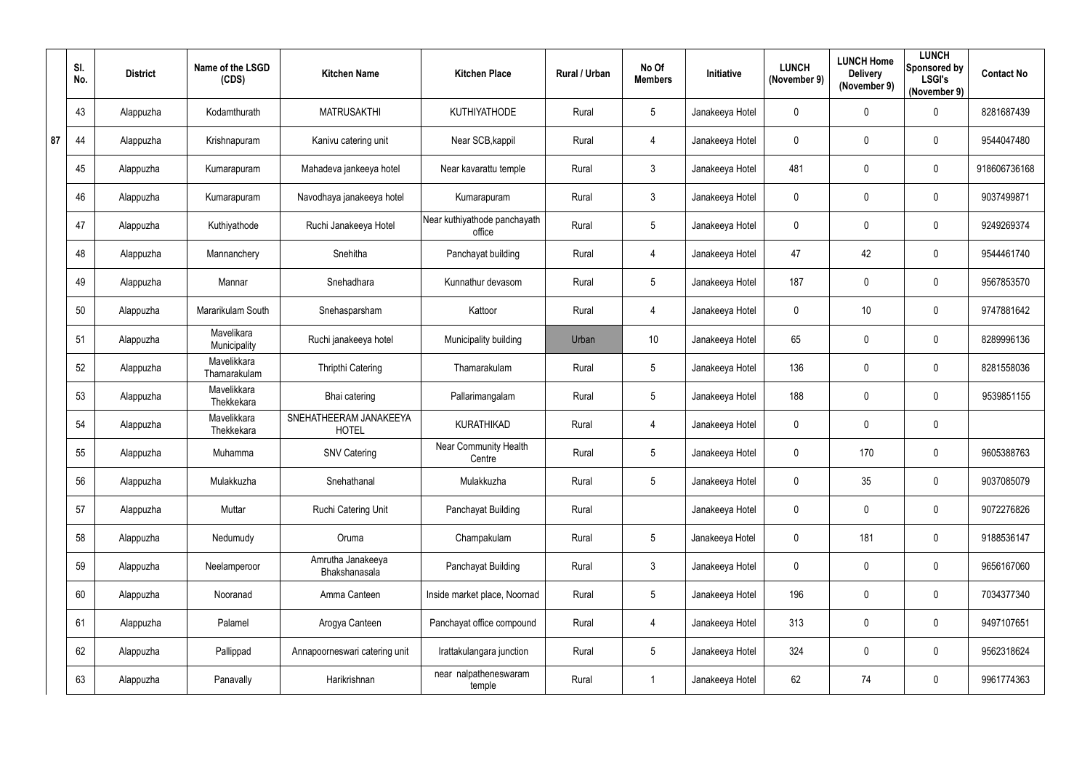|    | SI.<br>No. | <b>District</b> | Name of the LSGD<br>(CDS)   | <b>Kitchen Name</b>                    | <b>Kitchen Place</b>                   | Rural / Urban | No Of<br><b>Members</b> | Initiative      | <b>LUNCH</b><br>(November 9) | <b>LUNCH Home</b><br><b>Delivery</b><br>(November 9) | <b>LUNCH</b><br>Sponsored by<br><b>LSGI's</b><br>(November 9) | <b>Contact No</b> |
|----|------------|-----------------|-----------------------------|----------------------------------------|----------------------------------------|---------------|-------------------------|-----------------|------------------------------|------------------------------------------------------|---------------------------------------------------------------|-------------------|
|    | 43         | Alappuzha       | Kodamthurath                | <b>MATRUSAKTHI</b>                     | <b>KUTHIYATHODE</b>                    | Rural         | 5                       | Janakeeya Hotel | $\mathbf 0$                  | 0                                                    | $\mathbf 0$                                                   | 8281687439        |
| 87 | 44         | Alappuzha       | Krishnapuram                | Kanivu catering unit                   | Near SCB, kappil                       | Rural         | 4                       | Janakeeya Hotel | $\mathbf 0$                  | 0                                                    | $\mathbf 0$                                                   | 9544047480        |
|    | 45         | Alappuzha       | Kumarapuram                 | Mahadeva jankeeya hotel                | Near kavarattu temple                  | Rural         | $\mathfrak{Z}$          | Janakeeya Hotel | 481                          | 0                                                    | $\mathbf 0$                                                   | 918606736168      |
|    | 46         | Alappuzha       | Kumarapuram                 | Navodhaya janakeeya hotel              | Kumarapuram                            | Rural         | $\mathfrak{Z}$          | Janakeeya Hotel | $\boldsymbol{0}$             | 0                                                    | $\boldsymbol{0}$                                              | 9037499871        |
|    | 47         | Alappuzha       | Kuthiyathode                | Ruchi Janakeeya Hotel                  | Near kuthiyathode panchayath<br>office | Rural         | 5                       | Janakeeya Hotel | $\mathbf 0$                  | 0                                                    | $\mathbf 0$                                                   | 9249269374        |
|    | 48         | Alappuzha       | Mannanchery                 | Snehitha                               | Panchayat building                     | Rural         | $\overline{4}$          | Janakeeya Hotel | 47                           | 42                                                   | $\boldsymbol{0}$                                              | 9544461740        |
|    | 49         | Alappuzha       | Mannar                      | Snehadhara                             | Kunnathur devasom                      | Rural         | 5                       | Janakeeya Hotel | 187                          | 0                                                    | $\mathbf 0$                                                   | 9567853570        |
|    | 50         | Alappuzha       | Mararikulam South           | Snehasparsham                          | Kattoor                                | Rural         | $\overline{4}$          | Janakeeya Hotel | $\mathbf 0$                  | 10                                                   | $\mathbf 0$                                                   | 9747881642        |
|    | 51         | Alappuzha       | Mavelikara<br>Municipality  | Ruchi janakeeya hotel                  | Municipality building                  | Urban         | 10                      | Janakeeya Hotel | 65                           | 0                                                    | $\boldsymbol{0}$                                              | 8289996136        |
|    | 52         | Alappuzha       | Mavelikkara<br>Thamarakulam | <b>Thripthi Catering</b>               | Thamarakulam                           | Rural         | 5                       | Janakeeya Hotel | 136                          | 0                                                    | $\mathbf 0$                                                   | 8281558036        |
|    | 53         | Alappuzha       | Mavelikkara<br>Thekkekara   | Bhai catering                          | Pallarimangalam                        | Rural         | 5                       | Janakeeya Hotel | 188                          | 0                                                    | $\boldsymbol{0}$                                              | 9539851155        |
|    | 54         | Alappuzha       | Mavelikkara<br>Thekkekara   | SNEHATHEERAM JANAKEEYA<br><b>HOTEL</b> | <b>KURATHIKAD</b>                      | Rural         | $\overline{4}$          | Janakeeya Hotel | $\mathbf 0$                  | 0                                                    | $\mathbf 0$                                                   |                   |
|    | 55         | Alappuzha       | Muhamma                     | <b>SNV Catering</b>                    | Near Community Health<br>Centre        | Rural         | 5                       | Janakeeya Hotel | $\mathbf 0$                  | 170                                                  | 0                                                             | 9605388763        |
|    | 56         | Alappuzha       | Mulakkuzha                  | Snehathanal                            | Mulakkuzha                             | Rural         | 5                       | Janakeeya Hotel | $\mathbf 0$                  | 35                                                   | $\mathbf 0$                                                   | 9037085079        |
|    | 57         | Alappuzha       | Muttar                      | Ruchi Catering Unit                    | Panchayat Building                     | Rural         |                         | Janakeeya Hotel | $\mathbf 0$                  | 0                                                    | $\mathbf 0$                                                   | 9072276826        |
|    | 58         | Alappuzha       | Nedumudy                    | Oruma                                  | Champakulam                            | Rural         | 5                       | Janakeeya Hotel | $\mathbf 0$                  | 181                                                  | $\mathbf 0$                                                   | 9188536147        |
|    | 59         | Alappuzha       | Neelamperoor                | Amrutha Janakeeya<br>Bhakshanasala     | Panchayat Building                     | Rural         | 3 <sup>1</sup>          | Janakeeya Hotel | $\mathbf 0$                  | 0                                                    | $\mathbf 0$                                                   | 9656167060        |
|    | 60         | Alappuzha       | Nooranad                    | Amma Canteen                           | Inside market place, Noornad           | Rural         | $5\overline{)}$         | Janakeeya Hotel | 196                          | 0                                                    | $\mathbf 0$                                                   | 7034377340        |
|    | 61         | Alappuzha       | Palamel                     | Arogya Canteen                         | Panchayat office compound              | Rural         | $\overline{4}$          | Janakeeya Hotel | 313                          | 0                                                    | $\mathbf 0$                                                   | 9497107651        |
|    | 62         | Alappuzha       | Pallippad                   | Annapoorneswari catering unit          | Irattakulangara junction               | Rural         | 5                       | Janakeeya Hotel | 324                          | 0                                                    | $\mathbf 0$                                                   | 9562318624        |
|    | 63         | Alappuzha       | Panavally                   | Harikrishnan                           | near nalpatheneswaram<br>temple        | Rural         | $\mathbf 1$             | Janakeeya Hotel | 62                           | 74                                                   | $\bm{0}$                                                      | 9961774363        |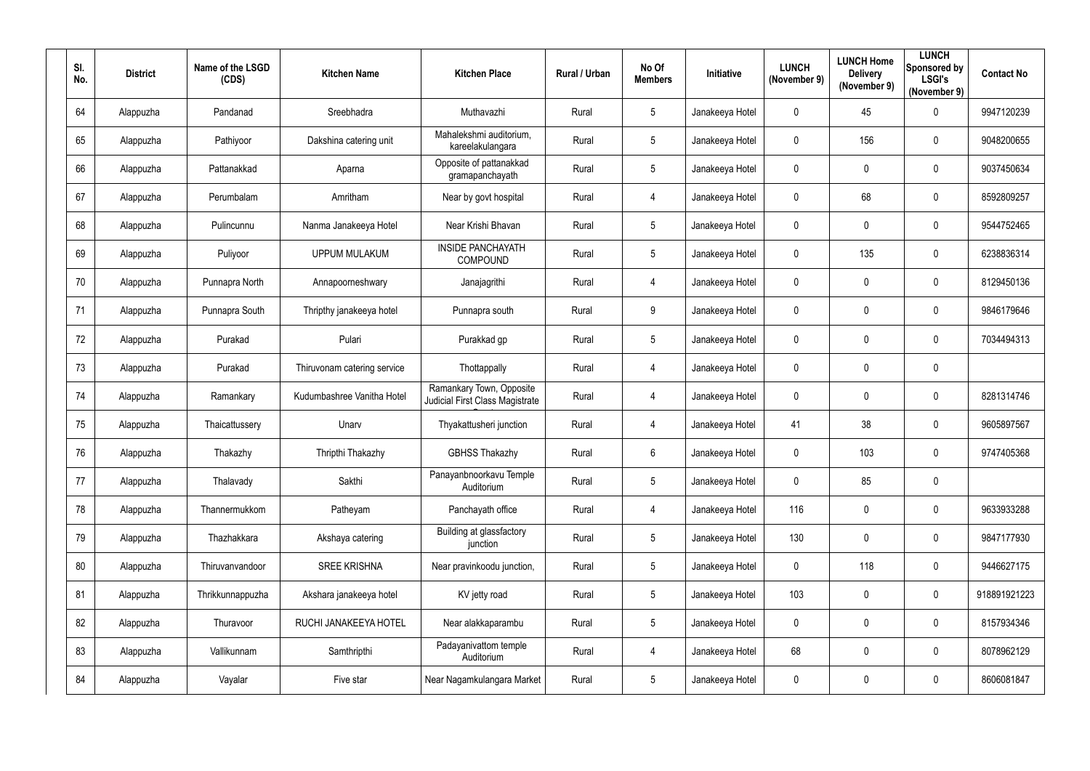| SI.<br>No. | <b>District</b> | Name of the LSGD<br>(CDS) | <b>Kitchen Name</b>         | <b>Kitchen Place</b>                                               | Rural / Urban | No Of<br><b>Members</b> | <b>Initiative</b> | <b>LUNCH</b><br>(November 9) | <b>LUNCH Home</b><br><b>Delivery</b><br>(November 9) | <b>LUNCH</b><br>Sponsored by<br><b>LSGI's</b><br>(November 9) | <b>Contact No</b> |
|------------|-----------------|---------------------------|-----------------------------|--------------------------------------------------------------------|---------------|-------------------------|-------------------|------------------------------|------------------------------------------------------|---------------------------------------------------------------|-------------------|
| 64         | Alappuzha       | Pandanad                  | Sreebhadra                  | Muthavazhi                                                         | Rural         | $5\overline{)}$         | Janakeeya Hotel   | $\mathbf 0$                  | 45                                                   | $\mathbf 0$                                                   | 9947120239        |
| 65         | Alappuzha       | Pathiyoor                 | Dakshina catering unit      | Mahalekshmi auditorium,<br>kareelakulangara                        | Rural         | $5\overline{)}$         | Janakeeya Hotel   | $\mathbf 0$                  | 156                                                  | $\mathbf 0$                                                   | 9048200655        |
| 66         | Alappuzha       | Pattanakkad               | Aparna                      | Opposite of pattanakkad<br>gramapanchayath                         | Rural         | $5\phantom{.0}$         | Janakeeya Hotel   | $\mathbf 0$                  | $\mathbf 0$                                          | $\overline{0}$                                                | 9037450634        |
| 67         | Alappuzha       | Perumbalam                | Amritham                    | Near by govt hospital                                              | Rural         | $\overline{4}$          | Janakeeya Hotel   | $\pmb{0}$                    | 68                                                   | $\mathbf 0$                                                   | 8592809257        |
| 68         | Alappuzha       | Pulincunnu                | Nanma Janakeeya Hotel       | Near Krishi Bhavan                                                 | Rural         | $5\phantom{.0}$         | Janakeeya Hotel   | $\mathbf 0$                  | $\mathbf 0$                                          | $\overline{0}$                                                | 9544752465        |
| 69         | Alappuzha       | Puliyoor                  | <b>UPPUM MULAKUM</b>        | <b>INSIDE PANCHAYATH</b><br>COMPOUND                               | Rural         | $5\phantom{.0}$         | Janakeeya Hotel   | $\mathbf 0$                  | 135                                                  | $\boldsymbol{0}$                                              | 6238836314        |
| 70         | Alappuzha       | Punnapra North            | Annapoorneshwary            | Janajagrithi                                                       | Rural         | $\overline{4}$          | Janakeeya Hotel   | $\mathbf 0$                  | 0                                                    | $\overline{0}$                                                | 8129450136        |
| 71         | Alappuzha       | Punnapra South            | Thripthy janakeeya hotel    | Punnapra south                                                     | Rural         | $9\,$                   | Janakeeya Hotel   | $\mathbf 0$                  | $\mathbf 0$                                          | $\mathbf 0$                                                   | 9846179646        |
| 72         | Alappuzha       | Purakad                   | Pulari                      | Purakkad gp                                                        | Rural         | $5\overline{)}$         | Janakeeya Hotel   | $\boldsymbol{0}$             | $\mathbf 0$                                          | $\overline{0}$                                                | 7034494313        |
| 73         | Alappuzha       | Purakad                   | Thiruvonam catering service | Thottappally                                                       | Rural         | 4                       | Janakeeya Hotel   | $\mathbf 0$                  | $\mathbf 0$                                          | $\mathbf 0$                                                   |                   |
| 74         | Alappuzha       | Ramankary                 | Kudumbashree Vanitha Hotel  | Ramankary Town, Opposite<br><b>Judicial First Class Magistrate</b> | Rural         | 4                       | Janakeeya Hotel   | $\boldsymbol{0}$             | $\mathbf 0$                                          | $\overline{0}$                                                | 8281314746        |
| 75         | Alappuzha       | Thaicattussery            | Unarv                       | Thyakattusheri junction                                            | Rural         | 4                       | Janakeeya Hotel   | 41                           | 38                                                   | $\overline{0}$                                                | 9605897567        |
| 76         | Alappuzha       | Thakazhy                  | Thripthi Thakazhy           | <b>GBHSS Thakazhy</b>                                              | Rural         | 6                       | Janakeeya Hotel   | $\mathbf 0$                  | 103                                                  | $\overline{0}$                                                | 9747405368        |
| 77         | Alappuzha       | Thalavady                 | Sakthi                      | Panayanbnoorkavu Temple<br>Auditorium                              | Rural         | $5\overline{)}$         | Janakeeya Hotel   | $\mathbf 0$                  | 85                                                   | $\pmb{0}$                                                     |                   |
| 78         | Alappuzha       | Thannermukkom             | Patheyam                    | Panchayath office                                                  | Rural         | $\overline{4}$          | Janakeeya Hotel   | 116                          | $\mathbf 0$                                          | $\mathbf 0$                                                   | 9633933288        |
| 79         | Alappuzha       | Thazhakkara               | Akshaya catering            | Building at glassfactory<br>junction                               | Rural         | $5\overline{)}$         | Janakeeya Hotel   | 130                          | $\mathbf 0$                                          | $\mathbf 0$                                                   | 9847177930        |
| 80         | Alappuzha       | Thiruvanvandoor           | <b>SREE KRISHNA</b>         | Near pravinkoodu junction,                                         | Rural         | $5\overline{)}$         | Janakeeya Hotel   | $\pmb{0}$                    | 118                                                  | $\boldsymbol{0}$                                              | 9446627175        |
| 81         | Alappuzha       | Thrikkunnappuzha          | Akshara janakeeya hotel     | KV jetty road                                                      | Rural         | $5\overline{)}$         | Janakeeya Hotel   | 103                          | $\mathbf 0$                                          | $\mathbf 0$                                                   | 918891921223      |
| 82         | Alappuzha       | Thuravoor                 | RUCHI JANAKEEYA HOTEL       | Near alakkaparambu                                                 | Rural         | $5\overline{)}$         | Janakeeya Hotel   | $\mathbf 0$                  | $\mathbf 0$                                          | $\pmb{0}$                                                     | 8157934346        |
| 83         | Alappuzha       | Vallikunnam               | Samthripthi                 | Padayanivattom temple<br>Auditorium                                | Rural         | $\overline{4}$          | Janakeeya Hotel   | 68                           | $\mathbf 0$                                          | $\pmb{0}$                                                     | 8078962129        |
| 84         | Alappuzha       | Vayalar                   | Five star                   | Near Nagamkulangara Market                                         | Rural         | $5\overline{)}$         | Janakeeya Hotel   | $\pmb{0}$                    | $\mathbf 0$                                          | $\pmb{0}$                                                     | 8606081847        |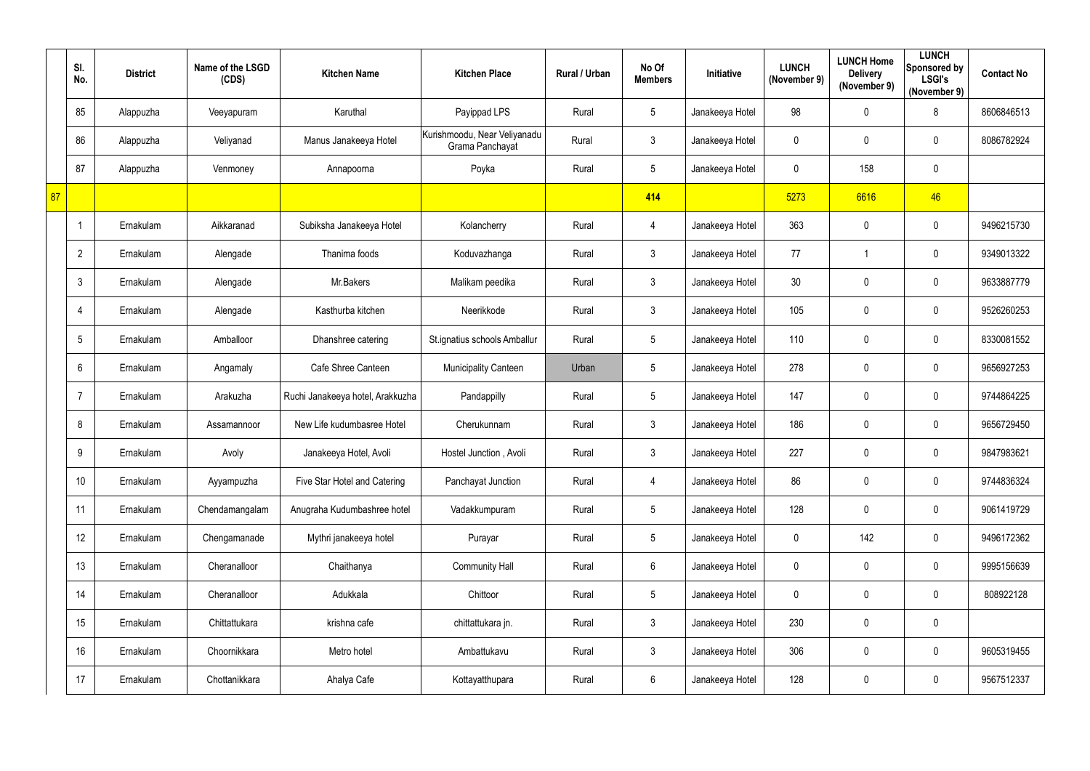|    | SI.<br>No.     | <b>District</b> | Name of the LSGD<br>(CDS) | <b>Kitchen Name</b>              | <b>Kitchen Place</b>                            | Rural / Urban | No Of<br><b>Members</b> | Initiative      | <b>LUNCH</b><br>(November 9) | <b>LUNCH Home</b><br><b>Delivery</b><br>(November 9) | <b>LUNCH</b><br><b>Sponsored by</b><br><b>LSGI's</b><br>(November 9) | <b>Contact No</b> |
|----|----------------|-----------------|---------------------------|----------------------------------|-------------------------------------------------|---------------|-------------------------|-----------------|------------------------------|------------------------------------------------------|----------------------------------------------------------------------|-------------------|
|    | 85             | Alappuzha       | Veeyapuram                | Karuthal                         | Payippad LPS                                    | Rural         | $\sqrt{5}$              | Janakeeya Hotel | 98                           | $\pmb{0}$                                            | 8                                                                    | 8606846513        |
|    | 86             | Alappuzha       | Veliyanad                 | Manus Janakeeya Hotel            | Kurishmoodu, Near Veliyanadu<br>Grama Panchayat | Rural         | $\mathfrak{Z}$          | Janakeeya Hotel | $\pmb{0}$                    | 0                                                    | $\mathbf 0$                                                          | 8086782924        |
|    | 87             | Alappuzha       | Venmoney                  | Annapoorna                       | Poyka                                           | Rural         | $5\phantom{.0}$         | Janakeeya Hotel | $\pmb{0}$                    | 158                                                  | $\mathbf 0$                                                          |                   |
| 87 |                |                 |                           |                                  |                                                 |               | 414                     |                 | 5273                         | 6616                                                 | 46                                                                   |                   |
|    |                | Ernakulam       | Aikkaranad                | Subiksha Janakeeya Hotel         | Kolancherry                                     | Rural         | 4                       | Janakeeya Hotel | 363                          | $\pmb{0}$                                            | $\mathbf 0$                                                          | 9496215730        |
|    | $\overline{2}$ | Ernakulam       | Alengade                  | Thanima foods                    | Koduvazhanga                                    | Rural         | $3\overline{3}$         | Janakeeya Hotel | 77                           | -1                                                   | $\mathbf 0$                                                          | 9349013322        |
|    | $\mathfrak{Z}$ | Ernakulam       | Alengade                  | Mr.Bakers                        | Malikam peedika                                 | Rural         | $\mathfrak{Z}$          | Janakeeya Hotel | 30 <sub>o</sub>              | $\pmb{0}$                                            | $\mathbf 0$                                                          | 9633887779        |
|    | 4              | Ernakulam       | Alengade                  | Kasthurba kitchen                | Neerikkode                                      | Rural         | $\mathfrak{Z}$          | Janakeeya Hotel | 105                          | 0                                                    | $\mathbf 0$                                                          | 9526260253        |
|    | 5              | Ernakulam       | Amballoor                 | Dhanshree catering               | St.ignatius schools Amballur                    | Rural         | $5\phantom{.0}$         | Janakeeya Hotel | 110                          | 0                                                    | $\mathbf 0$                                                          | 8330081552        |
|    | 6              | Ernakulam       | Angamaly                  | Cafe Shree Canteen               | <b>Municipality Canteen</b>                     | Urban         | $5\phantom{.0}$         | Janakeeya Hotel | 278                          | $\pmb{0}$                                            | $\mathbf 0$                                                          | 9656927253        |
|    | 7              | Ernakulam       | Arakuzha                  | Ruchi Janakeeya hotel, Arakkuzha | Pandappilly                                     | Rural         | $5\phantom{.0}$         | Janakeeya Hotel | 147                          | 0                                                    | $\mathbf 0$                                                          | 9744864225        |
|    | 8              | Ernakulam       | Assamannoor               | New Life kudumbasree Hotel       | Cherukunnam                                     | Rural         | $\mathfrak{Z}$          | Janakeeya Hotel | 186                          | 0                                                    | $\mathbf 0$                                                          | 9656729450        |
|    | 9              | Ernakulam       | Avoly                     | Janakeeya Hotel, Avoli           | Hostel Junction, Avoli                          | Rural         | $\mathfrak{Z}$          | Janakeeya Hotel | 227                          | $\mathbf 0$                                          | $\mathbf 0$                                                          | 9847983621        |
|    | 10             | Ernakulam       | Ayyampuzha                | Five Star Hotel and Catering     | Panchayat Junction                              | Rural         | $\overline{4}$          | Janakeeya Hotel | 86                           | 0                                                    | $\mathbf 0$                                                          | 9744836324        |
|    | 11             | Ernakulam       | Chendamangalam            | Anugraha Kudumbashree hotel      | Vadakkumpuram                                   | Rural         | $5\phantom{.0}$         | Janakeeya Hotel | 128                          | 0                                                    | $\overline{0}$                                                       | 9061419729        |
|    | 12             | Ernakulam       | Chengamanade              | Mythri janakeeya hotel           | Purayar                                         | Rural         | $5\phantom{.0}$         | Janakeeya Hotel | $\pmb{0}$                    | 142                                                  | $\overline{0}$                                                       | 9496172362        |
|    | 13             | Ernakulam       | Cheranalloor              | Chaithanya                       | <b>Community Hall</b>                           | Rural         | $6\phantom{.0}$         | Janakeeya Hotel | $\pmb{0}$                    | 0                                                    | $\mathbf 0$                                                          | 9995156639        |
|    | 14             | Ernakulam       | Cheranalloor              | Adukkala                         | Chittoor                                        | Rural         | $5\phantom{.0}$         | Janakeeya Hotel | $\mathbf 0$                  | $\pmb{0}$                                            | $\overline{0}$                                                       | 808922128         |
|    | 15             | Ernakulam       | Chittattukara             | krishna cafe                     | chittattukara jn.                               | Rural         | $\mathfrak{Z}$          | Janakeeya Hotel | 230                          | $\pmb{0}$                                            | $\mathbf 0$                                                          |                   |
|    | 16             | Ernakulam       | Choornikkara              | Metro hotel                      | Ambattukavu                                     | Rural         | $\mathfrak{Z}$          | Janakeeya Hotel | 306                          | 0                                                    | $\mathbf 0$                                                          | 9605319455        |
|    | 17             | Ernakulam       | Chottanikkara             | Ahalya Cafe                      | Kottayatthupara                                 | Rural         | $6\phantom{.0}$         | Janakeeya Hotel | 128                          | 0                                                    | $\overline{0}$                                                       | 9567512337        |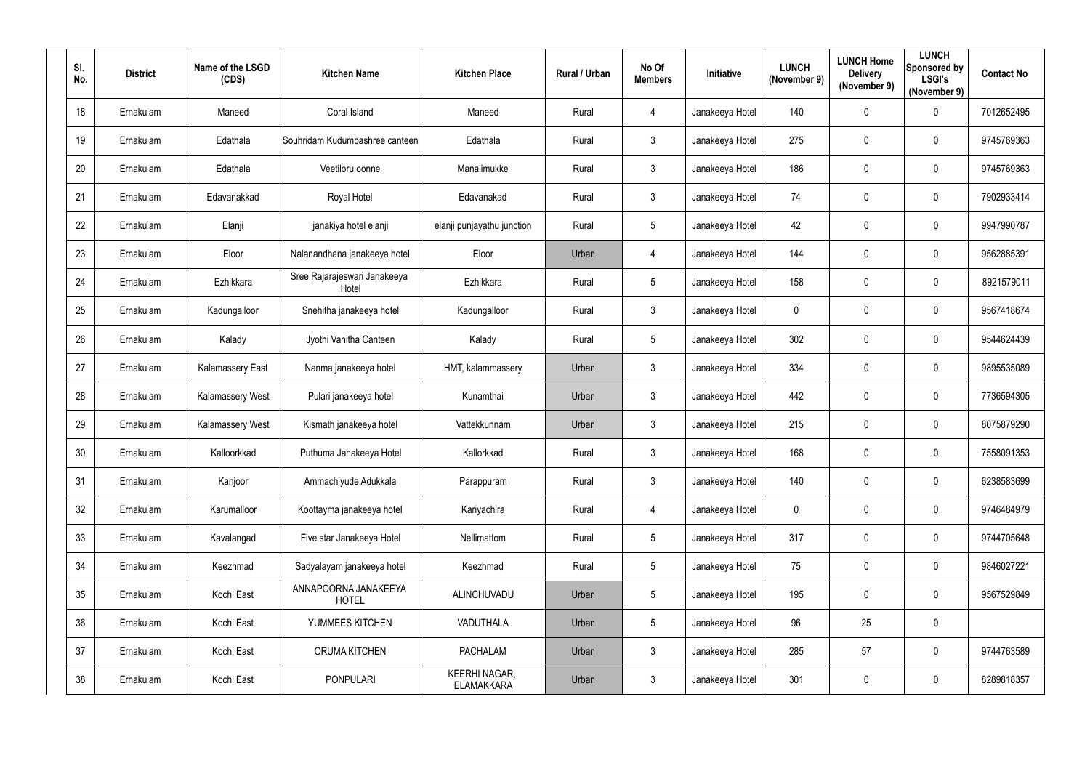| SI.<br>No. | <b>District</b> | Name of the LSGD<br>(CDS) | <b>Kitchen Name</b>                   | <b>Kitchen Place</b>                      | Rural / Urban | No Of<br><b>Members</b> | Initiative      | <b>LUNCH</b><br>(November 9) | <b>LUNCH Home</b><br><b>Delivery</b><br>(November 9) | <b>LUNCH</b><br>Sponsored by<br><b>LSGI's</b><br>(November 9) | <b>Contact No</b> |
|------------|-----------------|---------------------------|---------------------------------------|-------------------------------------------|---------------|-------------------------|-----------------|------------------------------|------------------------------------------------------|---------------------------------------------------------------|-------------------|
| 18         | Ernakulam       | Maneed                    | Coral Island                          | Maneed                                    | Rural         | $\overline{4}$          | Janakeeya Hotel | 140                          | 0                                                    | $\mathbf 0$                                                   | 7012652495        |
| 19         | Ernakulam       | Edathala                  | Souhridam Kudumbashree canteen        | Edathala                                  | Rural         | $\mathbf{3}$            | Janakeeya Hotel | 275                          | 0                                                    | $\mathbf 0$                                                   | 9745769363        |
| 20         | Ernakulam       | Edathala                  | Veetiloru oonne                       | Manalimukke                               | Rural         | $\mathbf{3}$            | Janakeeya Hotel | 186                          | 0                                                    | $\mathbf 0$                                                   | 9745769363        |
| 21         | Ernakulam       | Edavanakkad               | Royal Hotel                           | Edavanakad                                | Rural         | $\mathbf{3}$            | Janakeeya Hotel | 74                           | 0                                                    | $\mathbf 0$                                                   | 7902933414        |
| 22         | Ernakulam       | Elanji                    | janakiya hotel elanji                 | elanji punjayathu junction                | Rural         | $5\overline{)}$         | Janakeeya Hotel | 42                           | 0                                                    | $\mathbf 0$                                                   | 9947990787        |
| 23         | Ernakulam       | Eloor                     | Nalanandhana janakeeya hotel          | Eloor                                     | Urban         | $\overline{4}$          | Janakeeya Hotel | 144                          | $\mathbf 0$                                          | $\mathbf 0$                                                   | 9562885391        |
| 24         | Ernakulam       | Ezhikkara                 | Sree Rajarajeswari Janakeeya<br>Hotel | Ezhikkara                                 | Rural         | $5\overline{)}$         | Janakeeya Hotel | 158                          | 0                                                    | $\mathbf 0$                                                   | 8921579011        |
| 25         | Ernakulam       | Kadungalloor              | Snehitha janakeeya hotel              | Kadungalloor                              | Rural         | $\mathbf{3}$            | Janakeeya Hotel | $\mathbf 0$                  | 0                                                    | $\mathbf 0$                                                   | 9567418674        |
| 26         | Ernakulam       | Kalady                    | Jyothi Vanitha Canteen                | Kalady                                    | Rural         | $5\overline{)}$         | Janakeeya Hotel | 302                          | 0                                                    | $\overline{0}$                                                | 9544624439        |
| 27         | Ernakulam       | Kalamassery East          | Nanma janakeeya hotel                 | HMT, kalammassery                         | Urban         | $\mathbf{3}$            | Janakeeya Hotel | 334                          | 0                                                    | $\mathbf 0$                                                   | 9895535089        |
| 28         | Ernakulam       | Kalamassery West          | Pulari janakeeya hotel                | Kunamthai                                 | Urban         | $\mathbf{3}$            | Janakeeya Hotel | 442                          | 0                                                    | $\overline{0}$                                                | 7736594305        |
| 29         | Ernakulam       | <b>Kalamassery West</b>   | Kismath janakeeya hotel               | Vattekkunnam                              | Urban         | $\mathbf{3}$            | Janakeeya Hotel | 215                          | 0                                                    | $\mathbf 0$                                                   | 8075879290        |
| 30         | Ernakulam       | Kalloorkkad               | Puthuma Janakeeya Hotel               | Kallorkkad                                | Rural         | $\mathbf{3}$            | Janakeeya Hotel | 168                          | 0                                                    | $\mathbf 0$                                                   | 7558091353        |
| 31         | Ernakulam       | Kanjoor                   | Ammachiyude Adukkala                  | Parappuram                                | Rural         | 3 <sup>1</sup>          | Janakeeya Hotel | 140                          | $\mathbf 0$                                          | $\overline{0}$                                                | 6238583699        |
| 32         | Ernakulam       | Karumalloor               | Koottayma janakeeya hotel             | Kariyachira                               | Rural         | $\overline{4}$          | Janakeeya Hotel | $\pmb{0}$                    | 0                                                    | $\mathbf 0$                                                   | 9746484979        |
| 33         | Ernakulam       | Kavalangad                | Five star Janakeeya Hotel             | Nellimattom                               | Rural         | $5\overline{)}$         | Janakeeya Hotel | 317                          | $\mathbf 0$                                          | $\mathbf 0$                                                   | 9744705648        |
| 34         | Ernakulam       | Keezhmad                  | Sadyalayam janakeeya hotel            | Keezhmad                                  | Rural         | $5\overline{)}$         | Janakeeya Hotel | 75                           | $\mathbf 0$                                          | $\mathbf 0$                                                   | 9846027221        |
| 35         | Ernakulam       | Kochi East                | ANNAPOORNA JANAKEEYA<br><b>HOTEL</b>  | ALINCHUVADU                               | Urban         | $5\overline{)}$         | Janakeeya Hotel | 195                          | $\mathbf 0$                                          | $\mathbf 0$                                                   | 9567529849        |
| 36         | Ernakulam       | Kochi East                | YUMMEES KITCHEN                       | VADUTHALA                                 | Urban         | $5\phantom{.0}$         | Janakeeya Hotel | 96                           | 25                                                   | $\overline{0}$                                                |                   |
| 37         | Ernakulam       | Kochi East                | ORUMA KITCHEN                         | <b>PACHALAM</b>                           | Urban         | $\mathbf{3}$            | Janakeeya Hotel | 285                          | 57                                                   | $\mathbf 0$                                                   | 9744763589        |
| 38         | Ernakulam       | Kochi East                | <b>PONPULARI</b>                      | <b>KEERHI NAGAR,</b><br><b>ELAMAKKARA</b> | Urban         | 3 <sup>5</sup>          | Janakeeya Hotel | 301                          | $\mathbf 0$                                          | $\overline{0}$                                                | 8289818357        |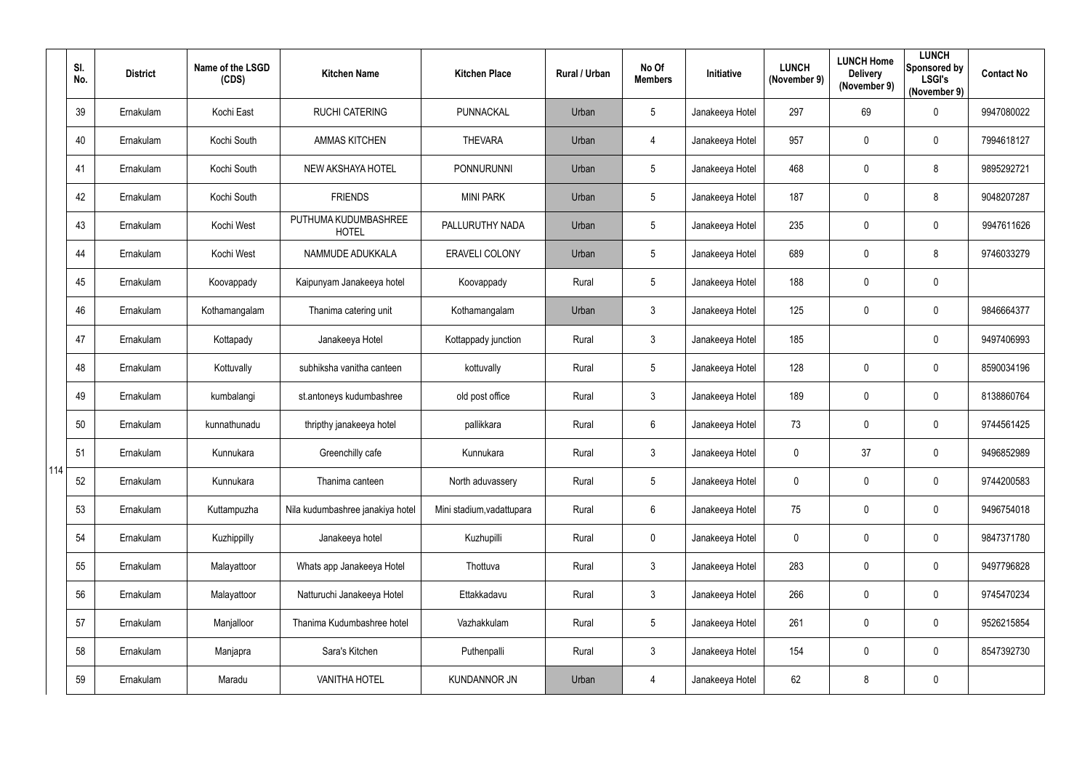|     | SI.<br>No. | <b>District</b> | Name of the LSGD<br>(CDS) | <b>Kitchen Name</b>                  | <b>Kitchen Place</b>      | Rural / Urban | No Of<br><b>Members</b> | Initiative      | <b>LUNCH</b><br>(November 9) | <b>LUNCH Home</b><br><b>Delivery</b><br>(November 9) | <b>LUNCH</b><br>Sponsored by<br><b>LSGI's</b><br>(November 9) | <b>Contact No</b> |
|-----|------------|-----------------|---------------------------|--------------------------------------|---------------------------|---------------|-------------------------|-----------------|------------------------------|------------------------------------------------------|---------------------------------------------------------------|-------------------|
|     | 39         | Ernakulam       | Kochi East                | <b>RUCHI CATERING</b>                | PUNNACKAL                 | Urban         | $5\phantom{.0}$         | Janakeeya Hotel | 297                          | 69                                                   | $\mathbf 0$                                                   | 9947080022        |
|     | 40         | Ernakulam       | Kochi South               | <b>AMMAS KITCHEN</b>                 | <b>THEVARA</b>            | Urban         | 4                       | Janakeeya Hotel | 957                          | 0                                                    | $\overline{0}$                                                | 7994618127        |
|     | 41         | Ernakulam       | Kochi South               | NEW AKSHAYA HOTEL                    | <b>PONNURUNNI</b>         | Urban         | $5\phantom{.0}$         | Janakeeya Hotel | 468                          | 0                                                    | 8                                                             | 9895292721        |
|     | 42         | Ernakulam       | Kochi South               | <b>FRIENDS</b>                       | <b>MINI PARK</b>          | Urban         | $5\phantom{.0}$         | Janakeeya Hotel | 187                          | 0                                                    | 8                                                             | 9048207287        |
|     | 43         | Ernakulam       | Kochi West                | PUTHUMA KUDUMBASHREE<br><b>HOTEL</b> | PALLURUTHY NADA           | Urban         | 5                       | Janakeeya Hotel | 235                          | 0                                                    | $\overline{0}$                                                | 9947611626        |
|     | 44         | Ernakulam       | Kochi West                | NAMMUDE ADUKKALA                     | <b>ERAVELI COLONY</b>     | Urban         | $5\phantom{.0}$         | Janakeeya Hotel | 689                          | $\pmb{0}$                                            | 8                                                             | 9746033279        |
|     | 45         | Ernakulam       | Koovappady                | Kaipunyam Janakeeya hotel            | Koovappady                | Rural         | $5\phantom{.0}$         | Janakeeya Hotel | 188                          | 0                                                    | $\mathbf 0$                                                   |                   |
|     | 46         | Ernakulam       | Kothamangalam             | Thanima catering unit                | Kothamangalam             | Urban         | $\mathfrak{Z}$          | Janakeeya Hotel | 125                          | 0                                                    | $\overline{0}$                                                | 9846664377        |
|     | 47         | Ernakulam       | Kottapady                 | Janakeeya Hotel                      | Kottappady junction       | Rural         | $\mathfrak{Z}$          | Janakeeya Hotel | 185                          |                                                      | $\mathbf 0$                                                   | 9497406993        |
|     | 48         | Ernakulam       | Kottuvally                | subhiksha vanitha canteen            | kottuvally                | Rural         | 5                       | Janakeeya Hotel | 128                          | 0                                                    | $\mathbf 0$                                                   | 8590034196        |
|     | 49         | Ernakulam       | kumbalangi                | st.antoneys kudumbashree             | old post office           | Rural         | $\mathfrak{Z}$          | Janakeeya Hotel | 189                          | 0                                                    | $\overline{0}$                                                | 8138860764        |
|     | 50         | Ernakulam       | kunnathunadu              | thripthy janakeeya hotel             | pallikkara                | Rural         | $6\phantom{.0}$         | Janakeeya Hotel | 73                           | 0                                                    | $\mathbf 0$                                                   | 9744561425        |
|     | 51         | Ernakulam       | Kunnukara                 | Greenchilly cafe                     | Kunnukara                 | Rural         | 3                       | Janakeeya Hotel | 0                            | 37                                                   | $\mathbf 0$                                                   | 9496852989        |
| 114 | 52         | Ernakulam       | Kunnukara                 | Thanima canteen                      | North aduvassery          | Rural         | $5\phantom{.0}$         | Janakeeya Hotel | $\mathbf 0$                  | 0                                                    | $\overline{0}$                                                | 9744200583        |
|     | 53         | Ernakulam       | Kuttampuzha               | Nila kudumbashree janakiya hotel     | Mini stadium, vadattupara | Rural         | $6\phantom{.0}$         | Janakeeya Hotel | 75                           | $\pmb{0}$                                            | $\mathbf 0$                                                   | 9496754018        |
|     | 54         | Ernakulam       | Kuzhippilly               | Janakeeya hotel                      | Kuzhupilli                | Rural         | $\pmb{0}$               | Janakeeya Hotel | $\mathbf 0$                  | $\pmb{0}$                                            | $\overline{0}$                                                | 9847371780        |
|     | 55         | Ernakulam       | Malayattoor               | Whats app Janakeeya Hotel            | Thottuva                  | Rural         | $\mathfrak{Z}$          | Janakeeya Hotel | 283                          | $\pmb{0}$                                            | $\overline{0}$                                                | 9497796828        |
|     | 56         | Ernakulam       | Malayattoor               | Natturuchi Janakeeya Hotel           | Ettakkadavu               | Rural         | $\mathfrak{S}$          | Janakeeya Hotel | 266                          | $\pmb{0}$                                            | $\overline{0}$                                                | 9745470234        |
|     | 57         | Ernakulam       | Manjalloor                | Thanima Kudumbashree hotel           | Vazhakkulam               | Rural         | $5\phantom{.0}$         | Janakeeya Hotel | 261                          | $\pmb{0}$                                            | $\overline{0}$                                                | 9526215854        |
|     | 58         | Ernakulam       | Manjapra                  | Sara's Kitchen                       | Puthenpalli               | Rural         | $\mathfrak{S}$          | Janakeeya Hotel | 154                          | 0                                                    | $\overline{0}$                                                | 8547392730        |
|     | 59         | Ernakulam       | Maradu                    | <b>VANITHA HOTEL</b>                 | <b>KUNDANNOR JN</b>       | Urban         | 4                       | Janakeeya Hotel | 62                           | 8                                                    | $\overline{0}$                                                |                   |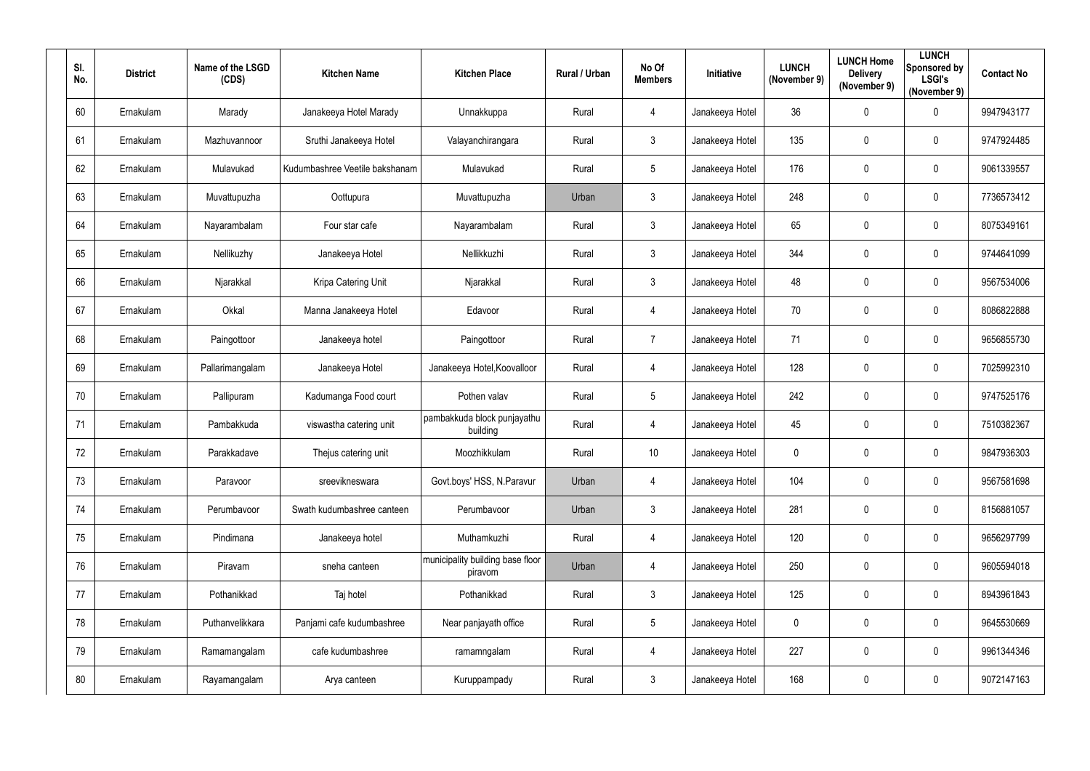| SI.<br>No. | <b>District</b> | Name of the LSGD<br>(CDS) | <b>Kitchen Name</b>            | <b>Kitchen Place</b>                        | Rural / Urban | No Of<br><b>Members</b> | Initiative      | <b>LUNCH</b><br>(November 9) | <b>LUNCH Home</b><br><b>Delivery</b><br>(November 9) | <b>LUNCH</b><br>Sponsored by<br><b>LSGI's</b><br>(November 9) | <b>Contact No</b> |
|------------|-----------------|---------------------------|--------------------------------|---------------------------------------------|---------------|-------------------------|-----------------|------------------------------|------------------------------------------------------|---------------------------------------------------------------|-------------------|
| 60         | Ernakulam       | Marady                    | Janakeeya Hotel Marady         | Unnakkuppa                                  | Rural         | $\overline{4}$          | Janakeeya Hotel | 36                           | $\mathbf 0$                                          | $\mathbf 0$                                                   | 9947943177        |
| 61         | Ernakulam       | Mazhuvannoor              | Sruthi Janakeeya Hotel         | Valayanchirangara                           | Rural         | 3                       | Janakeeya Hotel | 135                          | 0                                                    | $\overline{0}$                                                | 9747924485        |
| 62         | Ernakulam       | Mulavukad                 | Kudumbashree Veetile bakshanam | Mulavukad                                   | Rural         | $5\phantom{.0}$         | Janakeeya Hotel | 176                          | $\mathbf 0$                                          | $\boldsymbol{0}$                                              | 9061339557        |
| 63         | Ernakulam       | Muvattupuzha              | Oottupura                      | Muvattupuzha                                | Urban         | $\mathfrak{Z}$          | Janakeeya Hotel | 248                          | 0                                                    | $\mathbf 0$                                                   | 7736573412        |
| 64         | Ernakulam       | Nayarambalam              | Four star cafe                 | Nayarambalam                                | Rural         | 3                       | Janakeeya Hotel | 65                           | $\overline{0}$                                       | $\overline{0}$                                                | 8075349161        |
| 65         | Ernakulam       | Nellikuzhy                | Janakeeya Hotel                | Nellikkuzhi                                 | Rural         | $\mathbf{3}$            | Janakeeya Hotel | 344                          | $\overline{0}$                                       | $\boldsymbol{0}$                                              | 9744641099        |
| 66         | Ernakulam       | Njarakkal                 | Kripa Catering Unit            | Njarakkal                                   | Rural         | 3 <sup>1</sup>          | Janakeeya Hotel | 48                           | $\mathbf 0$                                          | $\mathbf 0$                                                   | 9567534006        |
| 67         | Ernakulam       | Okkal                     | Manna Janakeeya Hotel          | Edavoor                                     | Rural         | 4                       | Janakeeya Hotel | 70                           | $\mathbf 0$                                          | $\overline{0}$                                                | 8086822888        |
| 68         | Ernakulam       | Paingottoor               | Janakeeya hotel                | Paingottoor                                 | Rural         | $\overline{7}$          | Janakeeya Hotel | 71                           | $\overline{0}$                                       | $\boldsymbol{0}$                                              | 9656855730        |
| 69         | Ernakulam       | Pallarimangalam           | Janakeeya Hotel                | Janakeeya Hotel, Koovalloor                 | Rural         | 4                       | Janakeeya Hotel | 128                          | $\boldsymbol{0}$                                     | $\overline{0}$                                                | 7025992310        |
| 70         | Ernakulam       | Pallipuram                | Kadumanga Food court           | Pothen valav                                | Rural         | $5\phantom{.0}$         | Janakeeya Hotel | 242                          | $\overline{0}$                                       | $\boldsymbol{0}$                                              | 9747525176        |
| 71         | Ernakulam       | Pambakkuda                | viswastha catering unit        | pambakkuda block punjayathu<br>building     | Rural         | $\overline{4}$          | Janakeeya Hotel | 45                           | $\overline{0}$                                       | $\overline{0}$                                                | 7510382367        |
| 72         | Ernakulam       | Parakkadave               | Thejus catering unit           | Moozhikkulam                                | Rural         | 10                      | Janakeeya Hotel | $\mathbf 0$                  | 0                                                    | 0                                                             | 9847936303        |
| 73         | Ernakulam       | Paravoor                  | sreevikneswara                 | Govt.boys' HSS, N.Paravur                   | Urban         | $\overline{4}$          | Janakeeya Hotel | 104                          | $\mathbf 0$                                          | $\pmb{0}$                                                     | 9567581698        |
| 74         | Ernakulam       | Perumbavoor               | Swath kudumbashree canteen     | Perumbavoor                                 | Urban         | $3\phantom{.0}$         | Janakeeya Hotel | 281                          | $\mathbf 0$                                          | $\mathbf 0$                                                   | 8156881057        |
| 75         | Ernakulam       | Pindimana                 | Janakeeya hotel                | Muthamkuzhi                                 | Rural         | $\overline{4}$          | Janakeeya Hotel | 120                          | $\overline{0}$                                       | $\mathbf 0$                                                   | 9656297799        |
| 76         | Ernakulam       | Piravam                   | sneha canteen                  | municipality building base floor<br>piravom | Urban         | $\overline{4}$          | Janakeeya Hotel | 250                          | $\mathbf 0$                                          | $\mathbf 0$                                                   | 9605594018        |
| 77         | Ernakulam       | Pothanikkad               | Taj hotel                      | Pothanikkad                                 | Rural         | 3 <sup>1</sup>          | Janakeeya Hotel | 125                          | $\mathbf 0$                                          | $\mathbf 0$                                                   | 8943961843        |
| 78         | Ernakulam       | Puthanvelikkara           | Panjami cafe kudumbashree      | Near panjayath office                       | Rural         | $5\overline{)}$         | Janakeeya Hotel | $\pmb{0}$                    | $\mathbf 0$                                          | $\mathbf 0$                                                   | 9645530669        |
| 79         | Ernakulam       | Ramamangalam              | cafe kudumbashree              | ramamngalam                                 | Rural         | $\overline{4}$          | Janakeeya Hotel | 227                          | $\mathbf 0$                                          | $\mathbf 0$                                                   | 9961344346        |
| 80         | Ernakulam       | Rayamangalam              | Arya canteen                   | Kuruppampady                                | Rural         | $\mathbf{3}$            | Janakeeya Hotel | 168                          | $\boldsymbol{0}$                                     | $\bm{0}$                                                      | 9072147163        |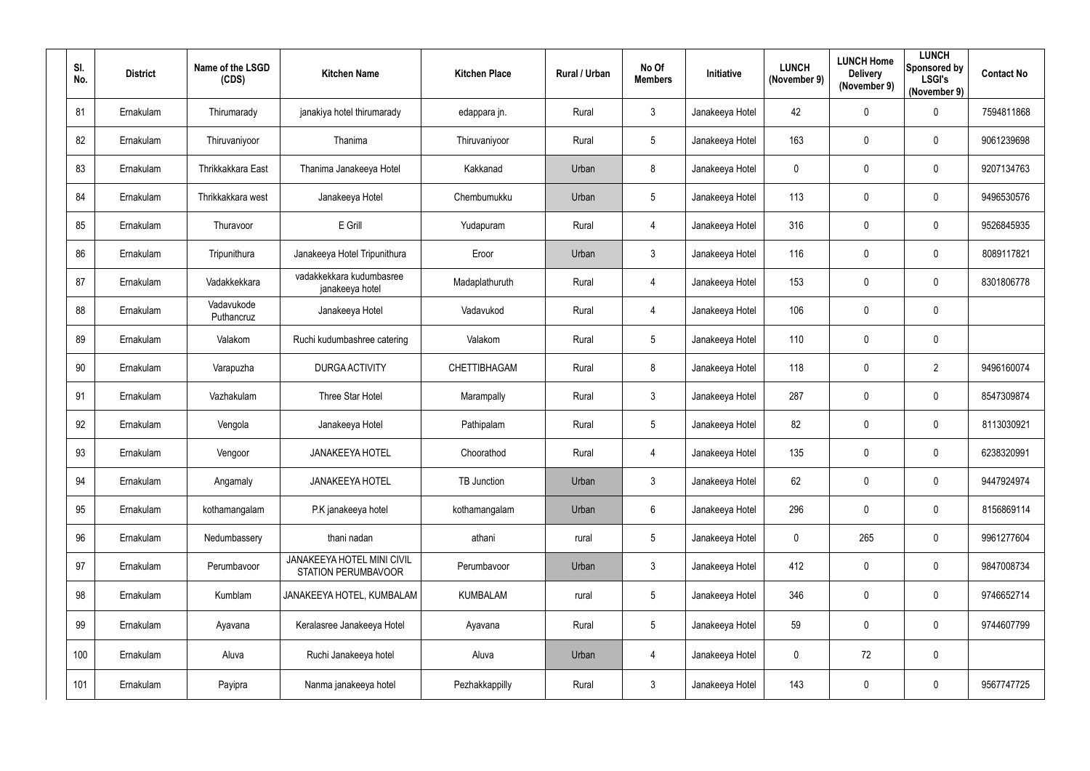| SI.<br>No. | <b>District</b> | Name of the LSGD<br>(CDS) | <b>Kitchen Name</b>                                      | <b>Kitchen Place</b> | Rural / Urban | No Of<br><b>Members</b> | Initiative      | <b>LUNCH</b><br>(November 9) | <b>LUNCH Home</b><br><b>Delivery</b><br>(November 9) | <b>LUNCH</b><br>Sponsored by<br><b>LSGI's</b><br>(November 9) | <b>Contact No</b> |
|------------|-----------------|---------------------------|----------------------------------------------------------|----------------------|---------------|-------------------------|-----------------|------------------------------|------------------------------------------------------|---------------------------------------------------------------|-------------------|
| 81         | Ernakulam       | Thirumarady               | janakiya hotel thirumarady                               | edappara jn.         | Rural         | $\mathbf{3}$            | Janakeeya Hotel | 42                           | $\mathbf 0$                                          | $\mathbf 0$                                                   | 7594811868        |
| 82         | Ernakulam       | Thiruvaniyoor             | Thanima                                                  | Thiruvaniyoor        | Rural         | 5 <sub>5</sub>          | Janakeeya Hotel | 163                          | $\mathbf 0$                                          | $\overline{0}$                                                | 9061239698        |
| 83         | Ernakulam       | Thrikkakkara East         | Thanima Janakeeya Hotel                                  | Kakkanad             | Urban         | 8                       | Janakeeya Hotel | $\mathbf 0$                  | $\mathbf 0$                                          | $\mathbf 0$                                                   | 9207134763        |
| 84         | Ernakulam       | Thrikkakkara west         | Janakeeya Hotel                                          | Chembumukku          | Urban         | $5\phantom{.0}$         | Janakeeya Hotel | 113                          | $\mathbf 0$                                          | $\mathbf 0$                                                   | 9496530576        |
| 85         | Ernakulam       | Thuravoor                 | E Grill                                                  | Yudapuram            | Rural         | 4                       | Janakeeya Hotel | 316                          | $\boldsymbol{0}$                                     | $\overline{0}$                                                | 9526845935        |
| 86         | Ernakulam       | Tripunithura              | Janakeeya Hotel Tripunithura                             | Eroor                | Urban         | $\mathbf{3}$            | Janakeeya Hotel | 116                          | $\mathbf 0$                                          | $\boldsymbol{0}$                                              | 8089117821        |
| 87         | Ernakulam       | Vadakkekkara              | vadakkekkara kudumbasree<br>janakeeya hotel              | Madaplathuruth       | Rural         | 4                       | Janakeeya Hotel | 153                          | $\mathbf 0$                                          | $\mathbf 0$                                                   | 8301806778        |
| 88         | Ernakulam       | Vadavukode<br>Puthancruz  | Janakeeya Hotel                                          | Vadavukod            | Rural         | 4                       | Janakeeya Hotel | 106                          | $\mathbf 0$                                          | $\mathbf 0$                                                   |                   |
| 89         | Ernakulam       | Valakom                   | Ruchi kudumbashree catering                              | Valakom              | Rural         | $5\phantom{.0}$         | Janakeeya Hotel | 110                          | $\overline{0}$                                       | $\mathbf 0$                                                   |                   |
| 90         | Ernakulam       | Varapuzha                 | <b>DURGA ACTIVITY</b>                                    | CHETTIBHAGAM         | Rural         | 8                       | Janakeeya Hotel | 118                          | $\mathbf 0$                                          | $\overline{2}$                                                | 9496160074        |
| 91         | Ernakulam       | Vazhakulam                | Three Star Hotel                                         | Marampally           | Rural         | 3                       | Janakeeya Hotel | 287                          | $\overline{0}$                                       | $\boldsymbol{0}$                                              | 8547309874        |
| 92         | Ernakulam       | Vengola                   | Janakeeya Hotel                                          | Pathipalam           | Rural         | $5\overline{)}$         | Janakeeya Hotel | 82                           | $\overline{0}$                                       | $\overline{0}$                                                | 8113030921        |
| 93         | Ernakulam       | Vengoor                   | <b>JANAKEEYA HOTEL</b>                                   | Choorathod           | Rural         | 4                       | Janakeeya Hotel | 135                          | 0                                                    | $\overline{0}$                                                | 6238320991        |
| 94         | Ernakulam       | Angamaly                  | <b>JANAKEEYA HOTEL</b>                                   | TB Junction          | Urban         | $3\phantom{.0}$         | Janakeeya Hotel | 62                           | $\mathbf 0$                                          | $\pmb{0}$                                                     | 9447924974        |
| 95         | Ernakulam       | kothamangalam             | P.K janakeeya hotel                                      | kothamangalam        | Urban         | $6\overline{6}$         | Janakeeya Hotel | 296                          | $\mathbf 0$                                          | $\mathbf 0$                                                   | 8156869114        |
| 96         | Ernakulam       | Nedumbassery              | thani nadan                                              | athani               | rural         | 5 <sub>5</sub>          | Janakeeya Hotel | $\mathbf 0$                  | 265                                                  | $\mathbf 0$                                                   | 9961277604        |
| 97         | Ernakulam       | Perumbavoor               | JANAKEEYA HOTEL MINI CIVIL<br><b>STATION PERUMBAVOOR</b> | Perumbavoor          | Urban         | 3 <sup>5</sup>          | Janakeeya Hotel | 412                          | $\mathbf 0$                                          | $\mathbf 0$                                                   | 9847008734        |
| 98         | Ernakulam       | Kumblam                   | JANAKEEYA HOTEL, KUMBALAM                                | <b>KUMBALAM</b>      | rural         | $5\overline{)}$         | Janakeeya Hotel | 346                          | $\pmb{0}$                                            | $\mathbf 0$                                                   | 9746652714        |
| 99         | Ernakulam       | Ayavana                   | Keralasree Janakeeya Hotel                               | Ayavana              | Rural         | $5\overline{)}$         | Janakeeya Hotel | 59                           | $\mathbf 0$                                          | $\mathbf 0$                                                   | 9744607799        |
| 100        | Ernakulam       | Aluva                     | Ruchi Janakeeya hotel                                    | Aluva                | Urban         | $\overline{4}$          | Janakeeya Hotel | $\mathbf 0$                  | 72                                                   | $\pmb{0}$                                                     |                   |
| 101        | Ernakulam       | Payipra                   | Nanma janakeeya hotel                                    | Pezhakkappilly       | Rural         | $\mathbf{3}$            | Janakeeya Hotel | 143                          | $\mathbf 0$                                          | $\pmb{0}$                                                     | 9567747725        |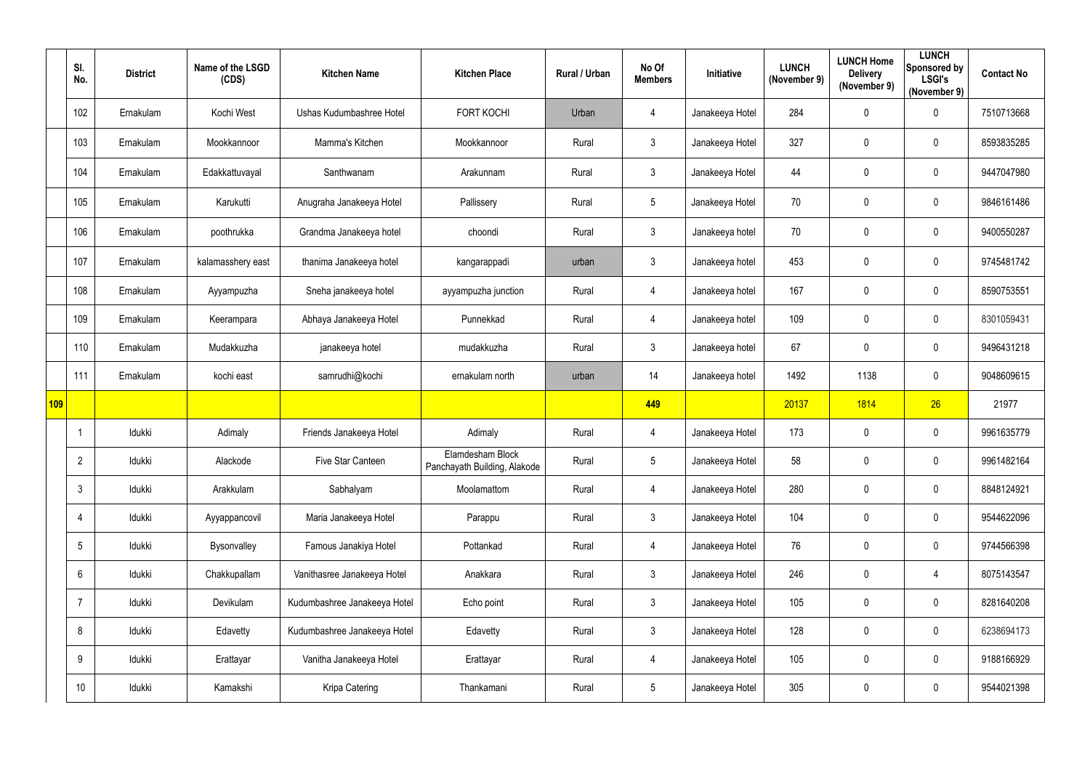|     | SI.<br>No.      | <b>District</b> | Name of the LSGD<br>(CDS) | <b>Kitchen Name</b>          | <b>Kitchen Place</b>                             | Rural / Urban | No Of<br><b>Members</b> | Initiative      | <b>LUNCH</b><br>(November 9) | <b>LUNCH Home</b><br><b>Delivery</b><br>(November 9) | <b>LUNCH</b><br>Sponsored by<br><b>LSGI's</b><br>(November 9) | <b>Contact No</b> |
|-----|-----------------|-----------------|---------------------------|------------------------------|--------------------------------------------------|---------------|-------------------------|-----------------|------------------------------|------------------------------------------------------|---------------------------------------------------------------|-------------------|
|     | 102             | Ernakulam       | Kochi West                | Ushas Kudumbashree Hotel     | <b>FORT KOCHI</b>                                | Urban         | 4                       | Janakeeya Hotel | 284                          | 0                                                    | $\overline{0}$                                                | 7510713668        |
|     | 103             | Ernakulam       | Mookkannoor               | Mamma's Kitchen              | Mookkannoor                                      | Rural         | $\mathfrak{Z}$          | Janakeeya Hotel | 327                          | 0                                                    | $\overline{0}$                                                | 8593835285        |
|     | 104             | Ernakulam       | Edakkattuvayal            | Santhwanam                   | Arakunnam                                        | Rural         | $\mathfrak{Z}$          | Janakeeya Hotel | 44                           | $\pmb{0}$                                            | $\overline{0}$                                                | 9447047980        |
|     | 105             | Ernakulam       | Karukutti                 | Anugraha Janakeeya Hotel     | Pallissery                                       | Rural         | $5\phantom{.0}$         | Janakeeya Hotel | 70                           | 0                                                    | $\mathbf 0$                                                   | 9846161486        |
|     | 106             | Ernakulam       | poothrukka                | Grandma Janakeeya hotel      | choondi                                          | Rural         | $\mathfrak{Z}$          | Janakeeya hotel | 70                           | 0                                                    | $\overline{0}$                                                | 9400550287        |
|     | 107             | Ernakulam       | kalamasshery east         | thanima Janakeeya hotel      | kangarappadi                                     | urban         | $\mathfrak{Z}$          | Janakeeya hotel | 453                          | 0                                                    | $\overline{0}$                                                | 9745481742        |
|     | 108             | Ernakulam       | Ayyampuzha                | Sneha janakeeya hotel        | ayyampuzha junction                              | Rural         | $\overline{4}$          | Janakeeya hotel | 167                          | $\pmb{0}$                                            | $\overline{0}$                                                | 8590753551        |
|     | 109             | Ernakulam       | Keerampara                | Abhaya Janakeeya Hotel       | Punnekkad                                        | Rural         | $\overline{4}$          | Janakeeya hotel | 109                          | $\pmb{0}$                                            | $\overline{0}$                                                | 8301059431        |
|     | 110             | Ernakulam       | Mudakkuzha                | janakeeya hotel              | mudakkuzha                                       | Rural         | 3 <sup>1</sup>          | Janakeeya hotel | 67                           | 0                                                    | $\overline{0}$                                                | 9496431218        |
|     | 111             | Ernakulam       | kochi east                | samrudhi@kochi               | ernakulam north                                  | urban         | 14                      | Janakeeya hotel | 1492                         | 1138                                                 | $\overline{0}$                                                | 9048609615        |
| 109 |                 |                 |                           |                              |                                                  |               | 449                     |                 | 20137                        | 1814                                                 | 26                                                            | 21977             |
|     |                 | Idukki          | Adimaly                   | Friends Janakeeya Hotel      | Adimaly                                          | Rural         | $\overline{4}$          | Janakeeya Hotel | 173                          | 0                                                    | $\mathbf 0$                                                   | 9961635779        |
|     | 2               | Idukki          | Alackode                  | Five Star Canteen            | Elamdesham Block<br>Panchayath Building, Alakode | Rural         | 5                       | Janakeeya Hotel | 58                           | $\mathbf 0$                                          | $\overline{0}$                                                | 9961482164        |
|     | $\mathbf{3}$    | Idukki          | Arakkulam                 | Sabhalyam                    | Moolamattom                                      | Rural         | 4                       | Janakeeya Hotel | 280                          | 0                                                    | $\mathbf 0$                                                   | 8848124921        |
|     | 4               | Idukki          | Ayyappancovil             | Maria Janakeeya Hotel        | Parappu                                          | Rural         | $\mathfrak{Z}$          | Janakeeya Hotel | 104                          | 0                                                    | $\mathbf 0$                                                   | 9544622096        |
|     | $5\phantom{.0}$ | Idukki          | Bysonvalley               | Famous Janakiya Hotel        | Pottankad                                        | Rural         | $\overline{4}$          | Janakeeya Hotel | 76                           | 0                                                    | $\mathbf 0$                                                   | 9744566398        |
|     | $6\phantom{.}$  | Idukki          | Chakkupallam              | Vanithasree Janakeeya Hotel  | Anakkara                                         | Rural         | $\mathfrak{Z}$          | Janakeeya Hotel | 246                          | 0                                                    | $\overline{4}$                                                | 8075143547        |
|     | 7               | Idukki          | Devikulam                 | Kudumbashree Janakeeya Hotel | Echo point                                       | Rural         | $\mathfrak{Z}$          | Janakeeya Hotel | 105                          | 0                                                    | $\overline{0}$                                                | 8281640208        |
|     | 8               | Idukki          | Edavetty                  | Kudumbashree Janakeeya Hotel | Edavetty                                         | Rural         | $\mathfrak{Z}$          | Janakeeya Hotel | 128                          | 0                                                    | $\mathbf 0$                                                   | 6238694173        |
|     | 9               | ldukki          | Erattayar                 | Vanitha Janakeeya Hotel      | Erattayar                                        | Rural         | $\overline{4}$          | Janakeeya Hotel | 105                          | 0                                                    | $\mathbf 0$                                                   | 9188166929        |
|     | 10 <sup>°</sup> | Idukki          | Kamakshi                  | Kripa Catering               | Thankamani                                       | Rural         | $5\phantom{.0}$         | Janakeeya Hotel | 305                          | 0                                                    | $\overline{0}$                                                | 9544021398        |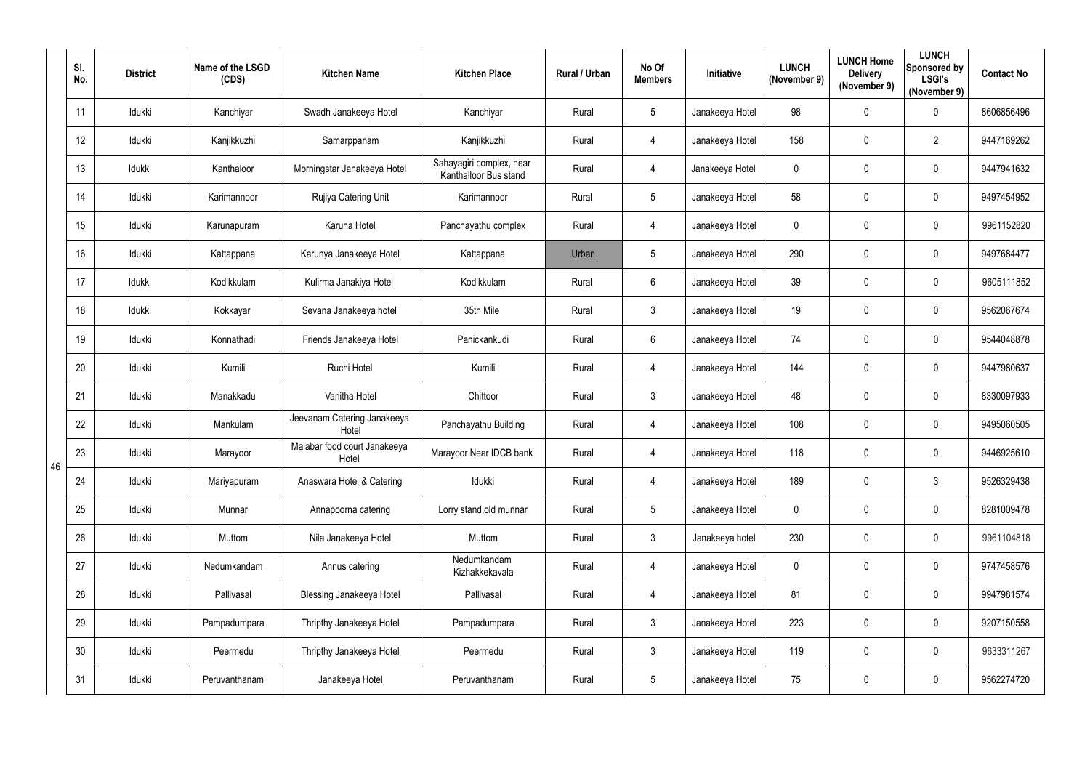|    | SI.<br>No.      | <b>District</b> | Name of the LSGD<br>(CDS) | <b>Kitchen Name</b>                   | <b>Kitchen Place</b>                              | Rural / Urban | No Of<br><b>Members</b> | Initiative      | <b>LUNCH</b><br>(November 9) | <b>LUNCH Home</b><br><b>Delivery</b><br>(November 9) | <b>LUNCH</b><br>Sponsored by<br><b>LSGI's</b><br>(November 9) | <b>Contact No</b> |
|----|-----------------|-----------------|---------------------------|---------------------------------------|---------------------------------------------------|---------------|-------------------------|-----------------|------------------------------|------------------------------------------------------|---------------------------------------------------------------|-------------------|
|    | 11              | Idukki          | Kanchiyar                 | Swadh Janakeeya Hotel                 | Kanchiyar                                         | Rural         | 5                       | Janakeeya Hotel | 98                           | 0                                                    | $\mathbf 0$                                                   | 8606856496        |
|    | 12              | Idukki          | Kanjikkuzhi               | Samarppanam                           | Kanjikkuzhi                                       | Rural         | 4                       | Janakeeya Hotel | 158                          | 0                                                    | $\overline{2}$                                                | 9447169262        |
|    | 13              | Idukki          | Kanthaloor                | Morningstar Janakeeya Hotel           | Sahayagiri complex, near<br>Kanthalloor Bus stand | Rural         | $\overline{4}$          | Janakeeya Hotel | $\mathbf 0$                  | 0                                                    | $\mathbf 0$                                                   | 9447941632        |
|    | 14              | Idukki          | Karimannoor               | Rujiya Catering Unit                  | Karimannoor                                       | Rural         | 5                       | Janakeeya Hotel | 58                           | 0                                                    | $\mathbf 0$                                                   | 9497454952        |
|    | 15              | Idukki          | Karunapuram               | Karuna Hotel                          | Panchayathu complex                               | Rural         | 4                       | Janakeeya Hotel | $\mathbf 0$                  | 0                                                    | $\mathbf 0$                                                   | 9961152820        |
|    | 16              | Idukki          | Kattappana                | Karunya Janakeeya Hotel               | Kattappana                                        | Urban         | $5\overline{)}$         | Janakeeya Hotel | 290                          | 0                                                    | $\mathbf 0$                                                   | 9497684477        |
|    | 17              | Idukki          | Kodikkulam                | Kulirma Janakiya Hotel                | Kodikkulam                                        | Rural         | $6\overline{6}$         | Janakeeya Hotel | 39                           | 0                                                    | $\mathbf 0$                                                   | 9605111852        |
|    | 18              | Idukki          | Kokkayar                  | Sevana Janakeeya hotel                | 35th Mile                                         | Rural         | $3\overline{3}$         | Janakeeya Hotel | 19                           | 0                                                    | $\mathbf 0$                                                   | 9562067674        |
|    | 19              | Idukki          | Konnathadi                | Friends Janakeeya Hotel               | Panickankudi                                      | Rural         | $6\phantom{.0}$         | Janakeeya Hotel | 74                           | 0                                                    | $\mathbf 0$                                                   | 9544048878        |
|    | 20              | Idukki          | Kumili                    | Ruchi Hotel                           | Kumili                                            | Rural         | $\overline{4}$          | Janakeeya Hotel | 144                          | 0                                                    | $\mathbf 0$                                                   | 9447980637        |
|    | 21              | Idukki          | Manakkadu                 | Vanitha Hotel                         | Chittoor                                          | Rural         | 3                       | Janakeeya Hotel | 48                           | 0                                                    | $\mathbf 0$                                                   | 8330097933        |
|    | 22              | Idukki          | Mankulam                  | Jeevanam Catering Janakeeya<br>Hotel  | Panchayathu Building                              | Rural         | $\overline{4}$          | Janakeeya Hotel | 108                          | 0                                                    | $\mathbf 0$                                                   | 9495060505        |
| 46 | 23              | Idukki          | Marayoor                  | Malabar food court Janakeeya<br>Hotel | Marayoor Near IDCB bank                           | Rural         | 4                       | Janakeeya Hotel | 118                          | 0                                                    | 0                                                             | 9446925610        |
|    | 24              | Idukki          | Mariyapuram               | Anaswara Hotel & Catering             | Idukki                                            | Rural         | $\overline{4}$          | Janakeeya Hotel | 189                          | 0                                                    | $\mathbf{3}$                                                  | 9526329438        |
|    | 25              | Idukki          | Munnar                    | Annapoorna catering                   | Lorry stand, old munnar                           | Rural         | $5\overline{)}$         | Janakeeya Hotel | $\mathbf 0$                  | 0                                                    | $\mathbf 0$                                                   | 8281009478        |
|    | 26              | Idukki          | Muttom                    | Nila Janakeeya Hotel                  | Muttom                                            | Rural         | 3                       | Janakeeya hotel | 230                          | 0                                                    | $\mathbf 0$                                                   | 9961104818        |
|    | 27              | Idukki          | Nedumkandam               | Annus catering                        | Nedumkandam<br>Kizhakkekavala                     | Rural         | $\overline{4}$          | Janakeeya Hotel | $\mathbf 0$                  | 0                                                    | $\pmb{0}$                                                     | 9747458576        |
|    | 28              | Idukki          | Pallivasal                | <b>Blessing Janakeeya Hotel</b>       | Pallivasal                                        | Rural         | $\overline{4}$          | Janakeeya Hotel | 81                           | 0                                                    | $\mathbf 0$                                                   | 9947981574        |
|    | 29              | Idukki          | Pampadumpara              | Thripthy Janakeeya Hotel              | Pampadumpara                                      | Rural         | $\mathfrak{Z}$          | Janakeeya Hotel | 223                          | 0                                                    | $\mathbf 0$                                                   | 9207150558        |
|    | 30 <sup>°</sup> | Idukki          | Peermedu                  | Thripthy Janakeeya Hotel              | Peermedu                                          | Rural         | $\mathfrak{Z}$          | Janakeeya Hotel | 119                          | 0                                                    | $\mathbf 0$                                                   | 9633311267        |
|    | 31              | Idukki          | Peruvanthanam             | Janakeeya Hotel                       | Peruvanthanam                                     | Rural         | 5                       | Janakeeya Hotel | 75                           | 0                                                    | $\bm{0}$                                                      | 9562274720        |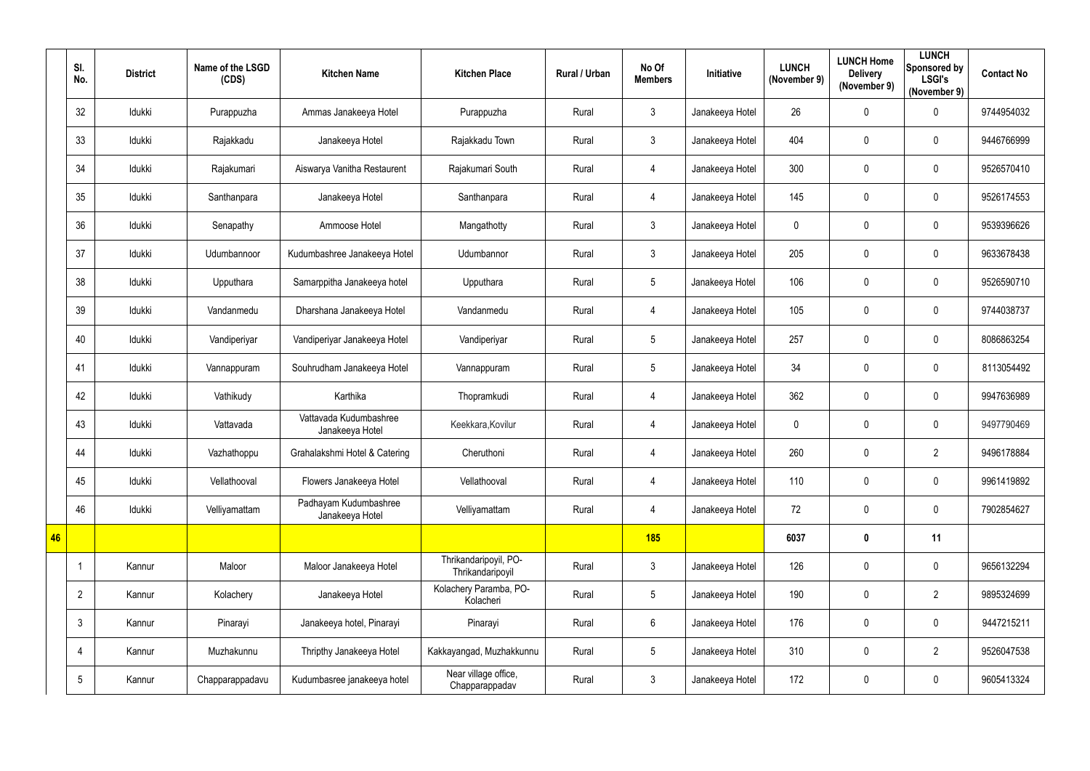|    | SI.<br>No.      | <b>District</b> | Name of the LSGD<br>(CDS) | <b>Kitchen Name</b>                       | <b>Kitchen Place</b>                      | Rural / Urban | No Of<br><b>Members</b> | Initiative      | <b>LUNCH</b><br>(November 9) | <b>LUNCH Home</b><br><b>Delivery</b><br>(November 9) | <b>LUNCH</b><br>Sponsored by<br><b>LSGI's</b><br>(November 9) | <b>Contact No</b> |
|----|-----------------|-----------------|---------------------------|-------------------------------------------|-------------------------------------------|---------------|-------------------------|-----------------|------------------------------|------------------------------------------------------|---------------------------------------------------------------|-------------------|
|    | 32              | Idukki          | Purappuzha                | Ammas Janakeeya Hotel                     | Purappuzha                                | Rural         | $\mathfrak{Z}$          | Janakeeya Hotel | 26                           | 0                                                    | $\mathbf 0$                                                   | 9744954032        |
|    | 33              | Idukki          | Rajakkadu                 | Janakeeya Hotel                           | Rajakkadu Town                            | Rural         | $\mathfrak{Z}$          | Janakeeya Hotel | 404                          | 0                                                    | $\mathbf 0$                                                   | 9446766999        |
|    | 34              | Idukki          | Rajakumari                | Aiswarya Vanitha Restaurent               | Rajakumari South                          | Rural         | $\overline{4}$          | Janakeeya Hotel | 300                          | 0                                                    | $\mathbf 0$                                                   | 9526570410        |
|    | 35              | Idukki          | Santhanpara               | Janakeeya Hotel                           | Santhanpara                               | Rural         | $\overline{4}$          | Janakeeya Hotel | 145                          | 0                                                    | $\mathbf 0$                                                   | 9526174553        |
|    | 36              | Idukki          | Senapathy                 | Ammoose Hotel                             | Mangathotty                               | Rural         | 3                       | Janakeeya Hotel | $\mathbf 0$                  | 0                                                    | $\mathbf 0$                                                   | 9539396626        |
|    | 37              | Idukki          | Udumbannoor               | Kudumbashree Janakeeya Hotel              | Udumbannor                                | Rural         | 3                       | Janakeeya Hotel | 205                          | 0                                                    | $\mathbf 0$                                                   | 9633678438        |
|    | 38              | Idukki          | Upputhara                 | Samarppitha Janakeeya hotel               | Upputhara                                 | Rural         | 5                       | Janakeeya Hotel | 106                          | 0                                                    | $\mathbf 0$                                                   | 9526590710        |
|    | 39              | Idukki          | Vandanmedu                | Dharshana Janakeeya Hotel                 | Vandanmedu                                | Rural         | $\overline{4}$          | Janakeeya Hotel | 105                          | 0                                                    | $\mathbf 0$                                                   | 9744038737        |
|    | 40              | Idukki          | Vandiperiyar              | Vandiperiyar Janakeeya Hotel              | Vandiperiyar                              | Rural         | 5                       | Janakeeya Hotel | 257                          | 0                                                    | $\mathbf 0$                                                   | 8086863254        |
|    | 41              | Idukki          | Vannappuram               | Souhrudham Janakeeya Hotel                | Vannappuram                               | Rural         | 5                       | Janakeeya Hotel | 34                           | 0                                                    | $\mathbf 0$                                                   | 8113054492        |
|    | 42              | Idukki          | Vathikudy                 | Karthika                                  | Thopramkudi                               | Rural         | $\overline{4}$          | Janakeeya Hotel | 362                          | 0                                                    | $\mathbf 0$                                                   | 9947636989        |
|    | 43              | Idukki          | Vattavada                 | Vattavada Kudumbashree<br>Janakeeya Hotel | Keekkara, Kovilur                         | Rural         | $\overline{4}$          | Janakeeya Hotel | $\overline{0}$               | 0                                                    | $\mathbf 0$                                                   | 9497790469        |
|    | 44              | Idukki          | Vazhathoppu               | Grahalakshmi Hotel & Catering             | Cheruthoni                                | Rural         | 4                       | Janakeeya Hotel | 260                          | $\mathbf 0$                                          | $\overline{2}$                                                | 9496178884        |
|    | 45              | Idukki          | Vellathooval              | Flowers Janakeeya Hotel                   | Vellathooval                              | Rural         | $\overline{4}$          | Janakeeya Hotel | 110                          | 0                                                    | $\pmb{0}$                                                     | 9961419892        |
|    | 46              | Idukki          | Velliyamattam             | Padhayam Kudumbashree<br>Janakeeya Hotel  | Velliyamattam                             | Rural         | $\overline{4}$          | Janakeeya Hotel | 72                           | 0                                                    | $\mathbf 0$                                                   | 7902854627        |
| 46 |                 |                 |                           |                                           |                                           |               | <b>185</b>              |                 | 6037                         | $\boldsymbol{0}$                                     | 11                                                            |                   |
|    | $\mathbf 1$     | Kannur          | Maloor                    | Maloor Janakeeya Hotel                    | Thrikandaripoyil, PO-<br>Thrikandaripoyil | Rural         | $\mathfrak{Z}$          | Janakeeya Hotel | 126                          | 0                                                    | $\mathbf 0$                                                   | 9656132294        |
|    | $\overline{2}$  | Kannur          | Kolachery                 | Janakeeya Hotel                           | Kolachery Paramba, PO-<br>Kolacheri       | Rural         | 5                       | Janakeeya Hotel | 190                          | 0                                                    | $\overline{2}$                                                | 9895324699        |
|    | $\mathfrak{Z}$  | Kannur          | Pinarayi                  | Janakeeya hotel, Pinarayi                 | Pinarayi                                  | Rural         | $6\,$                   | Janakeeya Hotel | 176                          | 0                                                    | $\pmb{0}$                                                     | 9447215211        |
|    | 4               | Kannur          | Muzhakunnu                | Thripthy Janakeeya Hotel                  | Kakkayangad, Muzhakkunnu                  | Rural         | 5                       | Janakeeya Hotel | 310                          | 0                                                    | $\overline{2}$                                                | 9526047538        |
|    | $5\phantom{.0}$ | Kannur          | Chapparappadavu           | Kudumbasree janakeeya hotel               | Near village office,<br>Chapparappadav    | Rural         | $\mathfrak{Z}$          | Janakeeya Hotel | 172                          | 0                                                    | $\overline{0}$                                                | 9605413324        |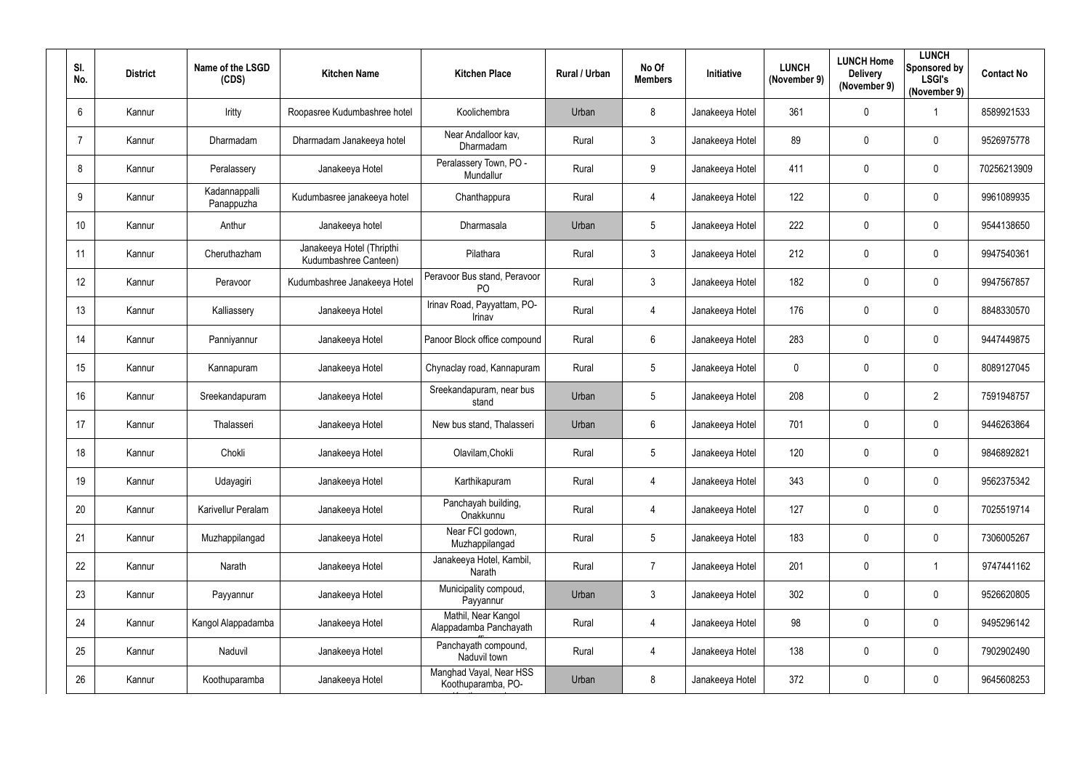| SI.<br>No. | <b>District</b> | Name of the LSGD<br>(CDS)   | <b>Kitchen Name</b>                                | <b>Kitchen Place</b>                           | Rural / Urban | No Of<br><b>Members</b> | Initiative      | <b>LUNCH</b><br>(November 9) | <b>LUNCH Home</b><br><b>Delivery</b><br>(November 9) | <b>LUNCH</b><br>Sponsored by<br><b>LSGI's</b><br>(November 9) | <b>Contact No</b> |
|------------|-----------------|-----------------------------|----------------------------------------------------|------------------------------------------------|---------------|-------------------------|-----------------|------------------------------|------------------------------------------------------|---------------------------------------------------------------|-------------------|
| 6          | Kannur          | Iritty                      | Roopasree Kudumbashree hotel                       | Koolichembra                                   | Urban         | 8                       | Janakeeya Hotel | 361                          | $\mathbf 0$                                          |                                                               | 8589921533        |
|            | Kannur          | Dharmadam                   | Dharmadam Janakeeya hotel                          | Near Andalloor kav,<br>Dharmadam               | Rural         | $\mathbf{3}$            | Janakeeya Hotel | 89                           | 0                                                    | $\mathbf 0$                                                   | 9526975778        |
| 8          | Kannur          | Peralassery                 | Janakeeya Hotel                                    | Peralassery Town, PO -<br>Mundallur            | Rural         | 9                       | Janakeeya Hotel | 411                          | $\mathbf 0$                                          | $\mathbf 0$                                                   | 70256213909       |
| 9          | Kannur          | Kadannappalli<br>Panappuzha | Kudumbasree janakeeya hotel                        | Chanthappura                                   | Rural         | $\overline{4}$          | Janakeeya Hotel | 122                          | 0                                                    | $\mathbf 0$                                                   | 9961089935        |
| 10         | Kannur          | Anthur                      | Janakeeya hotel                                    | Dharmasala                                     | Urban         | $5\overline{)}$         | Janakeeya Hotel | 222                          | 0                                                    | $\mathbf 0$                                                   | 9544138650        |
| 11         | Kannur          | Cheruthazham                | Janakeeya Hotel (Thripthi<br>Kudumbashree Canteen) | Pilathara                                      | Rural         | 3                       | Janakeeya Hotel | 212                          | $\mathbf 0$                                          | $\overline{0}$                                                | 9947540361        |
| 12         | Kannur          | Peravoor                    | Kudumbashree Janakeeya Hotel                       | Peravoor Bus stand, Peravoor<br>P <sub>O</sub> | Rural         | 3                       | Janakeeya Hotel | 182                          | 0                                                    | $\mathbf 0$                                                   | 9947567857        |
| 13         | Kannur          | Kalliassery                 | Janakeeya Hotel                                    | Irinav Road, Payyattam, PO-<br>Irinav          | Rural         | $\overline{4}$          | Janakeeya Hotel | 176                          | $\mathbf 0$                                          | $\mathbf 0$                                                   | 8848330570        |
| 14         | Kannur          | Panniyannur                 | Janakeeya Hotel                                    | Panoor Block office compound                   | Rural         | $6^{\circ}$             | Janakeeya Hotel | 283                          | $\mathbf 0$                                          | $\overline{0}$                                                | 9447449875        |
| 15         | Kannur          | Kannapuram                  | Janakeeya Hotel                                    | Chynaclay road, Kannapuram                     | Rural         | $5\overline{)}$         | Janakeeya Hotel | $\mathbf 0$                  | 0                                                    | $\mathbf 0$                                                   | 8089127045        |
| 16         | Kannur          | Sreekandapuram              | Janakeeya Hotel                                    | Sreekandapuram, near bus<br>stand              | Urban         | $5\overline{)}$         | Janakeeya Hotel | 208                          | $\mathbf 0$                                          | $\overline{2}$                                                | 7591948757        |
| 17         | Kannur          | Thalasseri                  | Janakeeya Hotel                                    | New bus stand, Thalasseri                      | Urban         | $6^{\circ}$             | Janakeeya Hotel | 701                          | 0                                                    | $\overline{0}$                                                | 9446263864        |
| 18         | Kannur          | Chokli                      | Janakeeya Hotel                                    | Olavilam, Chokli                               | Rural         | 5                       | Janakeeya Hotel | 120                          | 0                                                    | 0                                                             | 9846892821        |
| 19         | Kannur          | Udayagiri                   | Janakeeya Hotel                                    | Karthikapuram                                  | Rural         | $\overline{4}$          | Janakeeya Hotel | 343                          | $\mathbf 0$                                          | $\pmb{0}$                                                     | 9562375342        |
| 20         | Kannur          | Karivellur Peralam          | Janakeeya Hotel                                    | Panchayah building,<br>Onakkunnu               | Rural         | $\overline{4}$          | Janakeeya Hotel | 127                          | $\mathbf 0$                                          | $\mathbf 0$                                                   | 7025519714        |
| 21         | Kannur          | Muzhappilangad              | Janakeeya Hotel                                    | Near FCI godown,<br>Muzhappilangad             | Rural         | $5\phantom{.0}$         | Janakeeya Hotel | 183                          | $\mathbf 0$                                          | $\mathbf 0$                                                   | 7306005267        |
| 22         | Kannur          | Narath                      | Janakeeya Hotel                                    | Janakeeya Hotel, Kambil,<br>Narath             | Rural         | $\overline{7}$          | Janakeeya Hotel | 201                          | $\mathbf 0$                                          | $\overline{\mathbf{1}}$                                       | 9747441162        |
| 23         | Kannur          | Payyannur                   | Janakeeya Hotel                                    | Municipality compoud,<br>Payyannur             | Urban         | $\mathbf{3}$            | Janakeeya Hotel | 302                          | $\mathbf 0$                                          | $\mathbf 0$                                                   | 9526620805        |
| 24         | Kannur          | Kangol Alappadamba          | Janakeeya Hotel                                    | Mathil, Near Kangol<br>Alappadamba Panchayath  | Rural         | $\overline{4}$          | Janakeeya Hotel | 98                           | $\mathbf 0$                                          | $\pmb{0}$                                                     | 9495296142        |
| 25         | Kannur          | Naduvil                     | Janakeeya Hotel                                    | Panchayath compound,<br>Naduvil town           | Rural         | $\overline{4}$          | Janakeeya Hotel | 138                          | 0                                                    | $\mathbf 0$                                                   | 7902902490        |
| 26         | Kannur          | Koothuparamba               | Janakeeya Hotel                                    | Manghad Vayal, Near HSS<br>Koothuparamba, PO-  | Urban         | 8                       | Janakeeya Hotel | 372                          | $\mathbf 0$                                          | $\bm{0}$                                                      | 9645608253        |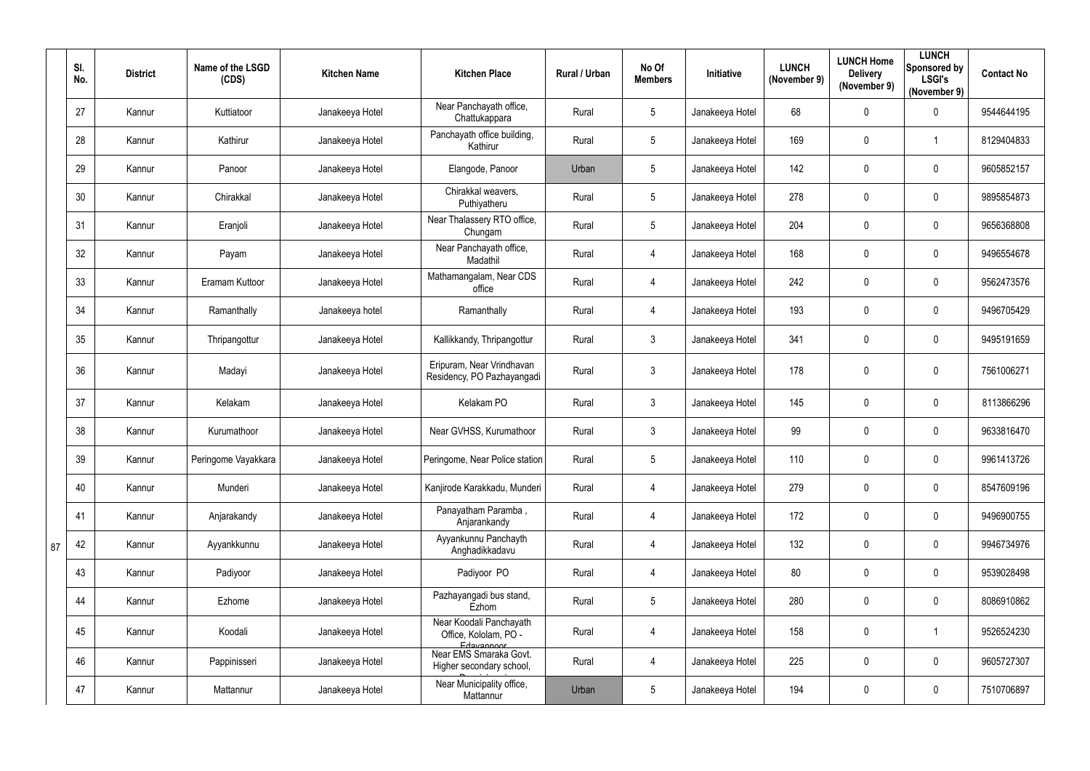|    | SI.<br>No. | <b>District</b> | Name of the LSGD<br>(CDS) | <b>Kitchen Name</b> | <b>Kitchen Place</b>                                           | Rural / Urban | No Of<br><b>Members</b> | Initiative      | <b>LUNCH</b><br>(November 9) | <b>LUNCH Home</b><br><b>Delivery</b><br>(November 9) | <b>LUNCH</b><br>Sponsored by<br><b>LSGI's</b><br>(November 9) | <b>Contact No</b> |
|----|------------|-----------------|---------------------------|---------------------|----------------------------------------------------------------|---------------|-------------------------|-----------------|------------------------------|------------------------------------------------------|---------------------------------------------------------------|-------------------|
|    | 27         | Kannur          | Kuttiatoor                | Janakeeya Hotel     | Near Panchayath office,<br>Chattukappara                       | Rural         | 5                       | Janakeeya Hotel | 68                           | 0                                                    | $\mathbf 0$                                                   | 9544644195        |
|    | 28         | Kannur          | Kathirur                  | Janakeeya Hotel     | Panchayath office building,<br>Kathirur                        | Rural         | 5                       | Janakeeya Hotel | 169                          | 0                                                    |                                                               | 8129404833        |
|    | 29         | Kannur          | Panoor                    | Janakeeya Hotel     | Elangode, Panoor                                               | Urban         | 5                       | Janakeeya Hotel | 142                          | $\pmb{0}$                                            | $\mathbf 0$                                                   | 9605852157        |
|    | 30         | Kannur          | Chirakkal                 | Janakeeya Hotel     | Chirakkal weavers,<br>Puthiyatheru                             | Rural         | 5                       | Janakeeya Hotel | 278                          | 0                                                    | $\mathbf 0$                                                   | 9895854873        |
|    | 31         | Kannur          | Eranjoli                  | Janakeeya Hotel     | Near Thalassery RTO office,<br>Chungam                         | Rural         | 5                       | Janakeeya Hotel | 204                          | 0                                                    | $\mathbf 0$                                                   | 9656368808        |
|    | 32         | Kannur          | Payam                     | Janakeeya Hotel     | Near Panchayath office,<br>Madathil                            | Rural         | $\overline{4}$          | Janakeeya Hotel | 168                          | $\pmb{0}$                                            | $\mathbf 0$                                                   | 9496554678        |
|    | 33         | Kannur          | Eramam Kuttoor            | Janakeeya Hotel     | Mathamangalam, Near CDS<br>office                              | Rural         | $\overline{4}$          | Janakeeya Hotel | 242                          | 0                                                    | $\mathbf 0$                                                   | 9562473576        |
|    | 34         | Kannur          | Ramanthally               | Janakeeya hotel     | Ramanthally                                                    | Rural         | 4                       | Janakeeya Hotel | 193                          | $\mathbf 0$                                          | $\mathbf 0$                                                   | 9496705429        |
|    | 35         | Kannur          | Thripangottur             | Janakeeya Hotel     | Kallikkandy, Thripangottur                                     | Rural         | $3\overline{3}$         | Janakeeya Hotel | 341                          | 0                                                    | $\mathbf 0$                                                   | 9495191659        |
|    | 36         | Kannur          | Madayi                    | Janakeeya Hotel     | Eripuram, Near Vrindhavan<br>Residency, PO Pazhayangadi        | Rural         | $\mathfrak{Z}$          | Janakeeya Hotel | 178                          | 0                                                    | $\mathbf 0$                                                   | 7561006271        |
|    | 37         | Kannur          | Kelakam                   | Janakeeya Hotel     | Kelakam PO                                                     | Rural         | $\mathfrak{Z}$          | Janakeeya Hotel | 145                          | 0                                                    | $\mathbf 0$                                                   | 8113866296        |
|    | 38         | Kannur          | Kurumathoor               | Janakeeya Hotel     | Near GVHSS, Kurumathoor                                        | Rural         | 3 <sup>5</sup>          | Janakeeya Hotel | 99                           | 0                                                    | $\mathbf 0$                                                   | 9633816470        |
|    | 39         | Kannur          | Peringome Vayakkara       | Janakeeya Hotel     | Peringome, Near Police station                                 | Rural         | 5                       | Janakeeya Hotel | 110                          | $\pmb{0}$                                            | $\mathbf 0$                                                   | 9961413726        |
|    | 40         | Kannur          | Munderi                   | Janakeeya Hotel     | Kanjirode Karakkadu, Munderi                                   | Rural         | 4                       | Janakeeya Hotel | 279                          | $\pmb{0}$                                            | $\overline{0}$                                                | 8547609196        |
|    | 41         | Kannur          | Anjarakandy               | Janakeeya Hotel     | Panayatham Paramba,<br>Anjarankandy                            | Rural         | 4                       | Janakeeya Hotel | 172                          | 0                                                    | $\overline{0}$                                                | 9496900755        |
| 87 | 42         | Kannur          | Ayyankkunnu               | Janakeeya Hotel     | Ayyankunnu Panchayth<br>Anghadikkadavu                         | Rural         | 4                       | Janakeeya Hotel | 132                          | 0                                                    | $\overline{0}$                                                | 9946734976        |
|    | 43         | Kannur          | Padiyoor                  | Janakeeya Hotel     | Padiyoor PO                                                    | Rural         | $\overline{4}$          | Janakeeya Hotel | 80                           | $\pmb{0}$                                            | $\overline{0}$                                                | 9539028498        |
|    | 44         | Kannur          | Ezhome                    | Janakeeya Hotel     | Pazhayangadi bus stand,<br>Ezhom                               | Rural         | 5                       | Janakeeya Hotel | 280                          | 0                                                    | $\overline{0}$                                                | 8086910862        |
|    | 45         | Kannur          | Koodali                   | Janakeeya Hotel     | Near Koodali Panchayath<br>Office, Kololam, PO -<br>Edayannoor | Rural         | $\overline{4}$          | Janakeeya Hotel | 158                          | $\pmb{0}$                                            |                                                               | 9526524230        |
|    | 46         | Kannur          | Pappinisseri              | Janakeeya Hotel     | Near EMS Smaraka Govt.<br>Higher secondary school,             | Rural         | 4                       | Janakeeya Hotel | 225                          | 0                                                    | $\overline{0}$                                                | 9605727307        |
|    | 47         | Kannur          | Mattannur                 | Janakeeya Hotel     | Near Municipality office,<br>Mattannur                         | Urban         | 5                       | Janakeeya Hotel | 194                          | 0                                                    | $\overline{0}$                                                | 7510706897        |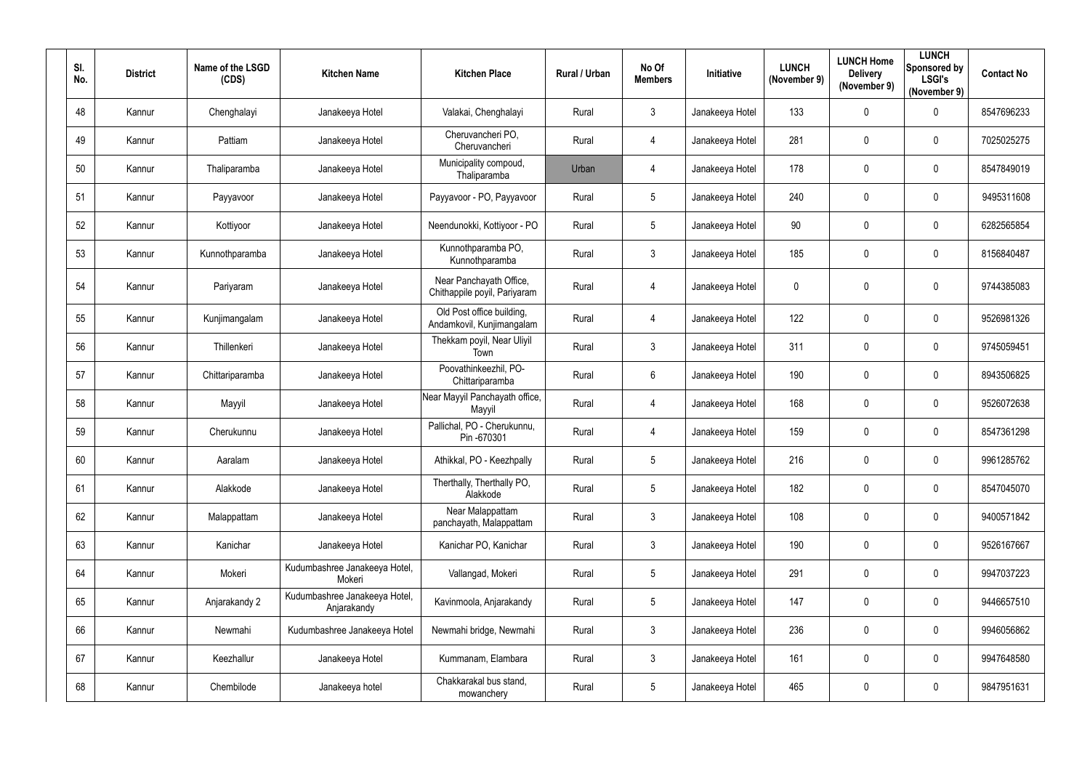| SI.<br>No. | <b>District</b> | Name of the LSGD<br>(CDS) | <b>Kitchen Name</b>                          | <b>Kitchen Place</b>                                    | Rural / Urban | No Of<br><b>Members</b> | Initiative      | <b>LUNCH</b><br>(November 9) | <b>LUNCH Home</b><br><b>Delivery</b><br>(November 9) | <b>LUNCH</b><br>Sponsored by<br><b>LSGI's</b><br>(November 9) | <b>Contact No</b> |
|------------|-----------------|---------------------------|----------------------------------------------|---------------------------------------------------------|---------------|-------------------------|-----------------|------------------------------|------------------------------------------------------|---------------------------------------------------------------|-------------------|
| 48         | Kannur          | Chenghalayi               | Janakeeya Hotel                              | Valakai, Chenghalayi                                    | Rural         | $\mathbf{3}$            | Janakeeya Hotel | 133                          | $\mathbf 0$                                          | $\mathbf 0$                                                   | 8547696233        |
| 49         | Kannur          | Pattiam                   | Janakeeya Hotel                              | Cheruvancheri PO,<br>Cheruvancheri                      | Rural         | $\overline{4}$          | Janakeeya Hotel | 281                          | $\mathbf 0$                                          | $\mathbf 0$                                                   | 7025025275        |
| 50         | Kannur          | Thaliparamba              | Janakeeya Hotel                              | Municipality compoud,<br>Thaliparamba                   | Urban         | $\overline{4}$          | Janakeeya Hotel | 178                          | $\mathbf 0$                                          | $\mathbf 0$                                                   | 8547849019        |
| 51         | Kannur          | Payyavoor                 | Janakeeya Hotel                              | Payyavoor - PO, Payyavoor                               | Rural         | $5\overline{)}$         | Janakeeya Hotel | 240                          | $\overline{0}$                                       | $\mathbf 0$                                                   | 9495311608        |
| 52         | Kannur          | Kottiyoor                 | Janakeeya Hotel                              | Neendunokki, Kottiyoor - PO                             | Rural         | $5\phantom{.0}$         | Janakeeya Hotel | 90                           | $\mathbf 0$                                          | $\overline{0}$                                                | 6282565854        |
| 53         | Kannur          | Kunnothparamba            | Janakeeya Hotel                              | Kunnothparamba PO,<br>Kunnothparamba                    | Rural         | 3 <sup>1</sup>          | Janakeeya Hotel | 185                          | $\overline{0}$                                       | $\boldsymbol{0}$                                              | 8156840487        |
| 54         | Kannur          | Pariyaram                 | Janakeeya Hotel                              | Near Panchayath Office,<br>Chithappile poyil, Pariyaram | Rural         | $\overline{4}$          | Janakeeya Hotel | $\mathbf 0$                  | 0                                                    | $\overline{0}$                                                | 9744385083        |
| 55         | Kannur          | Kunjimangalam             | Janakeeya Hotel                              | Old Post office building,<br>Andamkovil, Kunjimangalam  | Rural         | $\overline{4}$          | Janakeeya Hotel | 122                          | $\overline{0}$                                       | $\mathbf 0$                                                   | 9526981326        |
| 56         | Kannur          | Thillenkeri               | Janakeeya Hotel                              | Thekkam poyil, Near Uliyil<br>Town                      | Rural         | $\mathbf{3}$            | Janakeeya Hotel | 311                          | $\mathbf 0$                                          | $\overline{0}$                                                | 9745059451        |
| 57         | Kannur          | Chittariparamba           | Janakeeya Hotel                              | Poovathinkeezhil, PO-<br>Chittariparamba                | Rural         | $6\phantom{.}6$         | Janakeeya Hotel | 190                          | $\overline{0}$                                       | $\overline{0}$                                                | 8943506825        |
| 58         | Kannur          | Mayyil                    | Janakeeya Hotel                              | Near Mayyil Panchayath office,<br>Mayyil                | Rural         | $\overline{4}$          | Janakeeya Hotel | 168                          | $\mathbf 0$                                          | $\mathbf 0$                                                   | 9526072638        |
| 59         | Kannur          | Cherukunnu                | Janakeeya Hotel                              | Pallichal, PO - Cherukunnu,<br>Pin -670301              | Rural         | 4                       | Janakeeya Hotel | 159                          | $\mathbf 0$                                          | $\mathbf 0$                                                   | 8547361298        |
| 60         | Kannur          | Aaralam                   | Janakeeya Hotel                              | Athikkal, PO - Keezhpally                               | Rural         | $5\phantom{.0}$         | Janakeeya Hotel | 216                          | $\mathbf{0}$                                         | $\mathbf 0$                                                   | 9961285762        |
| 61         | Kannur          | Alakkode                  | Janakeeya Hotel                              | Therthally, Therthally PO,<br>Alakkode                  | Rural         | $5\overline{)}$         | Janakeeya Hotel | 182                          | $\overline{0}$                                       | $\mathbf 0$                                                   | 8547045070        |
| 62         | Kannur          | Malappattam               | Janakeeya Hotel                              | Near Malappattam<br>panchayath, Malappattam             | Rural         | 3                       | Janakeeya Hotel | 108                          | $\mathbf 0$                                          | $\mathbf 0$                                                   | 9400571842        |
| 63         | Kannur          | Kanichar                  | Janakeeya Hotel                              | Kanichar PO, Kanichar                                   | Rural         | 3 <sup>5</sup>          | Janakeeya Hotel | 190                          | $\mathbf 0$                                          | $\boldsymbol{0}$                                              | 9526167667        |
| 64         | Kannur          | Mokeri                    | Kudumbashree Janakeeya Hotel,<br>Mokeri      | Vallangad, Mokeri                                       | Rural         | $5\overline{)}$         | Janakeeya Hotel | 291                          | $\mathbf 0$                                          | $\mathbf 0$                                                   | 9947037223        |
| 65         | Kannur          | Anjarakandy 2             | Kudumbashree Janakeeya Hotel,<br>Anjarakandy | Kavinmoola, Anjarakandy                                 | Rural         | $5\overline{)}$         | Janakeeya Hotel | 147                          | $\mathbf 0$                                          | $\mathbf 0$                                                   | 9446657510        |
| 66         | Kannur          | Newmahi                   | Kudumbashree Janakeeya Hotel                 | Newmahi bridge, Newmahi                                 | Rural         | $\mathfrak{Z}$          | Janakeeya Hotel | 236                          | $\mathbf 0$                                          | $\mathbf 0$                                                   | 9946056862        |
| 67         | Kannur          | Keezhallur                | Janakeeya Hotel                              | Kummanam, Elambara                                      | Rural         | $\mathfrak{Z}$          | Janakeeya Hotel | 161                          | $\mathbf 0$                                          | $\mathbf 0$                                                   | 9947648580        |
| 68         | Kannur          | Chembilode                | Janakeeya hotel                              | Chakkarakal bus stand,<br>mowanchery                    | Rural         | $5\phantom{.0}$         | Janakeeya Hotel | 465                          | $\mathbf 0$                                          | $\boldsymbol{0}$                                              | 9847951631        |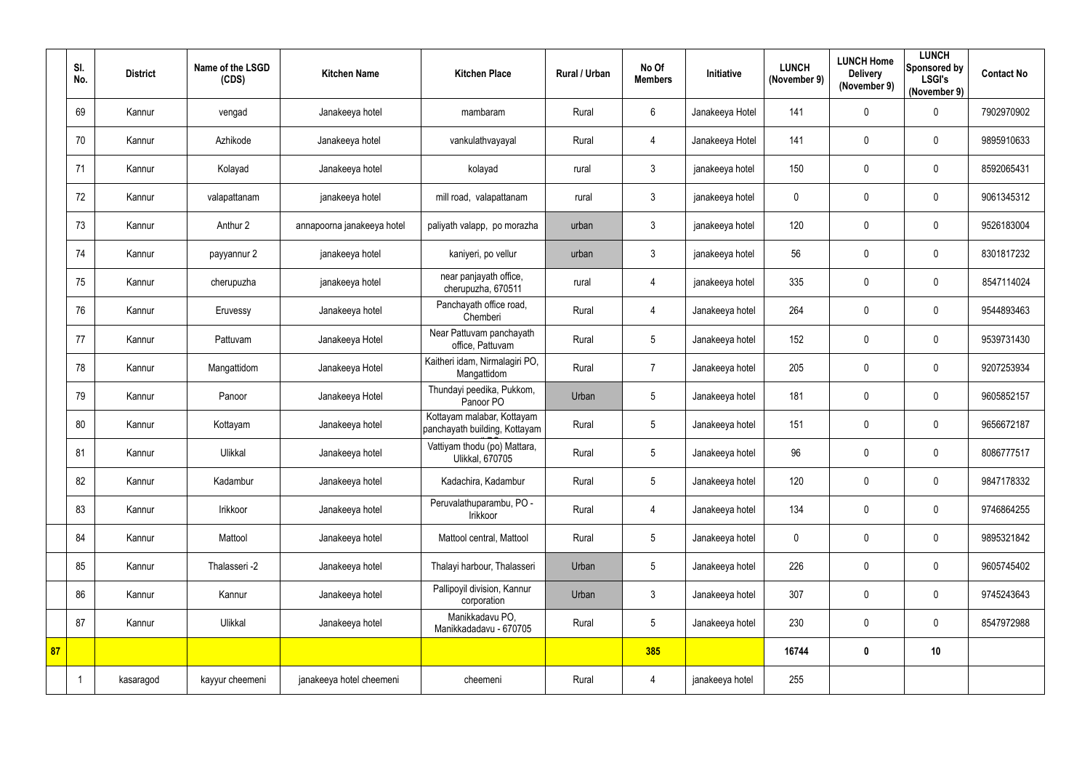|    | SI.<br>No. | <b>District</b> | Name of the LSGD<br>(CDS) | <b>Kitchen Name</b>        | <b>Kitchen Place</b>                                        | Rural / Urban | No Of<br><b>Members</b> | Initiative      | <b>LUNCH</b><br>(November 9) | <b>LUNCH Home</b><br><b>Delivery</b><br>(November 9) | <b>LUNCH</b><br><b>Sponsored by</b><br><b>LSGI's</b><br>(November 9) | <b>Contact No</b> |
|----|------------|-----------------|---------------------------|----------------------------|-------------------------------------------------------------|---------------|-------------------------|-----------------|------------------------------|------------------------------------------------------|----------------------------------------------------------------------|-------------------|
|    | 69         | Kannur          | vengad                    | Janakeeya hotel            | mambaram                                                    | Rural         | $6\phantom{.}$          | Janakeeya Hotel | 141                          | $\mathbf 0$                                          | $\mathbf 0$                                                          | 7902970902        |
|    | 70         | Kannur          | Azhikode                  | Janakeeya hotel            | vankulathvayayal                                            | Rural         | $\overline{4}$          | Janakeeya Hotel | 141                          | $\mathbf 0$                                          | $\mathbf 0$                                                          | 9895910633        |
|    | 71         | Kannur          | Kolayad                   | Janakeeya hotel            | kolayad                                                     | rural         | $\mathfrak{Z}$          | janakeeya hotel | 150                          | 0                                                    | $\mathbf 0$                                                          | 8592065431        |
|    | 72         | Kannur          | valapattanam              | janakeeya hotel            | mill road, valapattanam                                     | rural         | $\mathfrak{Z}$          | janakeeya hotel | 0                            | 0                                                    | 0                                                                    | 9061345312        |
|    | 73         | Kannur          | Anthur 2                  | annapoorna janakeeya hotel | paliyath valapp, po morazha                                 | urban         | $\mathbf{3}$            | janakeeya hotel | 120                          | $\mathbf 0$                                          | $\mathbf 0$                                                          | 9526183004        |
|    | 74         | Kannur          | payyannur 2               | janakeeya hotel            | kaniyeri, po vellur                                         | urban         | $\mathfrak{Z}$          | janakeeya hotel | 56                           | $\pmb{0}$                                            | $\overline{0}$                                                       | 8301817232        |
|    | 75         | Kannur          | cherupuzha                | janakeeya hotel            | near panjayath office,<br>cherupuzha, 670511                | rural         | $\overline{4}$          | janakeeya hotel | 335                          | 0                                                    | $\mathbf 0$                                                          | 8547114024        |
|    | 76         | Kannur          | Eruvessy                  | Janakeeya hotel            | Panchayath office road,<br>Chemberi                         | Rural         | $\overline{4}$          | Janakeeya hotel | 264                          | $\mathbf 0$                                          | $\mathbf 0$                                                          | 9544893463        |
|    | 77         | Kannur          | Pattuvam                  | Janakeeya Hotel            | Near Pattuvam panchayath<br>office, Pattuvam                | Rural         | $5\phantom{.0}$         | Janakeeya hotel | 152                          | 0                                                    | $\mathbf 0$                                                          | 9539731430        |
|    | 78         | Kannur          | Mangattidom               | Janakeeya Hotel            | Kaitheri idam, Nirmalagiri PO,<br>Mangattidom               | Rural         | $\overline{7}$          | Janakeeya hotel | 205                          | 0                                                    | $\mathbf 0$                                                          | 9207253934        |
|    | 79         | Kannur          | Panoor                    | Janakeeya Hotel            | Thundayi peedika, Pukkom,<br>Panoor PO                      | Urban         | 5                       | Janakeeya hotel | 181                          | 0                                                    | $\overline{0}$                                                       | 9605852157        |
|    | 80         | Kannur          | Kottayam                  | Janakeeya hotel            | Kottayam malabar, Kottayam<br>panchayath building, Kottayam | Rural         | 5                       | Janakeeya hotel | 151                          | 0                                                    | $\mathbf 0$                                                          | 9656672187        |
|    | 81         | Kannur          | Ulikkal                   | Janakeeya hotel            | Vattiyam thodu (po) Mattara,<br>Ulikkal, 670705             | Rural         | 5                       | Janakeeya hotel | 96                           | 0                                                    | 0                                                                    | 8086777517        |
|    | 82         | Kannur          | Kadambur                  | Janakeeya hotel            | Kadachira, Kadambur                                         | Rural         | $5\phantom{.0}$         | Janakeeya hotel | 120                          | 0                                                    | $\mathbf 0$                                                          | 9847178332        |
|    | 83         | Kannur          | Irikkoor                  | Janakeeya hotel            | Peruvalathuparambu, PO -<br>Irikkoor                        | Rural         | $\overline{4}$          | Janakeeya hotel | 134                          | $\pmb{0}$                                            | $\mathbf 0$                                                          | 9746864255        |
|    | 84         | Kannur          | Mattool                   | Janakeeya hotel            | Mattool central, Mattool                                    | Rural         | $5\phantom{.0}$         | Janakeeya hotel | $\mathbf 0$                  | $\pmb{0}$                                            | $\mathbf 0$                                                          | 9895321842        |
|    | 85         | Kannur          | Thalasseri -2             | Janakeeya hotel            | Thalayi harbour, Thalasseri                                 | Urban         | 5                       | Janakeeya hotel | 226                          | $\pmb{0}$                                            | $\overline{0}$                                                       | 9605745402        |
|    | 86         | Kannur          | Kannur                    | Janakeeya hotel            | Pallipoyil division, Kannur<br>corporation                  | Urban         | $\mathfrak{Z}$          | Janakeeya hotel | 307                          | $\pmb{0}$                                            | $\mathbf 0$                                                          | 9745243643        |
|    | 87         | Kannur          | Ulikkal                   | Janakeeya hotel            | Manikkadavu PO,<br>Manikkadadavu - 670705                   | Rural         | $5\phantom{.0}$         | Janakeeya hotel | 230                          | $\pmb{0}$                                            | $\overline{0}$                                                       | 8547972988        |
| 87 |            |                 |                           |                            |                                                             |               | 385                     |                 | 16744                        | $\boldsymbol{0}$                                     | 10                                                                   |                   |
|    |            | kasaragod       | kayyur cheemeni           | janakeeya hotel cheemeni   | cheemeni                                                    | Rural         | $\overline{4}$          | janakeeya hotel | 255                          |                                                      |                                                                      |                   |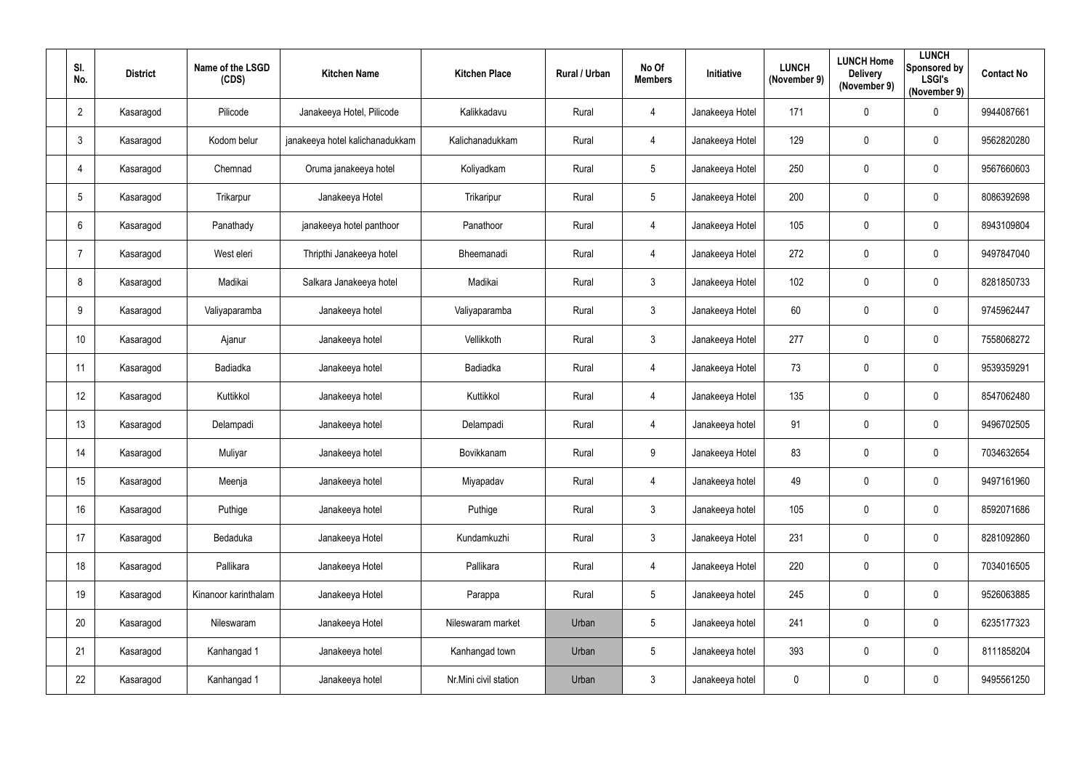| SI.<br>No.     | <b>District</b> | Name of the LSGD<br>(CDS) | <b>Kitchen Name</b>             | <b>Kitchen Place</b>  | <b>Rural / Urban</b> | No Of<br><b>Members</b> | Initiative      | <b>LUNCH</b><br>(November 9) | <b>LUNCH Home</b><br><b>Delivery</b><br>(November 9) | <b>LUNCH</b><br>Sponsored by<br><b>LSGI's</b><br>(November 9) | <b>Contact No</b> |
|----------------|-----------------|---------------------------|---------------------------------|-----------------------|----------------------|-------------------------|-----------------|------------------------------|------------------------------------------------------|---------------------------------------------------------------|-------------------|
| $\overline{2}$ | Kasaragod       | Pilicode                  | Janakeeya Hotel, Pilicode       | Kalikkadavu           | Rural                | 4                       | Janakeeya Hotel | 171                          | 0                                                    | $\mathbf 0$                                                   | 9944087661        |
| $\mathbf{3}$   | Kasaragod       | Kodom belur               | janakeeya hotel kalichanadukkam | Kalichanadukkam       | Rural                | $\overline{4}$          | Janakeeya Hotel | 129                          | 0                                                    | $\overline{0}$                                                | 9562820280        |
| $\overline{4}$ | Kasaragod       | Chemnad                   | Oruma janakeeya hotel           | Koliyadkam            | Rural                | $5\phantom{.0}$         | Janakeeya Hotel | 250                          | 0                                                    | $\overline{0}$                                                | 9567660603        |
| 5              | Kasaragod       | Trikarpur                 | Janakeeya Hotel                 | Trikaripur            | Rural                | $5\phantom{.0}$         | Janakeeya Hotel | 200                          | $\pmb{0}$                                            | $\mathbf 0$                                                   | 8086392698        |
| 6              | Kasaragod       | Panathady                 | janakeeya hotel panthoor        | Panathoor             | Rural                | $\overline{4}$          | Janakeeya Hotel | 105                          | 0                                                    | $\overline{0}$                                                | 8943109804        |
| $\overline{7}$ | Kasaragod       | West eleri                | Thripthi Janakeeya hotel        | Bheemanadi            | Rural                | $\overline{4}$          | Janakeeya Hotel | 272                          | $\pmb{0}$                                            | $\overline{0}$                                                | 9497847040        |
| 8              | Kasaragod       | Madikai                   | Salkara Janakeeya hotel         | Madikai               | Rural                | $\mathfrak{Z}$          | Janakeeya Hotel | 102                          | $\pmb{0}$                                            | $\mathbf 0$                                                   | 8281850733        |
| 9              | Kasaragod       | Valiyaparamba             | Janakeeya hotel                 | Valiyaparamba         | Rural                | $\mathfrak{Z}$          | Janakeeya Hotel | 60                           | 0                                                    | $\overline{0}$                                                | 9745962447        |
| 10             | Kasaragod       | Ajanur                    | Janakeeya hotel                 | Vellikkoth            | Rural                | $\mathfrak{Z}$          | Janakeeya Hotel | 277                          | $\pmb{0}$                                            | $\overline{0}$                                                | 7558068272        |
| 11             | Kasaragod       | <b>Badiadka</b>           | Janakeeya hotel                 | <b>Badiadka</b>       | Rural                | $\overline{4}$          | Janakeeya Hotel | 73                           | 0                                                    | $\mathbf 0$                                                   | 9539359291        |
| 12             | Kasaragod       | Kuttikkol                 | Janakeeya hotel                 | Kuttikkol             | Rural                | $\overline{4}$          | Janakeeya Hotel | 135                          | 0                                                    | $\overline{0}$                                                | 8547062480        |
| 13             | Kasaragod       | Delampadi                 | Janakeeya hotel                 | Delampadi             | Rural                | $\overline{4}$          | Janakeeya hotel | 91                           | $\pmb{0}$                                            | $\overline{0}$                                                | 9496702505        |
| 14             | Kasaragod       | Muliyar                   | Janakeeya hotel                 | Bovikkanam            | Rural                | 9                       | Janakeeya Hotel | 83                           | $\mathbf{0}$                                         | $\mathbf 0$                                                   | 7034632654        |
| 15             | Kasaragod       | Meenja                    | Janakeeya hotel                 | Miyapadav             | Rural                | $\overline{4}$          | Janakeeya hotel | 49                           | $\pmb{0}$                                            | $\overline{0}$                                                | 9497161960        |
| 16             | Kasaragod       | Puthige                   | Janakeeya hotel                 | Puthige               | Rural                | $\mathfrak{Z}$          | Janakeeya hotel | 105                          | $\pmb{0}$                                            | $\overline{0}$                                                | 8592071686        |
| 17             | Kasaragod       | Bedaduka                  | Janakeeya Hotel                 | Kundamkuzhi           | Rural                | $\mathfrak{Z}$          | Janakeeya Hotel | 231                          | $\pmb{0}$                                            | $\overline{0}$                                                | 8281092860        |
| 18             | Kasaragod       | Pallikara                 | Janakeeya Hotel                 | Pallikara             | Rural                | $\overline{4}$          | Janakeeya Hotel | 220                          | $\pmb{0}$                                            | $\overline{0}$                                                | 7034016505        |
| 19             | Kasaragod       | Kinanoor karinthalam      | Janakeeya Hotel                 | Parappa               | Rural                | $5\phantom{.0}$         | Janakeeya hotel | 245                          | $\pmb{0}$                                            | $\overline{0}$                                                | 9526063885        |
| 20             | Kasaragod       | Nileswaram                | Janakeeya Hotel                 | Nileswaram market     | Urban                | $5\phantom{.0}$         | Janakeeya hotel | 241                          | $\pmb{0}$                                            | $\overline{0}$                                                | 6235177323        |
| 21             | Kasaragod       | Kanhangad 1               | Janakeeya hotel                 | Kanhangad town        | Urban                | $5\phantom{.0}$         | Janakeeya hotel | 393                          | $\pmb{0}$                                            | $\mathbf 0$                                                   | 8111858204        |
| 22             | Kasaragod       | Kanhangad 1               | Janakeeya hotel                 | Nr.Mini civil station | Urban                | $\mathfrak{Z}$          | Janakeeya hotel | $\mathbf 0$                  | $\pmb{0}$                                            | $\overline{0}$                                                | 9495561250        |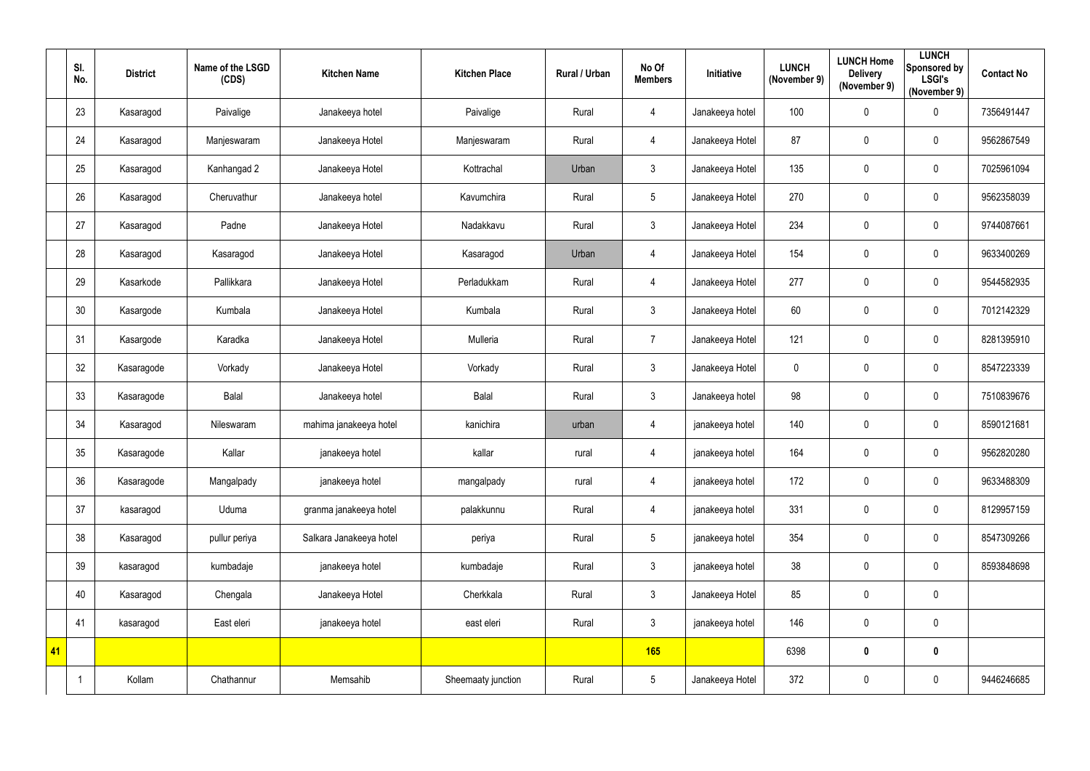|    | SI.<br>No. | <b>District</b> | Name of the LSGD<br>(CDS) | <b>Kitchen Name</b>     | <b>Kitchen Place</b> | <b>Rural / Urban</b> | No Of<br><b>Members</b> | Initiative      | <b>LUNCH</b><br>(November 9) | <b>LUNCH Home</b><br><b>Delivery</b><br>(November 9) | <b>LUNCH</b><br><b>Sponsored by</b><br><b>LSGI's</b><br>(November 9) | <b>Contact No</b> |
|----|------------|-----------------|---------------------------|-------------------------|----------------------|----------------------|-------------------------|-----------------|------------------------------|------------------------------------------------------|----------------------------------------------------------------------|-------------------|
|    | 23         | Kasaragod       | Paivalige                 | Janakeeya hotel         | Paivalige            | Rural                | $\overline{4}$          | Janakeeya hotel | 100                          | 0                                                    | $\mathbf 0$                                                          | 7356491447        |
|    | 24         | Kasaragod       | Manjeswaram               | Janakeeya Hotel         | Manjeswaram          | Rural                | $\overline{4}$          | Janakeeya Hotel | 87                           | 0                                                    | $\mathbf 0$                                                          | 9562867549        |
|    | 25         | Kasaragod       | Kanhangad 2               | Janakeeya Hotel         | Kottrachal           | Urban                | $\mathbf{3}$            | Janakeeya Hotel | 135                          | 0                                                    | $\overline{0}$                                                       | 7025961094        |
|    | 26         | Kasaragod       | Cheruvathur               | Janakeeya hotel         | Kavumchira           | Rural                | $5\phantom{.0}$         | Janakeeya Hotel | 270                          | 0                                                    | $\mathbf 0$                                                          | 9562358039        |
|    | 27         | Kasaragod       | Padne                     | Janakeeya Hotel         | Nadakkavu            | Rural                | $\mathfrak{Z}$          | Janakeeya Hotel | 234                          | 0                                                    | $\mathbf 0$                                                          | 9744087661        |
|    | 28         | Kasaragod       | Kasaragod                 | Janakeeya Hotel         | Kasaragod            | Urban                | $\overline{4}$          | Janakeeya Hotel | 154                          | 0                                                    | $\mathbf 0$                                                          | 9633400269        |
|    | 29         | Kasarkode       | Pallikkara                | Janakeeya Hotel         | Perladukkam          | Rural                | $\overline{4}$          | Janakeeya Hotel | 277                          | 0                                                    | $\pmb{0}$                                                            | 9544582935        |
|    | 30         | Kasargode       | Kumbala                   | Janakeeya Hotel         | Kumbala              | Rural                | $\mathfrak{Z}$          | Janakeeya Hotel | 60                           | 0                                                    | $\overline{0}$                                                       | 7012142329        |
|    | 31         | Kasargode       | Karadka                   | Janakeeya Hotel         | Mulleria             | Rural                | $\overline{7}$          | Janakeeya Hotel | 121                          | 0                                                    | $\mathbf 0$                                                          | 8281395910        |
|    | 32         | Kasaragode      | Vorkady                   | Janakeeya Hotel         | Vorkady              | Rural                | $\mathfrak{Z}$          | Janakeeya Hotel | 0                            | 0                                                    | $\overline{0}$                                                       | 8547223339        |
|    | 33         | Kasaragode      | <b>Balal</b>              | Janakeeya hotel         | Balal                | Rural                | $\mathfrak{Z}$          | Janakeeya hotel | 98                           | $\pmb{0}$                                            | $\overline{0}$                                                       | 7510839676        |
|    | 34         | Kasaragod       | Nileswaram                | mahima janakeeya hotel  | kanichira            | urban                | 4                       | janakeeya hotel | 140                          | $\pmb{0}$                                            | $\overline{0}$                                                       | 8590121681        |
|    | 35         | Kasaragode      | Kallar                    | janakeeya hotel         | kallar               | rural                | 4                       | janakeeya hotel | 164                          | 0                                                    | 0                                                                    | 9562820280        |
|    | 36         | Kasaragode      | Mangalpady                | janakeeya hotel         | mangalpady           | rural                | $\overline{4}$          | janakeeya hotel | 172                          | $\pmb{0}$                                            | $\mathbf 0$                                                          | 9633488309        |
|    | 37         | kasaragod       | Uduma                     | granma janakeeya hotel  | palakkunnu           | Rural                | $\overline{4}$          | janakeeya hotel | 331                          | $\pmb{0}$                                            | $\mathbf 0$                                                          | 8129957159        |
|    | 38         | Kasaragod       | pullur periya             | Salkara Janakeeya hotel | periya               | Rural                | $5\phantom{.0}$         | janakeeya hotel | 354                          | $\pmb{0}$                                            | $\overline{0}$                                                       | 8547309266        |
|    | 39         | kasaragod       | kumbadaje                 | janakeeya hotel         | kumbadaje            | Rural                | $\mathfrak{Z}$          | janakeeya hotel | 38                           | $\pmb{0}$                                            | $\mathbf 0$                                                          | 8593848698        |
|    | 40         | Kasaragod       | Chengala                  | Janakeeya Hotel         | Cherkkala            | Rural                | $\mathfrak{Z}$          | Janakeeya Hotel | 85                           | $\pmb{0}$                                            | $\overline{0}$                                                       |                   |
|    | 41         | kasaragod       | East eleri                | janakeeya hotel         | east eleri           | Rural                | $\mathfrak{Z}$          | janakeeya hotel | 146                          | $\pmb{0}$                                            | $\overline{0}$                                                       |                   |
| 41 |            |                 |                           |                         |                      |                      | 165                     |                 | 6398                         | $\boldsymbol{0}$                                     | $\boldsymbol{0}$                                                     |                   |
|    |            | Kollam          | Chathannur                | Memsahib                | Sheemaaty junction   | Rural                | $5\phantom{.0}$         | Janakeeya Hotel | 372                          | $\pmb{0}$                                            | $\overline{0}$                                                       | 9446246685        |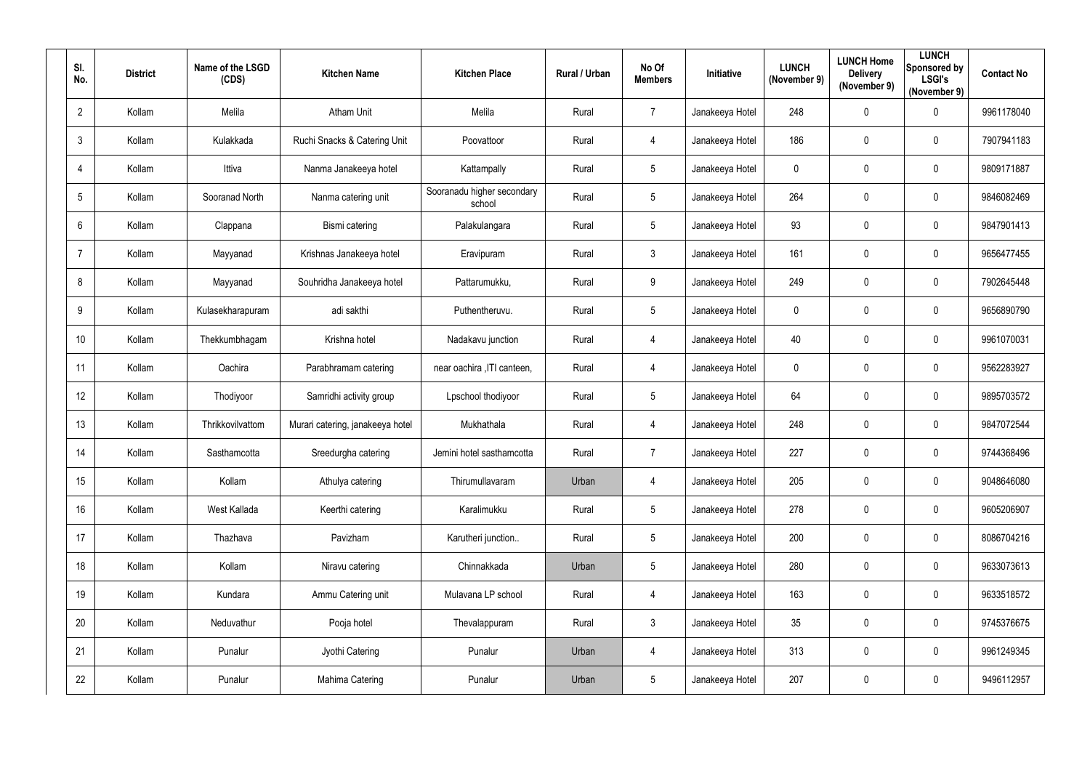| SI.<br>No.      | <b>District</b> | Name of the LSGD<br>(CDS) | <b>Kitchen Name</b>              | <b>Kitchen Place</b>                 | Rural / Urban | No Of<br><b>Members</b> | Initiative      | <b>LUNCH</b><br>(November 9) | <b>LUNCH Home</b><br><b>Delivery</b><br>(November 9) | <b>LUNCH</b><br>Sponsored by<br><b>LSGI's</b><br>(November 9) | <b>Contact No</b> |
|-----------------|-----------------|---------------------------|----------------------------------|--------------------------------------|---------------|-------------------------|-----------------|------------------------------|------------------------------------------------------|---------------------------------------------------------------|-------------------|
| $\overline{2}$  | Kollam          | Melila                    | <b>Atham Unit</b>                | Melila                               | Rural         | $\overline{7}$          | Janakeeya Hotel | 248                          | $\mathbf 0$                                          | $\mathbf 0$                                                   | 9961178040        |
| 3               | Kollam          | Kulakkada                 | Ruchi Snacks & Catering Unit     | Poovattoor                           | Rural         | $\overline{4}$          | Janakeeya Hotel | 186                          | $\mathbf 0$                                          | $\mathbf 0$                                                   | 7907941183        |
| 4               | Kollam          | Ittiva                    | Nanma Janakeeya hotel            | Kattampally                          | Rural         | $5\phantom{.0}$         | Janakeeya Hotel | $\overline{0}$               | $\mathbf 0$                                          | $\mathbf 0$                                                   | 9809171887        |
| $5\phantom{.0}$ | Kollam          | Sooranad North            | Nanma catering unit              | Sooranadu higher secondary<br>school | Rural         | $5\overline{)}$         | Janakeeya Hotel | 264                          | $\mathbf 0$                                          | $\mathbf 0$                                                   | 9846082469        |
| 6               | Kollam          | Clappana                  | Bismi catering                   | Palakulangara                        | Rural         | $5\overline{)}$         | Janakeeya Hotel | 93                           | $\mathbf 0$                                          | $\overline{0}$                                                | 9847901413        |
| -7              | Kollam          | Mayyanad                  | Krishnas Janakeeya hotel         | Eravipuram                           | Rural         | $\mathbf{3}$            | Janakeeya Hotel | 161                          | $\mathbf 0$                                          | $\boldsymbol{0}$                                              | 9656477455        |
| 8               | Kollam          | Mayyanad                  | Souhridha Janakeeya hotel        | Pattarumukku,                        | Rural         | 9                       | Janakeeya Hotel | 249                          | 0                                                    | $\overline{0}$                                                | 7902645448        |
| 9               | Kollam          | Kulasekharapuram          | adi sakthi                       | Puthentheruvu.                       | Rural         | $5\phantom{.0}$         | Janakeeya Hotel | $\mathbf 0$                  | $\mathbf 0$                                          | $\mathbf 0$                                                   | 9656890790        |
| 10              | Kollam          | Thekkumbhagam             | Krishna hotel                    | Nadakavu junction                    | Rural         | $\overline{4}$          | Janakeeya Hotel | 40                           | $\mathbf 0$                                          | $\overline{0}$                                                | 9961070031        |
| 11              | Kollam          | Oachira                   | Parabhramam catering             | near oachira , ITI canteen,          | Rural         | $\overline{4}$          | Janakeeya Hotel | $\mathbf 0$                  | $\mathbf 0$                                          | $\mathbf 0$                                                   | 9562283927        |
| 12              | Kollam          | Thodiyoor                 | Samridhi activity group          | Lpschool thodiyoor                   | Rural         | $5\overline{)}$         | Janakeeya Hotel | 64                           | $\mathbf 0$                                          | $\overline{0}$                                                | 9895703572        |
| 13              | Kollam          | Thrikkovilvattom          | Murari catering, janakeeya hotel | Mukhathala                           | Rural         | $\overline{4}$          | Janakeeya Hotel | 248                          | $\mathbf 0$                                          | $\overline{0}$                                                | 9847072544        |
| 14              | Kollam          | Sasthamcotta              | Sreedurgha catering              | Jemini hotel sasthamcotta            | Rural         | $\overline{7}$          | Janakeeya Hotel | 227                          | 0                                                    | 0                                                             | 9744368496        |
| 15              | Kollam          | Kollam                    | Athulya catering                 | Thirumullavaram                      | Urban         | $\overline{4}$          | Janakeeya Hotel | 205                          | $\mathbf 0$                                          | $\boldsymbol{0}$                                              | 9048646080        |
| 16              | Kollam          | West Kallada              | Keerthi catering                 | Karalimukku                          | Rural         | $5\phantom{.0}$         | Janakeeya Hotel | 278                          | $\mathbf 0$                                          | $\pmb{0}$                                                     | 9605206907        |
| 17              | Kollam          | Thazhava                  | Pavizham                         | Karutheri junction                   | Rural         | $5\phantom{.0}$         | Janakeeya Hotel | 200                          | $\mathbf 0$                                          | $\mathbf 0$                                                   | 8086704216        |
| 18              | Kollam          | Kollam                    | Niravu catering                  | Chinnakkada                          | Urban         | $5\phantom{.0}$         | Janakeeya Hotel | 280                          | $\mathbf 0$                                          | $\boldsymbol{0}$                                              | 9633073613        |
| 19              | Kollam          | Kundara                   | Ammu Catering unit               | Mulavana LP school                   | Rural         | $\overline{4}$          | Janakeeya Hotel | 163                          | $\mathbf 0$                                          | $\mathbf 0$                                                   | 9633518572        |
| 20              | Kollam          | Neduvathur                | Pooja hotel                      | Thevalappuram                        | Rural         | $3\overline{3}$         | Janakeeya Hotel | 35                           | $\mathbf 0$                                          | $\mathbf 0$                                                   | 9745376675        |
| 21              | Kollam          | Punalur                   | Jyothi Catering                  | Punalur                              | Urban         | $\overline{4}$          | Janakeeya Hotel | 313                          | $\mathbf 0$                                          | $\pmb{0}$                                                     | 9961249345        |
| 22              | Kollam          | Punalur                   | Mahima Catering                  | Punalur                              | Urban         | $5\phantom{.0}$         | Janakeeya Hotel | 207                          | $\mathbf 0$                                          | $\bm{0}$                                                      | 9496112957        |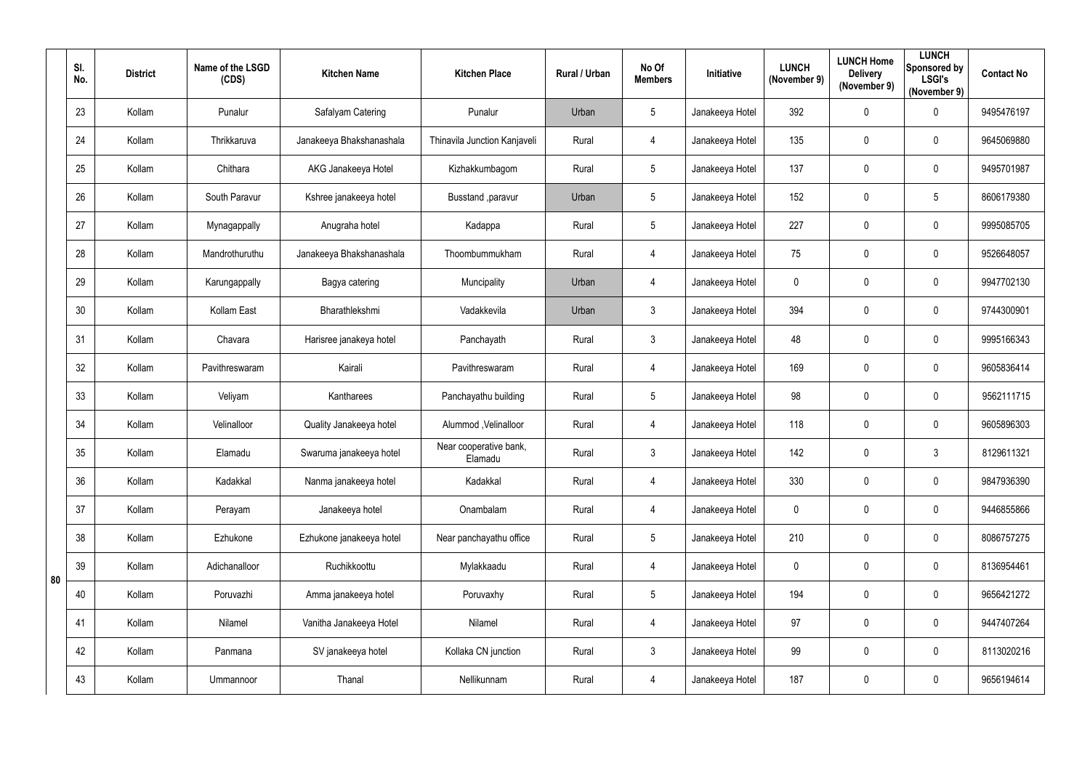|    | SI.<br>No. | <b>District</b> | Name of the LSGD<br>(CDS) | <b>Kitchen Name</b>      | <b>Kitchen Place</b>              | Rural / Urban | No Of<br><b>Members</b> | Initiative      | <b>LUNCH</b><br>(November 9) | <b>LUNCH Home</b><br><b>Delivery</b><br>(November 9) | <b>LUNCH</b><br>Sponsored by<br><b>LSGI's</b><br>(November 9) | <b>Contact No</b> |
|----|------------|-----------------|---------------------------|--------------------------|-----------------------------------|---------------|-------------------------|-----------------|------------------------------|------------------------------------------------------|---------------------------------------------------------------|-------------------|
|    | 23         | Kollam          | Punalur                   | Safalyam Catering        | Punalur                           | Urban         | 5                       | Janakeeya Hotel | 392                          | 0                                                    | $\mathbf 0$                                                   | 9495476197        |
|    | 24         | Kollam          | Thrikkaruva               | Janakeeya Bhakshanashala | Thinavila Junction Kanjaveli      | Rural         | 4                       | Janakeeya Hotel | 135                          | 0                                                    | $\mathbf 0$                                                   | 9645069880        |
|    | 25         | Kollam          | Chithara                  | AKG Janakeeya Hotel      | Kizhakkumbagom                    | Rural         | 5                       | Janakeeya Hotel | 137                          | 0                                                    | $\mathbf 0$                                                   | 9495701987        |
|    | 26         | Kollam          | South Paravur             | Kshree janakeeya hotel   | Busstand , paravur                | Urban         | 5                       | Janakeeya Hotel | 152                          | 0                                                    | $\overline{5}$                                                | 8606179380        |
|    | 27         | Kollam          | Mynagappally              | Anugraha hotel           | Kadappa                           | Rural         | 5                       | Janakeeya Hotel | 227                          | 0                                                    | $\mathbf 0$                                                   | 9995085705        |
|    | 28         | Kollam          | Mandrothuruthu            | Janakeeya Bhakshanashala | Thoombummukham                    | Rural         | $\overline{4}$          | Janakeeya Hotel | 75                           | 0                                                    | $\mathbf 0$                                                   | 9526648057        |
|    | 29         | Kollam          | Karungappally             | Bagya catering           | Muncipality                       | Urban         | $\overline{4}$          | Janakeeya Hotel | $\mathbf 0$                  | 0                                                    | $\mathbf 0$                                                   | 9947702130        |
|    | 30         | Kollam          | Kollam East               | Bharathlekshmi           | Vadakkevila                       | Urban         | $\mathfrak{Z}$          | Janakeeya Hotel | 394                          | 0                                                    | $\mathbf 0$                                                   | 9744300901        |
|    | 31         | Kollam          | Chavara                   | Harisree janakeya hotel  | Panchayath                        | Rural         | $\mathfrak{Z}$          | Janakeeya Hotel | 48                           | 0                                                    | $\mathbf 0$                                                   | 9995166343        |
|    | 32         | Kollam          | Pavithreswaram            | Kairali                  | Pavithreswaram                    | Rural         | $\overline{4}$          | Janakeeya Hotel | 169                          | 0                                                    | $\mathbf 0$                                                   | 9605836414        |
|    | 33         | Kollam          | Veliyam                   | Kantharees               | Panchayathu building              | Rural         | 5                       | Janakeeya Hotel | 98                           | 0                                                    | $\boldsymbol{0}$                                              | 9562111715        |
|    | 34         | Kollam          | Velinalloor               | Quality Janakeeya hotel  | Alummod , Velinalloor             | Rural         | 4                       | Janakeeya Hotel | 118                          | 0                                                    | $\mathbf 0$                                                   | 9605896303        |
|    | 35         | Kollam          | Elamadu                   | Swaruma janakeeya hotel  | Near cooperative bank,<br>Elamadu | Rural         | 3                       | Janakeeya Hotel | 142                          | 0                                                    | $\mathbf{3}$                                                  | 8129611321        |
|    | 36         | Kollam          | Kadakkal                  | Nanma janakeeya hotel    | Kadakkal                          | Rural         | $\overline{4}$          | Janakeeya Hotel | 330                          | 0                                                    | $\pmb{0}$                                                     | 9847936390        |
|    | 37         | Kollam          | Perayam                   | Janakeeya hotel          | Onambalam                         | Rural         | $\overline{4}$          | Janakeeya Hotel | $\mathbf 0$                  | 0                                                    | $\mathbf 0$                                                   | 9446855866        |
|    | 38         | Kollam          | Ezhukone                  | Ezhukone janakeeya hotel | Near panchayathu office           | Rural         | 5                       | Janakeeya Hotel | 210                          | 0                                                    | $\pmb{0}$                                                     | 8086757275        |
|    | 39         | Kollam          | Adichanalloor             | Ruchikkoottu             | Mylakkaadu                        | Rural         | $\overline{4}$          | Janakeeya Hotel | $\mathbf 0$                  | 0                                                    | $\pmb{0}$                                                     | 8136954461        |
| 80 | 40         | Kollam          | Poruvazhi                 | Amma janakeeya hotel     | Poruvaxhy                         | Rural         | $5\overline{)}$         | Janakeeya Hotel | 194                          | 0                                                    | $\mathbf 0$                                                   | 9656421272        |
|    | 41         | Kollam          | Nilamel                   | Vanitha Janakeeya Hotel  | Nilamel                           | Rural         | $\overline{4}$          | Janakeeya Hotel | 97                           | 0                                                    | $\pmb{0}$                                                     | 9447407264        |
|    | 42         | Kollam          | Panmana                   | SV janakeeya hotel       | Kollaka CN junction               | Rural         | 3 <sup>1</sup>          | Janakeeya Hotel | 99                           | 0                                                    | $\mathbf 0$                                                   | 8113020216        |
|    | 43         | Kollam          | Ummannoor                 | Thanal                   | Nellikunnam                       | Rural         | $\overline{4}$          | Janakeeya Hotel | 187                          | 0                                                    | $\bm{0}$                                                      | 9656194614        |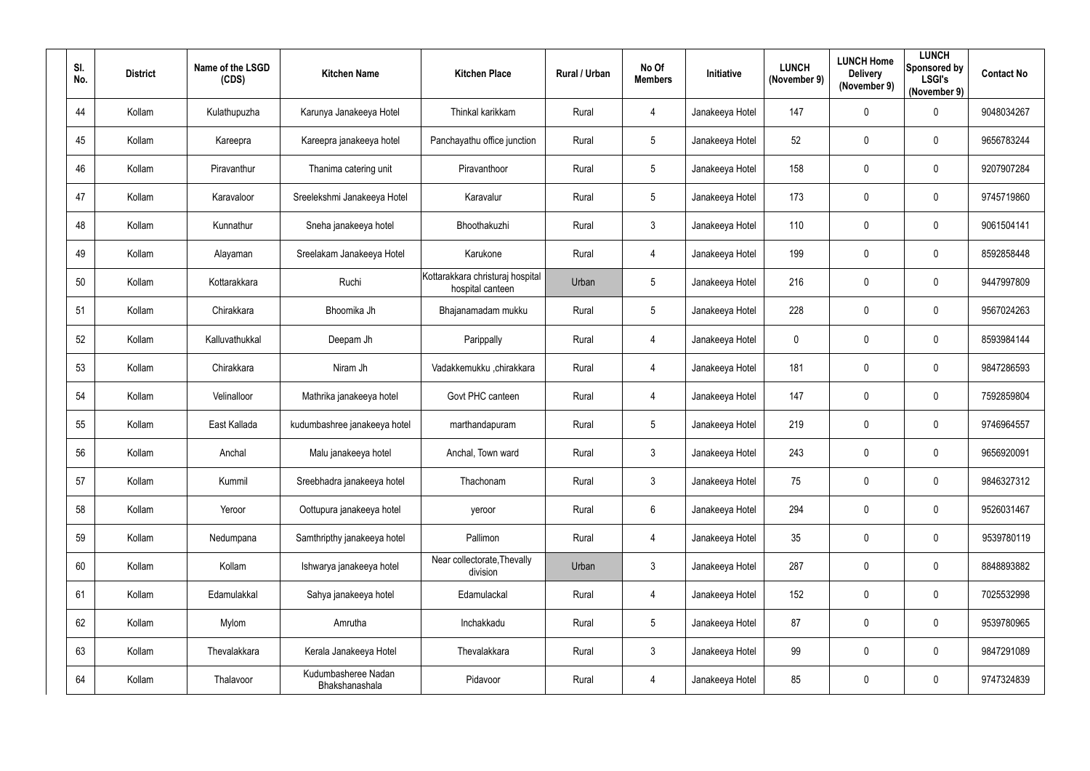| SI.<br>No. |    | <b>District</b> | Name of the LSGD<br>(CDS) | <b>Kitchen Name</b>                   | <b>Kitchen Place</b>                                 | Rural / Urban | No Of<br><b>Members</b> | <b>Initiative</b> | <b>LUNCH</b><br>(November 9) | <b>LUNCH Home</b><br><b>Delivery</b><br>(November 9) | <b>LUNCH</b><br>Sponsored by<br><b>LSGI's</b><br>(November 9) | <b>Contact No</b> |
|------------|----|-----------------|---------------------------|---------------------------------------|------------------------------------------------------|---------------|-------------------------|-------------------|------------------------------|------------------------------------------------------|---------------------------------------------------------------|-------------------|
|            | 44 | Kollam          | Kulathupuzha              | Karunya Janakeeya Hotel               | Thinkal karikkam                                     | Rural         | $\overline{4}$          | Janakeeya Hotel   | 147                          | $\mathbf 0$                                          | $\mathbf 0$                                                   | 9048034267        |
|            | 45 | Kollam          | Kareepra                  | Kareepra janakeeya hotel              | Panchayathu office junction                          | Rural         | $5\overline{)}$         | Janakeeya Hotel   | 52                           | $\mathbf 0$                                          | $\overline{0}$                                                | 9656783244        |
|            | 46 | Kollam          | Piravanthur               | Thanima catering unit                 | Piravanthoor                                         | Rural         | $5\phantom{.0}$         | Janakeeya Hotel   | 158                          | $\mathbf 0$                                          | $\overline{0}$                                                | 9207907284        |
|            | 47 | Kollam          | Karavaloor                | Sreelekshmi Janakeeya Hotel           | Karavalur                                            | Rural         | $5\overline{)}$         | Janakeeya Hotel   | 173                          | $\overline{0}$                                       | $\mathbf 0$                                                   | 9745719860        |
|            | 48 | Kollam          | Kunnathur                 | Sneha janakeeya hotel                 | Bhoothakuzhi                                         | Rural         | 3                       | Janakeeya Hotel   | 110                          | 0                                                    | $\overline{0}$                                                | 9061504141        |
|            | 49 | Kollam          | Alayaman                  | Sreelakam Janakeeya Hotel             | Karukone                                             | Rural         | 4                       | Janakeeya Hotel   | 199                          | $\overline{0}$                                       | $\boldsymbol{0}$                                              | 8592858448        |
|            | 50 | Kollam          | Kottarakkara              | Ruchi                                 | Kottarakkara christuraj hospital<br>hospital canteen | Urban         | $5\phantom{.0}$         | Janakeeya Hotel   | 216                          | 0                                                    | $\overline{0}$                                                | 9447997809        |
|            | 51 | Kollam          | Chirakkara                | Bhoomika Jh                           | Bhajanamadam mukku                                   | Rural         | $5\phantom{.0}$         | Janakeeya Hotel   | 228                          | $\mathbf 0$                                          | $\overline{0}$                                                | 9567024263        |
|            | 52 | Kollam          | Kalluvathukkal            | Deepam Jh                             | Parippally                                           | Rural         | 4                       | Janakeeya Hotel   | $\boldsymbol{0}$             | $\mathbf 0$                                          | $\overline{0}$                                                | 8593984144        |
|            | 53 | Kollam          | Chirakkara                | Niram Jh                              | Vadakkemukku ,chirakkara                             | Rural         | 4                       | Janakeeya Hotel   | 181                          | $\boldsymbol{0}$                                     | $\overline{0}$                                                | 9847286593        |
|            | 54 | Kollam          | Velinalloor               | Mathrika janakeeya hotel              | Govt PHC canteen                                     | Rural         | 4                       | Janakeeya Hotel   | 147                          | $\mathbf 0$                                          | $\overline{0}$                                                | 7592859804        |
|            | 55 | Kollam          | East Kallada              | kudumbashree janakeeya hotel          | marthandapuram                                       | Rural         | $5\overline{)}$         | Janakeeya Hotel   | 219                          | $\overline{0}$                                       | $\overline{0}$                                                | 9746964557        |
|            | 56 | Kollam          | Anchal                    | Malu janakeeya hotel                  | Anchal, Town ward                                    | Rural         | $\mathbf{3}$            | Janakeeya Hotel   | 243                          | $\mathbf 0$                                          | $\overline{0}$                                                | 9656920091        |
| 57         |    | Kollam          | Kummil                    | Sreebhadra janakeeya hotel            | Thachonam                                            | Rural         | 3 <sup>1</sup>          | Janakeeya Hotel   | 75                           | $\mathbf 0$                                          | $\mathbf 0$                                                   | 9846327312        |
|            | 58 | Kollam          | Yeroor                    | Oottupura janakeeya hotel             | yeroor                                               | Rural         | $6\overline{6}$         | Janakeeya Hotel   | 294                          | $\mathbf 0$                                          | $\pmb{0}$                                                     | 9526031467        |
|            | 59 | Kollam          | Nedumpana                 | Samthripthy janakeeya hotel           | Pallimon                                             | Rural         | $\overline{4}$          | Janakeeya Hotel   | 35                           | $\mathbf 0$                                          | $\mathbf 0$                                                   | 9539780119        |
|            | 60 | Kollam          | Kollam                    | Ishwarya janakeeya hotel              | Near collectorate, Thevally<br>division              | Urban         | 3 <sup>1</sup>          | Janakeeya Hotel   | 287                          | $\mathbf 0$                                          | $\boldsymbol{0}$                                              | 8848893882        |
|            | 61 | Kollam          | Edamulakkal               | Sahya janakeeya hotel                 | Edamulackal                                          | Rural         | $\overline{4}$          | Janakeeya Hotel   | 152                          | $\mathbf 0$                                          | $\mathbf 0$                                                   | 7025532998        |
|            | 62 | Kollam          | Mylom                     | Amrutha                               | Inchakkadu                                           | Rural         | $5\overline{)}$         | Janakeeya Hotel   | 87                           | $\mathbf 0$                                          | $\pmb{0}$                                                     | 9539780965        |
|            | 63 | Kollam          | Thevalakkara              | Kerala Janakeeya Hotel                | Thevalakkara                                         | Rural         | $3\phantom{.0}$         | Janakeeya Hotel   | 99                           | $\mathbf 0$                                          | $\pmb{0}$                                                     | 9847291089        |
|            | 64 | Kollam          | Thalavoor                 | Kudumbasheree Nadan<br>Bhakshanashala | Pidavoor                                             | Rural         | $\overline{4}$          | Janakeeya Hotel   | 85                           | $\mathbf 0$                                          | $\bm{0}$                                                      | 9747324839        |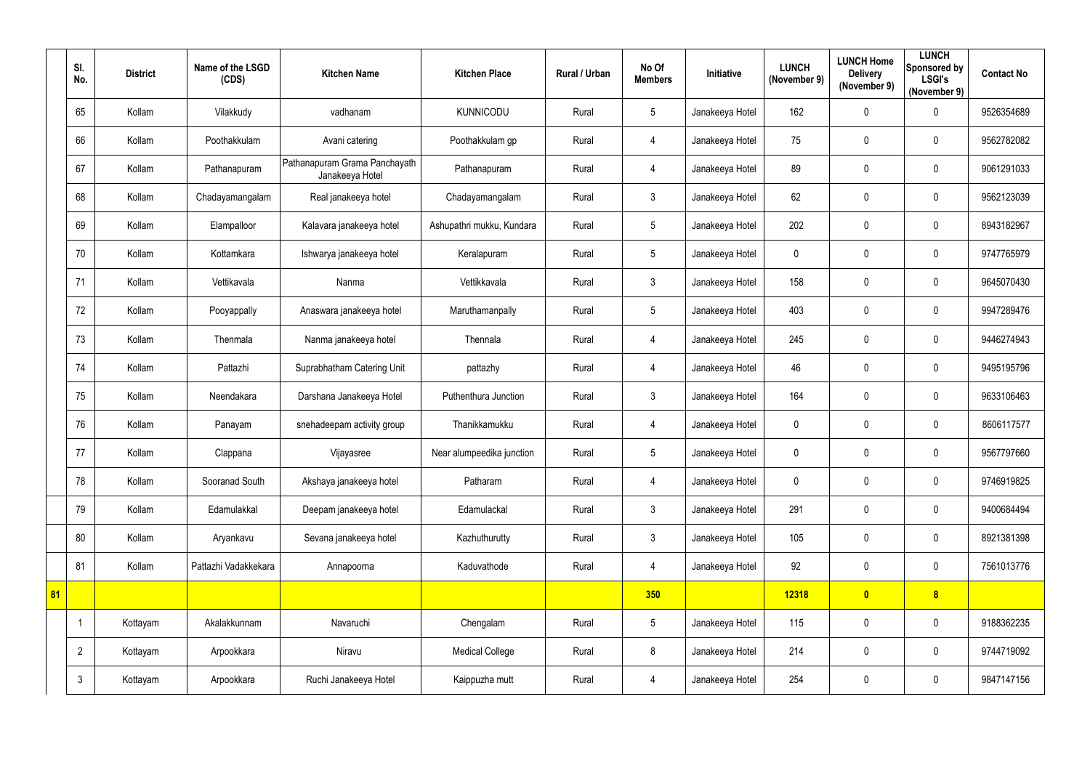|    | SI.<br>No.     | <b>District</b> | Name of the LSGD<br>(CDS) | <b>Kitchen Name</b>                              | <b>Kitchen Place</b>      | Rural / Urban | No Of<br><b>Members</b> | Initiative      | <b>LUNCH</b><br>(November 9) | <b>LUNCH Home</b><br><b>Delivery</b><br>(November 9) | <b>LUNCH</b><br>Sponsored by<br><b>LSGI's</b><br>(November 9) | <b>Contact No</b> |
|----|----------------|-----------------|---------------------------|--------------------------------------------------|---------------------------|---------------|-------------------------|-----------------|------------------------------|------------------------------------------------------|---------------------------------------------------------------|-------------------|
|    | 65             | Kollam          | Vilakkudy                 | vadhanam                                         | <b>KUNNICODU</b>          | Rural         | $5\phantom{.0}$         | Janakeeya Hotel | 162                          | $\mathbf 0$                                          | $\mathbf 0$                                                   | 9526354689        |
|    | 66             | Kollam          | Poothakkulam              | Avani catering                                   | Poothakkulam gp           | Rural         | 4                       | Janakeeya Hotel | 75                           | 0                                                    | $\mathbf 0$                                                   | 9562782082        |
|    | 67             | Kollam          | Pathanapuram              | Pathanapuram Grama Panchayath<br>Janakeeya Hotel | Pathanapuram              | Rural         | 4                       | Janakeeya Hotel | 89                           | $\mathbf 0$                                          | $\mathbf 0$                                                   | 9061291033        |
|    | 68             | Kollam          | Chadayamangalam           | Real janakeeya hotel                             | Chadayamangalam           | Rural         | $\mathfrak{Z}$          | Janakeeya Hotel | 62                           | 0                                                    | $\mathbf 0$                                                   | 9562123039        |
|    | 69             | Kollam          | Elampalloor               | Kalavara janakeeya hotel                         | Ashupathri mukku, Kundara | Rural         | $5\overline{)}$         | Janakeeya Hotel | 202                          | $\mathbf 0$                                          | $\mathbf 0$                                                   | 8943182967        |
|    | 70             | Kollam          | Kottamkara                | Ishwarya janakeeya hotel                         | Keralapuram               | Rural         | $5\phantom{.0}$         | Janakeeya Hotel | $\mathbf 0$                  | $\pmb{0}$                                            | $\mathbf 0$                                                   | 9747765979        |
|    | 71             | Kollam          | Vettikavala               | Nanma                                            | Vettikkavala              | Rural         | $\mathfrak{Z}$          | Janakeeya Hotel | 158                          | 0                                                    | $\mathbf 0$                                                   | 9645070430        |
|    | 72             | Kollam          | Pooyappally               | Anaswara janakeeya hotel                         | Maruthamanpally           | Rural         | $5\phantom{.0}$         | Janakeeya Hotel | 403                          | 0                                                    | $\mathbf 0$                                                   | 9947289476        |
|    | 73             | Kollam          | Thenmala                  | Nanma janakeeya hotel                            | Thennala                  | Rural         | 4                       | Janakeeya Hotel | 245                          | 0                                                    | $\mathbf 0$                                                   | 9446274943        |
|    | 74             | Kollam          | Pattazhi                  | Suprabhatham Catering Unit                       | pattazhy                  | Rural         | 4                       | Janakeeya Hotel | 46                           | 0                                                    | $\mathbf 0$                                                   | 9495195796        |
|    | 75             | Kollam          | Neendakara                | Darshana Janakeeya Hotel                         | Puthenthura Junction      | Rural         | $\mathfrak{Z}$          | Janakeeya Hotel | 164                          | 0                                                    | $\overline{0}$                                                | 9633106463        |
|    | 76             | Kollam          | Panayam                   | snehadeepam activity group                       | Thanikkamukku             | Rural         | 4                       | Janakeeya Hotel | 0                            | 0                                                    | $\mathbf 0$                                                   | 8606117577        |
|    | 77             | Kollam          | Clappana                  | Vijayasree                                       | Near alumpeedika junction | Rural         | $5\phantom{.0}$         | Janakeeya Hotel | 0                            | 0                                                    | $\mathbf 0$                                                   | 9567797660        |
|    | 78             | Kollam          | Sooranad South            | Akshaya janakeeya hotel                          | Patharam                  | Rural         | $\overline{4}$          | Janakeeya Hotel | $\mathbf 0$                  | $\pmb{0}$                                            | $\overline{0}$                                                | 9746919825        |
|    | 79             | Kollam          | Edamulakkal               | Deepam janakeeya hotel                           | Edamulackal               | Rural         | $\mathfrak{Z}$          | Janakeeya Hotel | 291                          | $\pmb{0}$                                            | $\overline{0}$                                                | 9400684494        |
|    | 80             | Kollam          | Aryankavu                 | Sevana janakeeya hotel                           | Kazhuthurutty             | Rural         | $\mathfrak{Z}$          | Janakeeya Hotel | 105                          | $\pmb{0}$                                            | $\overline{0}$                                                | 8921381398        |
|    | 81             | Kollam          | Pattazhi Vadakkekara      | Annapoorna                                       | Kaduvathode               | Rural         | $\overline{4}$          | Janakeeya Hotel | 92                           | 0                                                    | $\overline{0}$                                                | 7561013776        |
| 81 |                |                 |                           |                                                  |                           |               | 350                     |                 | 12318                        | $\bullet$                                            | 8 <sup>1</sup>                                                |                   |
|    | -1             | Kottayam        | Akalakkunnam              | Navaruchi                                        | Chengalam                 | Rural         | $5\phantom{.0}$         | Janakeeya Hotel | 115                          | $\pmb{0}$                                            | $\overline{0}$                                                | 9188362235        |
|    | $\overline{2}$ | Kottayam        | Arpookkara                | Niravu                                           | <b>Medical College</b>    | Rural         | $8\,$                   | Janakeeya Hotel | 214                          | $\pmb{0}$                                            | $\overline{0}$                                                | 9744719092        |
|    | $\mathfrak{Z}$ | Kottayam        | Arpookkara                | Ruchi Janakeeya Hotel                            | Kaippuzha mutt            | Rural         | $\overline{4}$          | Janakeeya Hotel | 254                          | $\pmb{0}$                                            | $\overline{0}$                                                | 9847147156        |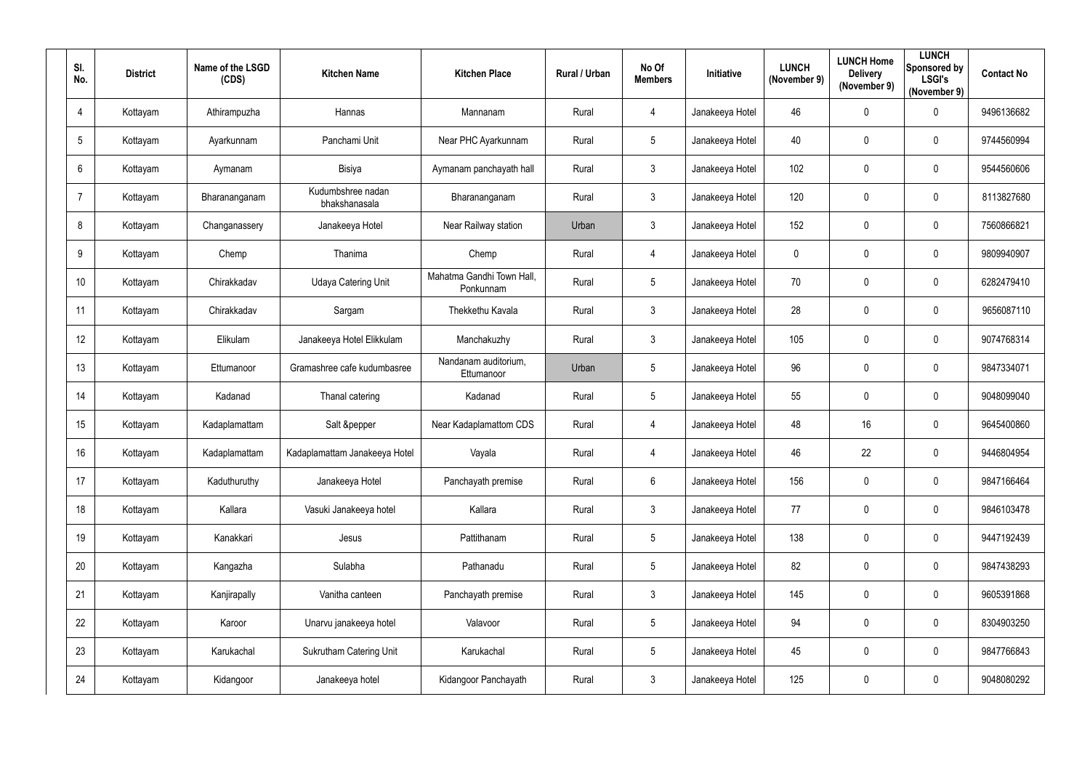| SI.<br>No.      | <b>District</b> | Name of the LSGD<br>(CDS) | <b>Kitchen Name</b>                | <b>Kitchen Place</b>                   | Rural / Urban | No Of<br><b>Members</b> | Initiative      | <b>LUNCH</b><br>(November 9) | <b>LUNCH Home</b><br><b>Delivery</b><br>(November 9) | <b>LUNCH</b><br>Sponsored by<br><b>LSGI's</b><br>(November 9) | <b>Contact No</b> |
|-----------------|-----------------|---------------------------|------------------------------------|----------------------------------------|---------------|-------------------------|-----------------|------------------------------|------------------------------------------------------|---------------------------------------------------------------|-------------------|
| $\overline{4}$  | Kottayam        | Athirampuzha              | Hannas                             | Mannanam                               | Rural         | 4                       | Janakeeya Hotel | 46                           | 0                                                    | $\mathbf 0$                                                   | 9496136682        |
| $5\phantom{.0}$ | Kottayam        | Ayarkunnam                | Panchami Unit                      | Near PHC Ayarkunnam                    | Rural         | $5\overline{)}$         | Janakeeya Hotel | 40                           | 0                                                    | $\mathbf 0$                                                   | 9744560994        |
| $6\phantom{.}6$ | Kottayam        | Aymanam                   | Bisiya                             | Aymanam panchayath hall                | Rural         | $\mathbf{3}$            | Janakeeya Hotel | 102                          | 0                                                    | $\overline{0}$                                                | 9544560606        |
| $\overline{7}$  | Kottayam        | Bharananganam             | Kudumbshree nadan<br>bhakshanasala | Bharananganam                          | Rural         | $\mathbf{3}$            | Janakeeya Hotel | 120                          | 0                                                    | $\mathbf 0$                                                   | 8113827680        |
| 8               | Kottayam        | Changanassery             | Janakeeya Hotel                    | Near Railway station                   | Urban         | $\mathbf{3}$            | Janakeeya Hotel | 152                          | 0                                                    | $\mathbf 0$                                                   | 7560866821        |
| $9\,$           | Kottayam        | Chemp                     | Thanima                            | Chemp                                  | Rural         | $\overline{4}$          | Janakeeya Hotel | $\overline{0}$               | 0                                                    | $\overline{0}$                                                | 9809940907        |
| 10 <sup>°</sup> | Kottayam        | Chirakkadav               | <b>Udaya Catering Unit</b>         | Mahatma Gandhi Town Hall,<br>Ponkunnam | Rural         | $5\phantom{.0}$         | Janakeeya Hotel | 70                           | 0                                                    | $\mathbf 0$                                                   | 6282479410        |
| 11              | Kottayam        | Chirakkadav               | Sargam                             | Thekkethu Kavala                       | Rural         | $\mathbf{3}$            | Janakeeya Hotel | 28                           | 0                                                    | $\mathbf 0$                                                   | 9656087110        |
| 12              | Kottayam        | Elikulam                  | Janakeeya Hotel Elikkulam          | Manchakuzhy                            | Rural         | $\mathbf{3}$            | Janakeeya Hotel | 105                          | 0                                                    | $\mathbf 0$                                                   | 9074768314        |
| 13              | Kottayam        | Ettumanoor                | Gramashree cafe kudumbasree        | Nandanam auditorium,<br>Ettumanoor     | Urban         | $5\phantom{.0}$         | Janakeeya Hotel | 96                           | 0                                                    | $\mathbf 0$                                                   | 9847334071        |
| 14              | Kottayam        | Kadanad                   | Thanal catering                    | Kadanad                                | Rural         | $5\overline{)}$         | Janakeeya Hotel | 55                           | 0                                                    | $\mathbf 0$                                                   | 9048099040        |
| 15              | Kottayam        | Kadaplamattam             | Salt &pepper                       | Near Kadaplamattom CDS                 | Rural         | $\overline{4}$          | Janakeeya Hotel | 48                           | 16                                                   | $\mathbf 0$                                                   | 9645400860        |
| 16              | Kottayam        | Kadaplamattam             | Kadaplamattam Janakeeya Hotel      | Vayala                                 | Rural         | 4                       | Janakeeya Hotel | 46                           | 22                                                   | $\mathbf 0$                                                   | 9446804954        |
| 17              | Kottayam        | Kaduthuruthy              | Janakeeya Hotel                    | Panchayath premise                     | Rural         | $6\overline{6}$         | Janakeeya Hotel | 156                          | 0                                                    | $\overline{0}$                                                | 9847166464        |
| 18              | Kottayam        | Kallara                   | Vasuki Janakeeya hotel             | Kallara                                | Rural         | $\mathbf{3}$            | Janakeeya Hotel | $77\,$                       | 0                                                    | $\overline{0}$                                                | 9846103478        |
| 19              | Kottayam        | Kanakkari                 | Jesus                              | Pattithanam                            | Rural         | $5\phantom{.0}$         | Janakeeya Hotel | 138                          | 0                                                    | $\overline{0}$                                                | 9447192439        |
| 20              | Kottayam        | Kangazha                  | Sulabha                            | Pathanadu                              | Rural         | $5\phantom{.0}$         | Janakeeya Hotel | 82                           | 0                                                    | $\overline{0}$                                                | 9847438293        |
| 21              | Kottayam        | Kanjirapally              | Vanitha canteen                    | Panchayath premise                     | Rural         | $\mathbf{3}$            | Janakeeya Hotel | 145                          | 0                                                    | $\overline{0}$                                                | 9605391868        |
| 22              | Kottayam        | Karoor                    | Unarvu janakeeya hotel             | Valavoor                               | Rural         | $5\phantom{.0}$         | Janakeeya Hotel | 94                           | 0                                                    | $\overline{0}$                                                | 8304903250        |
| 23              | Kottayam        | Karukachal                | <b>Sukrutham Catering Unit</b>     | Karukachal                             | Rural         | $5\phantom{.0}$         | Janakeeya Hotel | 45                           | 0                                                    | $\overline{0}$                                                | 9847766843        |
| 24              | Kottayam        | Kidangoor                 | Janakeeya hotel                    | Kidangoor Panchayath                   | Rural         | $\mathfrak{Z}$          | Janakeeya Hotel | 125                          | 0                                                    | $\overline{0}$                                                | 9048080292        |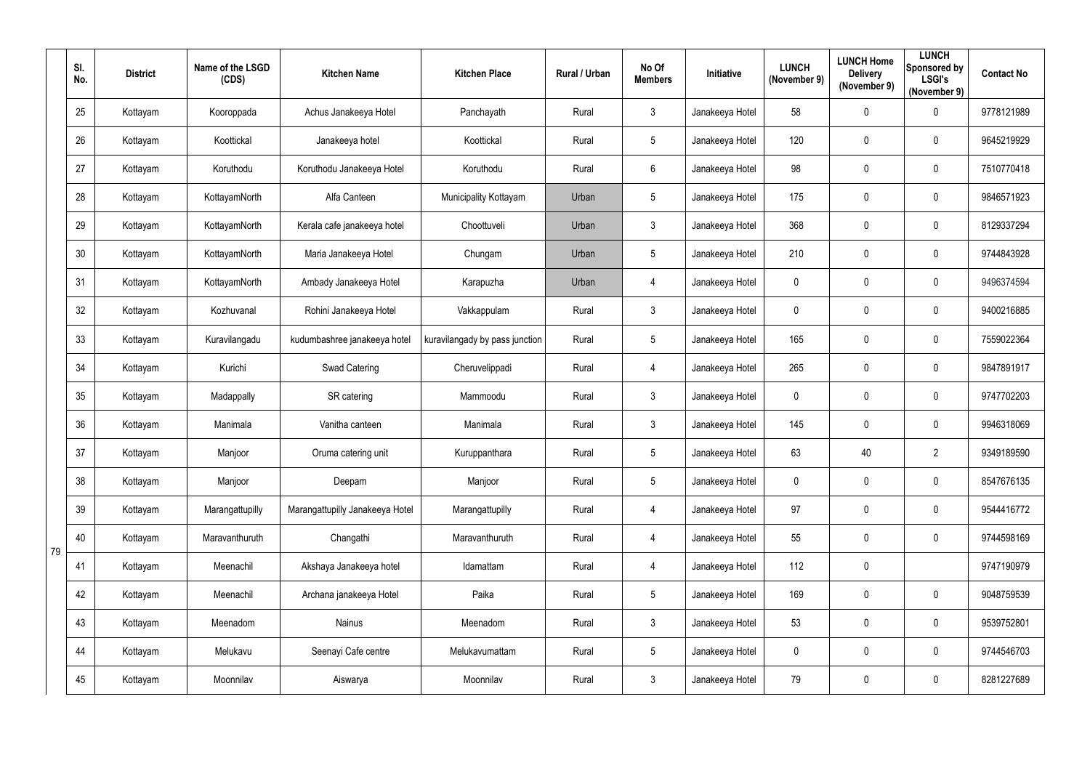|    | SI.<br>No. | <b>District</b> | Name of the LSGD<br>(CDS) | <b>Kitchen Name</b>             | <b>Kitchen Place</b>           | Rural / Urban | No Of<br><b>Members</b> | Initiative      | <b>LUNCH</b><br>(November 9) | <b>LUNCH Home</b><br><b>Delivery</b><br>(November 9) | <b>LUNCH</b><br>Sponsored by<br><b>LSGI's</b><br>(November 9) | <b>Contact No</b> |
|----|------------|-----------------|---------------------------|---------------------------------|--------------------------------|---------------|-------------------------|-----------------|------------------------------|------------------------------------------------------|---------------------------------------------------------------|-------------------|
|    | 25         | Kottayam        | Kooroppada                | Achus Janakeeya Hotel           | Panchayath                     | Rural         | $\mathbf{3}$            | Janakeeya Hotel | 58                           | 0                                                    | $\mathbf 0$                                                   | 9778121989        |
|    | 26         | Kottayam        | Koottickal                | Janakeeya hotel                 | Koottickal                     | Rural         | 5                       | Janakeeya Hotel | 120                          | 0                                                    | $\mathbf 0$                                                   | 9645219929        |
|    | 27         | Kottayam        | Koruthodu                 | Koruthodu Janakeeya Hotel       | Koruthodu                      | Rural         | $6\overline{6}$         | Janakeeya Hotel | 98                           | 0                                                    | $\mathbf 0$                                                   | 7510770418        |
|    | 28         | Kottayam        | KottayamNorth             | Alfa Canteen                    | Municipality Kottayam          | Urban         | 5                       | Janakeeya Hotel | 175                          | 0                                                    | $\mathbf 0$                                                   | 9846571923        |
|    | 29         | Kottayam        | KottayamNorth             | Kerala cafe janakeeya hotel     | Choottuveli                    | Urban         | $\mathbf{3}$            | Janakeeya Hotel | 368                          | 0                                                    | $\overline{0}$                                                | 8129337294        |
|    | 30         | Kottayam        | KottayamNorth             | Maria Janakeeya Hotel           | Chungam                        | Urban         | $5\phantom{.0}$         | Janakeeya Hotel | 210                          | 0                                                    | $\boldsymbol{0}$                                              | 9744843928        |
|    | 31         | Kottayam        | KottayamNorth             | Ambady Janakeeya Hotel          | Karapuzha                      | Urban         | 4                       | Janakeeya Hotel | $\mathbf 0$                  | 0                                                    | $\mathbf 0$                                                   | 9496374594        |
|    | 32         | Kottayam        | Kozhuvanal                | Rohini Janakeeya Hotel          | Vakkappulam                    | Rural         | 3                       | Janakeeya Hotel | $\mathbf 0$                  | 0                                                    | $\mathbf 0$                                                   | 9400216885        |
|    | 33         | Kottayam        | Kuravilangadu             | kudumbashree janakeeya hotel    | kuravilangady by pass junction | Rural         | 5                       | Janakeeya Hotel | 165                          | 0                                                    | $\overline{0}$                                                | 7559022364        |
|    | 34         | Kottayam        | Kurichi                   | Swad Catering                   | Cheruvelippadi                 | Rural         | $\overline{4}$          | Janakeeya Hotel | 265                          | 0                                                    | $\mathbf 0$                                                   | 9847891917        |
|    | 35         | Kottayam        | Madappally                | SR catering                     | Mammoodu                       | Rural         | $3\overline{3}$         | Janakeeya Hotel | $\overline{0}$               | 0                                                    | $\boldsymbol{0}$                                              | 9747702203        |
|    | 36         | Kottayam        | Manimala                  | Vanitha canteen                 | Manimala                       | Rural         | $\mathbf{3}$            | Janakeeya Hotel | 145                          | 0                                                    | $\overline{0}$                                                | 9946318069        |
|    | 37         | Kottayam        | Manjoor                   | Oruma catering unit             | Kuruppanthara                  | Rural         | 5                       | Janakeeya Hotel | 63                           | 40                                                   | $\overline{2}$                                                | 9349189590        |
|    | 38         | Kottayam        | Manjoor                   | Deepam                          | Manjoor                        | Rural         | $5\phantom{.0}$         | Janakeeya Hotel | $\mathbf 0$                  | $\mathbf 0$                                          | $\pmb{0}$                                                     | 8547676135        |
|    | 39         | Kottayam        | Marangattupilly           | Marangattupilly Janakeeya Hotel | Marangattupilly                | Rural         | $\overline{4}$          | Janakeeya Hotel | 97                           | 0                                                    | $\pmb{0}$                                                     | 9544416772        |
| 79 | 40         | Kottayam        | Maravanthuruth            | Changathi                       | Maravanthuruth                 | Rural         | $\overline{4}$          | Janakeeya Hotel | 55                           | $\pmb{0}$                                            | $\pmb{0}$                                                     | 9744598169        |
|    | 41         | Kottayam        | Meenachil                 | Akshaya Janakeeya hotel         | Idamattam                      | Rural         | $\overline{4}$          | Janakeeya Hotel | 112                          | $\pmb{0}$                                            |                                                               | 9747190979        |
|    | 42         | Kottayam        | Meenachil                 | Archana janakeeya Hotel         | Paika                          | Rural         | $5\phantom{.0}$         | Janakeeya Hotel | 169                          | 0                                                    | $\mathbf 0$                                                   | 9048759539        |
|    | 43         | Kottayam        | Meenadom                  | Nainus                          | Meenadom                       | Rural         | $\mathfrak{Z}$          | Janakeeya Hotel | 53                           | $\pmb{0}$                                            | $\pmb{0}$                                                     | 9539752801        |
|    | 44         | Kottayam        | Melukavu                  | Seenayi Cafe centre             | Melukavumattam                 | Rural         | $5\overline{)}$         | Janakeeya Hotel | $\mathbf 0$                  | 0                                                    | $\mathbf 0$                                                   | 9744546703        |
|    | 45         | Kottayam        | Moonnilav                 | Aiswarya                        | Moonnilav                      | Rural         | $\mathfrak{Z}$          | Janakeeya Hotel | 79                           | 0                                                    | $\bm{0}$                                                      | 8281227689        |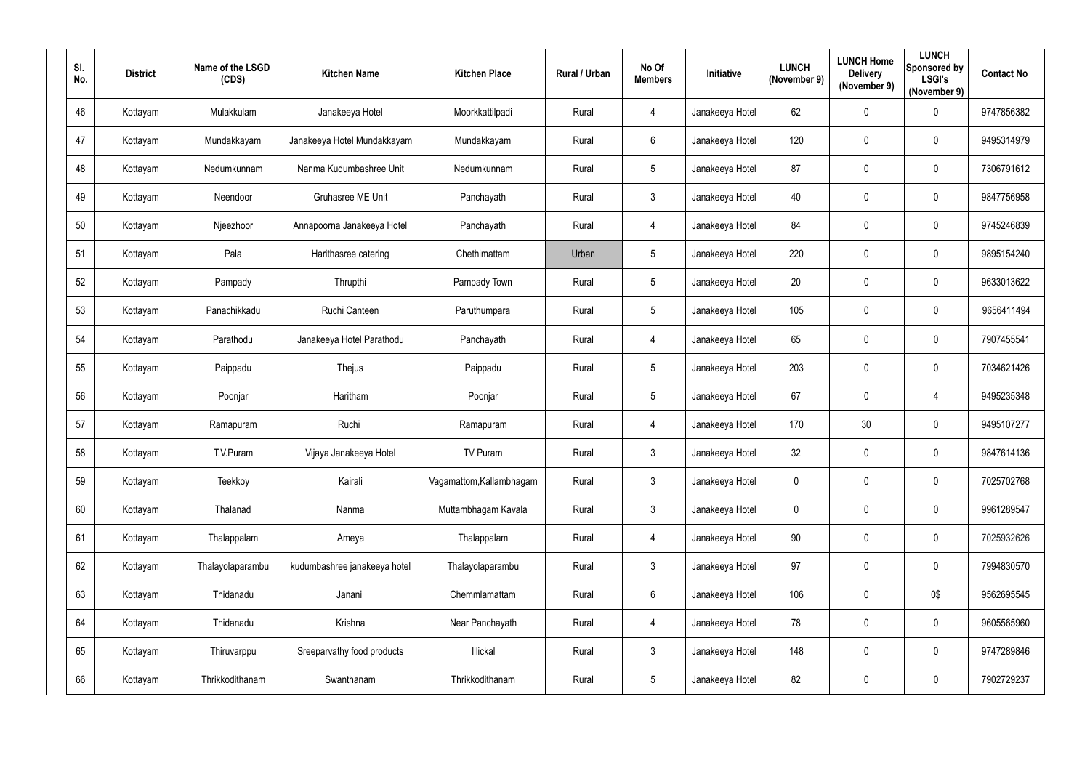| SI.<br>No. | <b>District</b> | Name of the LSGD<br>(CDS) | <b>Kitchen Name</b>          | <b>Kitchen Place</b>     | Rural / Urban | No Of<br><b>Members</b> | <b>Initiative</b> | <b>LUNCH</b><br>(November 9) | <b>LUNCH Home</b><br><b>Delivery</b><br>(November 9) | <b>LUNCH</b><br>Sponsored by<br><b>LSGI's</b><br>(November 9) | <b>Contact No</b> |
|------------|-----------------|---------------------------|------------------------------|--------------------------|---------------|-------------------------|-------------------|------------------------------|------------------------------------------------------|---------------------------------------------------------------|-------------------|
| 46         | Kottayam        | Mulakkulam                | Janakeeya Hotel              | Moorkkattilpadi          | Rural         | $\overline{4}$          | Janakeeya Hotel   | 62                           | $\mathbf 0$                                          | $\mathbf 0$                                                   | 9747856382        |
| 47         | Kottayam        | Mundakkayam               | Janakeeya Hotel Mundakkayam  | Mundakkayam              | Rural         | $6^{\circ}$             | Janakeeya Hotel   | 120                          | $\mathbf 0$                                          | $\mathbf 0$                                                   | 9495314979        |
| 48         | Kottayam        | Nedumkunnam               | Nanma Kudumbashree Unit      | Nedumkunnam              | Rural         | $5\phantom{.0}$         | Janakeeya Hotel   | 87                           | $\overline{0}$                                       | $\mathbf 0$                                                   | 7306791612        |
| 49         | Kottayam        | Neendoor                  | Gruhasree ME Unit            | Panchayath               | Rural         | 3 <sup>5</sup>          | Janakeeya Hotel   | 40                           | $\mathbf 0$                                          | $\mathbf 0$                                                   | 9847756958        |
| 50         | Kottayam        | Njeezhoor                 | Annapoorna Janakeeya Hotel   | Panchayath               | Rural         | 4                       | Janakeeya Hotel   | 84                           | 0                                                    | $\overline{0}$                                                | 9745246839        |
| 51         | Kottayam        | Pala                      | Harithasree catering         | Chethimattam             | Urban         | $5\phantom{.0}$         | Janakeeya Hotel   | 220                          | $\overline{0}$                                       | $\boldsymbol{0}$                                              | 9895154240        |
| 52         | Kottayam        | Pampady                   | Thrupthi                     | Pampady Town             | Rural         | $5\overline{)}$         | Janakeeya Hotel   | 20                           | 0                                                    | $\mathbf 0$                                                   | 9633013622        |
| 53         | Kottayam        | Panachikkadu              | Ruchi Canteen                | Paruthumpara             | Rural         | $5\phantom{.0}$         | Janakeeya Hotel   | 105                          | $\mathbf 0$                                          | $\mathbf 0$                                                   | 9656411494        |
| 54         | Kottayam        | Parathodu                 | Janakeeya Hotel Parathodu    | Panchayath               | Rural         | $\overline{4}$          | Janakeeya Hotel   | 65                           | $\overline{0}$                                       | $\overline{0}$                                                | 7907455541        |
| 55         | Kottayam        | Paippadu                  | Thejus                       | Paippadu                 | Rural         | $5\overline{)}$         | Janakeeya Hotel   | 203                          | $\overline{0}$                                       | $\mathbf 0$                                                   | 7034621426        |
| 56         | Kottayam        | Poonjar                   | Haritham                     | Poonjar                  | Rural         | $5\overline{)}$         | Janakeeya Hotel   | 67                           | $\mathbf 0$                                          | $\overline{4}$                                                | 9495235348        |
| 57         | Kottayam        | Ramapuram                 | Ruchi                        | Ramapuram                | Rural         | $\overline{4}$          | Janakeeya Hotel   | 170                          | 30                                                   | $\overline{0}$                                                | 9495107277        |
| 58         | Kottayam        | T.V.Puram                 | Vijaya Janakeeya Hotel       | <b>TV Puram</b>          | Rural         | $\mathbf{3}$            | Janakeeya Hotel   | 32                           | $\mathbf 0$                                          | $\overline{0}$                                                | 9847614136        |
| 59         | Kottayam        | Teekkoy                   | Kairali                      | Vagamattom, Kallambhagam | Rural         | 3 <sup>5</sup>          | Janakeeya Hotel   | $\pmb{0}$                    | $\mathbf 0$                                          | $\boldsymbol{0}$                                              | 7025702768        |
| 60         | Kottayam        | Thalanad                  | Nanma                        | Muttambhagam Kavala      | Rural         | 3 <sup>1</sup>          | Janakeeya Hotel   | $\pmb{0}$                    | $\mathbf 0$                                          | $\pmb{0}$                                                     | 9961289547        |
| 61         | Kottayam        | Thalappalam               | Ameya                        | Thalappalam              | Rural         | $\overline{4}$          | Janakeeya Hotel   | $90\,$                       | $\mathbf 0$                                          | $\mathbf 0$                                                   | 7025932626        |
| 62         | Kottayam        | Thalayolaparambu          | kudumbashree janakeeya hotel | Thalayolaparambu         | Rural         | 3 <sup>5</sup>          | Janakeeya Hotel   | 97                           | $\mathbf 0$                                          | $\boldsymbol{0}$                                              | 7994830570        |
| 63         | Kottayam        | Thidanadu                 | Janani                       | Chemmlamattam            | Rural         | $6\overline{6}$         | Janakeeya Hotel   | 106                          | $\mathbf 0$                                          | 0\$                                                           | 9562695545        |
| 64         | Kottayam        | Thidanadu                 | Krishna                      | Near Panchayath          | Rural         | $\overline{4}$          | Janakeeya Hotel   | 78                           | $\mathbf 0$                                          | $\pmb{0}$                                                     | 9605565960        |
| 65         | Kottayam        | Thiruvarppu               | Sreeparvathy food products   | Illickal                 | Rural         | $3\phantom{.0}$         | Janakeeya Hotel   | 148                          | $\mathbf 0$                                          | $\pmb{0}$                                                     | 9747289846        |
| 66         | Kottayam        | Thrikkodithanam           | Swanthanam                   | Thrikkodithanam          | Rural         | $5\phantom{.0}$         | Janakeeya Hotel   | 82                           | $\mathbf 0$                                          | $\bm{0}$                                                      | 7902729237        |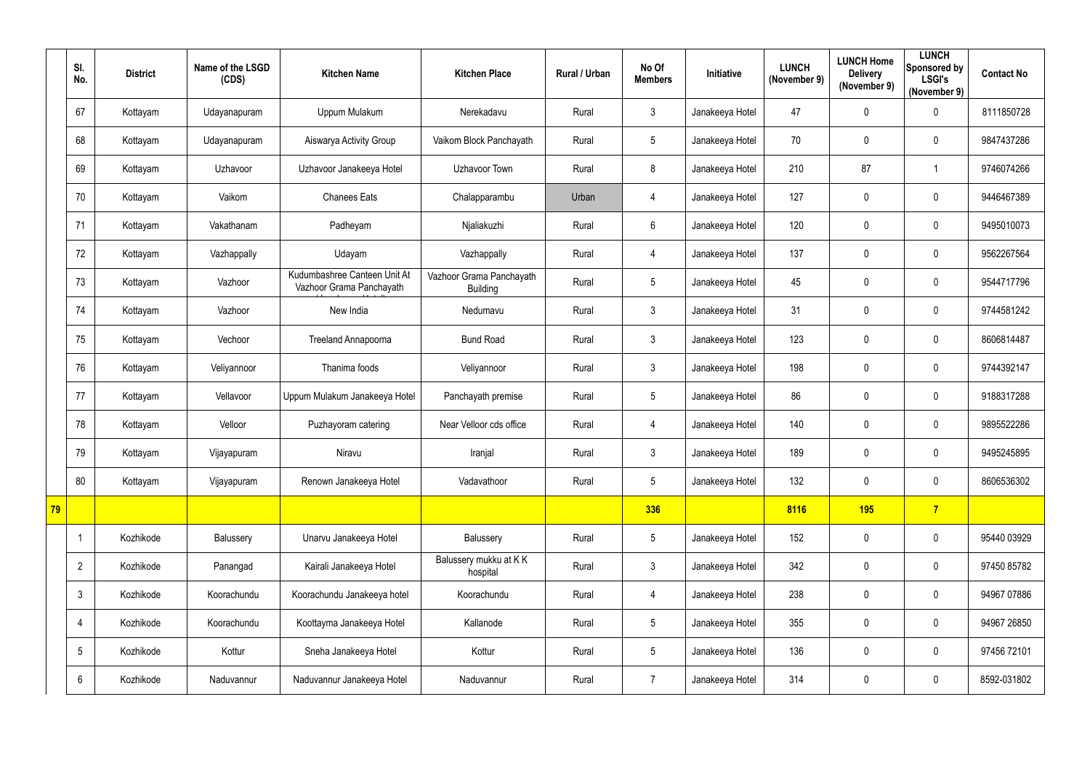|    | SI.<br>No.     | <b>District</b> | Name of the LSGD<br>(CDS) | <b>Kitchen Name</b>                                      | <b>Kitchen Place</b>                        | Rural / Urban | No Of<br><b>Members</b> | Initiative      | <b>LUNCH</b><br>(November 9) | <b>LUNCH Home</b><br><b>Delivery</b><br>(November 9) | <b>LUNCH</b><br>Sponsored by<br><b>LSGI's</b><br>(November 9) | <b>Contact No</b> |
|----|----------------|-----------------|---------------------------|----------------------------------------------------------|---------------------------------------------|---------------|-------------------------|-----------------|------------------------------|------------------------------------------------------|---------------------------------------------------------------|-------------------|
|    | 67             | Kottayam        | Udayanapuram              | Uppum Mulakum                                            | Nerekadavu                                  | Rural         | $\mathfrak{Z}$          | Janakeeya Hotel | 47                           | 0                                                    | $\mathbf 0$                                                   | 8111850728        |
|    | 68             | Kottayam        | Udayanapuram              | Aiswarya Activity Group                                  | Vaikom Block Panchayath                     | Rural         | 5                       | Janakeeya Hotel | 70                           | 0                                                    | $\mathbf 0$                                                   | 9847437286        |
|    | 69             | Kottayam        | Uzhavoor                  | Uzhavoor Janakeeya Hotel                                 | <b>Uzhavoor Town</b>                        | Rural         | 8                       | Janakeeya Hotel | 210                          | 87                                                   |                                                               | 9746074266        |
|    | 70             | Kottayam        | Vaikom                    | <b>Chanees Eats</b>                                      | Chalapparambu                               | Urban         | $\overline{4}$          | Janakeeya Hotel | 127                          | 0                                                    | $\mathbf 0$                                                   | 9446467389        |
|    | 71             | Kottayam        | Vakathanam                | Padheyam                                                 | Njaliakuzhi                                 | Rural         | 6                       | Janakeeya Hotel | 120                          | 0                                                    | $\mathbf 0$                                                   | 9495010073        |
|    | 72             | Kottayam        | Vazhappally               | Udayam                                                   | Vazhappally                                 | Rural         | $\overline{4}$          | Janakeeya Hotel | 137                          | 0                                                    | $\mathbf 0$                                                   | 9562267564        |
|    | 73             | Kottayam        | Vazhoor                   | Kudumbashree Canteen Unit At<br>Vazhoor Grama Panchayath | Vazhoor Grama Panchayath<br><b>Building</b> | Rural         | 5                       | Janakeeya Hotel | 45                           | 0                                                    | $\mathbf 0$                                                   | 9544717796        |
|    | 74             | Kottayam        | Vazhoor                   | New India                                                | Nedumavu                                    | Rural         | $\mathfrak{Z}$          | Janakeeya Hotel | 31                           | 0                                                    | $\mathbf 0$                                                   | 9744581242        |
|    | 75             | Kottayam        | Vechoor                   | <b>Treeland Annapoorna</b>                               | <b>Bund Road</b>                            | Rural         | $\mathfrak{Z}$          | Janakeeya Hotel | 123                          | 0                                                    | $\mathbf 0$                                                   | 8606814487        |
|    | 76             | Kottayam        | Veliyannoor               | Thanima foods                                            | Veliyannoor                                 | Rural         | 3                       | Janakeeya Hotel | 198                          | 0                                                    | $\mathbf 0$                                                   | 9744392147        |
|    | 77             | Kottayam        | Vellavoor                 | Uppum Mulakum Janakeeya Hotel                            | Panchayath premise                          | Rural         | 5                       | Janakeeya Hotel | 86                           | 0                                                    | $\mathbf 0$                                                   | 9188317288        |
|    | 78             | Kottayam        | Velloor                   | Puzhayoram catering                                      | Near Velloor cds office                     | Rural         | $\overline{4}$          | Janakeeya Hotel | 140                          | 0                                                    | $\mathbf 0$                                                   | 9895522286        |
|    | 79             | Kottayam        | Vijayapuram               | Niravu                                                   | Iranjal                                     | Rural         | 3                       | Janakeeya Hotel | 189                          | 0                                                    | 0                                                             | 9495245895        |
|    | 80             | Kottayam        | Vijayapuram               | Renown Janakeeya Hotel                                   | Vadavathoor                                 | Rural         | $5\overline{)}$         | Janakeeya Hotel | 132                          | 0                                                    | $\overline{0}$                                                | 8606536302        |
| 79 |                |                 |                           |                                                          |                                             |               | 336                     |                 | 8116                         | <b>195</b>                                           | $\overline{7}$                                                |                   |
|    | $\mathbf 1$    | Kozhikode       | Balussery                 | Unarvu Janakeeya Hotel                                   | Balussery                                   | Rural         | 5                       | Janakeeya Hotel | 152                          | 0                                                    | $\overline{0}$                                                | 95440 03929       |
|    | $\overline{2}$ | Kozhikode       | Panangad                  | Kairali Janakeeya Hotel                                  | Balussery mukku at KK<br>hospital           | Rural         | $\mathfrak{Z}$          | Janakeeya Hotel | 342                          | 0                                                    | $\mathbf 0$                                                   | 97450 85782       |
|    | $\mathfrak{Z}$ | Kozhikode       | Koorachundu               | Koorachundu Janakeeya hotel                              | Koorachundu                                 | Rural         | $\overline{4}$          | Janakeeya Hotel | 238                          | 0                                                    | $\overline{0}$                                                | 94967 07886       |
|    | 4              | Kozhikode       | Koorachundu               | Koottayma Janakeeya Hotel                                | Kallanode                                   | Rural         | 5                       | Janakeeya Hotel | 355                          | 0                                                    | $\overline{0}$                                                | 94967 26850       |
|    | 5              | Kozhikode       | Kottur                    | Sneha Janakeeya Hotel                                    | Kottur                                      | Rural         | $5\overline{)}$         | Janakeeya Hotel | 136                          | 0                                                    | $\overline{0}$                                                | 97456 72101       |
|    | 6              | Kozhikode       | Naduvannur                | Naduvannur Janakeeya Hotel                               | Naduvannur                                  | Rural         | $\overline{7}$          | Janakeeya Hotel | 314                          | 0                                                    | $\mathbf 0$                                                   | 8592-031802       |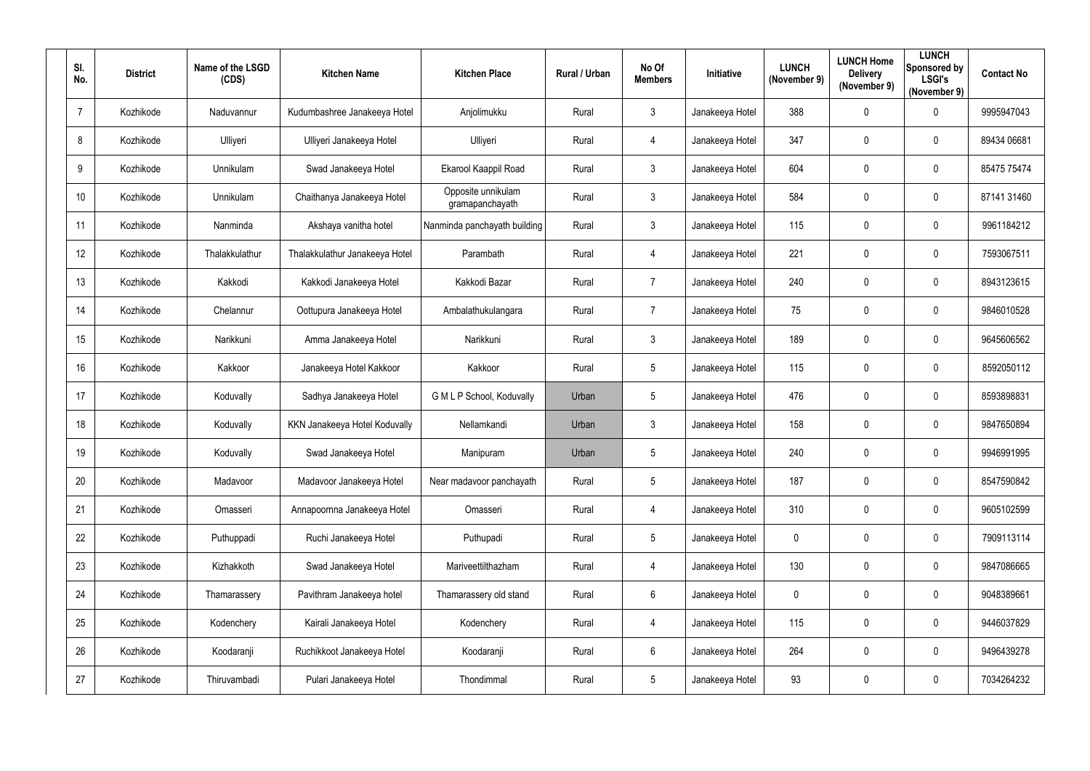| SI.<br>No.     | <b>District</b> | Name of the LSGD<br>(CDS) | <b>Kitchen Name</b>            | <b>Kitchen Place</b>                  | Rural / Urban | No Of<br><b>Members</b> | Initiative      | <b>LUNCH</b><br>(November 9) | <b>LUNCH Home</b><br><b>Delivery</b><br>(November 9) | <b>LUNCH</b><br>Sponsored by<br><b>LSGI's</b><br>(November 9) | <b>Contact No</b> |
|----------------|-----------------|---------------------------|--------------------------------|---------------------------------------|---------------|-------------------------|-----------------|------------------------------|------------------------------------------------------|---------------------------------------------------------------|-------------------|
| $\overline{7}$ | Kozhikode       | Naduvannur                | Kudumbashree Janakeeya Hotel   | Anjolimukku                           | Rural         | $\mathfrak{Z}$          | Janakeeya Hotel | 388                          | $\mathbf 0$                                          | $\overline{0}$                                                | 9995947043        |
| 8              | Kozhikode       | Ulliyeri                  | Ulliyeri Janakeeya Hotel       | Ulliyeri                              | Rural         | 4                       | Janakeeya Hotel | 347                          | 0                                                    | $\overline{0}$                                                | 89434 06681       |
| 9              | Kozhikode       | Unnikulam                 | Swad Janakeeya Hotel           | Ekarool Kaappil Road                  | Rural         | $\mathbf{3}$            | Janakeeya Hotel | 604                          | $\mathbf 0$                                          | $\overline{0}$                                                | 85475 75474       |
| 10             | Kozhikode       | Unnikulam                 | Chaithanya Janakeeya Hotel     | Opposite unnikulam<br>gramapanchayath | Rural         | $\mathfrak{Z}$          | Janakeeya Hotel | 584                          | 0                                                    | $\overline{0}$                                                | 87141 31460       |
| 11             | Kozhikode       | Nanminda                  | Akshaya vanitha hotel          | Nanminda panchayath building          | Rural         | 3                       | Janakeeya Hotel | 115                          | $\overline{0}$                                       | $\overline{0}$                                                | 9961184212        |
| 12             | Kozhikode       | Thalakkulathur            | Thalakkulathur Janakeeya Hotel | Parambath                             | Rural         | 4                       | Janakeeya Hotel | 221                          | $\overline{0}$                                       | $\overline{0}$                                                | 7593067511        |
| 13             | Kozhikode       | Kakkodi                   | Kakkodi Janakeeya Hotel        | Kakkodi Bazar                         | Rural         | $\overline{7}$          | Janakeeya Hotel | 240                          | $\mathbf 0$                                          | $\mathbf 0$                                                   | 8943123615        |
| 14             | Kozhikode       | Chelannur                 | Oottupura Janakeeya Hotel      | Ambalathukulangara                    | Rural         | $\overline{7}$          | Janakeeya Hotel | 75                           | $\mathbf 0$                                          | $\overline{0}$                                                | 9846010528        |
| 15             | Kozhikode       | Narikkuni                 | Amma Janakeeya Hotel           | Narikkuni                             | Rural         | $\mathbf{3}$            | Janakeeya Hotel | 189                          | $\overline{0}$                                       | $\overline{0}$                                                | 9645606562        |
| 16             | Kozhikode       | Kakkoor                   | Janakeeya Hotel Kakkoor        | Kakkoor                               | Rural         | $5\overline{)}$         | Janakeeya Hotel | 115                          | $\mathbf 0$                                          | $\overline{0}$                                                | 8592050112        |
| 17             | Kozhikode       | Koduvally                 | Sadhya Janakeeya Hotel         | G M L P School, Koduvally             | Urban         | $5\phantom{.0}$         | Janakeeya Hotel | 476                          | $\overline{0}$                                       | $\overline{0}$                                                | 8593898831        |
| 18             | Kozhikode       | Koduvally                 | KKN Janakeeya Hotel Koduvally  | Nellamkandi                           | Urban         | $\mathbf{3}$            | Janakeeya Hotel | 158                          | $\overline{0}$                                       | $\overline{0}$                                                | 9847650894        |
| 19             | Kozhikode       | Koduvally                 | Swad Janakeeya Hotel           | Manipuram                             | Urban         | 5                       | Janakeeya Hotel | 240                          | 0                                                    | 0                                                             | 9946991995        |
| 20             | Kozhikode       | Madavoor                  | Madavoor Janakeeya Hotel       | Near madavoor panchayath              | Rural         | $5\overline{)}$         | Janakeeya Hotel | 187                          | $\mathbf 0$                                          | $\mathbf 0$                                                   | 8547590842        |
| 21             | Kozhikode       | Omasseri                  | Annapoornna Janakeeya Hotel    | Omasseri                              | Rural         | $\overline{4}$          | Janakeeya Hotel | 310                          | $\mathbf 0$                                          | $\mathbf 0$                                                   | 9605102599        |
| 22             | Kozhikode       | Puthuppadi                | Ruchi Janakeeya Hotel          | Puthupadi                             | Rural         | $5\phantom{.0}$         | Janakeeya Hotel | $\mathbf 0$                  | $\overline{0}$                                       | $\boldsymbol{0}$                                              | 7909113114        |
| 23             | Kozhikode       | Kizhakkoth                | Swad Janakeeya Hotel           | Mariveettilthazham                    | Rural         | 4                       | Janakeeya Hotel | 130                          | $\mathbf 0$                                          | $\mathbf 0$                                                   | 9847086665        |
| 24             | Kozhikode       | Thamarassery              | Pavithram Janakeeya hotel      | Thamarassery old stand                | Rural         | $6\overline{6}$         | Janakeeya Hotel | $\mathbf 0$                  | $\mathbf 0$                                          | $\mathbf 0$                                                   | 9048389661        |
| 25             | Kozhikode       | Kodenchery                | Kairali Janakeeya Hotel        | Kodenchery                            | Rural         | $\overline{4}$          | Janakeeya Hotel | 115                          | $\mathbf 0$                                          | $\mathbf 0$                                                   | 9446037829        |
| 26             | Kozhikode       | Koodaranji                | Ruchikkoot Janakeeya Hotel     | Koodaranji                            | Rural         | $6\overline{6}$         | Janakeeya Hotel | 264                          | $\mathbf 0$                                          | $\mathbf 0$                                                   | 9496439278        |
| 27             | Kozhikode       | Thiruvambadi              | Pulari Janakeeya Hotel         | Thondimmal                            | Rural         | $5\phantom{.0}$         | Janakeeya Hotel | 93                           | $\boldsymbol{0}$                                     | $\boldsymbol{0}$                                              | 7034264232        |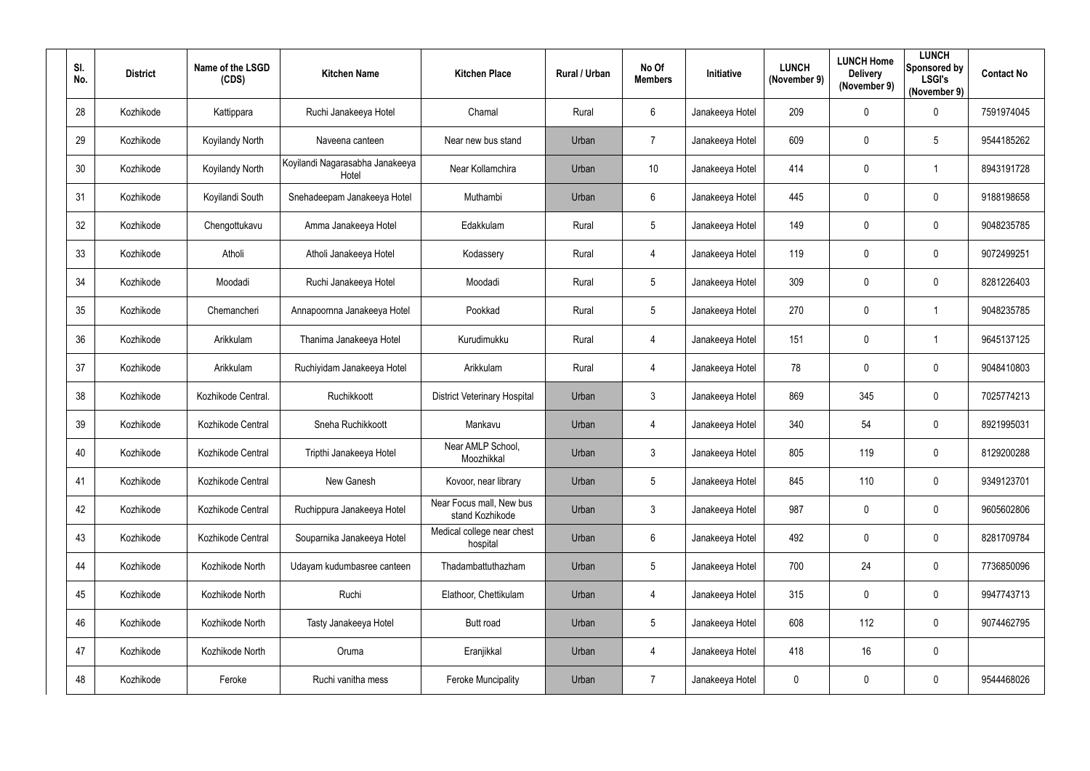| SI.<br>No. | <b>District</b> | Name of the LSGD<br>(CDS) | <b>Kitchen Name</b>                      | <b>Kitchen Place</b>                        | Rural / Urban | No Of<br><b>Members</b> | Initiative      | <b>LUNCH</b><br>(November 9) | <b>LUNCH Home</b><br><b>Delivery</b><br>(November 9) | <b>LUNCH</b><br>Sponsored by<br><b>LSGI's</b><br>(November 9) | <b>Contact No</b> |
|------------|-----------------|---------------------------|------------------------------------------|---------------------------------------------|---------------|-------------------------|-----------------|------------------------------|------------------------------------------------------|---------------------------------------------------------------|-------------------|
| 28         | Kozhikode       | Kattippara                | Ruchi Janakeeya Hotel                    | Chamal                                      | Rural         | $6^{\circ}$             | Janakeeya Hotel | 209                          | $\mathbf 0$                                          | $\overline{0}$                                                | 7591974045        |
| 29         | Kozhikode       | Koyilandy North           | Naveena canteen                          | Near new bus stand                          | Urban         | $\overline{7}$          | Janakeeya Hotel | 609                          | 0                                                    | $5\phantom{.0}$                                               | 9544185262        |
| 30         | Kozhikode       | Koyilandy North           | Koyilandi Nagarasabha Janakeeya<br>Hotel | Near Kollamchira                            | Urban         | 10                      | Janakeeya Hotel | 414                          | $\mathbf 0$                                          | $\overline{1}$                                                | 8943191728        |
| 31         | Kozhikode       | Koyilandi South           | Snehadeepam Janakeeya Hotel              | Muthambi                                    | Urban         | $6\phantom{.0}$         | Janakeeya Hotel | 445                          | 0                                                    | $\overline{0}$                                                | 9188198658        |
| 32         | Kozhikode       | Chengottukavu             | Amma Janakeeya Hotel                     | Edakkulam                                   | Rural         | $5\overline{)}$         | Janakeeya Hotel | 149                          | $\overline{0}$                                       | $\overline{0}$                                                | 9048235785        |
| 33         | Kozhikode       | Atholi                    | Atholi Janakeeya Hotel                   | Kodassery                                   | Rural         | $\overline{4}$          | Janakeeya Hotel | 119                          | $\mathbf 0$                                          | $\boldsymbol{0}$                                              | 9072499251        |
| 34         | Kozhikode       | Moodadi                   | Ruchi Janakeeya Hotel                    | Moodadi                                     | Rural         | $5\overline{)}$         | Janakeeya Hotel | 309                          | 0                                                    | $\mathbf 0$                                                   | 8281226403        |
| 35         | Kozhikode       | Chemancheri               | Annapoornna Janakeeya Hotel              | Pookkad                                     | Rural         | $5\overline{)}$         | Janakeeya Hotel | 270                          | $\mathbf 0$                                          | $\overline{1}$                                                | 9048235785        |
| 36         | Kozhikode       | Arikkulam                 | Thanima Janakeeya Hotel                  | Kurudimukku                                 | Rural         | $\overline{4}$          | Janakeeya Hotel | 151                          | $\overline{0}$                                       | -1                                                            | 9645137125        |
| 37         | Kozhikode       | Arikkulam                 | Ruchiyidam Janakeeya Hotel               | Arikkulam                                   | Rural         | 4                       | Janakeeya Hotel | 78                           | $\mathbf 0$                                          | $\overline{0}$                                                | 9048410803        |
| 38         | Kozhikode       | Kozhikode Central.        | Ruchikkoott                              | <b>District Veterinary Hospital</b>         | Urban         | 3                       | Janakeeya Hotel | 869                          | 345                                                  | $\boldsymbol{0}$                                              | 7025774213        |
| 39         | Kozhikode       | Kozhikode Central         | Sneha Ruchikkoott                        | Mankavu                                     | Urban         | $\overline{4}$          | Janakeeya Hotel | 340                          | 54                                                   | $\boldsymbol{0}$                                              | 8921995031        |
| 40         | Kozhikode       | Kozhikode Central         | Tripthi Janakeeya Hotel                  | Near AMLP School,<br>Moozhikkal             | Urban         | 3                       | Janakeeya Hotel | 805                          | 119                                                  | 0                                                             | 8129200288        |
| 41         | Kozhikode       | Kozhikode Central         | New Ganesh                               | Kovoor, near library                        | Urban         | $5\overline{)}$         | Janakeeya Hotel | 845                          | 110                                                  | $\mathbf 0$                                                   | 9349123701        |
| 42         | Kozhikode       | Kozhikode Central         | Ruchippura Janakeeya Hotel               | Near Focus mall, New bus<br>stand Kozhikode | Urban         | $3\phantom{.0}$         | Janakeeya Hotel | 987                          | $\mathbf 0$                                          | $\mathbf 0$                                                   | 9605602806        |
| 43         | Kozhikode       | Kozhikode Central         | Souparnika Janakeeya Hotel               | Medical college near chest<br>hospital      | Urban         | $6\phantom{.0}$         | Janakeeya Hotel | 492                          | $\overline{0}$                                       | $\boldsymbol{0}$                                              | 8281709784        |
| 44         | Kozhikode       | Kozhikode North           | Udayam kudumbasree canteen               | Thadambattuthazham                          | Urban         | $5\overline{)}$         | Janakeeya Hotel | 700                          | 24                                                   | $\mathbf 0$                                                   | 7736850096        |
| 45         | Kozhikode       | Kozhikode North           | Ruchi                                    | Elathoor, Chettikulam                       | Urban         | $\overline{4}$          | Janakeeya Hotel | 315                          | $\mathbf 0$                                          | $\mathbf 0$                                                   | 9947743713        |
| 46         | Kozhikode       | Kozhikode North           | Tasty Janakeeya Hotel                    | Butt road                                   | Urban         | $5\overline{)}$         | Janakeeya Hotel | 608                          | 112                                                  | $\mathbf 0$                                                   | 9074462795        |
| 47         | Kozhikode       | Kozhikode North           | Oruma                                    | Eranjikkal                                  | Urban         | $\overline{4}$          | Janakeeya Hotel | 418                          | 16                                                   | $\boldsymbol{0}$                                              |                   |
| 48         | Kozhikode       | Feroke                    | Ruchi vanitha mess                       | <b>Feroke Muncipality</b>                   | Urban         | $\overline{7}$          | Janakeeya Hotel | $\boldsymbol{0}$             | $\boldsymbol{0}$                                     | $\boldsymbol{0}$                                              | 9544468026        |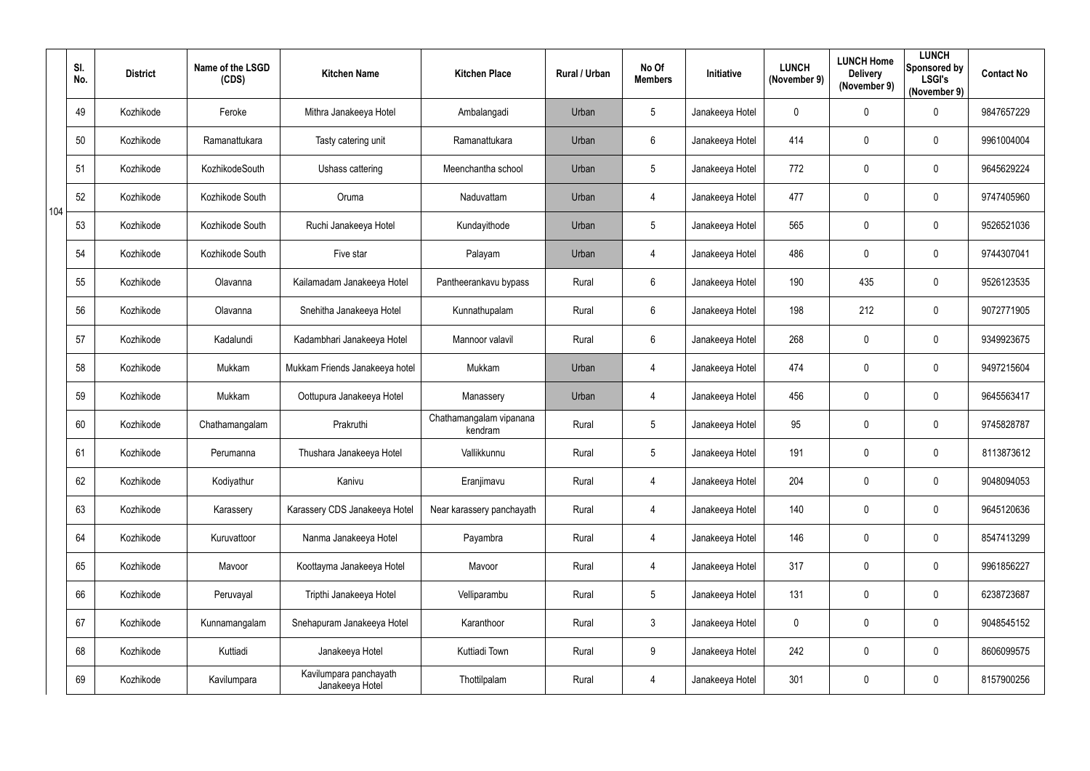|     | SI.<br>No. | <b>District</b> | Name of the LSGD<br>(CDS) | <b>Kitchen Name</b>                       | <b>Kitchen Place</b>               | Rural / Urban | No Of<br><b>Members</b> | Initiative      | <b>LUNCH</b><br>(November 9) | <b>LUNCH Home</b><br><b>Delivery</b><br>(November 9) | <b>LUNCH</b><br>Sponsored by<br><b>LSGI's</b><br>(November 9) | <b>Contact No</b> |
|-----|------------|-----------------|---------------------------|-------------------------------------------|------------------------------------|---------------|-------------------------|-----------------|------------------------------|------------------------------------------------------|---------------------------------------------------------------|-------------------|
|     | 49         | Kozhikode       | Feroke                    | Mithra Janakeeya Hotel                    | Ambalangadi                        | Urban         | 5                       | Janakeeya Hotel | $\mathbf 0$                  | 0                                                    | $\overline{0}$                                                | 9847657229        |
|     | 50         | Kozhikode       | Ramanattukara             | Tasty catering unit                       | Ramanattukara                      | Urban         | $6\phantom{.}$          | Janakeeya Hotel | 414                          | 0                                                    | $\mathbf 0$                                                   | 9961004004        |
|     | 51         | Kozhikode       | KozhikodeSouth            | Ushass cattering                          | Meenchantha school                 | Urban         | 5                       | Janakeeya Hotel | 772                          | 0                                                    | $\overline{0}$                                                | 9645629224        |
| 104 | 52         | Kozhikode       | Kozhikode South           | Oruma                                     | Naduvattam                         | Urban         | $\overline{4}$          | Janakeeya Hotel | 477                          | 0                                                    | $\overline{0}$                                                | 9747405960        |
|     | 53         | Kozhikode       | Kozhikode South           | Ruchi Janakeeya Hotel                     | Kundayithode                       | Urban         | 5                       | Janakeeya Hotel | 565                          | 0                                                    | $\overline{0}$                                                | 9526521036        |
|     | 54         | Kozhikode       | Kozhikode South           | Five star                                 | Palayam                            | Urban         | $\overline{4}$          | Janakeeya Hotel | 486                          | 0                                                    | $\overline{0}$                                                | 9744307041        |
|     | 55         | Kozhikode       | Olavanna                  | Kailamadam Janakeeya Hotel                | Pantheerankavu bypass              | Rural         | $6\phantom{.}$          | Janakeeya Hotel | 190                          | 435                                                  | $\overline{0}$                                                | 9526123535        |
|     | 56         | Kozhikode       | Olavanna                  | Snehitha Janakeeya Hotel                  | Kunnathupalam                      | Rural         | $6\phantom{.}$          | Janakeeya Hotel | 198                          | 212                                                  | $\mathbf 0$                                                   | 9072771905        |
|     | 57         | Kozhikode       | Kadalundi                 | Kadambhari Janakeeya Hotel                | Mannoor valavil                    | Rural         | 6                       | Janakeeya Hotel | 268                          | 0                                                    | $\overline{0}$                                                | 9349923675        |
|     | 58         | Kozhikode       | Mukkam                    | Mukkam Friends Janakeeya hotel            | Mukkam                             | Urban         | $\overline{4}$          | Janakeeya Hotel | 474                          | 0                                                    | $\overline{0}$                                                | 9497215604        |
|     | 59         | Kozhikode       | Mukkam                    | Oottupura Janakeeya Hotel                 | Manassery                          | Urban         | 4                       | Janakeeya Hotel | 456                          | 0                                                    | $\overline{0}$                                                | 9645563417        |
|     | 60         | Kozhikode       | Chathamangalam            | Prakruthi                                 | Chathamangalam vipanana<br>kendram | Rural         | $5\phantom{.0}$         | Janakeeya Hotel | 95                           | 0                                                    | $\overline{0}$                                                | 9745828787        |
|     | 61         | Kozhikode       | Perumanna                 | Thushara Janakeeya Hotel                  | Vallikkunnu                        | Rural         | 5                       | Janakeeya Hotel | 191                          |                                                      | $\mathbf 0$                                                   | 8113873612        |
|     | 62         | Kozhikode       | Kodiyathur                | Kanivu                                    | Eranjimavu                         | Rural         | $\overline{4}$          | Janakeeya Hotel | 204                          | 0                                                    | $\mathbf 0$                                                   | 9048094053        |
|     | 63         | Kozhikode       | Karassery                 | Karassery CDS Janakeeya Hotel             | Near karassery panchayath          | Rural         | $\overline{4}$          | Janakeeya Hotel | 140                          | $\pmb{0}$                                            | $\mathbf 0$                                                   | 9645120636        |
|     | 64         | Kozhikode       | Kuruvattoor               | Nanma Janakeeya Hotel                     | Payambra                           | Rural         | $\overline{4}$          | Janakeeya Hotel | 146                          | $\pmb{0}$                                            | $\mathbf 0$                                                   | 8547413299        |
|     | 65         | Kozhikode       | Mavoor                    | Koottayma Janakeeya Hotel                 | Mavoor                             | Rural         | $\overline{4}$          | Janakeeya Hotel | 317                          | 0                                                    | $\mathbf 0$                                                   | 9961856227        |
|     | 66         | Kozhikode       | Peruvayal                 | Tripthi Janakeeya Hotel                   | Velliparambu                       | Rural         | $5\phantom{.0}$         | Janakeeya Hotel | 131                          | $\pmb{0}$                                            | $\mathbf 0$                                                   | 6238723687        |
|     | 67         | Kozhikode       | Kunnamangalam             | Snehapuram Janakeeya Hotel                | Karanthoor                         | Rural         | $\mathfrak{Z}$          | Janakeeya Hotel | $\mathbf 0$                  | 0                                                    | $\mathbf 0$                                                   | 9048545152        |
|     | 68         | Kozhikode       | Kuttiadi                  | Janakeeya Hotel                           | Kuttiadi Town                      | Rural         | 9                       | Janakeeya Hotel | 242                          | 0                                                    | $\mathbf 0$                                                   | 8606099575        |
|     | 69         | Kozhikode       | Kavilumpara               | Kavilumpara panchayath<br>Janakeeya Hotel | Thottilpalam                       | Rural         | $\overline{4}$          | Janakeeya Hotel | 301                          | 0                                                    | $\overline{0}$                                                | 8157900256        |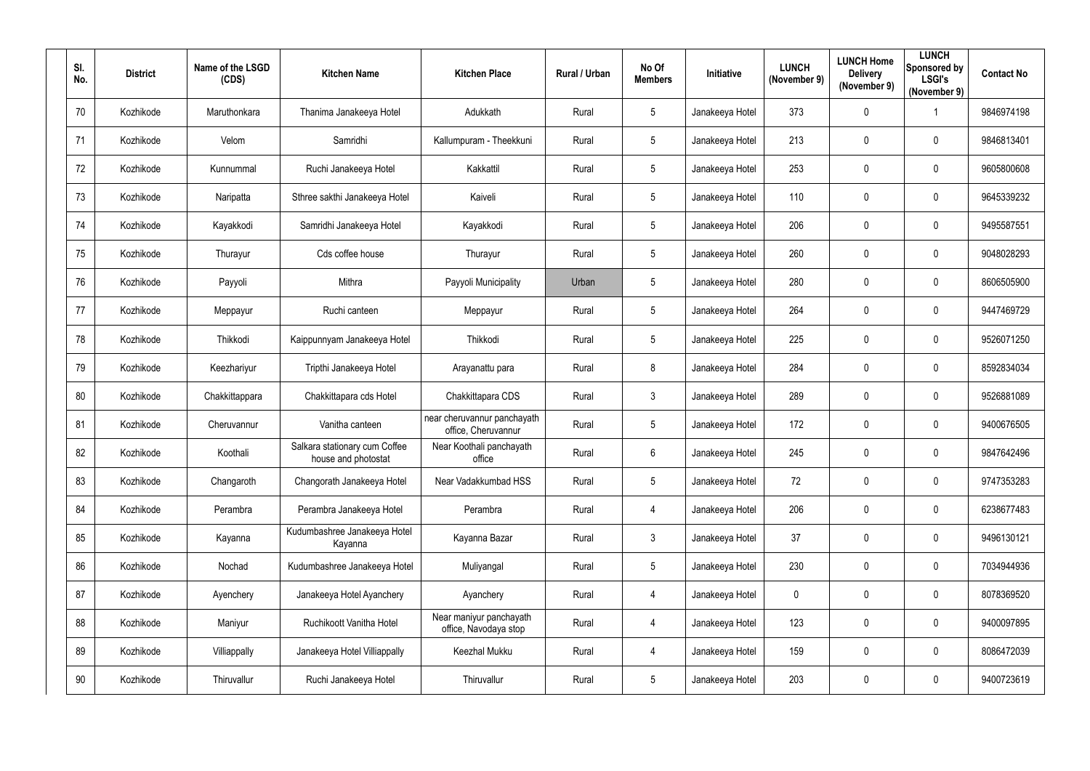| SI.<br>No. | <b>District</b> | Name of the LSGD<br>(CDS) | <b>Kitchen Name</b>                                  | <b>Kitchen Place</b>                               | Rural / Urban | No Of<br><b>Members</b> | Initiative      | <b>LUNCH</b><br>(November 9) | <b>LUNCH Home</b><br><b>Delivery</b><br>(November 9) | <b>LUNCH</b><br>Sponsored by<br><b>LSGI's</b><br>(November 9) | <b>Contact No</b> |
|------------|-----------------|---------------------------|------------------------------------------------------|----------------------------------------------------|---------------|-------------------------|-----------------|------------------------------|------------------------------------------------------|---------------------------------------------------------------|-------------------|
| 70         | Kozhikode       | Maruthonkara              | Thanima Janakeeya Hotel                              | Adukkath                                           | Rural         | $5\overline{)}$         | Janakeeya Hotel | 373                          | $\mathbf 0$                                          |                                                               | 9846974198        |
| 71         | Kozhikode       | Velom                     | Samridhi                                             | Kallumpuram - Theekkuni                            | Rural         | $5\overline{)}$         | Janakeeya Hotel | 213                          | $\mathbf 0$                                          | $\overline{0}$                                                | 9846813401        |
| 72         | Kozhikode       | Kunnummal                 | Ruchi Janakeeya Hotel                                | Kakkattil                                          | Rural         | $5\phantom{.0}$         | Janakeeya Hotel | 253                          | $\overline{0}$                                       | $\boldsymbol{0}$                                              | 9605800608        |
| 73         | Kozhikode       | Naripatta                 | Sthree sakthi Janakeeya Hotel                        | Kaiveli                                            | Rural         | $5\overline{)}$         | Janakeeya Hotel | 110                          | $\overline{0}$                                       | $\mathbf 0$                                                   | 9645339232        |
| 74         | Kozhikode       | Kayakkodi                 | Samridhi Janakeeya Hotel                             | Kayakkodi                                          | Rural         | $5\overline{)}$         | Janakeeya Hotel | 206                          | 0                                                    | $\overline{0}$                                                | 9495587551        |
| 75         | Kozhikode       | Thurayur                  | Cds coffee house                                     | Thurayur                                           | Rural         | $5\phantom{.0}$         | Janakeeya Hotel | 260                          | $\overline{0}$                                       | $\boldsymbol{0}$                                              | 9048028293        |
| 76         | Kozhikode       | Payyoli                   | Mithra                                               | Payyoli Municipality                               | Urban         | $5\phantom{.0}$         | Janakeeya Hotel | 280                          | 0                                                    | $\overline{0}$                                                | 8606505900        |
| 77         | Kozhikode       | Meppayur                  | Ruchi canteen                                        | Meppayur                                           | Rural         | $5\phantom{.0}$         | Janakeeya Hotel | 264                          | $\mathbf 0$                                          | $\overline{0}$                                                | 9447469729        |
| 78         | Kozhikode       | Thikkodi                  | Kaippunnyam Janakeeya Hotel                          | Thikkodi                                           | Rural         | $5\overline{)}$         | Janakeeya Hotel | 225                          | $\overline{0}$                                       | $\overline{0}$                                                | 9526071250        |
| 79         | Kozhikode       | Keezhariyur               | Tripthi Janakeeya Hotel                              | Arayanattu para                                    | Rural         | 8                       | Janakeeya Hotel | 284                          | $\mathbf 0$                                          | $\overline{0}$                                                | 8592834034        |
| 80         | Kozhikode       | Chakkittappara            | Chakkittapara cds Hotel                              | Chakkittapara CDS                                  | Rural         | $\mathbf{3}$            | Janakeeya Hotel | 289                          | $\overline{0}$                                       | $\overline{0}$                                                | 9526881089        |
| 81         | Kozhikode       | Cheruvannur               | Vanitha canteen                                      | near cheruvannur panchayath<br>office, Cheruvannur | Rural         | $5\overline{)}$         | Janakeeya Hotel | 172                          | $\mathbf 0$                                          | $\overline{0}$                                                | 9400676505        |
| 82         | Kozhikode       | Koothali                  | Salkara stationary cum Coffee<br>house and photostat | Near Koothali panchayath<br>office                 | Rural         | $6\phantom{.}$          | Janakeeya Hotel | 245                          | $\mathbf 0$                                          | $\mathbf 0$                                                   | 9847642496        |
| 83         | Kozhikode       | Changaroth                | Changorath Janakeeya Hotel                           | Near Vadakkumbad HSS                               | Rural         | $5\overline{)}$         | Janakeeya Hotel | 72                           | $\mathbf 0$                                          | $\mathbf 0$                                                   | 9747353283        |
| 84         | Kozhikode       | Perambra                  | Perambra Janakeeya Hotel                             | Perambra                                           | Rural         | $\overline{4}$          | Janakeeya Hotel | 206                          | $\mathbf 0$                                          | $\mathbf 0$                                                   | 6238677483        |
| 85         | Kozhikode       | Kayanna                   | Kudumbashree Janakeeya Hotel<br>Kayanna              | Kayanna Bazar                                      | Rural         | 3 <sup>1</sup>          | Janakeeya Hotel | 37                           | $\mathbf 0$                                          | $\mathbf 0$                                                   | 9496130121        |
| 86         | Kozhikode       | Nochad                    | Kudumbashree Janakeeya Hotel                         | Muliyangal                                         | Rural         | $5\overline{)}$         | Janakeeya Hotel | 230                          | $\mathbf 0$                                          | $\mathbf 0$                                                   | 7034944936        |
| 87         | Kozhikode       | Ayenchery                 | Janakeeya Hotel Ayanchery                            | Ayanchery                                          | Rural         | $\overline{4}$          | Janakeeya Hotel | $\mathbf 0$                  | $\mathbf 0$                                          | $\mathbf 0$                                                   | 8078369520        |
| 88         | Kozhikode       | Maniyur                   | Ruchikoott Vanitha Hotel                             | Near maniyur panchayath<br>office, Navodaya stop   | Rural         | $\overline{4}$          | Janakeeya Hotel | 123                          | $\mathbf 0$                                          | $\mathbf 0$                                                   | 9400097895        |
| 89         | Kozhikode       | Villiappally              | Janakeeya Hotel Villiappally                         | Keezhal Mukku                                      | Rural         | $\overline{4}$          | Janakeeya Hotel | 159                          | $\mathbf 0$                                          | $\mathbf 0$                                                   | 8086472039        |
| $90\,$     | Kozhikode       | Thiruvallur               | Ruchi Janakeeya Hotel                                | Thiruvallur                                        | Rural         | $5\overline{)}$         | Janakeeya Hotel | 203                          | $\mathbf 0$                                          | $\bm{0}$                                                      | 9400723619        |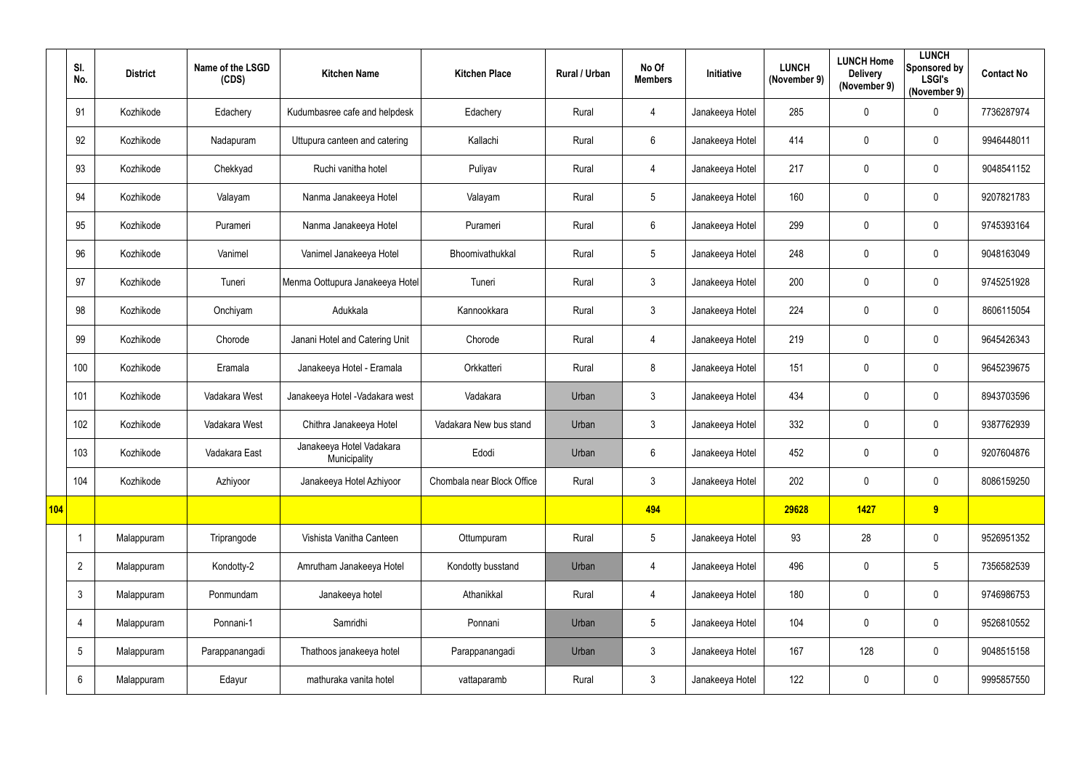|     | SI.<br>No.      | <b>District</b> | Name of the LSGD<br>(CDS) | <b>Kitchen Name</b>                      | <b>Kitchen Place</b>       | Rural / Urban | No Of<br><b>Members</b> | Initiative      | <b>LUNCH</b><br>(November 9) | <b>LUNCH Home</b><br><b>Delivery</b><br>(November 9) | <b>LUNCH</b><br>Sponsored by<br><b>LSGI's</b><br>(November 9) | <b>Contact No</b> |
|-----|-----------------|-----------------|---------------------------|------------------------------------------|----------------------------|---------------|-------------------------|-----------------|------------------------------|------------------------------------------------------|---------------------------------------------------------------|-------------------|
|     | 91              | Kozhikode       | Edachery                  | Kudumbasree cafe and helpdesk            | Edachery                   | Rural         | 4                       | Janakeeya Hotel | 285                          | 0                                                    | $\mathbf 0$                                                   | 7736287974        |
|     | 92              | Kozhikode       | Nadapuram                 | Uttupura canteen and catering            | Kallachi                   | Rural         | 6                       | Janakeeya Hotel | 414                          | 0                                                    | $\mathbf 0$                                                   | 9946448011        |
|     | 93              | Kozhikode       | Chekkyad                  | Ruchi vanitha hotel                      | Puliyav                    | Rural         | 4                       | Janakeeya Hotel | 217                          | $\pmb{0}$                                            | $\mathbf 0$                                                   | 9048541152        |
|     | 94              | Kozhikode       | Valayam                   | Nanma Janakeeya Hotel                    | Valayam                    | Rural         | $5\phantom{.0}$         | Janakeeya Hotel | 160                          | 0                                                    | $\mathbf 0$                                                   | 9207821783        |
|     | 95              | Kozhikode       | Purameri                  | Nanma Janakeeya Hotel                    | Purameri                   | Rural         | 6                       | Janakeeya Hotel | 299                          | 0                                                    | $\mathbf 0$                                                   | 9745393164        |
|     | 96              | Kozhikode       | Vanimel                   | Vanimel Janakeeya Hotel                  | Bhoomivathukkal            | Rural         | $\sqrt{5}$              | Janakeeya Hotel | 248                          | $\pmb{0}$                                            | $\mathbf 0$                                                   | 9048163049        |
|     | 97              | Kozhikode       | Tuneri                    | Menma Oottupura Janakeeya Hotel          | Tuneri                     | Rural         | $\mathfrak{Z}$          | Janakeeya Hotel | 200                          | 0                                                    | $\mathbf 0$                                                   | 9745251928        |
|     | 98              | Kozhikode       | Onchiyam                  | Adukkala                                 | Kannookkara                | Rural         | $\mathfrak{Z}$          | Janakeeya Hotel | 224                          | 0                                                    | $\mathbf 0$                                                   | 8606115054        |
|     | 99              | Kozhikode       | Chorode                   | Janani Hotel and Catering Unit           | Chorode                    | Rural         | 4                       | Janakeeya Hotel | 219                          | 0                                                    | $\mathbf 0$                                                   | 9645426343        |
|     | 100             | Kozhikode       | Eramala                   | Janakeeya Hotel - Eramala                | Orkkatteri                 | Rural         | 8                       | Janakeeya Hotel | 151                          | 0                                                    | $\mathbf 0$                                                   | 9645239675        |
|     | 101             | Kozhikode       | Vadakara West             | Janakeeya Hotel - Vadakara west          | Vadakara                   | Urban         | $\mathfrak{Z}$          | Janakeeya Hotel | 434                          | 0                                                    | $\mathbf 0$                                                   | 8943703596        |
|     | 102             | Kozhikode       | Vadakara West             | Chithra Janakeeya Hotel                  | Vadakara New bus stand     | Urban         | $\mathfrak{Z}$          | Janakeeya Hotel | 332                          | $\pmb{0}$                                            | $\mathbf 0$                                                   | 9387762939        |
|     | 103             | Kozhikode       | Vadakara East             | Janakeeya Hotel Vadakara<br>Municipality | Edodi                      | Urban         | 6                       | Janakeeya Hotel | 452                          | 0                                                    | $\mathbf 0$                                                   | 9207604876        |
|     | 104             | Kozhikode       | Azhiyoor                  | Janakeeya Hotel Azhiyoor                 | Chombala near Block Office | Rural         | $\mathfrak{S}$          | Janakeeya Hotel | 202                          | $\pmb{0}$                                            | $\overline{0}$                                                | 8086159250        |
| 104 |                 |                 |                           |                                          |                            |               | 494                     |                 | 29628                        | 1427                                                 | 9                                                             |                   |
|     |                 | Malappuram      | Triprangode               | Vishista Vanitha Canteen                 | Ottumpuram                 | Rural         | $5\phantom{.0}$         | Janakeeya Hotel | 93                           | 28                                                   | $\overline{0}$                                                | 9526951352        |
|     | $\overline{2}$  | Malappuram      | Kondotty-2                | Amrutham Janakeeya Hotel                 | Kondotty busstand          | Urban         | 4                       | Janakeeya Hotel | 496                          | $\pmb{0}$                                            | $5\phantom{.0}$                                               | 7356582539        |
|     | $\mathbf{3}$    | Malappuram      | Ponmundam                 | Janakeeya hotel                          | Athanikkal                 | Rural         | $\overline{4}$          | Janakeeya Hotel | 180                          | $\pmb{0}$                                            | $\overline{0}$                                                | 9746986753        |
|     | 4               | Malappuram      | Ponnani-1                 | Samridhi                                 | Ponnani                    | Urban         | $5\phantom{.0}$         | Janakeeya Hotel | 104                          | $\pmb{0}$                                            | $\overline{0}$                                                | 9526810552        |
|     | $5\phantom{.0}$ | Malappuram      | Parappanangadi            | Thathoos janakeeya hotel                 | Parappanangadi             | Urban         | $\mathfrak{Z}$          | Janakeeya Hotel | 167                          | 128                                                  | $\overline{0}$                                                | 9048515158        |
|     | $6\phantom{.}6$ | Malappuram      | Edayur                    | mathuraka vanita hotel                   | vattaparamb                | Rural         | $\mathfrak{S}$          | Janakeeya Hotel | 122                          | 0                                                    | $\overline{0}$                                                | 9995857550        |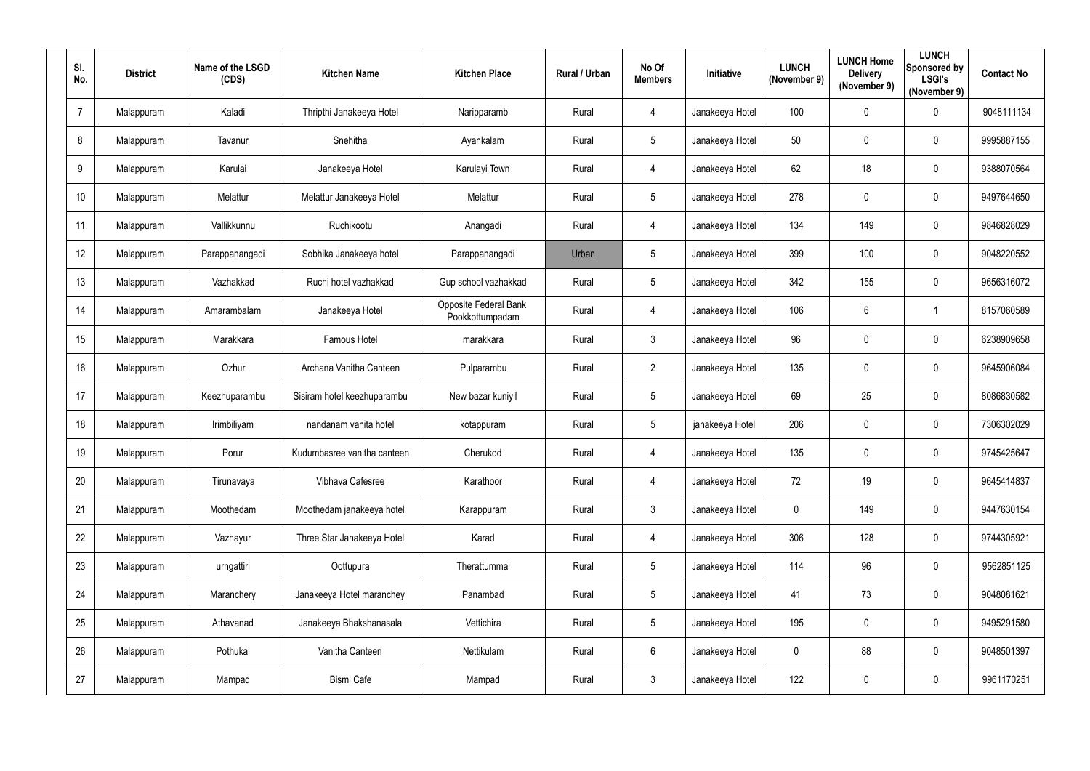| SI.<br>No.      | <b>District</b> | Name of the LSGD<br>(CDS) | <b>Kitchen Name</b>         | <b>Kitchen Place</b>                            | Rural / Urban | No Of<br><b>Members</b> | Initiative      | <b>LUNCH</b><br>(November 9) | <b>LUNCH Home</b><br><b>Delivery</b><br>(November 9) | <b>LUNCH</b><br>Sponsored by<br><b>LSGI's</b><br>(November 9) | <b>Contact No</b> |
|-----------------|-----------------|---------------------------|-----------------------------|-------------------------------------------------|---------------|-------------------------|-----------------|------------------------------|------------------------------------------------------|---------------------------------------------------------------|-------------------|
| $\overline{7}$  | Malappuram      | Kaladi                    | Thripthi Janakeeya Hotel    | Naripparamb                                     | Rural         | $\overline{4}$          | Janakeeya Hotel | 100                          | 0                                                    | $\overline{0}$                                                | 9048111134        |
| 8               | Malappuram      | Tavanur                   | Snehitha                    | Ayankalam                                       | Rural         | $5\overline{)}$         | Janakeeya Hotel | 50                           | 0                                                    | $\mathbf 0$                                                   | 9995887155        |
| 9               | Malappuram      | Karulai                   | Janakeeya Hotel             | Karulayi Town                                   | Rural         | $\overline{4}$          | Janakeeya Hotel | 62                           | 18                                                   | $\mathbf 0$                                                   | 9388070564        |
| 10 <sup>°</sup> | Malappuram      | Melattur                  | Melattur Janakeeya Hotel    | Melattur                                        | Rural         | $5\phantom{.0}$         | Janakeeya Hotel | 278                          | 0                                                    | $\overline{0}$                                                | 9497644650        |
| 11              | Malappuram      | Vallikkunnu               | Ruchikootu                  | Anangadi                                        | Rural         | $\overline{4}$          | Janakeeya Hotel | 134                          | 149                                                  | $\mathbf 0$                                                   | 9846828029        |
| 12              | Malappuram      | Parappanangadi            | Sobhika Janakeeya hotel     | Parappanangadi                                  | Urban         | $5\overline{)}$         | Janakeeya Hotel | 399                          | 100                                                  | $\overline{0}$                                                | 9048220552        |
| 13              | Malappuram      | Vazhakkad                 | Ruchi hotel vazhakkad       | Gup school vazhakkad                            | Rural         | $5\overline{)}$         | Janakeeya Hotel | 342                          | 155                                                  | $\mathbf 0$                                                   | 9656316072        |
| 14              | Malappuram      | Amarambalam               | Janakeeya Hotel             | <b>Opposite Federal Bank</b><br>Pookkottumpadam | Rural         | $\overline{4}$          | Janakeeya Hotel | 106                          | $6^{\circ}$                                          |                                                               | 8157060589        |
| 15              | Malappuram      | Marakkara                 | Famous Hotel                | marakkara                                       | Rural         | $\mathbf{3}$            | Janakeeya Hotel | 96                           | 0                                                    | $\mathbf 0$                                                   | 6238909658        |
| 16              | Malappuram      | Ozhur                     | Archana Vanitha Canteen     | Pulparambu                                      | Rural         | $\overline{2}$          | Janakeeya Hotel | 135                          | 0                                                    | $\mathbf 0$                                                   | 9645906084        |
| 17              | Malappuram      | Keezhuparambu             | Sisiram hotel keezhuparambu | New bazar kuniyil                               | Rural         | $5\phantom{.0}$         | Janakeeya Hotel | 69                           | 25                                                   | $\overline{0}$                                                | 8086830582        |
| 18              | Malappuram      | Irimbiliyam               | nandanam vanita hotel       | kotappuram                                      | Rural         | $5\overline{)}$         | janakeeya Hotel | 206                          | 0                                                    | $\mathbf 0$                                                   | 7306302029        |
| 19              | Malappuram      | Porur                     | Kudumbasree vanitha canteen | Cherukod                                        | Rural         | 4                       | Janakeeya Hotel | 135                          | 0                                                    | $\mathbf 0$                                                   | 9745425647        |
| 20              | Malappuram      | Tirunavaya                | Vibhava Cafesree            | Karathoor                                       | Rural         | $\overline{4}$          | Janakeeya Hotel | 72                           | 19                                                   | $\overline{0}$                                                | 9645414837        |
| 21              | Malappuram      | Moothedam                 | Moothedam janakeeya hotel   | Karappuram                                      | Rural         | $\mathbf{3}$            | Janakeeya Hotel | $\bm{0}$                     | 149                                                  | $\overline{0}$                                                | 9447630154        |
| 22              | Malappuram      | Vazhayur                  | Three Star Janakeeya Hotel  | Karad                                           | Rural         | $\overline{4}$          | Janakeeya Hotel | 306                          | 128                                                  | $\overline{0}$                                                | 9744305921        |
| 23              | Malappuram      | urngattiri                | Oottupura                   | Therattummal                                    | Rural         | $5\overline{)}$         | Janakeeya Hotel | 114                          | 96                                                   | $\overline{0}$                                                | 9562851125        |
| 24              | Malappuram      | Maranchery                | Janakeeya Hotel maranchey   | Panambad                                        | Rural         | $5\phantom{.0}$         | Janakeeya Hotel | 41                           | 73                                                   | $\overline{0}$                                                | 9048081621        |
| 25              | Malappuram      | Athavanad                 | Janakeeya Bhakshanasala     | Vettichira                                      | Rural         | $5\phantom{.0}$         | Janakeeya Hotel | 195                          | $\mathbf 0$                                          | $\overline{0}$                                                | 9495291580        |
| 26              | Malappuram      | Pothukal                  | Vanitha Canteen             | Nettikulam                                      | Rural         | $6\overline{6}$         | Janakeeya Hotel | $\mathbf 0$                  | 88                                                   | $\overline{0}$                                                | 9048501397        |
| 27              | Malappuram      | Mampad                    | <b>Bismi Cafe</b>           | Mampad                                          | Rural         | $\mathbf{3}$            | Janakeeya Hotel | 122                          | 0                                                    | $\overline{0}$                                                | 9961170251        |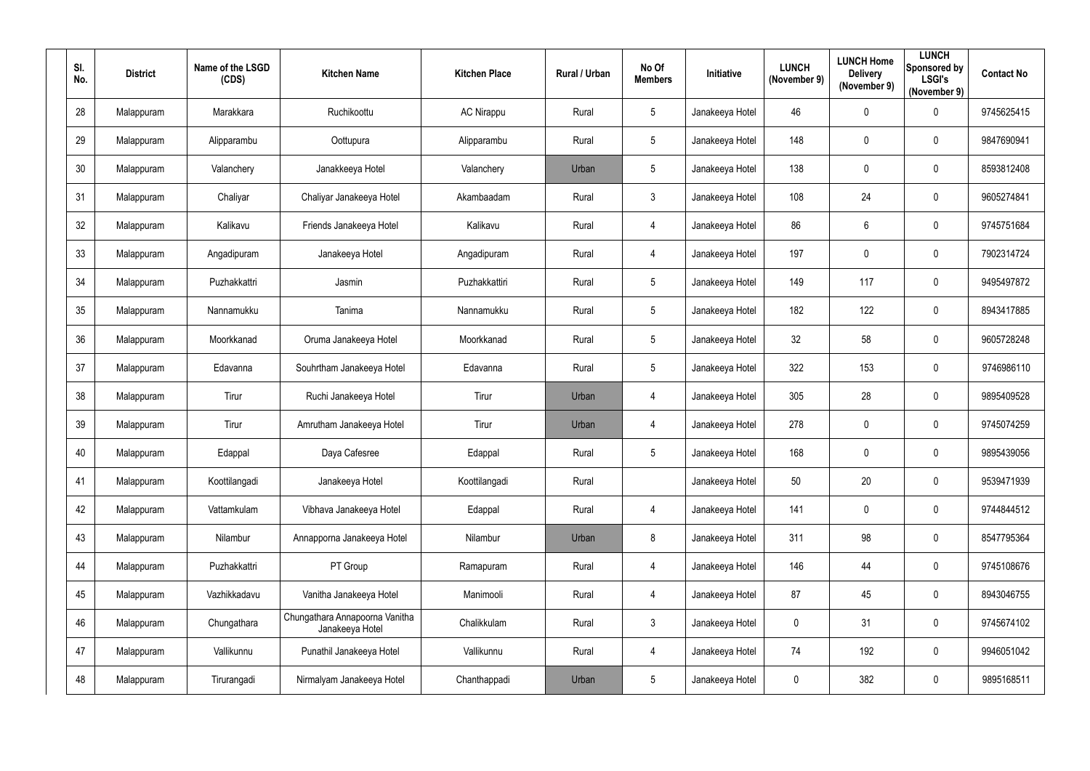| SI.<br>No.      | <b>District</b> | Name of the LSGD<br>(CDS) | <b>Kitchen Name</b>                               | <b>Kitchen Place</b> | Rural / Urban | No Of<br><b>Members</b> | Initiative      | <b>LUNCH</b><br>(November 9) | <b>LUNCH Home</b><br><b>Delivery</b><br>(November 9) | <b>LUNCH</b><br>Sponsored by<br><b>LSGI's</b><br>(November 9) | <b>Contact No</b> |
|-----------------|-----------------|---------------------------|---------------------------------------------------|----------------------|---------------|-------------------------|-----------------|------------------------------|------------------------------------------------------|---------------------------------------------------------------|-------------------|
| 28              | Malappuram      | Marakkara                 | Ruchikoottu                                       | <b>AC Nirappu</b>    | Rural         | 5 <sub>5</sub>          | Janakeeya Hotel | 46                           | $\mathbf 0$                                          | $\mathbf 0$                                                   | 9745625415        |
| 29              | Malappuram      | Alipparambu               | Oottupura                                         | Alipparambu          | Rural         | $5\overline{)}$         | Janakeeya Hotel | 148                          | $\mathbf 0$                                          | $\overline{0}$                                                | 9847690941        |
| 30 <sub>2</sub> | Malappuram      | Valanchery                | Janakkeeya Hotel                                  | Valanchery           | Urban         | $5\phantom{.0}$         | Janakeeya Hotel | 138                          | $\overline{0}$                                       | $\boldsymbol{0}$                                              | 8593812408        |
| 31              | Malappuram      | Chaliyar                  | Chaliyar Janakeeya Hotel                          | Akambaadam           | Rural         | 3 <sup>1</sup>          | Janakeeya Hotel | 108                          | 24                                                   | $\mathbf 0$                                                   | 9605274841        |
| 32              | Malappuram      | Kalikavu                  | Friends Janakeeya Hotel                           | Kalikavu             | Rural         | $\overline{4}$          | Janakeeya Hotel | 86                           | 6                                                    | $\overline{0}$                                                | 9745751684        |
| 33              | Malappuram      | Angadipuram               | Janakeeya Hotel                                   | Angadipuram          | Rural         | 4                       | Janakeeya Hotel | 197                          | $\overline{0}$                                       | $\boldsymbol{0}$                                              | 7902314724        |
| 34              | Malappuram      | Puzhakkattri              | Jasmin                                            | Puzhakkattiri        | Rural         | $5\overline{)}$         | Janakeeya Hotel | 149                          | 117                                                  | $\overline{0}$                                                | 9495497872        |
| 35              | Malappuram      | Nannamukku                | Tanima                                            | Nannamukku           | Rural         | $5\phantom{.0}$         | Janakeeya Hotel | 182                          | 122                                                  | $\mathbf 0$                                                   | 8943417885        |
| 36              | Malappuram      | Moorkkanad                | Oruma Janakeeya Hotel                             | Moorkkanad           | Rural         | $5\phantom{.0}$         | Janakeeya Hotel | 32                           | 58                                                   | $\overline{0}$                                                | 9605728248        |
| 37              | Malappuram      | Edavanna                  | Souhrtham Janakeeya Hotel                         | Edavanna             | Rural         | $5\phantom{.0}$         | Janakeeya Hotel | 322                          | 153                                                  | $\mathbf 0$                                                   | 9746986110        |
| 38              | Malappuram      | Tirur                     | Ruchi Janakeeya Hotel                             | Tirur                | Urban         | 4                       | Janakeeya Hotel | 305                          | 28                                                   | $\overline{0}$                                                | 9895409528        |
| 39              | Malappuram      | Tirur                     | Amrutham Janakeeya Hotel                          | Tirur                | Urban         | 4                       | Janakeeya Hotel | 278                          | $\boldsymbol{0}$                                     | $\overline{0}$                                                | 9745074259        |
| 40              | Malappuram      | Edappal                   | Daya Cafesree                                     | Edappal              | Rural         | $5\overline{)}$         | Janakeeya Hotel | 168                          | 0                                                    | $\overline{0}$                                                | 9895439056        |
| 41              | Malappuram      | Koottilangadi             | Janakeeya Hotel                                   | Koottilangadi        | Rural         |                         | Janakeeya Hotel | 50                           | 20                                                   | $\pmb{0}$                                                     | 9539471939        |
| 42              | Malappuram      | Vattamkulam               | Vibhava Janakeeya Hotel                           | Edappal              | Rural         | $\overline{4}$          | Janakeeya Hotel | 141                          | $\boldsymbol{0}$                                     | $\pmb{0}$                                                     | 9744844512        |
| 43              | Malappuram      | Nilambur                  | Annapporna Janakeeya Hotel                        | Nilambur             | Urban         | 8                       | Janakeeya Hotel | 311                          | 98                                                   | $\mathbf 0$                                                   | 8547795364        |
| 44              | Malappuram      | Puzhakkattri              | PT Group                                          | Ramapuram            | Rural         | $\overline{4}$          | Janakeeya Hotel | 146                          | 44                                                   | $\boldsymbol{0}$                                              | 9745108676        |
| 45              | Malappuram      | Vazhikkadavu              | Vanitha Janakeeya Hotel                           | Manimooli            | Rural         | $\overline{4}$          | Janakeeya Hotel | 87                           | 45                                                   | $\mathbf 0$                                                   | 8943046755        |
| 46              | Malappuram      | Chungathara               | Chungathara Annapoorna Vanitha<br>Janakeeya Hotel | Chalikkulam          | Rural         | $3\phantom{.0}$         | Janakeeya Hotel | $\mathbf 0$                  | 31                                                   | $\pmb{0}$                                                     | 9745674102        |
| 47              | Malappuram      | Vallikunnu                | Punathil Janakeeya Hotel                          | Vallikunnu           | Rural         | $\overline{4}$          | Janakeeya Hotel | 74                           | 192                                                  | $\pmb{0}$                                                     | 9946051042        |
| 48              | Malappuram      | Tirurangadi               | Nirmalyam Janakeeya Hotel                         | Chanthappadi         | Urban         | $5\phantom{.0}$         | Janakeeya Hotel | $\boldsymbol{0}$             | 382                                                  | $\pmb{0}$                                                     | 9895168511        |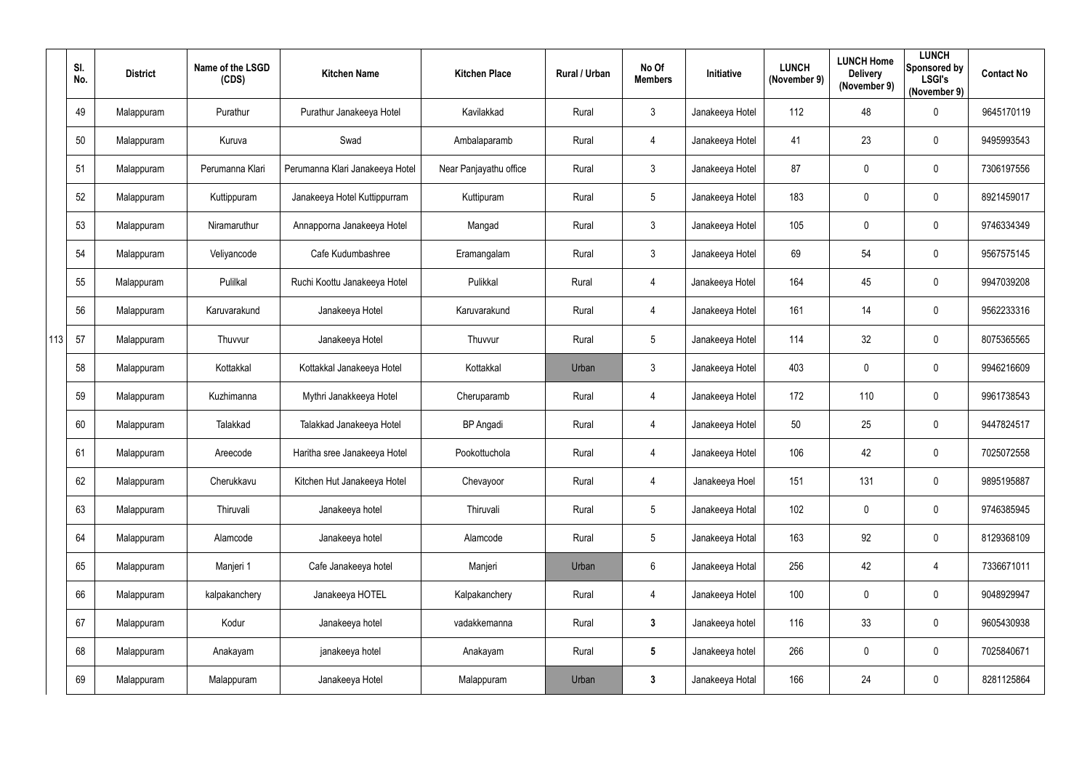|     | SI.<br>No. | <b>District</b> | Name of the LSGD<br>(CDS) | <b>Kitchen Name</b>             | <b>Kitchen Place</b>   | Rural / Urban | No Of<br><b>Members</b> | Initiative      | <b>LUNCH</b><br>(November 9) | <b>LUNCH Home</b><br><b>Delivery</b><br>(November 9) | <b>LUNCH</b><br><b>Sponsored by</b><br><b>LSGI's</b><br>(November 9) | <b>Contact No</b> |
|-----|------------|-----------------|---------------------------|---------------------------------|------------------------|---------------|-------------------------|-----------------|------------------------------|------------------------------------------------------|----------------------------------------------------------------------|-------------------|
|     | 49         | Malappuram      | Purathur                  | Purathur Janakeeya Hotel        | Kavilakkad             | Rural         | $\mathfrak{Z}$          | Janakeeya Hotel | 112                          | 48                                                   | $\mathbf 0$                                                          | 9645170119        |
|     | 50         | Malappuram      | Kuruva                    | Swad                            | Ambalaparamb           | Rural         | 4                       | Janakeeya Hotel | 41                           | 23                                                   | $\mathbf 0$                                                          | 9495993543        |
|     | 51         | Malappuram      | Perumanna Klari           | Perumanna Klari Janakeeya Hotel | Near Panjayathu office | Rural         | $\mathfrak{Z}$          | Janakeeya Hotel | 87                           | 0                                                    | $\mathbf 0$                                                          | 7306197556        |
|     | 52         | Malappuram      | Kuttippuram               | Janakeeya Hotel Kuttippurram    | Kuttipuram             | Rural         | $5\phantom{.0}$         | Janakeeya Hotel | 183                          | 0                                                    | $\mathbf 0$                                                          | 8921459017        |
|     | 53         | Malappuram      | Niramaruthur              | Annapporna Janakeeya Hotel      | Mangad                 | Rural         | $\mathfrak{Z}$          | Janakeeya Hotel | 105                          | 0                                                    | $\mathbf 0$                                                          | 9746334349        |
|     | 54         | Malappuram      | Veliyancode               | Cafe Kudumbashree               | Eramangalam            | Rural         | $\mathfrak{Z}$          | Janakeeya Hotel | 69                           | 54                                                   | $\mathbf 0$                                                          | 9567575145        |
|     | 55         | Malappuram      | Pulilkal                  | Ruchi Koottu Janakeeya Hotel    | Pulikkal               | Rural         | 4                       | Janakeeya Hotel | 164                          | 45                                                   | $\mathbf 0$                                                          | 9947039208        |
|     | 56         | Malappuram      | Karuvarakund              | Janakeeya Hotel                 | Karuvarakund           | Rural         | 4                       | Janakeeya Hotel | 161                          | 14                                                   | $\mathbf 0$                                                          | 9562233316        |
| 113 | 57         | Malappuram      | Thuvvur                   | Janakeeya Hotel                 | Thuvvur                | Rural         | $5\phantom{.0}$         | Janakeeya Hotel | 114                          | 32                                                   | $\mathbf 0$                                                          | 8075365565        |
|     | 58         | Malappuram      | Kottakkal                 | Kottakkal Janakeeya Hotel       | Kottakkal              | Urban         | $\mathfrak{Z}$          | Janakeeya Hotel | 403                          | 0                                                    | $\mathbf 0$                                                          | 9946216609        |
|     | 59         | Malappuram      | Kuzhimanna                | Mythri Janakkeeya Hotel         | Cheruparamb            | Rural         | 4                       | Janakeeya Hotel | 172                          | 110                                                  | $\mathbf 0$                                                          | 9961738543        |
|     | 60         | Malappuram      | Talakkad                  | Talakkad Janakeeya Hotel        | <b>BP</b> Angadi       | Rural         | 4                       | Janakeeya Hotel | 50                           | 25                                                   | $\mathbf 0$                                                          | 9447824517        |
|     | 61         | Malappuram      | Areecode                  | Haritha sree Janakeeya Hotel    | Pookottuchola          | Rural         | 4                       | Janakeeya Hotel | 106                          | 42                                                   | $\mathbf 0$                                                          | 7025072558        |
|     | 62         | Malappuram      | Cherukkavu                | Kitchen Hut Janakeeya Hotel     | Chevayoor              | Rural         | $\overline{4}$          | Janakeeya Hoel  | 151                          | 131                                                  | $\mathbf 0$                                                          | 9895195887        |
|     | 63         | Malappuram      | Thiruvali                 | Janakeeya hotel                 | Thiruvali              | Rural         | $5\phantom{.0}$         | Janakeeya Hotal | 102                          | 0                                                    | $\overline{0}$                                                       | 9746385945        |
|     | 64         | Malappuram      | Alamcode                  | Janakeeya hotel                 | Alamcode               | Rural         | $5\phantom{.0}$         | Janakeeya Hotal | 163                          | 92                                                   | $\overline{0}$                                                       | 8129368109        |
|     | 65         | Malappuram      | Manjeri 1                 | Cafe Janakeeya hotel            | Manjeri                | Urban         | $6\phantom{.0}$         | Janakeeya Hotal | 256                          | 42                                                   | $\overline{4}$                                                       | 7336671011        |
|     | 66         | Malappuram      | kalpakanchery             | Janakeeya HOTEL                 | Kalpakanchery          | Rural         | $\overline{4}$          | Janakeeya Hotel | 100                          | $\pmb{0}$                                            | $\overline{0}$                                                       | 9048929947        |
|     | 67         | Malappuram      | Kodur                     | Janakeeya hotel                 | vadakkemanna           | Rural         | $\mathbf{3}$            | Janakeeya hotel | 116                          | 33                                                   | $\mathbf 0$                                                          | 9605430938        |
|     | 68         | Malappuram      | Anakayam                  | janakeeya hotel                 | Anakayam               | Rural         | $5\phantom{.0}$         | Janakeeya hotel | 266                          | 0                                                    | $\mathbf 0$                                                          | 7025840671        |
|     | 69         | Malappuram      | Malappuram                | Janakeeya Hotel                 | Malappuram             | Urban         | $\mathbf{3}$            | Janakeeya Hotal | 166                          | 24                                                   | $\overline{0}$                                                       | 8281125864        |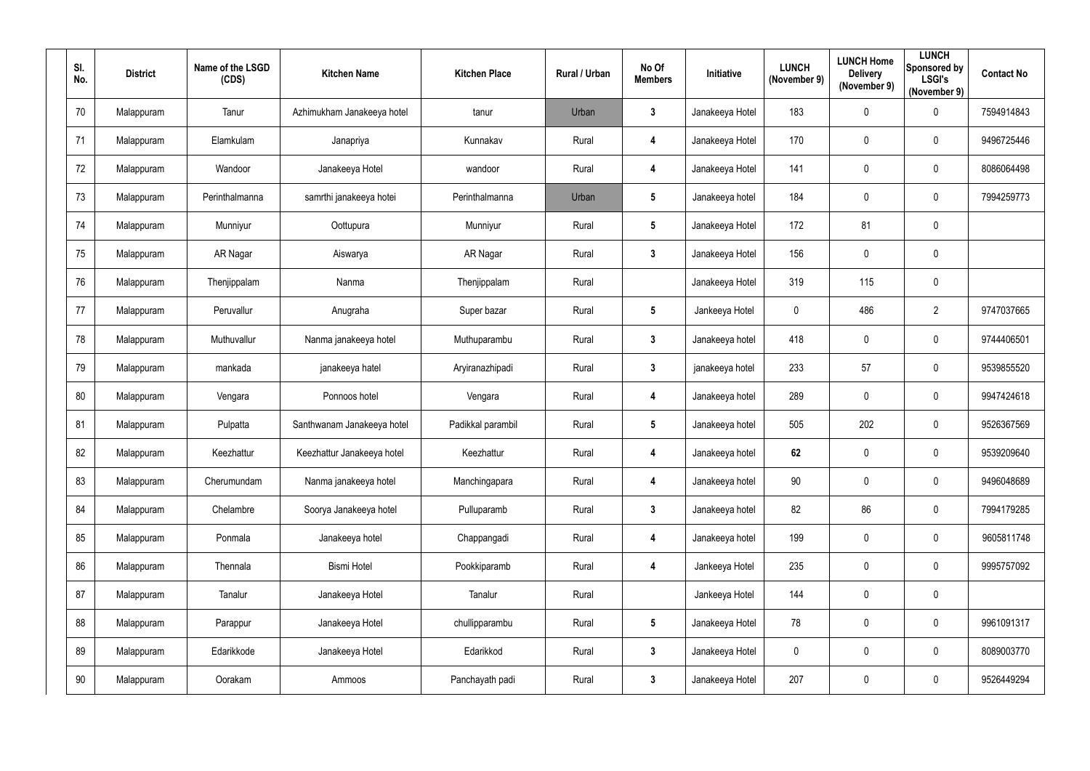| SI.<br>No. | <b>District</b> | Name of the LSGD<br>(CDS) | <b>Kitchen Name</b>        | <b>Kitchen Place</b> | Rural / Urban | No Of<br><b>Members</b> | Initiative      | <b>LUNCH</b><br>(November 9) | <b>LUNCH Home</b><br><b>Delivery</b><br>(November 9) | <b>LUNCH</b><br>Sponsored by<br><b>LSGI's</b><br>(November 9) | <b>Contact No</b> |
|------------|-----------------|---------------------------|----------------------------|----------------------|---------------|-------------------------|-----------------|------------------------------|------------------------------------------------------|---------------------------------------------------------------|-------------------|
| 70         | Malappuram      | Tanur                     | Azhimukham Janakeeya hotel | tanur                | Urban         | $\mathbf{3}$            | Janakeeya Hotel | 183                          | 0                                                    | $\mathbf 0$                                                   | 7594914843        |
| 71         | Malappuram      | Elamkulam                 | Janapriya                  | Kunnakav             | Rural         | $\overline{\mathbf{4}}$ | Janakeeya Hotel | 170                          | 0                                                    | $\overline{0}$                                                | 9496725446        |
| 72         | Malappuram      | Wandoor                   | Janakeeya Hotel            | wandoor              | Rural         | $\overline{\mathbf{4}}$ | Janakeeya Hotel | 141                          | 0                                                    | $\mathbf 0$                                                   | 8086064498        |
| 73         | Malappuram      | Perinthalmanna            | samrthi janakeeya hotei    | Perinthalmanna       | Urban         | $5\phantom{.0}$         | Janakeeya hotel | 184                          | 0                                                    | $\mathbf 0$                                                   | 7994259773        |
| 74         | Malappuram      | Munniyur                  | Oottupura                  | Munniyur             | Rural         | $5\phantom{.0}$         | Janakeeya Hotel | 172                          | 81                                                   | $\mathbf 0$                                                   |                   |
| 75         | Malappuram      | AR Nagar                  | Aiswarya                   | AR Nagar             | Rural         | $3\phantom{a}$          | Janakeeya Hotel | 156                          | $\mathbf 0$                                          | $\mathbf 0$                                                   |                   |
| 76         | Malappuram      | Thenjippalam              | Nanma                      | Thenjippalam         | Rural         |                         | Janakeeya Hotel | 319                          | 115                                                  | $\mathbf 0$                                                   |                   |
| 77         | Malappuram      | Peruvallur                | Anugraha                   | Super bazar          | Rural         | $5\phantom{.0}$         | Jankeeya Hotel  | $\overline{0}$               | 486                                                  | $\overline{2}$                                                | 9747037665        |
| 78         | Malappuram      | Muthuvallur               | Nanma janakeeya hotel      | Muthuparambu         | Rural         | $3\phantom{a}$          | Janakeeya hotel | 418                          | 0                                                    | $\mathbf 0$                                                   | 9744406501        |
| 79         | Malappuram      | mankada                   | janakeeya hatel            | Aryiranazhipadi      | Rural         | $\mathbf{3}$            | janakeeya hotel | 233                          | 57                                                   | $\mathbf 0$                                                   | 9539855520        |
| 80         | Malappuram      | Vengara                   | Ponnoos hotel              | Vengara              | Rural         | $\overline{\mathbf{4}}$ | Janakeeya hotel | 289                          | $\mathbf 0$                                          | $\overline{0}$                                                | 9947424618        |
| 81         | Malappuram      | Pulpatta                  | Santhwanam Janakeeya hotel | Padikkal parambil    | Rural         | $5\phantom{.0}$         | Janakeeya hotel | 505                          | 202                                                  | $\mathbf 0$                                                   | 9526367569        |
| 82         | Malappuram      | Keezhattur                | Keezhattur Janakeeya hotel | Keezhattur           | Rural         | 4                       | Janakeeya hotel | 62                           | 0                                                    | $\mathbf 0$                                                   | 9539209640        |
| 83         | Malappuram      | Cherumundam               | Nanma janakeeya hotel      | Manchingapara        | Rural         | $\overline{\mathbf{4}}$ | Janakeeya hotel | 90 <sup>°</sup>              | $\pmb{0}$                                            | $\overline{0}$                                                | 9496048689        |
| 84         | Malappuram      | Chelambre                 | Soorya Janakeeya hotel     | Pulluparamb          | Rural         | $3\phantom{a}$          | Janakeeya hotel | 82                           | 86                                                   | $\overline{0}$                                                | 7994179285        |
| 85         | Malappuram      | Ponmala                   | Janakeeya hotel            | Chappangadi          | Rural         | $\overline{\mathbf{4}}$ | Janakeeya hotel | 199                          | $\mathbf 0$                                          | $\overline{0}$                                                | 9605811748        |
| 86         | Malappuram      | Thennala                  | <b>Bismi Hotel</b>         | Pookkiparamb         | Rural         | $\overline{\mathbf{4}}$ | Jankeeya Hotel  | 235                          | 0                                                    | $\overline{0}$                                                | 9995757092        |
| 87         | Malappuram      | Tanalur                   | Janakeeya Hotel            | Tanalur              | Rural         |                         | Jankeeya Hotel  | 144                          | 0                                                    | $\overline{0}$                                                |                   |
| 88         | Malappuram      | Parappur                  | Janakeeya Hotel            | chullipparambu       | Rural         | $5\phantom{.0}$         | Janakeeya Hotel | 78                           | $\pmb{0}$                                            | $\overline{0}$                                                | 9961091317        |
| 89         | Malappuram      | Edarikkode                | Janakeeya Hotel            | Edarikkod            | Rural         | $3\phantom{a}$          | Janakeeya Hotel | $\mathbf 0$                  | 0                                                    | $\overline{0}$                                                | 8089003770        |
| $90\,$     | Malappuram      | Oorakam                   | Ammoos                     | Panchayath padi      | Rural         | $\mathbf{3}$            | Janakeeya Hotel | 207                          | 0                                                    | $\overline{0}$                                                | 9526449294        |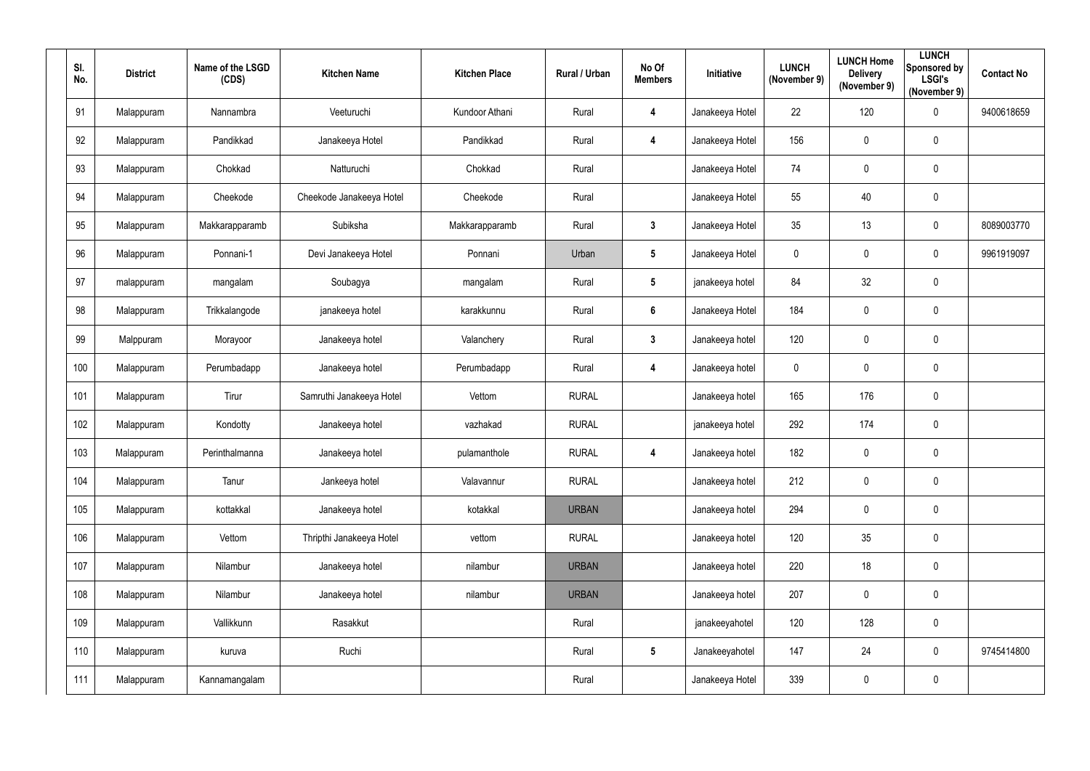| SI.<br>No. | <b>District</b> | Name of the LSGD<br>(CDS) | <b>Kitchen Name</b>      | <b>Kitchen Place</b> | Rural / Urban | No Of<br><b>Members</b> | Initiative      | <b>LUNCH</b><br>(November 9) | <b>LUNCH Home</b><br><b>Delivery</b><br>(November 9) | <b>LUNCH</b><br>Sponsored by<br><b>LSGI's</b><br>(November 9) | <b>Contact No</b> |
|------------|-----------------|---------------------------|--------------------------|----------------------|---------------|-------------------------|-----------------|------------------------------|------------------------------------------------------|---------------------------------------------------------------|-------------------|
| 91         | Malappuram      | Nannambra                 | Veeturuchi               | Kundoor Athani       | Rural         | $\overline{\mathbf{4}}$ | Janakeeya Hotel | 22                           | 120                                                  | $\mathbf 0$                                                   | 9400618659        |
| 92         | Malappuram      | Pandikkad                 | Janakeeya Hotel          | Pandikkad            | Rural         | $\overline{\mathbf{4}}$ | Janakeeya Hotel | 156                          | $\overline{0}$                                       | $\mathbf 0$                                                   |                   |
| 93         | Malappuram      | Chokkad                   | Natturuchi               | Chokkad              | Rural         |                         | Janakeeya Hotel | 74                           | $\overline{0}$                                       | $\mathbf 0$                                                   |                   |
| 94         | Malappuram      | Cheekode                  | Cheekode Janakeeya Hotel | Cheekode             | Rural         |                         | Janakeeya Hotel | 55                           | 40                                                   | $\mathbf 0$                                                   |                   |
| 95         | Malappuram      | Makkarapparamb            | Subiksha                 | Makkarapparamb       | Rural         | $3\phantom{.0}$         | Janakeeya Hotel | 35                           | 13                                                   | $\boldsymbol{0}$                                              | 8089003770        |
| 96         | Malappuram      | Ponnani-1                 | Devi Janakeeya Hotel     | Ponnani              | Urban         | $5\phantom{.0}$         | Janakeeya Hotel | $\pmb{0}$                    | $\overline{0}$                                       | $\boldsymbol{0}$                                              | 9961919097        |
| 97         | malappuram      | mangalam                  | Soubagya                 | mangalam             | Rural         | $5\phantom{.0}$         | janakeeya hotel | 84                           | 32                                                   | $\mathbf 0$                                                   |                   |
| 98         | Malappuram      | Trikkalangode             | janakeeya hotel          | karakkunnu           | Rural         | $6\phantom{1}$          | Janakeeya Hotel | 184                          | $\mathbf 0$                                          | $\mathbf 0$                                                   |                   |
| 99         | Malppuram       | Morayoor                  | Janakeeya hotel          | Valanchery           | Rural         | $\mathbf{3}$            | Janakeeya hotel | 120                          | $\overline{0}$                                       | $\mathbf 0$                                                   |                   |
| 100        | Malappuram      | Perumbadapp               | Janakeeya hotel          | Perumbadapp          | Rural         | $\overline{\mathbf{4}}$ | Janakeeya hotel | $\mathbf 0$                  | $\pmb{0}$                                            | $\mathbf 0$                                                   |                   |
| 101        | Malappuram      | Tirur                     | Samruthi Janakeeya Hotel | Vettom               | <b>RURAL</b>  |                         | Janakeeya hotel | 165                          | 176                                                  | $\mathbf 0$                                                   |                   |
| 102        | Malappuram      | Kondotty                  | Janakeeya hotel          | vazhakad             | <b>RURAL</b>  |                         | janakeeya hotel | 292                          | 174                                                  | $\boldsymbol{0}$                                              |                   |
| 103        | Malappuram      | Perinthalmanna            | Janakeeya hotel          | pulamanthole         | <b>RURAL</b>  | 4                       | Janakeeya hotel | 182                          | 0                                                    | $\overline{0}$                                                |                   |
| 104        | Malappuram      | Tanur                     | Jankeeya hotel           | Valavannur           | <b>RURAL</b>  |                         | Janakeeya hotel | 212                          | $\mathbf 0$                                          | $\pmb{0}$                                                     |                   |
| 105        | Malappuram      | kottakkal                 | Janakeeya hotel          | kotakkal             | <b>URBAN</b>  |                         | Janakeeya hotel | 294                          | $\mathbf 0$                                          | $\pmb{0}$                                                     |                   |
| 106        | Malappuram      | Vettom                    | Thripthi Janakeeya Hotel | vettom               | <b>RURAL</b>  |                         | Janakeeya hotel | 120                          | 35                                                   | $\pmb{0}$                                                     |                   |
| 107        | Malappuram      | Nilambur                  | Janakeeya hotel          | nilambur             | <b>URBAN</b>  |                         | Janakeeya hotel | 220                          | 18                                                   | $\pmb{0}$                                                     |                   |
| 108        | Malappuram      | Nilambur                  | Janakeeya hotel          | nilambur             | <b>URBAN</b>  |                         | Janakeeya hotel | 207                          | $\mathbf 0$                                          | $\pmb{0}$                                                     |                   |
| 109        | Malappuram      | Vallikkunn                | Rasakkut                 |                      | Rural         |                         | janakeeyahotel  | 120                          | 128                                                  | $\pmb{0}$                                                     |                   |
| 110        | Malappuram      | kuruva                    | Ruchi                    |                      | Rural         | $5\phantom{.0}$         | Janakeeyahotel  | 147                          | 24                                                   | $\pmb{0}$                                                     | 9745414800        |
| 111        | Malappuram      | Kannamangalam             |                          |                      | Rural         |                         | Janakeeya Hotel | 339                          | $\overline{0}$                                       | $\pmb{0}$                                                     |                   |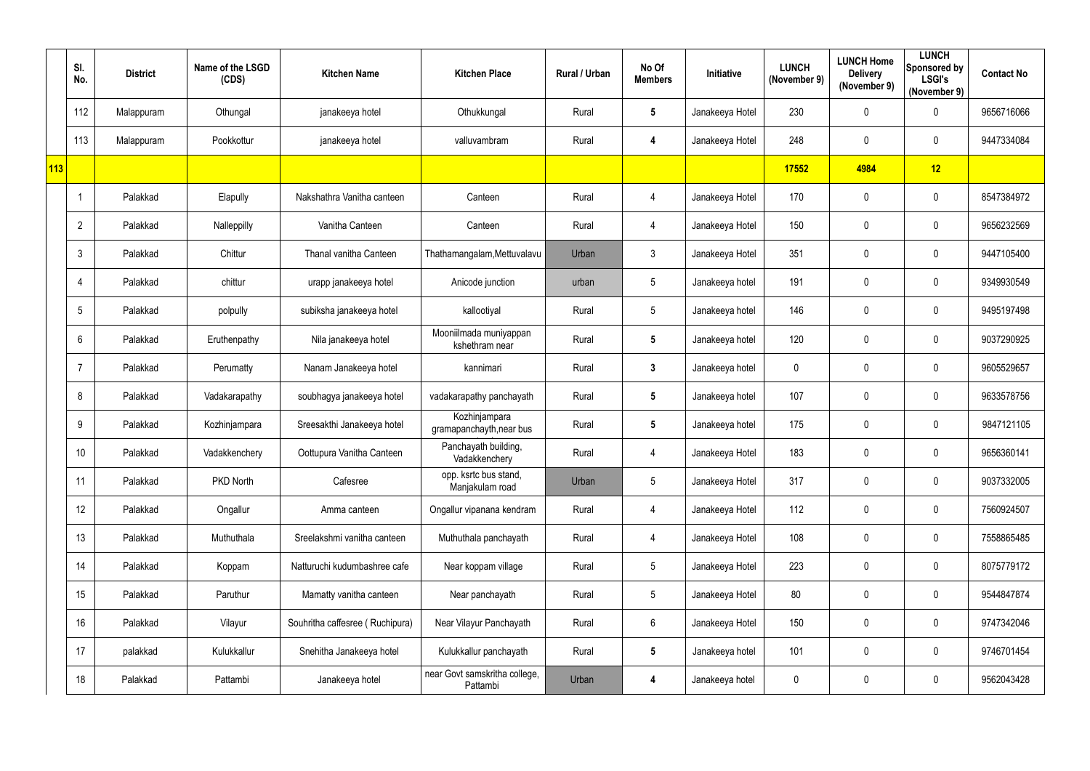|     | SI.<br>No.      | <b>District</b> | Name of the LSGD<br>(CDS) | <b>Kitchen Name</b>             | <b>Kitchen Place</b>                      | Rural / Urban | No Of<br><b>Members</b> | Initiative      | <b>LUNCH</b><br>(November 9) | <b>LUNCH Home</b><br><b>Delivery</b><br>(November 9) | <b>LUNCH</b><br>Sponsored by<br><b>LSGI's</b><br>(November 9) | <b>Contact No</b> |
|-----|-----------------|-----------------|---------------------------|---------------------------------|-------------------------------------------|---------------|-------------------------|-----------------|------------------------------|------------------------------------------------------|---------------------------------------------------------------|-------------------|
|     | 112             | Malappuram      | Othungal                  | janakeeya hotel                 | Othukkungal                               | Rural         | $5\phantom{.0}$         | Janakeeya Hotel | 230                          | $\mathbf 0$                                          | $\overline{0}$                                                | 9656716066        |
|     | 113             | Malappuram      | Pookkottur                | janakeeya hotel                 | valluvambram                              | Rural         | 4                       | Janakeeya Hotel | 248                          | 0                                                    | $\mathbf 0$                                                   | 9447334084        |
| 113 |                 |                 |                           |                                 |                                           |               |                         |                 | 17552                        | 4984                                                 | 12                                                            |                   |
|     |                 | Palakkad        | Elapully                  | Nakshathra Vanitha canteen      | Canteen                                   | Rural         | 4                       | Janakeeya Hotel | 170                          | 0                                                    | $\overline{0}$                                                | 8547384972        |
|     | $\overline{2}$  | Palakkad        | Nalleppilly               | Vanitha Canteen                 | Canteen                                   | Rural         | 4                       | Janakeeya Hotel | 150                          | $\mathbf 0$                                          | $\mathbf 0$                                                   | 9656232569        |
|     | $\mathbf{3}$    | Palakkad        | Chittur                   | Thanal vanitha Canteen          | Thathamangalam, Mettuvalavu               | Urban         | $\mathfrak{Z}$          | Janakeeya Hotel | 351                          | $\pmb{0}$                                            | $\overline{0}$                                                | 9447105400        |
|     | 4               | Palakkad        | chittur                   | urapp janakeeya hotel           | Anicode junction                          | urban         | 5                       | Janakeeya hotel | 191                          | 0                                                    | $\overline{0}$                                                | 9349930549        |
|     | 5               | Palakkad        | polpully                  | subiksha janakeeya hotel        | kallootiyal                               | Rural         | 5                       | Janakeeya hotel | 146                          | 0                                                    | $\mathbf 0$                                                   | 9495197498        |
|     | $6\phantom{.}6$ | Palakkad        | Eruthenpathy              | Nila janakeeya hotel            | Mooniilmada muniyappan<br>kshethram near  | Rural         | $5\phantom{.0}$         | Janakeeya hotel | 120                          | 0                                                    | $\overline{0}$                                                | 9037290925        |
|     |                 | Palakkad        | Perumatty                 | Nanam Janakeeya hotel           | kannimari                                 | Rural         | $\mathbf{3}$            | Janakeeya hotel | 0                            | $\mathbf 0$                                          | $\overline{0}$                                                | 9605529657        |
|     | 8               | Palakkad        | Vadakarapathy             | soubhagya janakeeya hotel       | vadakarapathy panchayath                  | Rural         | $5\phantom{.0}$         | Janakeeya hotel | 107                          | 0                                                    | $\overline{0}$                                                | 9633578756        |
|     | 9               | Palakkad        | Kozhinjampara             | Sreesakthi Janakeeya hotel      | Kozhinjampara<br>gramapanchayth, near bus | Rural         | $5\phantom{.0}$         | Janakeeya hotel | 175                          | $\boldsymbol{0}$                                     | $\overline{0}$                                                | 9847121105        |
|     | 10              | Palakkad        | Vadakkenchery             | Oottupura Vanitha Canteen       | Panchayath building,<br>Vadakkenchery     | Rural         | 4                       | Janakeeya Hotel | 183                          |                                                      | $\mathbf 0$                                                   | 9656360141        |
|     | 11              | Palakkad        | PKD North                 | Cafesree                        | opp. ksrtc bus stand,<br>Manjakulam road  | Urban         | $5\phantom{.0}$         | Janakeeya Hotel | 317                          | $\pmb{0}$                                            | $\mathbf 0$                                                   | 9037332005        |
|     | 12              | Palakkad        | Ongallur                  | Amma canteen                    | Ongallur vipanana kendram                 | Rural         | 4                       | Janakeeya Hotel | 112                          | $\boldsymbol{0}$                                     | $\mathbf 0$                                                   | 7560924507        |
|     | 13              | Palakkad        | Muthuthala                | Sreelakshmi vanitha canteen     | Muthuthala panchayath                     | Rural         | 4                       | Janakeeya Hotel | 108                          | $\pmb{0}$                                            | $\mathbf 0$                                                   | 7558865485        |
|     | 14              | Palakkad        | Koppam                    | Natturuchi kudumbashree cafe    | Near koppam village                       | Rural         | $5\phantom{.0}$         | Janakeeya Hotel | 223                          | $\boldsymbol{0}$                                     | $\mathbf 0$                                                   | 8075779172        |
|     | 15              | Palakkad        | Paruthur                  | Mamatty vanitha canteen         | Near panchayath                           | Rural         | $5\phantom{.0}$         | Janakeeya Hotel | 80                           | $\pmb{0}$                                            | $\mathbf 0$                                                   | 9544847874        |
|     | 16              | Palakkad        | Vilayur                   | Souhritha caffesree (Ruchipura) | Near Vilayur Panchayath                   | Rural         | $6\phantom{.0}$         | Janakeeya Hotel | 150                          | $\pmb{0}$                                            | $\mathbf 0$                                                   | 9747342046        |
|     | 17              | palakkad        | Kulukkallur               | Snehitha Janakeeya hotel        | Kulukkallur panchayath                    | Rural         | $5\phantom{.0}$         | Janakeeya hotel | 101                          | $\boldsymbol{0}$                                     | $\overline{0}$                                                | 9746701454        |
|     | 18              | Palakkad        | Pattambi                  | Janakeeya hotel                 | near Govt samskritha college,<br>Pattambi | Urban         | 4                       | Janakeeya hotel | $\mathbf 0$                  | 0                                                    | $\mathbf 0$                                                   | 9562043428        |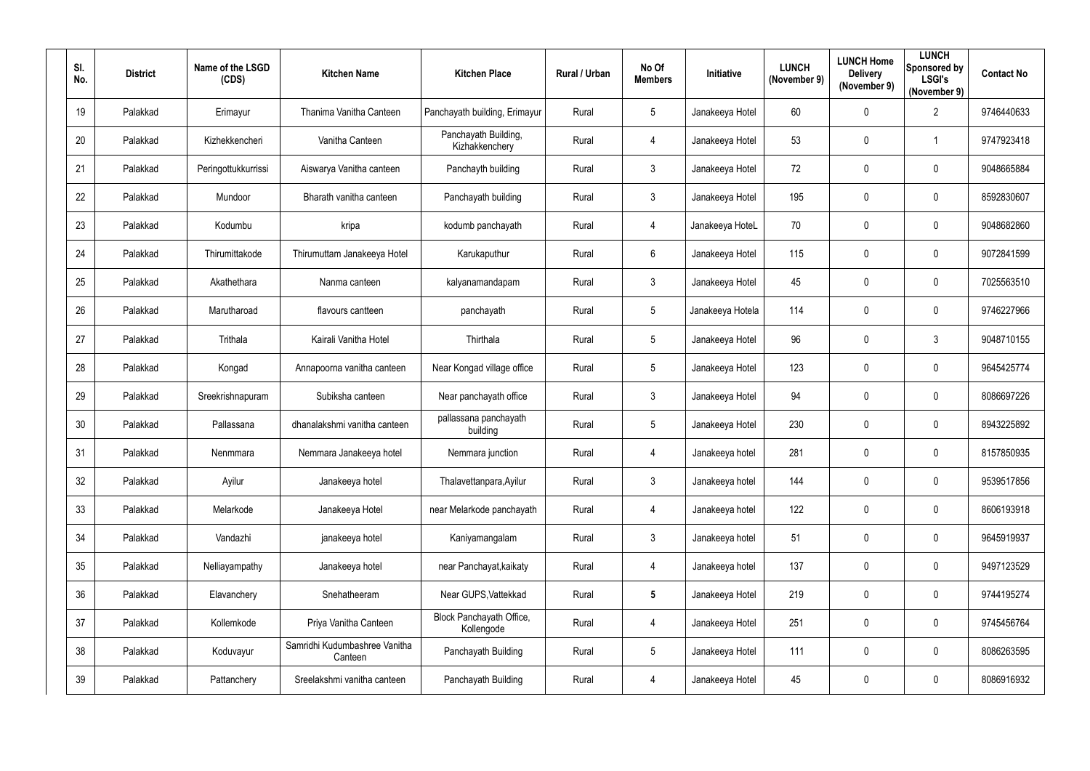| SI.<br>No. | <b>District</b> | Name of the LSGD<br>(CDS) | <b>Kitchen Name</b>                      | <b>Kitchen Place</b>                   | Rural / Urban | No Of<br><b>Members</b> | Initiative       | <b>LUNCH</b><br>(November 9) | <b>LUNCH Home</b><br><b>Delivery</b><br>(November 9) | <b>LUNCH</b><br>Sponsored by<br><b>LSGI's</b><br>(November 9) | <b>Contact No</b> |
|------------|-----------------|---------------------------|------------------------------------------|----------------------------------------|---------------|-------------------------|------------------|------------------------------|------------------------------------------------------|---------------------------------------------------------------|-------------------|
| 19         | Palakkad        | Erimayur                  | Thanima Vanitha Canteen                  | Panchayath building, Erimayur          | Rural         | $5\overline{)}$         | Janakeeya Hotel  | 60                           | $\mathbf 0$                                          | $\overline{2}$                                                | 9746440633        |
| 20         | Palakkad        | Kizhekkencheri            | Vanitha Canteen                          | Panchayath Building,<br>Kizhakkenchery | Rural         | $\overline{4}$          | Janakeeya Hotel  | 53                           | $\mathbf 0$                                          | -1                                                            | 9747923418        |
| 21         | Palakkad        | Peringottukkurrissi       | Aiswarya Vanitha canteen                 | Panchayth building                     | Rural         | $\mathbf{3}$            | Janakeeya Hotel  | 72                           | $\mathbf 0$                                          | $\overline{0}$                                                | 9048665884        |
| 22         | Palakkad        | Mundoor                   | Bharath vanitha canteen                  | Panchayath building                    | Rural         | $\mathfrak{Z}$          | Janakeeya Hotel  | 195                          | $\mathbf 0$                                          | $\overline{0}$                                                | 8592830607        |
| 23         | Palakkad        | Kodumbu                   | kripa                                    | kodumb panchayath                      | Rural         | $\overline{4}$          | Janakeeya HoteL  | 70                           | $\mathbf 0$                                          | $\overline{0}$                                                | 9048682860        |
| 24         | Palakkad        | Thirumittakode            | Thirumuttam Janakeeya Hotel              | Karukaputhur                           | Rural         | $6\overline{6}$         | Janakeeya Hotel  | 115                          | $\mathbf 0$                                          | $\overline{0}$                                                | 9072841599        |
| 25         | Palakkad        | Akathethara               | Nanma canteen                            | kalyanamandapam                        | Rural         | $3\overline{3}$         | Janakeeya Hotel  | 45                           | 0                                                    | $\mathbf 0$                                                   | 7025563510        |
| 26         | Palakkad        | Marutharoad               | flavours cantteen                        | panchayath                             | Rural         | $5\overline{)}$         | Janakeeya Hotela | 114                          | $\mathbf 0$                                          | $\overline{0}$                                                | 9746227966        |
| 27         | Palakkad        | Trithala                  | Kairali Vanitha Hotel                    | Thirthala                              | Rural         | $5\overline{)}$         | Janakeeya Hotel  | 96                           | $\mathbf 0$                                          | $\mathbf{3}$                                                  | 9048710155        |
| 28         | Palakkad        | Kongad                    | Annapoorna vanitha canteen               | Near Kongad village office             | Rural         | $5\overline{)}$         | Janakeeya Hotel  | 123                          | $\mathbf 0$                                          | $\overline{0}$                                                | 9645425774        |
| 29         | Palakkad        | Sreekrishnapuram          | Subiksha canteen                         | Near panchayath office                 | Rural         | $3\phantom{.0}$         | Janakeeya Hotel  | 94                           | $\mathbf 0$                                          | $\overline{0}$                                                | 8086697226        |
| 30         | Palakkad        | Pallassana                | dhanalakshmi vanitha canteen             | pallassana panchayath<br>building      | Rural         | $5\phantom{.0}$         | Janakeeya Hotel  | 230                          | $\mathbf 0$                                          | $\overline{0}$                                                | 8943225892        |
| 31         | Palakkad        | Nenmmara                  | Nemmara Janakeeya hotel                  | Nemmara junction                       | Rural         | 4                       | Janakeeya hotel  | 281                          | 0                                                    | $\mathbf 0$                                                   | 8157850935        |
| 32         | Palakkad        | Ayilur                    | Janakeeya hotel                          | Thalavettanpara, Ayilur                | Rural         | $\mathbf{3}$            | Janakeeya hotel  | 144                          | $\mathbf 0$                                          | $\mathbf 0$                                                   | 9539517856        |
| 33         | Palakkad        | Melarkode                 | Janakeeya Hotel                          | near Melarkode panchayath              | Rural         | $\overline{4}$          | Janakeeya hotel  | 122                          | $\mathbf 0$                                          | $\mathbf 0$                                                   | 8606193918        |
| 34         | Palakkad        | Vandazhi                  | janakeeya hotel                          | Kaniyamangalam                         | Rural         | $\mathbf{3}$            | Janakeeya hotel  | 51                           | $\overline{0}$                                       | $\boldsymbol{0}$                                              | 9645919937        |
| 35         | Palakkad        | Nelliayampathy            | Janakeeya hotel                          | near Panchayat, kaikaty                | Rural         | $\overline{4}$          | Janakeeya hotel  | 137                          | $\mathbf 0$                                          | $\mathbf 0$                                                   | 9497123529        |
| 36         | Palakkad        | Elavanchery               | Snehatheeram                             | Near GUPS, Vattekkad                   | Rural         | $5\phantom{.0}$         | Janakeeya Hotel  | 219                          | $\mathbf 0$                                          | $\mathbf 0$                                                   | 9744195274        |
| 37         | Palakkad        | Kollemkode                | Priya Vanitha Canteen                    | Block Panchayath Office,<br>Kollengode | Rural         | $\overline{4}$          | Janakeeya Hotel  | 251                          | $\mathbf 0$                                          | $\mathbf 0$                                                   | 9745456764        |
| 38         | Palakkad        | Koduvayur                 | Samridhi Kudumbashree Vanitha<br>Canteen | Panchayath Building                    | Rural         | $5\phantom{.0}$         | Janakeeya Hotel  | 111                          | $\mathbf 0$                                          | $\mathbf 0$                                                   | 8086263595        |
| 39         | Palakkad        | Pattanchery               | Sreelakshmi vanitha canteen              | Panchayath Building                    | Rural         | $\overline{4}$          | Janakeeya Hotel  | 45                           | $\pmb{0}$                                            | $\boldsymbol{0}$                                              | 8086916932        |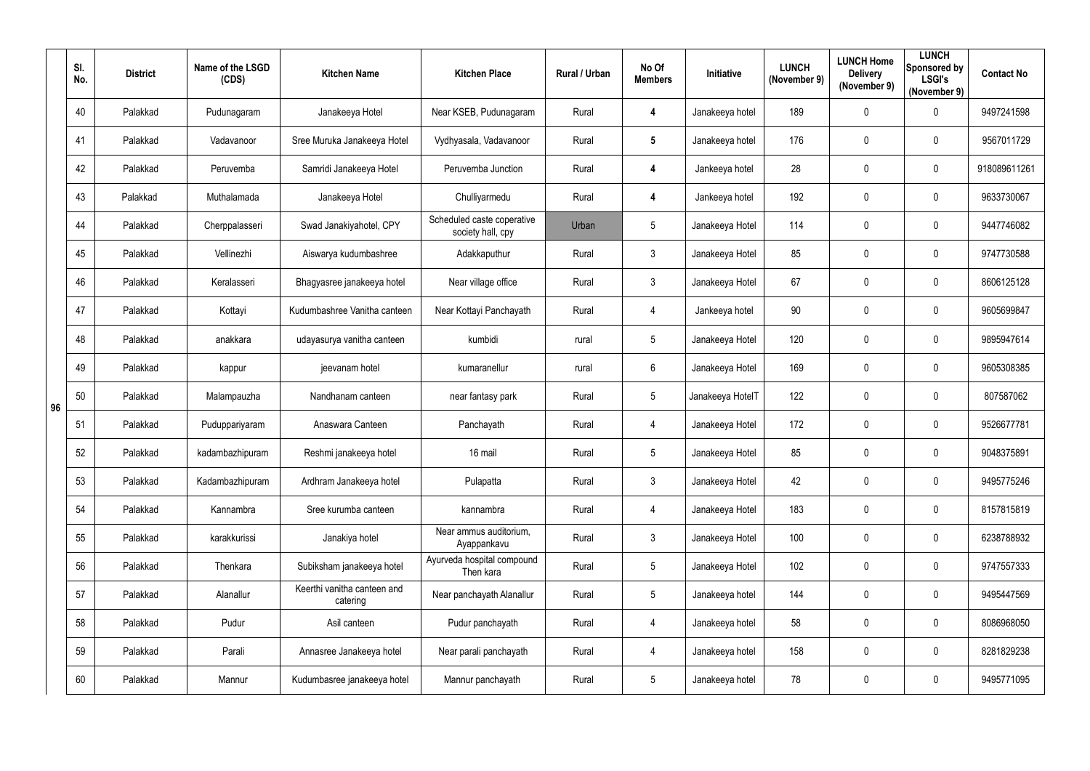|    | SI.<br>No. | <b>District</b> | Name of the LSGD<br>(CDS) | <b>Kitchen Name</b>                     | <b>Kitchen Place</b>                            | Rural / Urban | No Of<br><b>Members</b> | Initiative       | <b>LUNCH</b><br>(November 9) | <b>LUNCH Home</b><br><b>Delivery</b><br>(November 9) | <b>LUNCH</b><br>Sponsored by<br><b>LSGI's</b><br>(November 9) | <b>Contact No</b> |
|----|------------|-----------------|---------------------------|-----------------------------------------|-------------------------------------------------|---------------|-------------------------|------------------|------------------------------|------------------------------------------------------|---------------------------------------------------------------|-------------------|
|    | 40         | Palakkad        | Pudunagaram               | Janakeeya Hotel                         | Near KSEB, Pudunagaram                          | Rural         | $\overline{\mathbf{4}}$ | Janakeeya hotel  | 189                          | 0                                                    | $\mathbf 0$                                                   | 9497241598        |
|    | 41         | Palakkad        | Vadavanoor                | Sree Muruka Janakeeya Hotel             | Vydhyasala, Vadavanoor                          | Rural         | $5\phantom{.0}$         | Janakeeya hotel  | 176                          | 0                                                    | $\mathbf 0$                                                   | 9567011729        |
|    | 42         | Palakkad        | Peruvemba                 | Samridi Janakeeya Hotel                 | Peruvemba Junction                              | Rural         | 4                       | Jankeeya hotel   | 28                           | $\mathbf 0$                                          | $\mathbf 0$                                                   | 918089611261      |
|    | 43         | Palakkad        | Muthalamada               | Janakeeya Hotel                         | Chulliyarmedu                                   | Rural         | 4                       | Jankeeya hotel   | 192                          | 0                                                    | $\mathbf 0$                                                   | 9633730067        |
|    | 44         | Palakkad        | Cherppalasseri            | Swad Janakiyahotel, CPY                 | Scheduled caste coperative<br>society hall, cpy | Urban         | $5\overline{)}$         | Janakeeya Hotel  | 114                          | 0                                                    | $\overline{0}$                                                | 9447746082        |
|    | 45         | Palakkad        | Vellinezhi                | Aiswarya kudumbashree                   | Adakkaputhur                                    | Rural         | $\mathbf{3}$            | Janakeeya Hotel  | 85                           | $\mathbf 0$                                          | $\overline{0}$                                                | 9747730588        |
|    | 46         | Palakkad        | Keralasseri               | Bhagyasree janakeeya hotel              | Near village office                             | Rural         | $\mathbf{3}$            | Janakeeya Hotel  | 67                           | 0                                                    | $\mathbf 0$                                                   | 8606125128        |
|    | 47         | Palakkad        | Kottayi                   | Kudumbashree Vanitha canteen            | Near Kottayi Panchayath                         | Rural         | 4                       | Jankeeya hotel   | 90                           | 0                                                    | $\mathbf 0$                                                   | 9605699847        |
|    | 48         | Palakkad        | anakkara                  | udayasurya vanitha canteen              | kumbidi                                         | rural         | $5\phantom{.0}$         | Janakeeya Hotel  | 120                          | $\mathbf 0$                                          | $\overline{0}$                                                | 9895947614        |
|    | 49         | Palakkad        | kappur                    | jeevanam hotel                          | kumaranellur                                    | rural         | $6\overline{6}$         | Janakeeya Hotel  | 169                          | 0                                                    | $\mathbf 0$                                                   | 9605308385        |
| 96 | 50         | Palakkad        | Malampauzha               | Nandhanam canteen                       | near fantasy park                               | Rural         | $5\overline{)}$         | Janakeeya HotelT | 122                          | $\mathbf 0$                                          | $\overline{0}$                                                | 807587062         |
|    | 51         | Palakkad        | Puduppariyaram            | Anaswara Canteen                        | Panchayath                                      | Rural         | $\overline{4}$          | Janakeeya Hotel  | 172                          | 0                                                    | $\overline{0}$                                                | 9526677781        |
|    | 52         | Palakkad        | kadambazhipuram           | Reshmi janakeeya hotel                  | 16 mail                                         | Rural         | 5                       | Janakeeya Hotel  | 85                           | 0                                                    | 0                                                             | 9048375891        |
|    | 53         | Palakkad        | Kadambazhipuram           | Ardhram Janakeeya hotel                 | Pulapatta                                       | Rural         | $\mathbf{3}$            | Janakeeya Hotel  | 42                           | $\mathbf 0$                                          | $\mathbf 0$                                                   | 9495775246        |
|    | 54         | Palakkad        | Kannambra                 | Sree kurumba canteen                    | kannambra                                       | Rural         | $\overline{4}$          | Janakeeya Hotel  | 183                          | 0                                                    | $\mathbf 0$                                                   | 8157815819        |
|    | 55         | Palakkad        | karakkurissi              | Janakiya hotel                          | Near ammus auditorium,<br>Ayappankavu           | Rural         | $\mathbf{3}$            | Janakeeya Hotel  | 100                          | $\mathbf 0$                                          | $\mathbf 0$                                                   | 6238788932        |
|    | 56         | Palakkad        | Thenkara                  | Subiksham janakeeya hotel               | Ayurveda hospital compound<br>Then kara         | Rural         | $5\phantom{.0}$         | Janakeeya Hotel  | 102                          | $\mathbf 0$                                          | $\pmb{0}$                                                     | 9747557333        |
|    | 57         | Palakkad        | Alanallur                 | Keerthi vanitha canteen and<br>catering | Near panchayath Alanallur                       | Rural         | $5\phantom{.0}$         | Janakeeya hotel  | 144                          | $\mathbf 0$                                          | $\mathbf 0$                                                   | 9495447569        |
|    | 58         | Palakkad        | Pudur                     | Asil canteen                            | Pudur panchayath                                | Rural         | $\overline{4}$          | Janakeeya hotel  | 58                           | $\mathbf 0$                                          | $\pmb{0}$                                                     | 8086968050        |
|    | 59         | Palakkad        | Parali                    | Annasree Janakeeya hotel                | Near parali panchayath                          | Rural         | $\overline{4}$          | Janakeeya hotel  | 158                          | 0                                                    | $\mathbf 0$                                                   | 8281829238        |
|    | 60         | Palakkad        | Mannur                    | Kudumbasree janakeeya hotel             | Mannur panchayath                               | Rural         | $5\phantom{.0}$         | Janakeeya hotel  | 78                           | $\mathbf 0$                                          | $\bm{0}$                                                      | 9495771095        |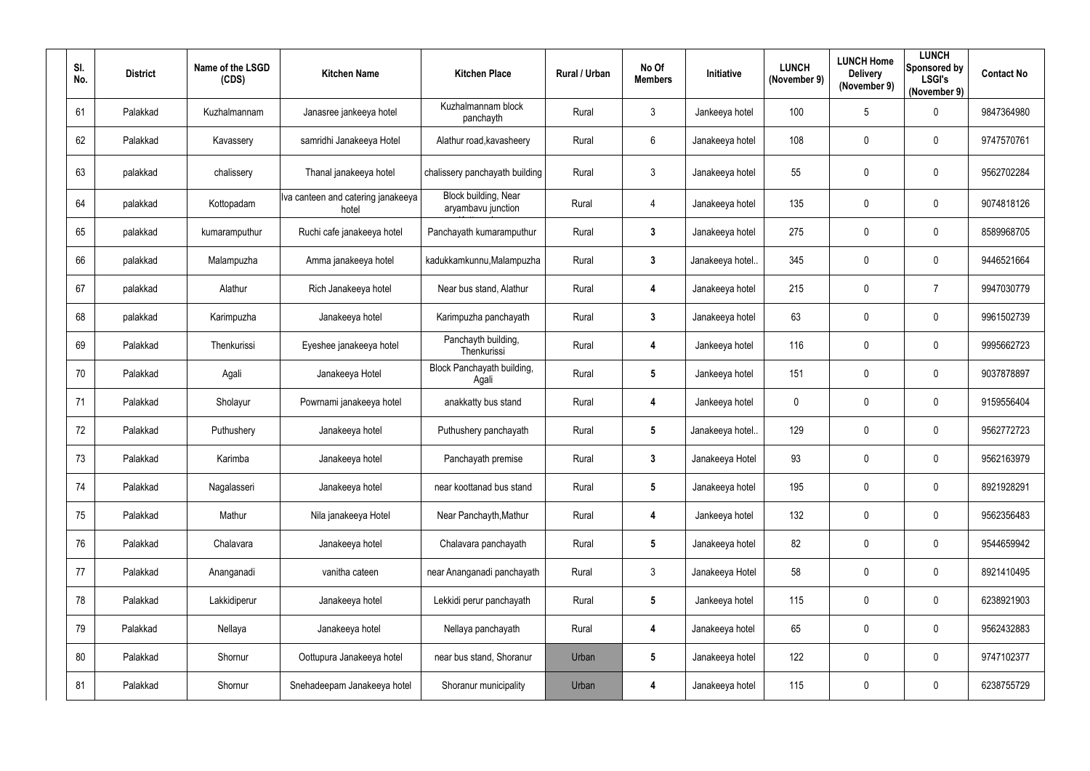| SI. | No. | <b>District</b> | Name of the LSGD<br>(CDS) | <b>Kitchen Name</b>                         | <b>Kitchen Place</b>                       | Rural / Urban | No Of<br><b>Members</b> | Initiative       | <b>LUNCH</b><br>(November 9) | <b>LUNCH Home</b><br><b>Delivery</b><br>(November 9) | <b>LUNCH</b><br>Sponsored by<br><b>LSGI's</b><br>(November 9) | <b>Contact No</b> |
|-----|-----|-----------------|---------------------------|---------------------------------------------|--------------------------------------------|---------------|-------------------------|------------------|------------------------------|------------------------------------------------------|---------------------------------------------------------------|-------------------|
|     | 61  | Palakkad        | Kuzhalmannam              | Janasree jankeeya hotel                     | Kuzhalmannam block<br>panchayth            | Rural         | $\mathbf{3}$            | Jankeeya hotel   | 100                          | 5                                                    | $\overline{0}$                                                | 9847364980        |
|     | 62  | Palakkad        | Kavassery                 | samridhi Janakeeya Hotel                    | Alathur road, kavasheery                   | Rural         | $6^{\circ}$             | Janakeeya hotel  | 108                          | $\mathbf 0$                                          | $\overline{0}$                                                | 9747570761        |
|     | 63  | palakkad        | chalissery                | Thanal janakeeya hotel                      | chalissery panchayath building             | Rural         | $\mathbf{3}$            | Janakeeya hotel  | 55                           | $\mathbf 0$                                          | $\overline{0}$                                                | 9562702284        |
|     | 64  | palakkad        | Kottopadam                | Iva canteen and catering janakeeya<br>hotel | Block building, Near<br>aryambavu junction | Rural         | $\overline{4}$          | Janakeeya hotel  | 135                          | $\mathbf 0$                                          | $\overline{0}$                                                | 9074818126        |
|     | 65  | palakkad        | kumaramputhur             | Ruchi cafe janakeeya hotel                  | Panchayath kumaramputhur                   | Rural         | $\mathbf{3}$            | Janakeeya hotel  | 275                          | $\overline{0}$                                       | $\overline{0}$                                                | 8589968705        |
|     | 66  | palakkad        | Malampuzha                | Amma janakeeya hotel                        | kadukkamkunnu, Malampuzha                  | Rural         | $3\phantom{a}$          | Janakeeya hotel. | 345                          | $\mathbf 0$                                          | $\mathbf 0$                                                   | 9446521664        |
|     | 67  | palakkad        | Alathur                   | Rich Janakeeya hotel                        | Near bus stand, Alathur                    | Rural         | $\overline{\mathbf{4}}$ | Janakeeya hotel  | 215                          | $\mathbf 0$                                          | $\overline{7}$                                                | 9947030779        |
|     | 68  | palakkad        | Karimpuzha                | Janakeeya hotel                             | Karimpuzha panchayath                      | Rural         | $\mathbf{3}$            | Janakeeya hotel  | 63                           | $\overline{0}$                                       | $\overline{0}$                                                | 9961502739        |
|     | 69  | Palakkad        | Thenkurissi               | Eyeshee janakeeya hotel                     | Panchayth building,<br>Thenkurissi         | Rural         | $\overline{\mathbf{4}}$ | Jankeeya hotel   | 116                          | $\mathbf 0$                                          | $\overline{0}$                                                | 9995662723        |
|     | 70  | Palakkad        | Agali                     | Janakeeya Hotel                             | Block Panchayath building,<br>Agali        | Rural         | $5\phantom{.0}$         | Jankeeya hotel   | 151                          | $\mathbf 0$                                          | $\overline{0}$                                                | 9037878897        |
|     | 71  | Palakkad        | Sholayur                  | Powrnami janakeeya hotel                    | anakkatty bus stand                        | Rural         | 4                       | Jankeeya hotel   | $\mathbf 0$                  | $\overline{0}$                                       | $\overline{0}$                                                | 9159556404        |
|     | 72  | Palakkad        | Puthushery                | Janakeeya hotel                             | Puthushery panchayath                      | Rural         | $5\phantom{.0}$         | Janakeeya hotel. | 129                          | $\mathbf 0$                                          | $\mathbf 0$                                                   | 9562772723        |
|     | 73  | Palakkad        | Karimba                   | Janakeeya hotel                             | Panchayath premise                         | Rural         | $\mathbf{3}$            | Janakeeya Hotel  | 93                           | $\mathbf 0$                                          | $\boldsymbol{0}$                                              | 9562163979        |
|     | 74  | Palakkad        | Nagalasseri               | Janakeeya hotel                             | near koottanad bus stand                   | Rural         | $5\phantom{.0}$         | Janakeeya hotel  | 195                          | $\mathbf 0$                                          | $\mathbf 0$                                                   | 8921928291        |
|     | 75  | Palakkad        | Mathur                    | Nila janakeeya Hotel                        | Near Panchayth, Mathur                     | Rural         | 4                       | Jankeeya hotel   | 132                          | $\overline{0}$                                       | $\mathbf 0$                                                   | 9562356483        |
|     | 76  | Palakkad        | Chalavara                 | Janakeeya hotel                             | Chalavara panchayath                       | Rural         | $5\overline{)}$         | Janakeeya hotel  | 82                           | $\mathbf 0$                                          | $\mathbf 0$                                                   | 9544659942        |
|     | 77  | Palakkad        | Ananganadi                | vanitha cateen                              | near Ananganadi panchayath                 | Rural         | $\mathbf{3}$            | Janakeeya Hotel  | 58                           | $\mathbf 0$                                          | $\mathbf 0$                                                   | 8921410495        |
|     | 78  | Palakkad        | Lakkidiperur              | Janakeeya hotel                             | Lekkidi perur panchayath                   | Rural         | $5\phantom{.0}$         | Jankeeya hotel   | 115                          | $\mathbf 0$                                          | $\mathbf 0$                                                   | 6238921903        |
|     | 79  | Palakkad        | Nellaya                   | Janakeeya hotel                             | Nellaya panchayath                         | Rural         | $\overline{\mathbf{4}}$ | Janakeeya hotel  | 65                           | $\mathbf 0$                                          | $\mathbf 0$                                                   | 9562432883        |
|     | 80  | Palakkad        | Shornur                   | Oottupura Janakeeya hotel                   | near bus stand, Shoranur                   | Urban         | $5\phantom{.0}$         | Janakeeya hotel  | 122                          | $\mathbf 0$                                          | $\mathbf 0$                                                   | 9747102377        |
|     | 81  | Palakkad        | Shornur                   | Snehadeepam Janakeeya hotel                 | Shoranur municipality                      | Urban         | 4                       | Janakeeya hotel  | 115                          | $\mathbf 0$                                          | $\boldsymbol{0}$                                              | 6238755729        |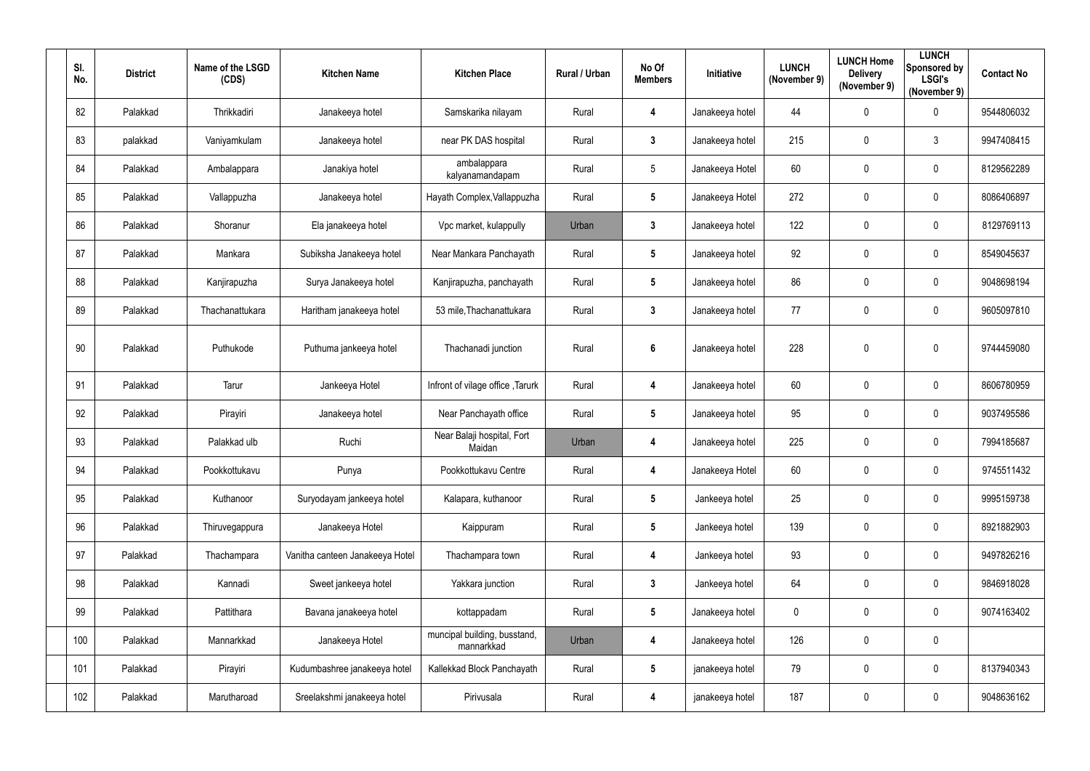| SI.<br>No. | <b>District</b> | Name of the LSGD<br>(CDS) | <b>Kitchen Name</b>             | <b>Kitchen Place</b>                       | Rural / Urban | No Of<br><b>Members</b> | Initiative      | <b>LUNCH</b><br>(November 9) | <b>LUNCH Home</b><br><b>Delivery</b><br>(November 9) | <b>LUNCH</b><br><b>Sponsored by</b><br><b>LSGI's</b><br>(November 9) | <b>Contact No</b> |
|------------|-----------------|---------------------------|---------------------------------|--------------------------------------------|---------------|-------------------------|-----------------|------------------------------|------------------------------------------------------|----------------------------------------------------------------------|-------------------|
| 82         | Palakkad        | Thrikkadiri               | Janakeeya hotel                 | Samskarika nilayam                         | Rural         | 4                       | Janakeeya hotel | 44                           | 0                                                    | $\mathbf 0$                                                          | 9544806032        |
| 83         | palakkad        | Vaniyamkulam              | Janakeeya hotel                 | near PK DAS hospital                       | Rural         | $3\phantom{a}$          | Janakeeya hotel | 215                          | 0                                                    | $\mathbf{3}$                                                         | 9947408415        |
| 84         | Palakkad        | Ambalappara               | Janakiya hotel                  | ambalappara<br>kalyanamandapam             | Rural         | $5\phantom{.0}$         | Janakeeya Hotel | 60                           | $\mathbf 0$                                          | $\mathbf 0$                                                          | 8129562289        |
| 85         | Palakkad        | Vallappuzha               | Janakeeya hotel                 | Hayath Complex, Vallappuzha                | Rural         | $5\phantom{.0}$         | Janakeeya Hotel | 272                          | 0                                                    | $\mathbf 0$                                                          | 8086406897        |
| 86         | Palakkad        | Shoranur                  | Ela janakeeya hotel             | Vpc market, kulappully                     | Urban         | $3\phantom{a}$          | Janakeeya hotel | 122                          | 0                                                    | $\mathbf 0$                                                          | 8129769113        |
| 87         | Palakkad        | Mankara                   | Subiksha Janakeeya hotel        | Near Mankara Panchayath                    | Rural         | $5\phantom{.0}$         | Janakeeya hotel | 92                           | 0                                                    | $\overline{0}$                                                       | 8549045637        |
| 88         | Palakkad        | Kanjirapuzha              | Surya Janakeeya hotel           | Kanjirapuzha, panchayath                   | Rural         | $5\phantom{.0}$         | Janakeeya hotel | 86                           | 0                                                    | $\mathbf 0$                                                          | 9048698194        |
| 89         | Palakkad        | Thachanattukara           | Haritham janakeeya hotel        | 53 mile, Thachanattukara                   | Rural         | $3\phantom{a}$          | Janakeeya hotel | 77                           | $\mathbf 0$                                          | $\mathbf 0$                                                          | 9605097810        |
| 90         | Palakkad        | Puthukode                 | Puthuma jankeeya hotel          | Thachanadi junction                        | Rural         | $6\phantom{a}$          | Janakeeya hotel | 228                          | 0                                                    | $\mathbf 0$                                                          | 9744459080        |
| 91         | Palakkad        | Tarur                     | Jankeeya Hotel                  | Infront of vilage office, Tarurk           | Rural         | 4                       | Janakeeya hotel | 60                           | 0                                                    | $\mathbf 0$                                                          | 8606780959        |
| 92         | Palakkad        | Pirayiri                  | Janakeeya hotel                 | Near Panchayath office                     | Rural         | $5\phantom{.0}$         | Janakeeya hotel | 95                           | 0                                                    | $\mathbf 0$                                                          | 9037495586        |
| 93         | Palakkad        | Palakkad ulb              | Ruchi                           | Near Balaji hospital, Fort<br>Maidan       | Urban         | 4                       | Janakeeya hotel | 225                          | 0                                                    | $\mathbf 0$                                                          | 7994185687        |
| 94         | Palakkad        | Pookkottukavu             | Punya                           | Pookkottukavu Centre                       | Rural         | 4                       | Janakeeya Hotel | 60                           | $\pmb{0}$                                            | $\mathbf 0$                                                          | 9745511432        |
| 95         | Palakkad        | Kuthanoor                 | Suryodayam jankeeya hotel       | Kalapara, kuthanoor                        | Rural         | $5\phantom{.0}$         | Jankeeya hotel  | 25                           | 0                                                    | $\overline{0}$                                                       | 9995159738        |
| 96         | Palakkad        | Thiruvegappura            | Janakeeya Hotel                 | Kaippuram                                  | Rural         | $5\phantom{.0}$         | Jankeeya hotel  | 139                          | $\pmb{0}$                                            | $\overline{0}$                                                       | 8921882903        |
| 97         | Palakkad        | Thachampara               | Vanitha canteen Janakeeya Hotel | Thachampara town                           | Rural         | 4                       | Jankeeya hotel  | 93                           | $\pmb{0}$                                            | $\overline{0}$                                                       | 9497826216        |
| 98         | Palakkad        | Kannadi                   | Sweet jankeeya hotel            | Yakkara junction                           | Rural         | $\mathbf{3}$            | Jankeeya hotel  | 64                           | 0                                                    | $\mathbf 0$                                                          | 9846918028        |
| 99         | Palakkad        | Pattithara                | Bavana janakeeya hotel          | kottappadam                                | Rural         | $5\phantom{.0}$         | Janakeeya hotel | $\pmb{0}$                    | $\pmb{0}$                                            | $\mathbf 0$                                                          | 9074163402        |
| 100        | Palakkad        | Mannarkkad                | Janakeeya Hotel                 | muncipal building, busstand,<br>mannarkkad | Urban         | 4                       | Janakeeya hotel | 126                          | $\pmb{0}$                                            | $\mathbf 0$                                                          |                   |
| 101        | Palakkad        | Pirayiri                  | Kudumbashree janakeeya hotel    | Kallekkad Block Panchayath                 | Rural         | $5\phantom{.0}$         | janakeeya hotel | 79                           | $\pmb{0}$                                            | $\overline{0}$                                                       | 8137940343        |
| 102        | Palakkad        | Marutharoad               | Sreelakshmi janakeeya hotel     | Pirivusala                                 | Rural         | 4                       | janakeeya hotel | 187                          | $\pmb{0}$                                            | $\overline{0}$                                                       | 9048636162        |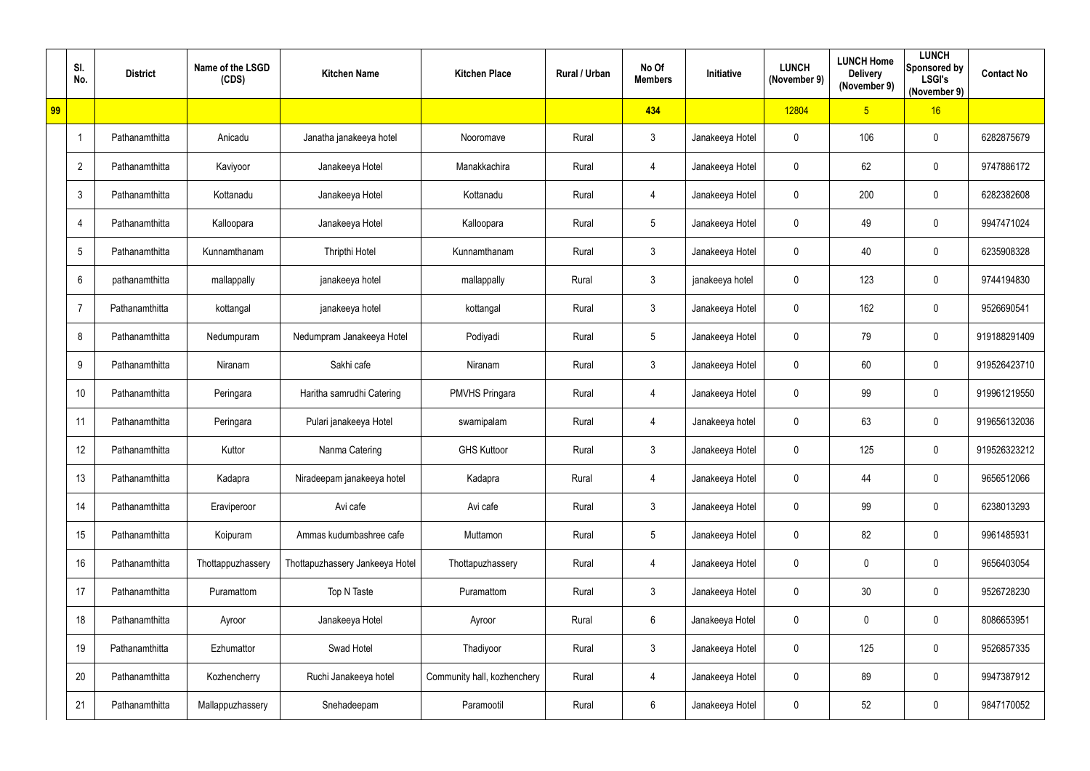|    | SI.<br>No.     | <b>District</b> | Name of the LSGD<br>(CDS) | <b>Kitchen Name</b>             | <b>Kitchen Place</b>        | Rural / Urban | No Of<br><b>Members</b> | Initiative      | <b>LUNCH</b><br>(November 9) | <b>LUNCH Home</b><br><b>Delivery</b><br>(November 9) | <b>LUNCH</b><br>Sponsored by<br><b>LSGI's</b><br>(November 9) | <b>Contact No</b> |
|----|----------------|-----------------|---------------------------|---------------------------------|-----------------------------|---------------|-------------------------|-----------------|------------------------------|------------------------------------------------------|---------------------------------------------------------------|-------------------|
| 99 |                |                 |                           |                                 |                             |               | 434                     |                 | 12804                        | 5 <sub>5</sub>                                       | 16                                                            |                   |
|    | $\overline{1}$ | Pathanamthitta  | Anicadu                   | Janatha janakeeya hotel         | Nooromave                   | Rural         | $\mathbf{3}$            | Janakeeya Hotel | $\mathbf 0$                  | 106                                                  | $\mathbf 0$                                                   | 6282875679        |
|    | $\overline{2}$ | Pathanamthitta  | Kaviyoor                  | Janakeeya Hotel                 | Manakkachira                | Rural         | $\overline{4}$          | Janakeeya Hotel | $\mathbf 0$                  | 62                                                   | $\mathbf 0$                                                   | 9747886172        |
|    | $\mathfrak{Z}$ | Pathanamthitta  | Kottanadu                 | Janakeeya Hotel                 | Kottanadu                   | Rural         | $\overline{4}$          | Janakeeya Hotel | $\mathbf 0$                  | 200                                                  | $\mathbf 0$                                                   | 6282382608        |
|    | 4              | Pathanamthitta  | Kalloopara                | Janakeeya Hotel                 | Kalloopara                  | Rural         | $5\phantom{.0}$         | Janakeeya Hotel | $\mathbf 0$                  | 49                                                   | $\mathbf 0$                                                   | 9947471024        |
|    | 5              | Pathanamthitta  | Kunnamthanam              | <b>Thripthi Hotel</b>           | Kunnamthanam                | Rural         | $\mathbf{3}$            | Janakeeya Hotel | $\boldsymbol{0}$             | 40                                                   | $\mathbf 0$                                                   | 6235908328        |
|    | $6\phantom{1}$ | pathanamthitta  | mallappally               | janakeeya hotel                 | mallappally                 | Rural         | $\mathbf{3}$            | janakeeya hotel | $\mathbf 0$                  | 123                                                  | $\mathbf 0$                                                   | 9744194830        |
|    | $\overline{7}$ | Pathanamthitta  | kottangal                 | janakeeya hotel                 | kottangal                   | Rural         | $\mathbf{3}$            | Janakeeya Hotel | $\mathbf 0$                  | 162                                                  | $\mathbf 0$                                                   | 9526690541        |
|    | 8              | Pathanamthitta  | Nedumpuram                | Nedumpram Janakeeya Hotel       | Podiyadi                    | Rural         | $5\overline{)}$         | Janakeeya Hotel | $\mathbf 0$                  | 79                                                   | $\mathbf 0$                                                   | 919188291409      |
|    | 9              | Pathanamthitta  | Niranam                   | Sakhi cafe                      | Niranam                     | Rural         | $\mathbf{3}$            | Janakeeya Hotel | $\mathbf 0$                  | 60                                                   | $\mathbf 0$                                                   | 919526423710      |
|    | 10             | Pathanamthitta  | Peringara                 | Haritha samrudhi Catering       | <b>PMVHS Pringara</b>       | Rural         | $\overline{4}$          | Janakeeya Hotel | $\mathbf 0$                  | 99                                                   | $\mathbf 0$                                                   | 919961219550      |
|    | 11             | Pathanamthitta  | Peringara                 | Pulari janakeeya Hotel          | swamipalam                  | Rural         | 4                       | Janakeeya hotel | $\mathbf 0$                  | 63                                                   | $\mathbf 0$                                                   | 919656132036      |
|    | 12             | Pathanamthitta  | Kuttor                    | Nanma Catering                  | <b>GHS Kuttoor</b>          | Rural         | $\mathbf{3}$            | Janakeeya Hotel | $\mathbf 0$                  | 125                                                  | $\mathbf 0$                                                   | 919526323212      |
|    | 13             | Pathanamthitta  | Kadapra                   | Niradeepam janakeeya hotel      | Kadapra                     | Rural         | $\overline{4}$          | Janakeeya Hotel | $\mathbf 0$                  | 44                                                   | $\overline{0}$                                                | 9656512066        |
|    | 14             | Pathanamthitta  | Eraviperoor               | Avi cafe                        | Avi cafe                    | Rural         | $\mathbf{3}$            | Janakeeya Hotel | $\mathbf 0$                  | 99                                                   | $\mathbf 0$                                                   | 6238013293        |
|    | 15             | Pathanamthitta  | Koipuram                  | Ammas kudumbashree cafe         | Muttamon                    | Rural         | $5\overline{)}$         | Janakeeya Hotel | $\mathbf 0$                  | 82                                                   | $\overline{0}$                                                | 9961485931        |
|    | 16             | Pathanamthitta  | Thottappuzhassery         | Thottapuzhassery Jankeeya Hotel | Thottapuzhassery            | Rural         | $\overline{4}$          | Janakeeya Hotel | $\mathbf 0$                  | 0                                                    | $\mathbf 0$                                                   | 9656403054        |
|    | 17             | Pathanamthitta  | Puramattom                | Top N Taste                     | Puramattom                  | Rural         | $\mathbf{3}$            | Janakeeya Hotel | $\mathbf 0$                  | 30                                                   | $\overline{0}$                                                | 9526728230        |
|    | 18             | Pathanamthitta  | Ayroor                    | Janakeeya Hotel                 | Ayroor                      | Rural         | 6                       | Janakeeya Hotel | $\bm{0}$                     | 0                                                    | $\overline{0}$                                                | 8086653951        |
|    | 19             | Pathanamthitta  | Ezhumattor                | Swad Hotel                      | Thadiyoor                   | Rural         | $\mathbf{3}$            | Janakeeya Hotel | $\overline{0}$               | 125                                                  | $\mathbf 0$                                                   | 9526857335        |
|    | 20             | Pathanamthitta  | Kozhencherry              | Ruchi Janakeeya hotel           | Community hall, kozhenchery | Rural         | $\overline{4}$          | Janakeeya Hotel | $\mathbf 0$                  | 89                                                   | $\overline{0}$                                                | 9947387912        |
|    | 21             | Pathanamthitta  | Mallappuzhassery          | Snehadeepam                     | Paramootil                  | Rural         | $6\overline{6}$         | Janakeeya Hotel | $\boldsymbol{0}$             | 52                                                   | $\overline{0}$                                                | 9847170052        |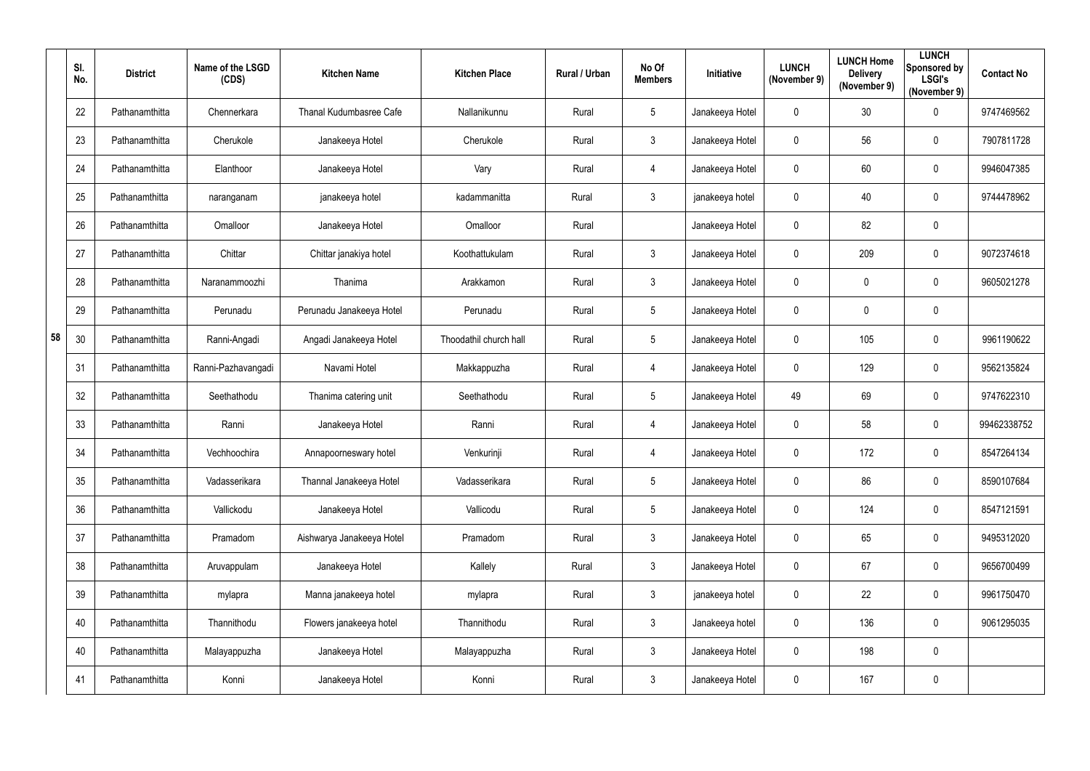|    | SI.<br>No. | <b>District</b> | Name of the LSGD<br>(CDS) | <b>Kitchen Name</b>       | <b>Kitchen Place</b>   | Rural / Urban | No Of<br><b>Members</b> | Initiative      | <b>LUNCH</b><br>(November 9) | <b>LUNCH Home</b><br><b>Delivery</b><br>(November 9) | <b>LUNCH</b><br>Sponsored by<br><b>LSGI's</b><br>(November 9) | <b>Contact No</b> |
|----|------------|-----------------|---------------------------|---------------------------|------------------------|---------------|-------------------------|-----------------|------------------------------|------------------------------------------------------|---------------------------------------------------------------|-------------------|
|    | 22         | Pathanamthitta  | Chennerkara               | Thanal Kudumbasree Cafe   | Nallanikunnu           | Rural         | $5\phantom{.0}$         | Janakeeya Hotel | $\mathbf 0$                  | 30                                                   | $\mathbf 0$                                                   | 9747469562        |
|    | 23         | Pathanamthitta  | Cherukole                 | Janakeeya Hotel           | Cherukole              | Rural         | $\mathbf{3}$            | Janakeeya Hotel | $\mathbf 0$                  | 56                                                   | $\mathbf 0$                                                   | 7907811728        |
|    | 24         | Pathanamthitta  | Elanthoor                 | Janakeeya Hotel           | Vary                   | Rural         | 4                       | Janakeeya Hotel | $\mathbf 0$                  | 60                                                   | $\mathbf 0$                                                   | 9946047385        |
|    | 25         | Pathanamthitta  | naranganam                | janakeeya hotel           | kadammanitta           | Rural         | $\mathbf{3}$            | janakeeya hotel | $\overline{0}$               | 40                                                   | $\mathbf 0$                                                   | 9744478962        |
|    | 26         | Pathanamthitta  | Omalloor                  | Janakeeya Hotel           | Omalloor               | Rural         |                         | Janakeeya Hotel | $\mathbf 0$                  | 82                                                   | $\mathbf 0$                                                   |                   |
|    | 27         | Pathanamthitta  | Chittar                   | Chittar janakiya hotel    | Koothattukulam         | Rural         | $\mathbf{3}$            | Janakeeya Hotel | $\mathbf 0$                  | 209                                                  | $\mathbf 0$                                                   | 9072374618        |
|    | 28         | Pathanamthitta  | Naranammoozhi             | Thanima                   | Arakkamon              | Rural         | $\mathbf{3}$            | Janakeeya Hotel | $\mathbf 0$                  | 0                                                    | $\mathbf 0$                                                   | 9605021278        |
|    | 29         | Pathanamthitta  | Perunadu                  | Perunadu Janakeeya Hotel  | Perunadu               | Rural         | $5\phantom{.0}$         | Janakeeya Hotel | $\mathbf 0$                  | 0                                                    | $\mathbf 0$                                                   |                   |
| 58 | 30         | Pathanamthitta  | Ranni-Angadi              | Angadi Janakeeya Hotel    | Thoodathil church hall | Rural         | $5\phantom{.0}$         | Janakeeya Hotel | $\overline{0}$               | 105                                                  | $\mathbf 0$                                                   | 9961190622        |
|    | 31         | Pathanamthitta  | Ranni-Pazhavangadi        | Navami Hotel              | Makkappuzha            | Rural         | $\overline{4}$          | Janakeeya Hotel | $\overline{0}$               | 129                                                  | $\mathbf 0$                                                   | 9562135824        |
|    | 32         | Pathanamthitta  | Seethathodu               | Thanima catering unit     | Seethathodu            | Rural         | $5\phantom{.0}$         | Janakeeya Hotel | 49                           | 69                                                   | $\overline{0}$                                                | 9747622310        |
|    | 33         | Pathanamthitta  | Ranni                     | Janakeeya Hotel           | Ranni                  | Rural         | $\overline{4}$          | Janakeeya Hotel | $\mathbf 0$                  | 58                                                   | $\overline{0}$                                                | 99462338752       |
|    | 34         | Pathanamthitta  | Vechhoochira              | Annapoorneswary hotel     | Venkurinji             | Rural         | 4                       | Janakeeya Hotel | $\mathbf 0$                  | 172                                                  | $\mathbf 0$                                                   | 8547264134        |
|    | 35         | Pathanamthitta  | Vadasserikara             | Thannal Janakeeya Hotel   | Vadasserikara          | Rural         | $5\phantom{.0}$         | Janakeeya Hotel | $\mathbf 0$                  | 86                                                   | $\overline{0}$                                                | 8590107684        |
|    | 36         | Pathanamthitta  | Vallickodu                | Janakeeya Hotel           | Vallicodu              | Rural         | $5\phantom{.0}$         | Janakeeya Hotel | $\mathbf 0$                  | 124                                                  | $\overline{0}$                                                | 8547121591        |
|    | 37         | Pathanamthitta  | Pramadom                  | Aishwarya Janakeeya Hotel | Pramadom               | Rural         | $\mathbf{3}$            | Janakeeya Hotel | $\mathbf 0$                  | 65                                                   | $\overline{0}$                                                | 9495312020        |
|    | 38         | Pathanamthitta  | Aruvappulam               | Janakeeya Hotel           | Kallely                | Rural         | $\mathbf{3}$            | Janakeeya Hotel | $\mathbf 0$                  | 67                                                   | $\overline{0}$                                                | 9656700499        |
|    | 39         | Pathanamthitta  | mylapra                   | Manna janakeeya hotel     | mylapra                | Rural         | $\mathbf{3}$            | janakeeya hotel | $\mathbf 0$                  | 22                                                   | $\overline{0}$                                                | 9961750470        |
|    | 40         | Pathanamthitta  | Thannithodu               | Flowers janakeeya hotel   | Thannithodu            | Rural         | $\mathbf{3}$            | Janakeeya hotel | $\mathbf 0$                  | 136                                                  | $\overline{0}$                                                | 9061295035        |
|    | 40         | Pathanamthitta  | Malayappuzha              | Janakeeya Hotel           | Malayappuzha           | Rural         | $\mathbf{3}$            | Janakeeya Hotel | $\mathbf 0$                  | 198                                                  | $\overline{0}$                                                |                   |
|    | 41         | Pathanamthitta  | Konni                     | Janakeeya Hotel           | Konni                  | Rural         | $\mathbf{3}$            | Janakeeya Hotel | $\boldsymbol{0}$             | 167                                                  | $\mathbf 0$                                                   |                   |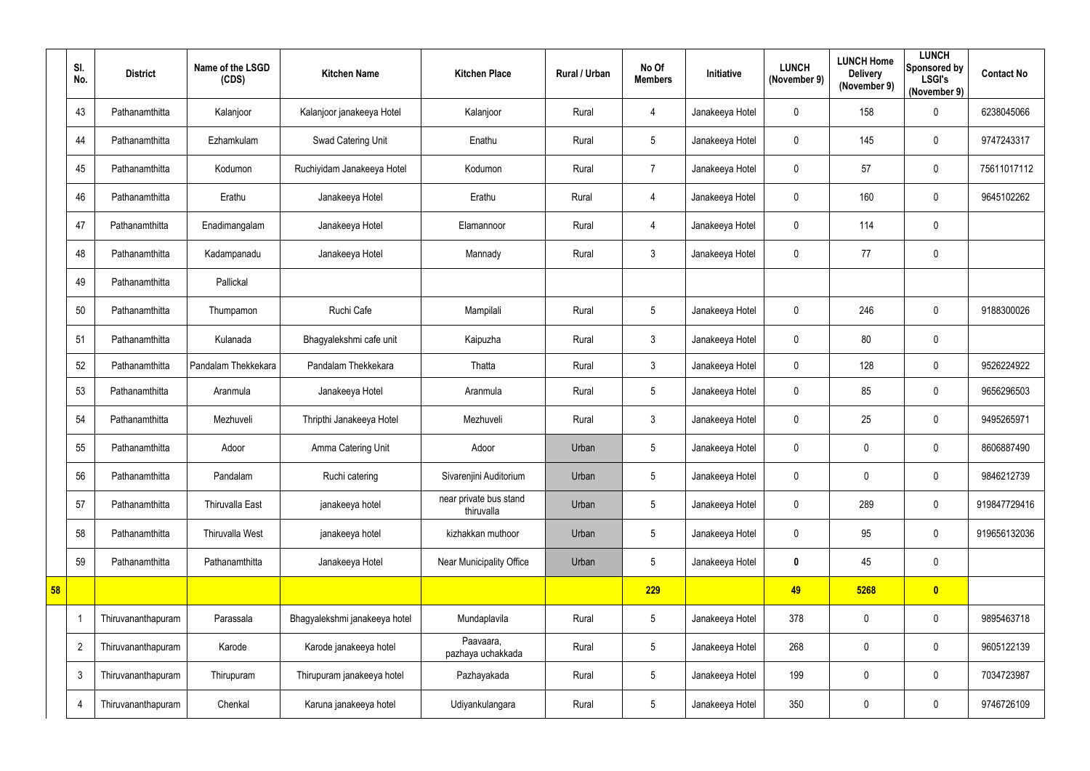|    | SI.<br>No.     | <b>District</b>    | Name of the LSGD<br>(CDS) | <b>Kitchen Name</b>           | <b>Kitchen Place</b>                 | Rural / Urban | No Of<br><b>Members</b> | Initiative      | <b>LUNCH</b><br>(November 9) | <b>LUNCH Home</b><br><b>Delivery</b><br>(November 9) | <b>LUNCH</b><br>Sponsored by<br><b>LSGI's</b><br>(November 9) | <b>Contact No</b> |
|----|----------------|--------------------|---------------------------|-------------------------------|--------------------------------------|---------------|-------------------------|-----------------|------------------------------|------------------------------------------------------|---------------------------------------------------------------|-------------------|
|    | 43             | Pathanamthitta     | Kalanjoor                 | Kalanjoor janakeeya Hotel     | Kalanjoor                            | Rural         | $\overline{4}$          | Janakeeya Hotel | $\mathbf 0$                  | 158                                                  | $\overline{0}$                                                | 6238045066        |
|    | 44             | Pathanamthitta     | Ezhamkulam                | Swad Catering Unit            | Enathu                               | Rural         | $5\phantom{.0}$         | Janakeeya Hotel | $\mathbf 0$                  | 145                                                  | $\overline{0}$                                                | 9747243317        |
|    | 45             | Pathanamthitta     | Kodumon                   | Ruchiyidam Janakeeya Hotel    | Kodumon                              | Rural         | $\overline{7}$          | Janakeeya Hotel | $\mathbf 0$                  | 57                                                   | $\overline{0}$                                                | 75611017112       |
|    | 46             | Pathanamthitta     | Erathu                    | Janakeeya Hotel               | Erathu                               | Rural         | $\overline{4}$          | Janakeeya Hotel | $\mathbf 0$                  | 160                                                  | $\overline{0}$                                                | 9645102262        |
|    | 47             | Pathanamthitta     | Enadimangalam             | Janakeeya Hotel               | Elamannoor                           | Rural         | $\overline{4}$          | Janakeeya Hotel | $\mathbf 0$                  | 114                                                  | $\overline{0}$                                                |                   |
|    | 48             | Pathanamthitta     | Kadampanadu               | Janakeeya Hotel               | Mannady                              | Rural         | $\mathfrak{Z}$          | Janakeeya Hotel | $\mathbf 0$                  | 77                                                   | $\overline{0}$                                                |                   |
|    | 49             | Pathanamthitta     | Pallickal                 |                               |                                      |               |                         |                 |                              |                                                      |                                                               |                   |
|    | 50             | Pathanamthitta     | Thumpamon                 | Ruchi Cafe                    | Mampilali                            | Rural         | $5\phantom{.0}$         | Janakeeya Hotel | $\mathbf 0$                  | 246                                                  | $\overline{0}$                                                | 9188300026        |
|    | 51             | Pathanamthitta     | Kulanada                  | Bhagyalekshmi cafe unit       | Kaipuzha                             | Rural         | $\mathfrak{Z}$          | Janakeeya Hotel | $\mathbf 0$                  | 80                                                   | $\overline{0}$                                                |                   |
|    | 52             | Pathanamthitta     | Pandalam Thekkekara       | Pandalam Thekkekara           | Thatta                               | Rural         | $\mathfrak{Z}$          | Janakeeya Hotel | $\mathbf 0$                  | 128                                                  | $\mathbf 0$                                                   | 9526224922        |
|    | 53             | Pathanamthitta     | Aranmula                  | Janakeeya Hotel               | Aranmula                             | Rural         | $5\phantom{.0}$         | Janakeeya Hotel | $\mathbf 0$                  | 85                                                   | $\overline{0}$                                                | 9656296503        |
|    | 54             | Pathanamthitta     | Mezhuveli                 | Thripthi Janakeeya Hotel      | Mezhuveli                            | Rural         | $\mathfrak{Z}$          | Janakeeya Hotel | $\mathbf 0$                  | 25                                                   | $\overline{0}$                                                | 9495265971        |
|    | 55             | Pathanamthitta     | Adoor                     | Amma Catering Unit            | Adoor                                | Urban         | 5                       | Janakeeya Hotel | $\mathbf 0$                  | 0                                                    | $\overline{0}$                                                | 8606887490        |
|    | 56             | Pathanamthitta     | Pandalam                  | Ruchi catering                | Sivarenjini Auditorium               | Urban         | $5\phantom{.0}$         | Janakeeya Hotel | $\mathbf 0$                  | 0                                                    | $\overline{0}$                                                | 9846212739        |
|    | 57             | Pathanamthitta     | <b>Thiruvalla East</b>    | janakeeya hotel               | near private bus stand<br>thiruvalla | Urban         | $5\phantom{.0}$         | Janakeeya Hotel | $\mathbf 0$                  | 289                                                  | $\mathbf 0$                                                   | 919847729416      |
|    | 58             | Pathanamthitta     | Thiruvalla West           | janakeeya hotel               | kizhakkan muthoor                    | Urban         | $5\phantom{.0}$         | Janakeeya Hotel | $\mathbf 0$                  | 95                                                   | $\overline{0}$                                                | 919656132036      |
|    | 59             | Pathanamthitta     | Pathanamthitta            | Janakeeya Hotel               | Near Municipality Office             | Urban         | $5\phantom{.0}$         | Janakeeya Hotel | $\mathbf 0$                  | 45                                                   | $\mathbf 0$                                                   |                   |
| 58 |                |                    |                           |                               |                                      |               | 229                     |                 | 49                           | 5268                                                 | $\bullet$                                                     |                   |
|    |                | Thiruvananthapuram | Parassala                 | Bhagyalekshmi janakeeya hotel | Mundaplavila                         | Rural         | $5\phantom{.0}$         | Janakeeya Hotel | 378                          | 0                                                    | $\mathbf 0$                                                   | 9895463718        |
|    | $\overline{2}$ | Thiruvananthapuram | Karode                    | Karode janakeeya hotel        | Paavaara,<br>pazhaya uchakkada       | Rural         | $5\phantom{.0}$         | Janakeeya Hotel | 268                          | 0                                                    | $\overline{0}$                                                | 9605122139        |
|    | $\mathfrak{Z}$ | Thiruvananthapuram | Thirupuram                | Thirupuram janakeeya hotel    | Pazhayakada                          | Rural         | $5\phantom{.0}$         | Janakeeya Hotel | 199                          | 0                                                    | $\mathbf 0$                                                   | 7034723987        |
|    | 4              | Thiruvananthapuram | Chenkal                   | Karuna janakeeya hotel        | Udiyankulangara                      | Rural         | $5\phantom{.0}$         | Janakeeya Hotel | 350                          | 0                                                    | $\overline{0}$                                                | 9746726109        |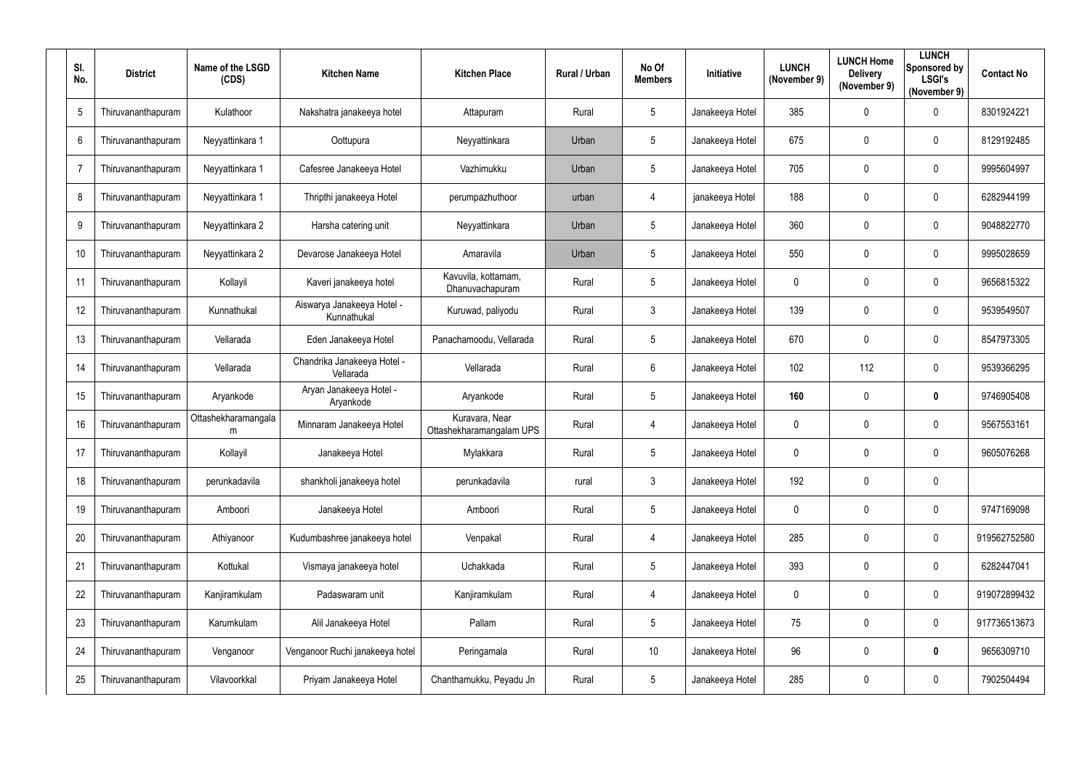| SI.<br>No.     | <b>District</b>    | Name of the LSGD<br>(CDS) | <b>Kitchen Name</b>                       | <b>Kitchen Place</b>                       | <b>Rural / Urban</b> | No Of<br><b>Members</b> | <b>Initiative</b> | <b>LUNCH</b><br>(November 9) | <b>LUNCH Home</b><br><b>Delivery</b><br>(November 9) | <b>LUNCH</b><br>Sponsored by<br><b>LSGI's</b><br>(November 9) | <b>Contact No</b> |
|----------------|--------------------|---------------------------|-------------------------------------------|--------------------------------------------|----------------------|-------------------------|-------------------|------------------------------|------------------------------------------------------|---------------------------------------------------------------|-------------------|
| 5              | Thiruvananthapuram | Kulathoor                 | Nakshatra janakeeya hotel                 | Attapuram                                  | Rural                | $5\phantom{.0}$         | Janakeeya Hotel   | 385                          | $\mathbf 0$                                          | $\mathbf 0$                                                   | 8301924221        |
| 6              | Thiruvananthapuram | Neyyattinkara 1           | Oottupura                                 | Neyyattinkara                              | Urban                | $5\phantom{.0}$         | Janakeeya Hotel   | 675                          | $\mathbf 0$                                          | $\overline{0}$                                                | 8129192485        |
| $\overline{7}$ | Thiruvananthapuram | Neyyattinkara 1           | Cafesree Janakeeya Hotel                  | Vazhimukku                                 | Urban                | $5\phantom{.0}$         | Janakeeya Hotel   | 705                          | $\mathbf 0$                                          | $\mathbf 0$                                                   | 9995604997        |
| 8              | Thiruvananthapuram | Neyyattinkara 1           | Thripthi janakeeya Hotel                  | perumpazhuthoor                            | urban                | $\overline{4}$          | janakeeya Hotel   | 188                          | $\mathbf 0$                                          | $\overline{0}$                                                | 6282944199        |
| 9              | Thiruvananthapuram | Neyyattinkara 2           | Harsha catering unit                      | Neyyattinkara                              | Urban                | $5\phantom{.0}$         | Janakeeya Hotel   | 360                          | $\mathbf 0$                                          | $\overline{0}$                                                | 9048822770        |
| 10             | Thiruvananthapuram | Neyyattinkara 2           | Devarose Janakeeya Hotel                  | Amaravila                                  | Urban                | $5\phantom{.0}$         | Janakeeya Hotel   | 550                          | $\boldsymbol{0}$                                     | $\mathbf 0$                                                   | 9995028659        |
| 11             | Thiruvananthapuram | Kollayil                  | Kaveri janakeeya hotel                    | Kavuvila, kottamam,<br>Dhanuvachapuram     | Rural                | $5\overline{)}$         | Janakeeya Hotel   | $\mathbf 0$                  | $\mathbf 0$                                          | $\overline{0}$                                                | 9656815322        |
| 12             | Thiruvananthapuram | Kunnathukal               | Aiswarya Janakeeya Hotel -<br>Kunnathukal | Kuruwad, paliyodu                          | Rural                | $\mathbf{3}$            | Janakeeya Hotel   | 139                          | $\mathbf 0$                                          | $\mathbf 0$                                                   | 9539549507        |
| 13             | Thiruvananthapuram | Vellarada                 | Eden Janakeeya Hotel                      | Panachamoodu, Vellarada                    | Rural                | $5\phantom{.0}$         | Janakeeya Hotel   | 670                          | $\mathbf 0$                                          | $\mathbf 0$                                                   | 8547973305        |
| 14             | Thiruvananthapuram | Vellarada                 | Chandrika Janakeeya Hotel -<br>Vellarada  | Vellarada                                  | Rural                | $6\phantom{.}6$         | Janakeeya Hotel   | 102                          | 112                                                  | $\mathbf 0$                                                   | 9539366295        |
| 15             | Thiruvananthapuram | Aryankode                 | Aryan Janakeeya Hotel -<br>Aryankode      | Aryankode                                  | Rural                | $5\phantom{.0}$         | Janakeeya Hotel   | 160                          | $\boldsymbol{0}$                                     | $\boldsymbol{0}$                                              | 9746905408        |
| 16             | Thiruvananthapuram | Ottashekharamangala<br>m  | Minnaram Janakeeya Hotel                  | Kuravara, Near<br>Ottashekharamangalam UPS | Rural                | 4                       | Janakeeya Hotel   | $\mathbf 0$                  | $\boldsymbol{0}$                                     | $\mathbf 0$                                                   | 9567553161        |
| 17             | Thiruvananthapuram | Kollayil                  | Janakeeya Hotel                           | Mylakkara                                  | Rural                | 5                       | Janakeeya Hotel   | $\mathbf{0}$                 | 0                                                    | $\mathbf 0$                                                   | 9605076268        |
| 18             | Thiruvananthapuram | perunkadavila             | shankholi janakeeya hotel                 | perunkadavila                              | rural                | $\mathbf{3}$            | Janakeeya Hotel   | 192                          | $\overline{0}$                                       | $\mathbf 0$                                                   |                   |
| 19             | Thiruvananthapuram | Amboori                   | Janakeeya Hotel                           | Amboori                                    | Rural                | $5\phantom{.0}$         | Janakeeya Hotel   | $\boldsymbol{0}$             | $\boldsymbol{0}$                                     | $\mathbf 0$                                                   | 9747169098        |
| 20             | Thiruvananthapuram | Athiyanoor                | Kudumbashree janakeeya hotel              | Venpakal                                   | Rural                | 4                       | Janakeeya Hotel   | 285                          | $\boldsymbol{0}$                                     | $\boldsymbol{0}$                                              | 919562752580      |
| 21             | Thiruvananthapuram | Kottukal                  | Vismaya janakeeya hotel                   | Uchakkada                                  | Rural                | $5\overline{)}$         | Janakeeya Hotel   | 393                          | $\boldsymbol{0}$                                     | $\mathbf 0$                                                   | 6282447041        |
| 22             | Thiruvananthapuram | Kanjiramkulam             | Padaswaram unit                           | Kanjiramkulam                              | Rural                | 4                       | Janakeeya Hotel   | $\mathbf 0$                  | $\pmb{0}$                                            | $\mathbf 0$                                                   | 919072899432      |
| 23             | Thiruvananthapuram | Karumkulam                | Alil Janakeeya Hotel                      | Pallam                                     | Rural                | $5\phantom{.0}$         | Janakeeya Hotel   | 75                           | $\boldsymbol{0}$                                     | $\boldsymbol{0}$                                              | 917736513673      |
| 24             | Thiruvananthapuram | Venganoor                 | Venganoor Ruchi janakeeya hotel           | Peringamala                                | Rural                | 10                      | Janakeeya Hotel   | 96                           | 0                                                    | $\boldsymbol{0}$                                              | 9656309710        |
| 25             | Thiruvananthapuram | Vilavoorkkal              | Priyam Janakeeya Hotel                    | Chanthamukku, Peyadu Jn                    | Rural                | 5                       | Janakeeya Hotel   | 285                          | $\boldsymbol{0}$                                     | $\boldsymbol{0}$                                              | 7902504494        |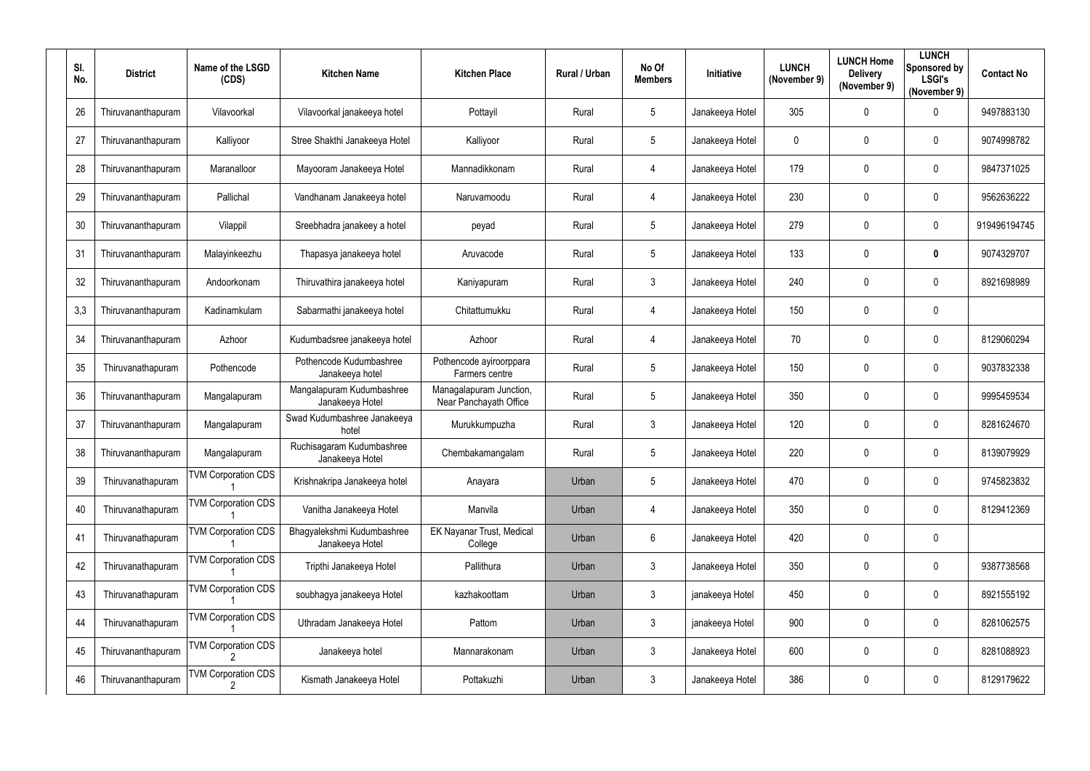| SI.<br>No. | <b>District</b>    | Name of the LSGD<br>(CDS)  | <b>Kitchen Name</b>                           | <b>Kitchen Place</b>                              | Rural / Urban | No Of<br><b>Members</b> | Initiative      | <b>LUNCH</b><br>(November 9) | <b>LUNCH Home</b><br><b>Delivery</b><br>(November 9) | <b>LUNCH</b><br>Sponsored by<br><b>LSGI's</b><br>(November 9) | <b>Contact No</b> |
|------------|--------------------|----------------------------|-----------------------------------------------|---------------------------------------------------|---------------|-------------------------|-----------------|------------------------------|------------------------------------------------------|---------------------------------------------------------------|-------------------|
| 26         | Thiruvananthapuram | Vilavoorkal                | Vilavoorkal janakeeya hotel                   | Pottayil                                          | Rural         | $5\phantom{.0}$         | Janakeeya Hotel | 305                          | $\mathbf 0$                                          | $\mathbf 0$                                                   | 9497883130        |
| 27         | Thiruvananthapuram | Kalliyoor                  | Stree Shakthi Janakeeya Hotel                 | Kalliyoor                                         | Rural         | $5\phantom{.0}$         | Janakeeya Hotel | $\mathbf 0$                  | $\mathbf 0$                                          | $\overline{0}$                                                | 9074998782        |
| 28         | Thiruvananthapuram | Maranalloor                | Mayooram Janakeeya Hotel                      | Mannadikkonam                                     | Rural         | 4                       | Janakeeya Hotel | 179                          | $\mathbf 0$                                          | $\mathbf 0$                                                   | 9847371025        |
| 29         | Thiruvananthapuram | Pallichal                  | Vandhanam Janakeeya hotel                     | Naruvamoodu                                       | Rural         | $\overline{4}$          | Janakeeya Hotel | 230                          | $\mathbf 0$                                          | $\mathbf 0$                                                   | 9562636222        |
| 30         | Thiruvananthapuram | Vilappil                   | Sreebhadra janakeey a hotel                   | peyad                                             | Rural         | $5\phantom{.0}$         | Janakeeya Hotel | 279                          | $\mathbf 0$                                          | $\mathbf 0$                                                   | 919496194745      |
| 31         | Thiruvananthapuram | Malayinkeezhu              | Thapasya janakeeya hotel                      | Aruvacode                                         | Rural         | $5\phantom{.0}$         | Janakeeya Hotel | 133                          | $\boldsymbol{0}$                                     | $\boldsymbol{0}$                                              | 9074329707        |
| 32         | Thiruvananthapuram | Andoorkonam                | Thiruvathira janakeeya hotel                  | Kaniyapuram                                       | Rural         | $\mathbf{3}$            | Janakeeya Hotel | 240                          | $\boldsymbol{0}$                                     | $\overline{0}$                                                | 8921698989        |
| 3,3        | Thiruvananthapuram | Kadinamkulam               | Sabarmathi janakeeya hotel                    | Chitattumukku                                     | Rural         | $\overline{4}$          | Janakeeya Hotel | 150                          | $\mathbf 0$                                          | $\mathbf 0$                                                   |                   |
| 34         | Thiruvananthapuram | Azhoor                     | Kudumbadsree janakeeya hotel                  | Azhoor                                            | Rural         | 4                       | Janakeeya Hotel | 70                           | $\mathbf 0$                                          | $\mathbf 0$                                                   | 8129060294        |
| 35         | Thiruvanathapuram  | Pothencode                 | Pothencode Kudumbashree<br>Janakeeya hotel    | Pothencode ayiroorppara<br>Farmers centre         | Rural         | $5\phantom{.0}$         | Janakeeya Hotel | 150                          | $\mathbf 0$                                          | $\mathbf 0$                                                   | 9037832338        |
| 36         | Thiruvananthapuram | Mangalapuram               | Mangalapuram Kudumbashree<br>Janakeeya Hotel  | Managalapuram Junction,<br>Near Panchayath Office | Rural         | $5\phantom{.0}$         | Janakeeya Hotel | 350                          | $\boldsymbol{0}$                                     | $\mathbf 0$                                                   | 9995459534        |
| 37         | Thiruvananthapuram | Mangalapuram               | Swad Kudumbashree Janakeeya<br>hotel          | Murukkumpuzha                                     | Rural         | $\mathbf{3}$            | Janakeeya Hotel | 120                          | 0                                                    | $\mathbf 0$                                                   | 8281624670        |
| 38         | Thiruvananthapuram | Mangalapuram               | Ruchisagaram Kudumbashree<br>Janakeeya Hotel  | Chembakamangalam                                  | Rural         | 5                       | Janakeeya Hotel | 220                          | $\mathbf{0}$                                         | $\mathbf 0$                                                   | 8139079929        |
| 39         | Thiruvanathapuram  | <b>TVM Corporation CDS</b> | Krishnakripa Janakeeya hotel                  | Anayara                                           | Urban         | $5\phantom{.0}$         | Janakeeya Hotel | 470                          | $\overline{0}$                                       | $\mathbf 0$                                                   | 9745823832        |
| 40         | Thiruvanathapuram  | <b>TVM Corporation CDS</b> | Vanitha Janakeeya Hotel                       | Manvila                                           | Urban         | 4                       | Janakeeya Hotel | 350                          | 0                                                    | $\boldsymbol{0}$                                              | 8129412369        |
| 41         | Thiruvanathapuram  | <b>TVM Corporation CDS</b> | Bhagyalekshmi Kudumbashree<br>Janakeeya Hotel | EK Nayanar Trust, Medical<br>College              | Urban         | $6\phantom{.}$          | Janakeeya Hotel | 420                          | $\pmb{0}$                                            | $\mathbf 0$                                                   |                   |
| 42         | Thiruvanathapuram  | <b>TVM Corporation CDS</b> | Tripthi Janakeeya Hotel                       | Pallithura                                        | Urban         | $\mathbf{3}$            | Janakeeya Hotel | 350                          | $\boldsymbol{0}$                                     | $\mathbf 0$                                                   | 9387738568        |
| 43         | Thiruvanathapuram  | <b>TVM Corporation CDS</b> | soubhagya janakeeya Hotel                     | kazhakoottam                                      | Urban         | $\mathbf{3}$            | janakeeya Hotel | 450                          | $\boldsymbol{0}$                                     | $\mathbf 0$                                                   | 8921555192        |
| 44         | Thiruvanathapuram  | <b>TVM Corporation CDS</b> | Uthradam Janakeeya Hotel                      | Pattom                                            | Urban         | $\mathbf{3}$            | janakeeya Hotel | 900                          | $\pmb{0}$                                            | $\mathbf 0$                                                   | 8281062575        |
| 45         | Thiruvananthapuram | <b>TVM Corporation CDS</b> | Janakeeya hotel                               | Mannarakonam                                      | Urban         | 3 <sup>5</sup>          | Janakeeya Hotel | 600                          | $\boldsymbol{0}$                                     | $\mathbf 0$                                                   | 8281088923        |
| 46         | Thiruvananthapuram | <b>TVM Corporation CDS</b> | Kismath Janakeeya Hotel                       | Pottakuzhi                                        | Urban         | $\mathbf{3}$            | Janakeeya Hotel | 386                          | $\boldsymbol{0}$                                     | $\boldsymbol{0}$                                              | 8129179622        |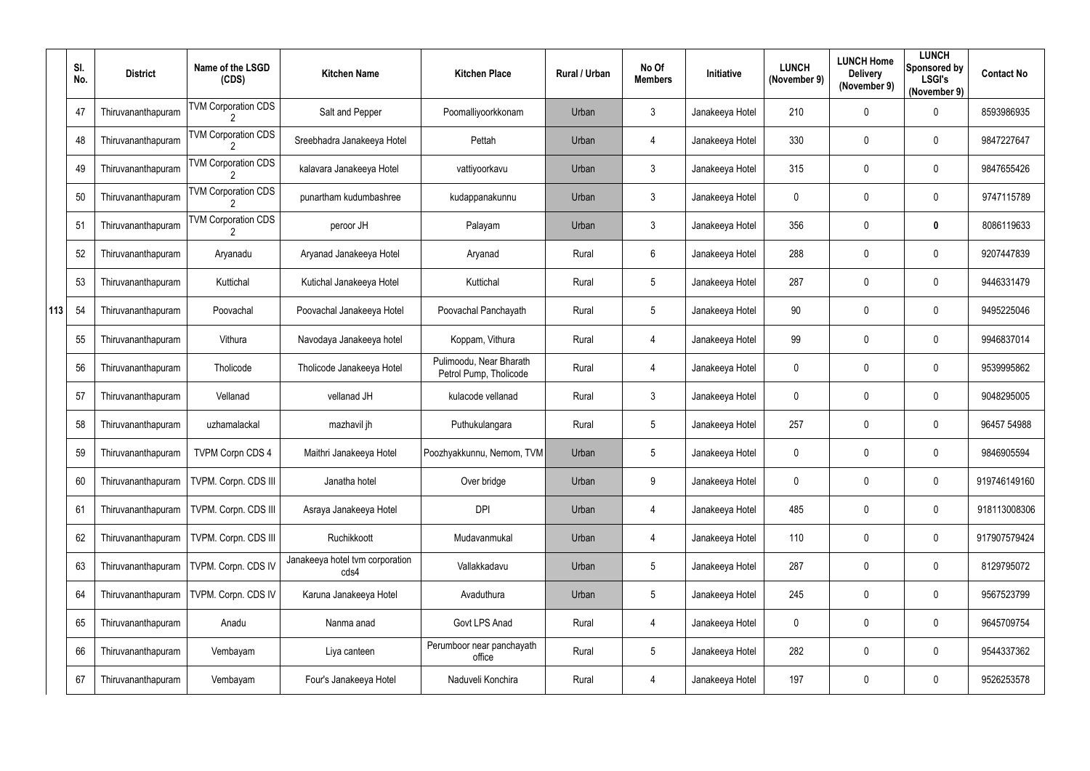|     | SI.<br>No. | <b>District</b>    | Name of the LSGD<br>(CDS)  | <b>Kitchen Name</b>                     | <b>Kitchen Place</b>                              | Rural / Urban | No Of<br><b>Members</b> | Initiative      | <b>LUNCH</b><br>(November 9) | <b>LUNCH Home</b><br><b>Delivery</b><br>(November 9) | <b>LUNCH</b><br>Sponsored by<br><b>LSGI's</b><br>(November 9) | <b>Contact No</b> |
|-----|------------|--------------------|----------------------------|-----------------------------------------|---------------------------------------------------|---------------|-------------------------|-----------------|------------------------------|------------------------------------------------------|---------------------------------------------------------------|-------------------|
|     | 47         | Thiruvananthapuram | <b>TVM Corporation CDS</b> | Salt and Pepper                         | Poomalliyoorkkonam                                | Urban         | $\mathfrak{Z}$          | Janakeeya Hotel | 210                          | $\pmb{0}$                                            | $\mathbf 0$                                                   | 8593986935        |
|     | 48         | Thiruvananthapuram | <b>TVM Corporation CDS</b> | Sreebhadra Janakeeya Hotel              | Pettah                                            | Urban         | 4                       | Janakeeya Hotel | 330                          | $\mathbf 0$                                          | $\mathbf 0$                                                   | 9847227647        |
|     | 49         | Thiruvananthapuram | <b>TVM Corporation CDS</b> | kalavara Janakeeya Hotel                | vattiyoorkavu                                     | Urban         | $\mathfrak{Z}$          | Janakeeya Hotel | 315                          | $\mathbf 0$                                          | $\overline{0}$                                                | 9847655426        |
|     | 50         | Thiruvananthapuram | <b>TVM Corporation CDS</b> | punartham kudumbashree                  | kudappanakunnu                                    | Urban         | $\mathfrak{Z}$          | Janakeeya Hotel | 0                            | $\mathbf 0$                                          | $\mathbf 0$                                                   | 9747115789        |
|     | 51         | Thiruvananthapuram | <b>TVM Corporation CDS</b> | peroor JH                               | Palayam                                           | Urban         | $\mathfrak{Z}$          | Janakeeya Hotel | 356                          | $\mathbf 0$                                          | $\bm{0}$                                                      | 8086119633        |
|     | 52         | Thiruvananthapuram | Aryanadu                   | Aryanad Janakeeya Hotel                 | Aryanad                                           | Rural         | $6\phantom{.}$          | Janakeeya Hotel | 288                          | 0                                                    | $\mathbf 0$                                                   | 9207447839        |
|     | 53         | Thiruvananthapuram | Kuttichal                  | Kutichal Janakeeya Hotel                | Kuttichal                                         | Rural         | 5                       | Janakeeya Hotel | 287                          | 0                                                    | $\mathbf 0$                                                   | 9446331479        |
| 113 | 54         | Thiruvananthapuram | Poovachal                  | Poovachal Janakeeya Hotel               | Poovachal Panchayath                              | Rural         | 5                       | Janakeeya Hotel | 90                           | $\mathbf 0$                                          | $\overline{0}$                                                | 9495225046        |
|     | 55         | Thiruvananthapuram | Vithura                    | Navodaya Janakeeya hotel                | Koppam, Vithura                                   | Rural         | 4                       | Janakeeya Hotel | 99                           | 0                                                    | $\overline{0}$                                                | 9946837014        |
|     | 56         | Thiruvananthapuram | Tholicode                  | Tholicode Janakeeya Hotel               | Pulimoodu, Near Bharath<br>Petrol Pump, Tholicode | Rural         | $\overline{4}$          | Janakeeya Hotel | 0                            | $\mathbf 0$                                          | $\mathbf 0$                                                   | 9539995862        |
|     | 57         | Thiruvananthapuram | Vellanad                   | vellanad JH                             | kulacode vellanad                                 | Rural         | $\mathfrak{Z}$          | Janakeeya Hotel | 0                            | $\mathbf 0$                                          | $\mathbf 0$                                                   | 9048295005        |
|     | 58         | Thiruvananthapuram | uzhamalackal               | mazhavil jh                             | Puthukulangara                                    | Rural         | $5\phantom{.0}$         | Janakeeya Hotel | 257                          | 0                                                    | $\mathbf 0$                                                   | 96457 54988       |
|     | 59         | Thiruvananthapuram | <b>TVPM Corpn CDS 4</b>    | Maithri Janakeeya Hotel                 | Poozhyakkunnu, Nemom, TVM                         | Urban         | $5\phantom{.0}$         | Janakeeya Hotel | 0                            | 0                                                    | 0                                                             | 9846905594        |
|     | 60         | Thiruvananthapuram | TVPM. Corpn. CDS III       | Janatha hotel                           | Over bridge                                       | Urban         | 9                       | Janakeeya Hotel | $\mathbf 0$                  | 0                                                    | $\overline{0}$                                                | 919746149160      |
|     | 61         | Thiruvananthapuram | TVPM. Corpn. CDS III       | Asraya Janakeeya Hotel                  | <b>DPI</b>                                        | Urban         | $\overline{4}$          | Janakeeya Hotel | 485                          | 0                                                    | $\overline{0}$                                                | 918113008306      |
|     | 62         | Thiruvananthapuram | TVPM. Corpn. CDS III       | Ruchikkoott                             | Mudavanmukal                                      | Urban         | $\overline{4}$          | Janakeeya Hotel | 110                          | 0                                                    | $\overline{0}$                                                | 917907579424      |
|     | 63         | Thiruvananthapuram | TVPM. Corpn. CDS IV        | Janakeeya hotel tvm corporation<br>cds4 | Vallakkadavu                                      | Urban         | $5\phantom{.0}$         | Janakeeya Hotel | 287                          | 0                                                    | $\overline{0}$                                                | 8129795072        |
|     | 64         | Thiruvananthapuram | TVPM. Corpn. CDS IV        | Karuna Janakeeya Hotel                  | Avaduthura                                        | Urban         | $5\phantom{.0}$         | Janakeeya Hotel | 245                          | 0                                                    | $\overline{0}$                                                | 9567523799        |
|     | 65         | Thiruvananthapuram | Anadu                      | Nanma anad                              | Govt LPS Anad                                     | Rural         | $\overline{4}$          | Janakeeya Hotel | $\mathbf 0$                  | $\pmb{0}$                                            | $\overline{0}$                                                | 9645709754        |
|     | 66         | Thiruvananthapuram | Vembayam                   | Liya canteen                            | Perumboor near panchayath<br>office               | Rural         | $5\phantom{.0}$         | Janakeeya Hotel | 282                          | 0                                                    | $\overline{0}$                                                | 9544337362        |
|     | 67         | Thiruvananthapuram | Vembayam                   | Four's Janakeeya Hotel                  | Naduveli Konchira                                 | Rural         | 4                       | Janakeeya Hotel | 197                          | $\pmb{0}$                                            | $\overline{0}$                                                | 9526253578        |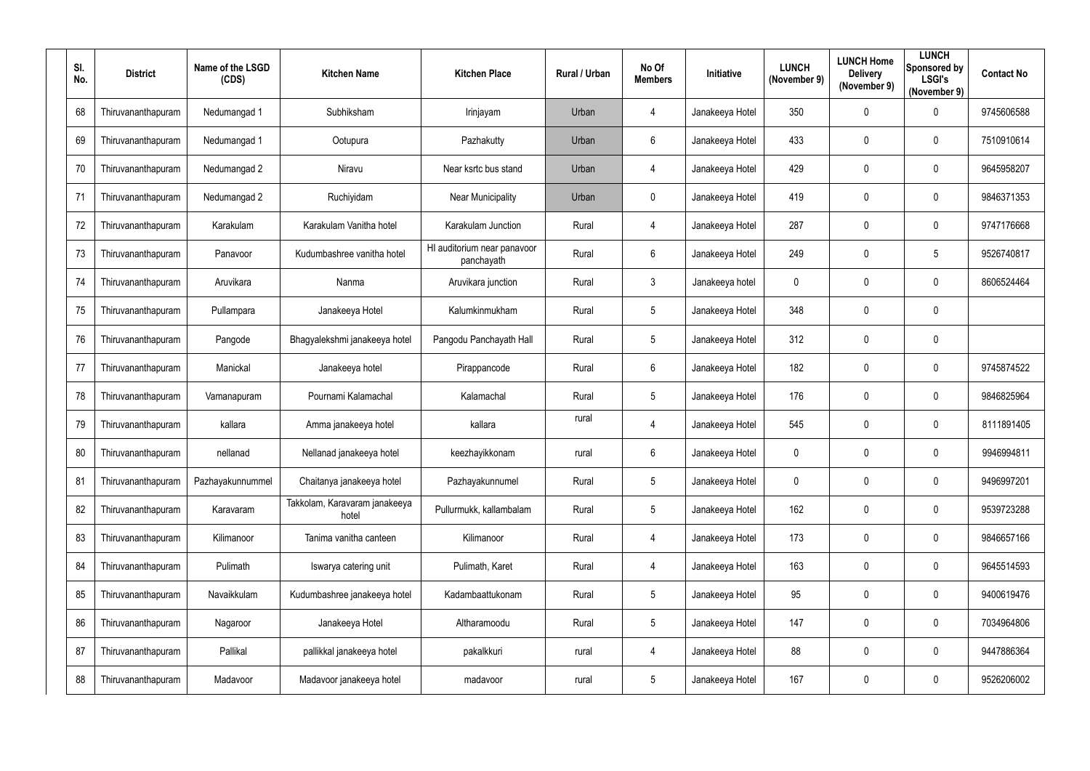| SI.<br>No. | <b>District</b>    | Name of the LSGD<br>(CDS) | <b>Kitchen Name</b>                    | <b>Kitchen Place</b>                      | <b>Rural / Urban</b> | No Of<br><b>Members</b> | Initiative      | <b>LUNCH</b><br>(November 9) | <b>LUNCH Home</b><br><b>Delivery</b><br>(November 9) | <b>LUNCH</b><br>Sponsored by<br><b>LSGI's</b><br>(November 9) | <b>Contact No</b> |
|------------|--------------------|---------------------------|----------------------------------------|-------------------------------------------|----------------------|-------------------------|-----------------|------------------------------|------------------------------------------------------|---------------------------------------------------------------|-------------------|
| 68         | Thiruvananthapuram | Nedumangad 1              | Subhiksham                             | Irinjayam                                 | Urban                | 4                       | Janakeeya Hotel | 350                          | $\mathbf 0$                                          | $\mathbf 0$                                                   | 9745606588        |
| 69         | Thiruvananthapuram | Nedumangad 1              | Ootupura                               | Pazhakutty                                | Urban                | $6\overline{6}$         | Janakeeya Hotel | 433                          | $\boldsymbol{0}$                                     | $\mathbf 0$                                                   | 7510910614        |
| 70         | Thiruvananthapuram | Nedumangad 2              | Niravu                                 | Near ksrtc bus stand                      | Urban                | $\overline{4}$          | Janakeeya Hotel | 429                          | $\boldsymbol{0}$                                     | $\boldsymbol{0}$                                              | 9645958207        |
| 71         | Thiruvananthapuram | Nedumangad 2              | Ruchiyidam                             | <b>Near Municipality</b>                  | Urban                | $\mathbf 0$             | Janakeeya Hotel | 419                          | $\boldsymbol{0}$                                     | $\mathbf 0$                                                   | 9846371353        |
| 72         | Thiruvananthapuram | Karakulam                 | Karakulam Vanitha hotel                | Karakulam Junction                        | Rural                | 4                       | Janakeeya Hotel | 287                          | $\boldsymbol{0}$                                     | $\mathbf 0$                                                   | 9747176668        |
| 73         | Thiruvananthapuram | Panavoor                  | Kudumbashree vanitha hotel             | HI auditorium near panavoor<br>panchayath | Rural                | $6\overline{6}$         | Janakeeya Hotel | 249                          | $\boldsymbol{0}$                                     | $\overline{5}$                                                | 9526740817        |
| 74         | Thiruvananthapuram | Aruvikara                 | Nanma                                  | Aruvikara junction                        | Rural                | $\mathbf{3}$            | Janakeeya hotel | $\mathbf 0$                  | $\mathbf 0$                                          | $\overline{0}$                                                | 8606524464        |
| 75         | Thiruvananthapuram | Pullampara                | Janakeeya Hotel                        | Kalumkinmukham                            | Rural                | $5\phantom{.0}$         | Janakeeya Hotel | 348                          | $\mathbf 0$                                          | $\mathbf 0$                                                   |                   |
| 76         | Thiruvananthapuram | Pangode                   | Bhagyalekshmi janakeeya hotel          | Pangodu Panchayath Hall                   | Rural                | $5\overline{)}$         | Janakeeya Hotel | 312                          | $\boldsymbol{0}$                                     | $\boldsymbol{0}$                                              |                   |
| 77         | Thiruvananthapuram | Manickal                  | Janakeeya hotel                        | Pirappancode                              | Rural                | $6\phantom{.}6$         | Janakeeya Hotel | 182                          | $\boldsymbol{0}$                                     | $\mathbf 0$                                                   | 9745874522        |
| 78         | Thiruvananthapuram | Vamanapuram               | Pournami Kalamachal                    | Kalamachal                                | Rural                | $5\phantom{.0}$         | Janakeeya Hotel | 176                          | $\boldsymbol{0}$                                     | $\boldsymbol{0}$                                              | 9846825964        |
| 79         | Thiruvananthapuram | kallara                   | Amma janakeeya hotel                   | kallara                                   | rural                | 4                       | Janakeeya Hotel | 545                          | $\boldsymbol{0}$                                     | $\mathbf 0$                                                   | 8111891405        |
| 80         | Thiruvananthapuram | nellanad                  | Nellanad janakeeya hotel               | keezhayikkonam                            | rural                | 6                       | Janakeeya Hotel | $\mathbf 0$                  | 0                                                    | $\mathbf 0$                                                   | 9946994811        |
| 81         | Thiruvananthapuram | Pazhayakunnummel          | Chaitanya janakeeya hotel              | Pazhayakunnumel                           | Rural                | $5\overline{)}$         | Janakeeya Hotel | $\overline{0}$               | $\boldsymbol{0}$                                     | $\mathbf 0$                                                   | 9496997201        |
| 82         | Thiruvananthapuram | Karavaram                 | Takkolam, Karavaram janakeeya<br>hotel | Pullurmukk, kallambalam                   | Rural                | $5\phantom{.0}$         | Janakeeya Hotel | 162                          | $\boldsymbol{0}$                                     | $\mathbf 0$                                                   | 9539723288        |
| 83         | Thiruvananthapuram | Kilimanoor                | Tanima vanitha canteen                 | Kilimanoor                                | Rural                | 4                       | Janakeeya Hotel | 173                          | $\boldsymbol{0}$                                     | $\boldsymbol{0}$                                              | 9846657166        |
| 84         | Thiruvananthapuram | Pulimath                  | Iswarya catering unit                  | Pulimath, Karet                           | Rural                | $\overline{4}$          | Janakeeya Hotel | 163                          | $\boldsymbol{0}$                                     | $\boldsymbol{0}$                                              | 9645514593        |
| 85         | Thiruvananthapuram | Navaikkulam               | Kudumbashree janakeeya hotel           | Kadambaattukonam                          | Rural                | $5\phantom{.0}$         | Janakeeya Hotel | 95                           | $\boldsymbol{0}$                                     | $\mathbf 0$                                                   | 9400619476        |
| 86         | Thiruvananthapuram | Nagaroor                  | Janakeeya Hotel                        | Altharamoodu                              | Rural                | $5\phantom{.0}$         | Janakeeya Hotel | 147                          | $\pmb{0}$                                            | $\boldsymbol{0}$                                              | 7034964806        |
| 87         | Thiruvananthapuram | Pallikal                  | pallikkal janakeeya hotel              | pakalkkuri                                | rural                | $\overline{4}$          | Janakeeya Hotel | 88                           | $\pmb{0}$                                            | $\mathbf 0$                                                   | 9447886364        |
| 88         | Thiruvananthapuram | Madavoor                  | Madavoor janakeeya hotel               | madavoor                                  | rural                | $5\phantom{.0}$         | Janakeeya Hotel | 167                          | $\boldsymbol{0}$                                     | $\boldsymbol{0}$                                              | 9526206002        |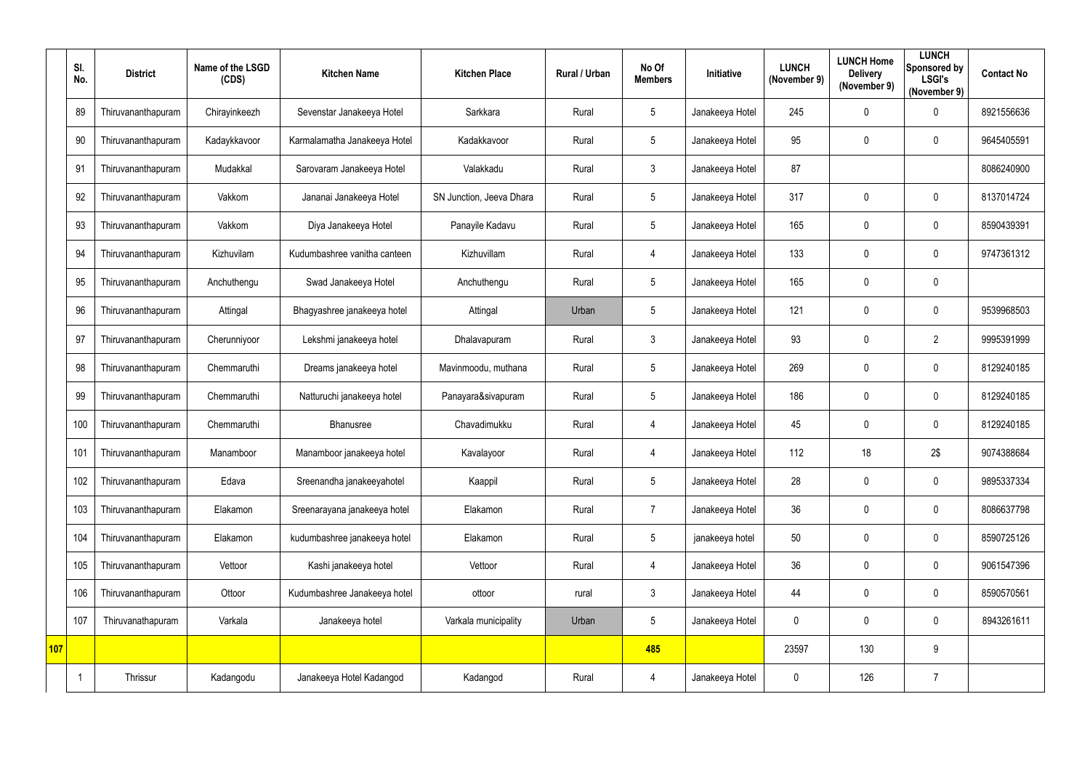|            | SI.<br>No. | <b>District</b>    | Name of the LSGD<br>(CDS) | <b>Kitchen Name</b>          | <b>Kitchen Place</b>     | Rural / Urban | No Of<br><b>Members</b> | Initiative      | <b>LUNCH</b><br>(November 9) | <b>LUNCH Home</b><br><b>Delivery</b><br>(November 9) | <b>LUNCH</b><br>Sponsored by<br><b>LSGI's</b><br>(November 9) | <b>Contact No</b> |
|------------|------------|--------------------|---------------------------|------------------------------|--------------------------|---------------|-------------------------|-----------------|------------------------------|------------------------------------------------------|---------------------------------------------------------------|-------------------|
|            | 89         | Thiruvananthapuram | Chirayinkeezh             | Sevenstar Janakeeya Hotel    | Sarkkara                 | Rural         | 5                       | Janakeeya Hotel | 245                          | $\mathbf 0$                                          | $\mathbf 0$                                                   | 8921556636        |
|            | 90         | Thiruvananthapuram | Kadaykkavoor              | Karmalamatha Janakeeya Hotel | Kadakkavoor              | Rural         | 5                       | Janakeeya Hotel | 95                           | 0                                                    | $\overline{0}$                                                | 9645405591        |
|            | 91         | Thiruvananthapuram | Mudakkal                  | Sarovaram Janakeeya Hotel    | Valakkadu                | Rural         | $\mathfrak{Z}$          | Janakeeya Hotel | 87                           |                                                      |                                                               | 8086240900        |
|            | 92         | Thiruvananthapuram | Vakkom                    | Jananai Janakeeya Hotel      | SN Junction, Jeeva Dhara | Rural         | 5                       | Janakeeya Hotel | 317                          | 0                                                    | $\mathbf 0$                                                   | 8137014724        |
|            | 93         | Thiruvananthapuram | Vakkom                    | Diya Janakeeya Hotel         | Panayile Kadavu          | Rural         | 5                       | Janakeeya Hotel | 165                          | 0                                                    | $\overline{0}$                                                | 8590439391        |
|            | 94         | Thiruvananthapuram | Kizhuvilam                | Kudumbashree vanitha canteen | Kizhuvillam              | Rural         | $\overline{4}$          | Janakeeya Hotel | 133                          | 0                                                    | $\overline{0}$                                                | 9747361312        |
|            | 95         | Thiruvananthapuram | Anchuthengu               | Swad Janakeeya Hotel         | Anchuthengu              | Rural         | $5\phantom{.0}$         | Janakeeya Hotel | 165                          | 0                                                    | $\mathbf 0$                                                   |                   |
|            | 96         | Thiruvananthapuram | Attingal                  | Bhagyashree janakeeya hotel  | Attingal                 | Urban         | 5                       | Janakeeya Hotel | 121                          | 0                                                    | $\mathbf 0$                                                   | 9539968503        |
|            | 97         | Thiruvananthapuram | Cherunniyoor              | Lekshmi janakeeya hotel      | Dhalavapuram             | Rural         | $\mathfrak{Z}$          | Janakeeya Hotel | 93                           | 0                                                    | $\overline{2}$                                                | 9995391999        |
|            | 98         | Thiruvananthapuram | Chemmaruthi               | Dreams janakeeya hotel       | Mavinmoodu, muthana      | Rural         | 5                       | Janakeeya Hotel | 269                          | 0                                                    | $\mathbf 0$                                                   | 8129240185        |
|            | 99         | Thiruvananthapuram | Chemmaruthi               | Natturuchi janakeeya hotel   | Panayara&sivapuram       | Rural         | $5\phantom{.0}$         | Janakeeya Hotel | 186                          | 0                                                    | $\overline{0}$                                                | 8129240185        |
|            | 100        | Thiruvananthapuram | Chemmaruthi               | Bhanusree                    | Chavadimukku             | Rural         | $\overline{4}$          | Janakeeya Hotel | 45                           | 0                                                    | $\mathbf 0$                                                   | 8129240185        |
|            | 101        | Thiruvananthapuram | Manamboor                 | Manamboor janakeeya hotel    | Kavalayoor               | Rural         | 4                       | Janakeeya Hotel | 112                          | 18                                                   | 2\$                                                           | 9074388684        |
|            | 102        | Thiruvananthapuram | Edava                     | Sreenandha janakeeyahotel    | Kaappil                  | Rural         | $5\phantom{.0}$         | Janakeeya Hotel | 28                           | $\pmb{0}$                                            | $\overline{0}$                                                | 9895337334        |
|            | 103        | Thiruvananthapuram | Elakamon                  | Sreenarayana janakeeya hotel | Elakamon                 | Rural         | $\overline{7}$          | Janakeeya Hotel | 36                           | $\pmb{0}$                                            | $\overline{0}$                                                | 8086637798        |
|            | 104        | Thiruvananthapuram | Elakamon                  | kudumbashree janakeeya hotel | Elakamon                 | Rural         | $5\phantom{.0}$         | janakeeya hotel | 50                           | $\pmb{0}$                                            | $\overline{0}$                                                | 8590725126        |
|            | 105        | Thiruvananthapuram | Vettoor                   | Kashi janakeeya hotel        | Vettoor                  | Rural         | $\overline{4}$          | Janakeeya Hotel | 36                           | 0                                                    | $\overline{0}$                                                | 9061547396        |
|            | 106        | Thiruvananthapuram | Ottoor                    | Kudumbashree Janakeeya hotel | ottoor                   | rural         | $\mathfrak{Z}$          | Janakeeya Hotel | 44                           | 0                                                    | $\overline{0}$                                                | 8590570561        |
|            | 107        | Thiruvanathapuram  | Varkala                   | Janakeeya hotel              | Varkala municipality     | Urban         | $5\phantom{.0}$         | Janakeeya Hotel | $\pmb{0}$                    | 0                                                    | $\overline{0}$                                                | 8943261611        |
| <b>107</b> |            |                    |                           |                              |                          |               | 485                     |                 | 23597                        | 130                                                  | 9                                                             |                   |
|            |            | Thrissur           | Kadangodu                 | Janakeeya Hotel Kadangod     | Kadangod                 | Rural         | $\overline{4}$          | Janakeeya Hotel | $\mathbf 0$                  | 126                                                  | $\overline{7}$                                                |                   |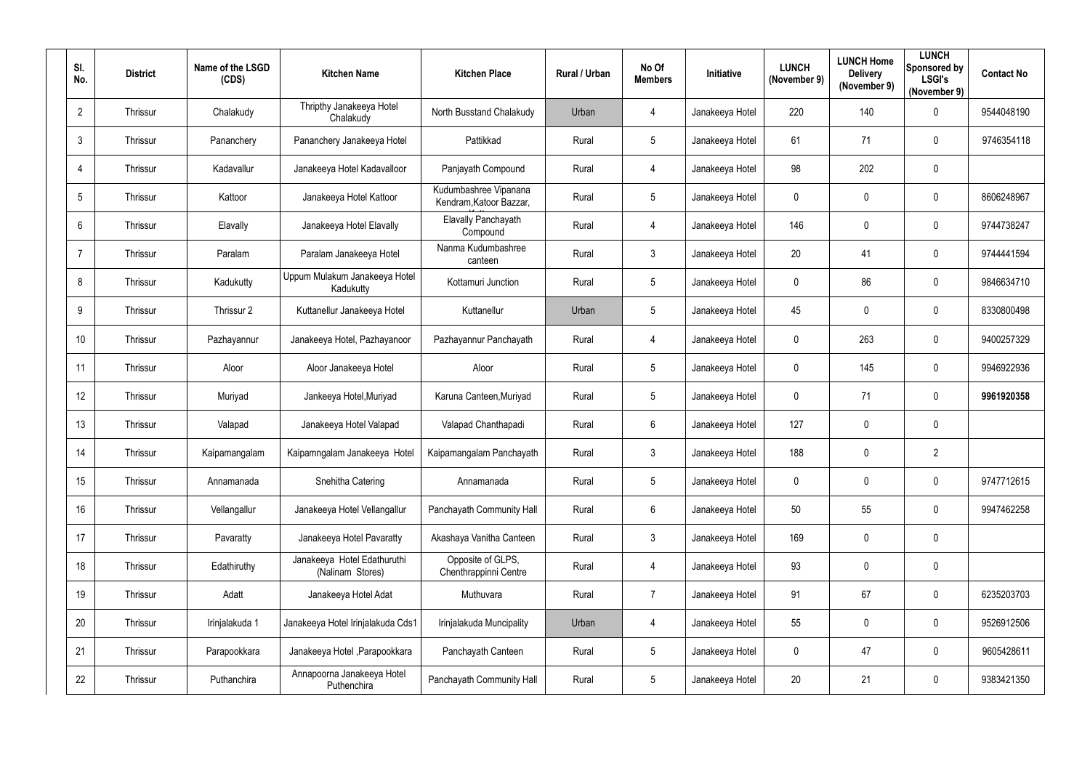| SI.<br>No.     | <b>District</b> | Name of the LSGD<br>(CDS) | <b>Kitchen Name</b>                             | <b>Kitchen Place</b>                             | Rural / Urban | No Of<br><b>Members</b> | Initiative      | <b>LUNCH</b><br>(November 9) | <b>LUNCH Home</b><br><b>Delivery</b><br>(November 9) | <b>LUNCH</b><br>Sponsored by<br><b>LSGI's</b><br>(November 9) | <b>Contact No</b> |
|----------------|-----------------|---------------------------|-------------------------------------------------|--------------------------------------------------|---------------|-------------------------|-----------------|------------------------------|------------------------------------------------------|---------------------------------------------------------------|-------------------|
| $\overline{2}$ | Thrissur        | Chalakudy                 | Thripthy Janakeeya Hotel<br>Chalakudy           | North Busstand Chalakudy                         | Urban         | 4                       | Janakeeya Hotel | 220                          | 140                                                  | $\mathbf 0$                                                   | 9544048190        |
| 3              | Thrissur        | Pananchery                | Pananchery Janakeeya Hotel                      | Pattikkad                                        | Rural         | $5\phantom{.0}$         | Janakeeya Hotel | 61                           | 71                                                   | $\mathbf 0$                                                   | 9746354118        |
| 4              | Thrissur        | Kadavallur                | Janakeeya Hotel Kadavalloor                     | Panjayath Compound                               | Rural         | 4                       | Janakeeya Hotel | 98                           | 202                                                  | $\mathbf 0$                                                   |                   |
| 5              | Thrissur        | Kattoor                   | Janakeeya Hotel Kattoor                         | Kudumbashree Vipanana<br>Kendram, Katoor Bazzar, | Rural         | $5\phantom{.0}$         | Janakeeya Hotel | $\mathbf 0$                  | 0                                                    | $\mathbf 0$                                                   | 8606248967        |
| 6              | Thrissur        | Elavally                  | Janakeeya Hotel Elavally                        | Elavally Panchayath<br>Compound                  | Rural         | 4                       | Janakeeya Hotel | 146                          | $\pmb{0}$                                            | $\mathbf 0$                                                   | 9744738247        |
| -7             | Thrissur        | Paralam                   | Paralam Janakeeya Hotel                         | Nanma Kudumbashree<br>canteen                    | Rural         | $\mathbf{3}$            | Janakeeya Hotel | 20                           | 41                                                   | $\overline{0}$                                                | 9744441594        |
| 8              | Thrissur        | Kadukutty                 | Uppum Mulakum Janakeeya Hotel<br>Kadukutty      | Kottamuri Junction                               | Rural         | $5\phantom{.0}$         | Janakeeya Hotel | $\mathbf 0$                  | 86                                                   | $\mathbf 0$                                                   | 9846634710        |
| 9              | Thrissur        | Thrissur 2                | Kuttanellur Janakeeya Hotel                     | Kuttanellur                                      | Urban         | 5                       | Janakeeya Hotel | 45                           | 0                                                    | $\mathbf 0$                                                   | 8330800498        |
| 10             | Thrissur        | Pazhayannur               | Janakeeya Hotel, Pazhayanoor                    | Pazhayannur Panchayath                           | Rural         | $\overline{4}$          | Janakeeya Hotel | $\mathbf 0$                  | 263                                                  | $\mathbf 0$                                                   | 9400257329        |
| 11             | Thrissur        | Aloor                     | Aloor Janakeeya Hotel                           | Aloor                                            | Rural         | $5\phantom{.0}$         | Janakeeya Hotel | $\mathbf 0$                  | 145                                                  | $\mathbf 0$                                                   | 9946922936        |
| 12             | Thrissur        | Muriyad                   | Jankeeya Hotel, Muriyad                         | Karuna Canteen, Muriyad                          | Rural         | $5\phantom{.0}$         | Janakeeya Hotel | $\mathbf 0$                  | 71                                                   | $\mathbf 0$                                                   | 9961920358        |
| 13             | Thrissur        | Valapad                   | Janakeeya Hotel Valapad                         | Valapad Chanthapadi                              | Rural         | $6\overline{6}$         | Janakeeya Hotel | 127                          | 0                                                    | $\mathbf 0$                                                   |                   |
| 14             | Thrissur        | Kaipamangalam             | Kaipamngalam Janakeeya Hotel                    | Kaipamangalam Panchayath                         | Rural         | $\mathfrak{Z}$          | Janakeeya Hotel | 188                          | $\mathbf 0$                                          | $\overline{2}$                                                |                   |
| 15             | Thrissur        | Annamanada                | Snehitha Catering                               | Annamanada                                       | Rural         | $5\phantom{.0}$         | Janakeeya Hotel | $\mathbf 0$                  | 0                                                    | $\overline{0}$                                                | 9747712615        |
| 16             | Thrissur        | Vellangallur              | Janakeeya Hotel Vellangallur                    | Panchayath Community Hall                        | Rural         | $6\phantom{.}$          | Janakeeya Hotel | 50                           | 55                                                   | $\overline{0}$                                                | 9947462258        |
| 17             | Thrissur        | Pavaratty                 | Janakeeya Hotel Pavaratty                       | Akashaya Vanitha Canteen                         | Rural         | $\mathbf{3}$            | Janakeeya Hotel | 169                          | 0                                                    | $\mathbf 0$                                                   |                   |
| 18             | Thrissur        | Edathiruthy               | Janakeeya Hotel Edathuruthi<br>(Nalinam Stores) | Opposite of GLPS,<br>Chenthrappinni Centre       | Rural         | 4                       | Janakeeya Hotel | 93                           | 0                                                    | $\overline{0}$                                                |                   |
| 19             | Thrissur        | Adatt                     | Janakeeya Hotel Adat                            | Muthuvara                                        | Rural         | $\overline{7}$          | Janakeeya Hotel | 91                           | 67                                                   | $\overline{0}$                                                | 6235203703        |
| 20             | Thrissur        | Irinjalakuda 1            | Janakeeya Hotel Irinjalakuda Cds1               | Irinjalakuda Muncipality                         | Urban         | 4                       | Janakeeya Hotel | 55                           | 0                                                    | $\overline{0}$                                                | 9526912506        |
| 21             | Thrissur        | Parapookkara              | Janakeeya Hotel, Parapookkara                   | Panchayath Canteen                               | Rural         | $5\phantom{.0}$         | Janakeeya Hotel | $\mathbf 0$                  | 47                                                   | $\overline{0}$                                                | 9605428611        |
| 22             | Thrissur        | Puthanchira               | Annapoorna Janakeeya Hotel<br>Puthenchira       | Panchayath Community Hall                        | Rural         | 5                       | Janakeeya Hotel | 20                           | 21                                                   | $\overline{0}$                                                | 9383421350        |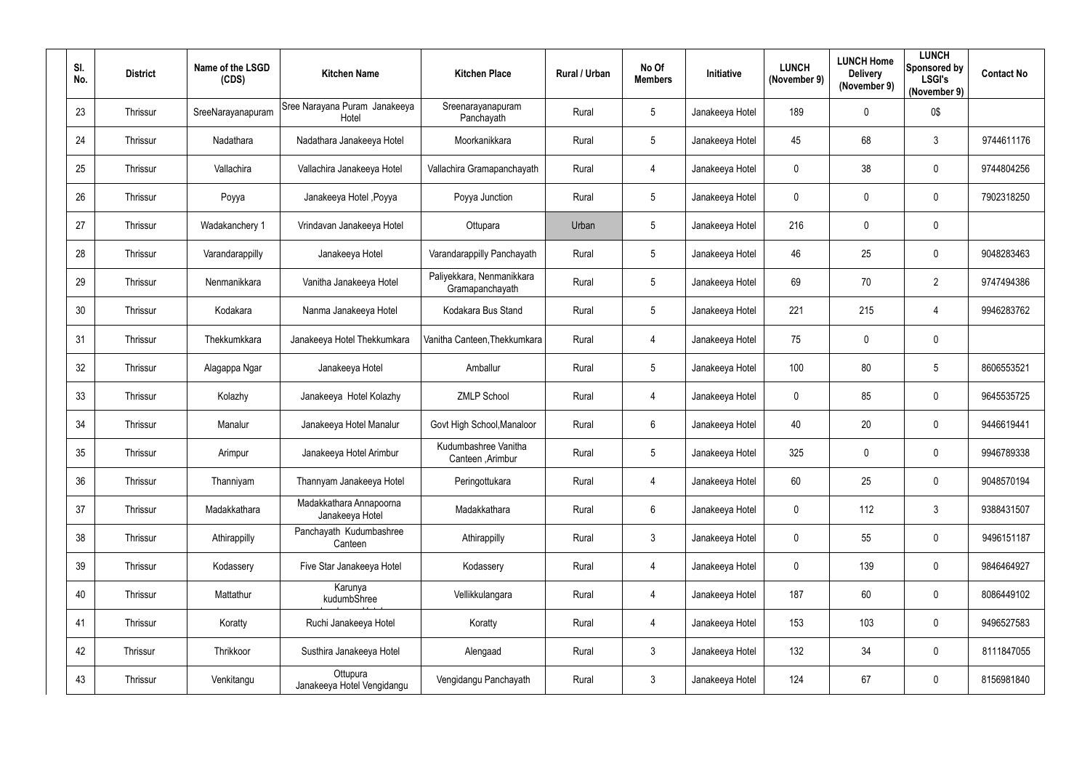| SI.<br>No. | <b>District</b> | Name of the LSGD<br>(CDS) | <b>Kitchen Name</b>                        | <b>Kitchen Place</b>                         | Rural / Urban | No Of<br><b>Members</b> | Initiative      | <b>LUNCH</b><br>(November 9) | <b>LUNCH Home</b><br><b>Delivery</b><br>(November 9) | <b>LUNCH</b><br>Sponsored by<br><b>LSGI's</b><br>(November 9) | <b>Contact No</b> |
|------------|-----------------|---------------------------|--------------------------------------------|----------------------------------------------|---------------|-------------------------|-----------------|------------------------------|------------------------------------------------------|---------------------------------------------------------------|-------------------|
| 23         | Thrissur        | SreeNarayanapuram         | Sree Narayana Puram Janakeeya<br>Hotel     | Sreenarayanapuram<br>Panchayath              | Rural         | $5\phantom{.0}$         | Janakeeya Hotel | 189                          | 0                                                    | 0\$                                                           |                   |
| 24         | Thrissur        | Nadathara                 | Nadathara Janakeeya Hotel                  | Moorkanikkara                                | Rural         | $5\overline{)}$         | Janakeeya Hotel | 45                           | 68                                                   | $\mathbf{3}$                                                  | 9744611176        |
| 25         | Thrissur        | Vallachira                | Vallachira Janakeeya Hotel                 | Vallachira Gramapanchayath                   | Rural         | $\overline{4}$          | Janakeeya Hotel | $\mathbf 0$                  | 38                                                   | $\mathbf 0$                                                   | 9744804256        |
| 26         | Thrissur        | Poyya                     | Janakeeya Hotel, Poyya                     | Poyya Junction                               | Rural         | $5\phantom{.0}$         | Janakeeya Hotel | $\boldsymbol{0}$             | 0                                                    | $\mathbf 0$                                                   | 7902318250        |
| 27         | Thrissur        | Wadakanchery 1            | Vrindavan Janakeeya Hotel                  | Ottupara                                     | Urban         | $5\phantom{.0}$         | Janakeeya Hotel | 216                          | 0                                                    | $\overline{0}$                                                |                   |
| 28         | Thrissur        | Varandarappilly           | Janakeeya Hotel                            | Varandarappilly Panchayath                   | Rural         | $5\overline{)}$         | Janakeeya Hotel | 46                           | 25                                                   | $\overline{0}$                                                | 9048283463        |
| 29         | Thrissur        | Nenmanikkara              | Vanitha Janakeeya Hotel                    | Paliyekkara, Nenmanikkara<br>Gramapanchayath | Rural         | $5\overline{)}$         | Janakeeya Hotel | 69                           | 70                                                   | $\overline{2}$                                                | 9747494386        |
| 30         | Thrissur        | Kodakara                  | Nanma Janakeeya Hotel                      | Kodakara Bus Stand                           | Rural         | $5\overline{)}$         | Janakeeya Hotel | 221                          | 215                                                  | $\overline{4}$                                                | 9946283762        |
| 31         | Thrissur        | Thekkumkkara              | Janakeeya Hotel Thekkumkara                | Vanitha Canteen, Thekkumkara                 | Rural         | $\overline{4}$          | Janakeeya Hotel | 75                           | 0                                                    | $\overline{0}$                                                |                   |
| 32         | Thrissur        | Alagappa Ngar             | Janakeeya Hotel                            | Amballur                                     | Rural         | $5\overline{)}$         | Janakeeya Hotel | 100                          | 80                                                   | $5\phantom{.0}$                                               | 8606553521        |
| 33         | Thrissur        | Kolazhy                   | Janakeeya Hotel Kolazhy                    | <b>ZMLP School</b>                           | Rural         | $\overline{4}$          | Janakeeya Hotel | $\overline{0}$               | 85                                                   | $\overline{0}$                                                | 9645535725        |
| 34         | Thrissur        | Manalur                   | Janakeeya Hotel Manalur                    | Govt High School, Manaloor                   | Rural         | $6\overline{6}$         | Janakeeya Hotel | 40                           | 20                                                   | $\mathbf 0$                                                   | 9446619441        |
| 35         | Thrissur        | Arimpur                   | Janakeeya Hotel Arimbur                    | Kudumbashree Vanitha<br>Canteen, Arimbur     | Rural         | 5                       | Janakeeya Hotel | 325                          | 0                                                    | $\mathbf 0$                                                   | 9946789338        |
| 36         | Thrissur        | Thanniyam                 | Thannyam Janakeeya Hotel                   | Peringottukara                               | Rural         | $\overline{4}$          | Janakeeya Hotel | 60                           | 25                                                   | $\overline{0}$                                                | 9048570194        |
| 37         | Thrissur        | Madakkathara              | Madakkathara Annapoorna<br>Janakeeya Hotel | Madakkathara                                 | Rural         | $6\phantom{.}6$         | Janakeeya Hotel | $\pmb{0}$                    | 112                                                  | $\mathbf{3}$                                                  | 9388431507        |
| 38         | Thrissur        | Athirappilly              | Panchayath Kudumbashree<br>Canteen         | Athirappilly                                 | Rural         | $3\phantom{.0}$         | Janakeeya Hotel | $\mathbf 0$                  | 55                                                   | $\overline{0}$                                                | 9496151187        |
| 39         | Thrissur        | Kodassery                 | Five Star Janakeeya Hotel                  | Kodassery                                    | Rural         | $\overline{4}$          | Janakeeya Hotel | $\mathbf 0$                  | 139                                                  | $\overline{0}$                                                | 9846464927        |
| 40         | Thrissur        | Mattathur                 | Karunya<br>kudumbShree                     | Vellikkulangara                              | Rural         | $\overline{4}$          | Janakeeya Hotel | 187                          | 60                                                   | $\overline{0}$                                                | 8086449102        |
| 41         | Thrissur        | Koratty                   | Ruchi Janakeeya Hotel                      | Koratty                                      | Rural         | $\overline{4}$          | Janakeeya Hotel | 153                          | 103                                                  | $\overline{0}$                                                | 9496527583        |
| 42         | Thrissur        | Thrikkoor                 | Susthira Janakeeya Hotel                   | Alengaad                                     | Rural         | $3\phantom{.0}$         | Janakeeya Hotel | 132                          | 34                                                   | $\overline{0}$                                                | 8111847055        |
| 43         | Thrissur        | Venkitangu                | Ottupura<br>Janakeeya Hotel Vengidangu     | Vengidangu Panchayath                        | Rural         | $\mathbf{3}$            | Janakeeya Hotel | 124                          | 67                                                   | $\overline{0}$                                                | 8156981840        |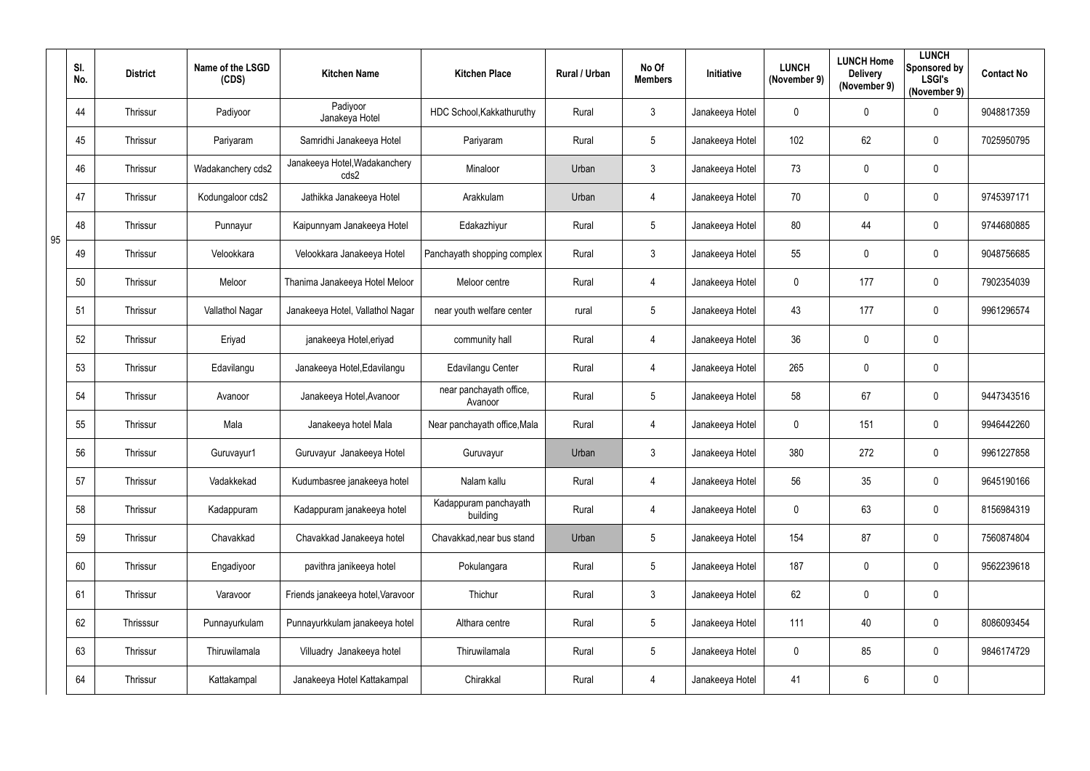|    | SI.<br>No. | <b>District</b> | Name of the LSGD<br>(CDS) | <b>Kitchen Name</b>                   | <b>Kitchen Place</b>               | Rural / Urban | No Of<br><b>Members</b> | Initiative      | <b>LUNCH</b><br>(November 9) | <b>LUNCH Home</b><br><b>Delivery</b><br>(November 9) | <b>LUNCH</b><br>Sponsored by<br><b>LSGI's</b><br>(November 9) | <b>Contact No</b> |
|----|------------|-----------------|---------------------------|---------------------------------------|------------------------------------|---------------|-------------------------|-----------------|------------------------------|------------------------------------------------------|---------------------------------------------------------------|-------------------|
|    | 44         | Thrissur        | Padiyoor                  | Padiyoor<br>Janakeya Hotel            | HDC School, Kakkathuruthy          | Rural         | $\mathfrak{Z}$          | Janakeeya Hotel | $\mathbf 0$                  | $\mathbf 0$                                          | $\mathbf 0$                                                   | 9048817359        |
|    | 45         | Thrissur        | Pariyaram                 | Samridhi Janakeeya Hotel              | Pariyaram                          | Rural         | 5                       | Janakeeya Hotel | 102                          | 62                                                   | $\overline{0}$                                                | 7025950795        |
|    | 46         | Thrissur        | Wadakanchery cds2         | Janakeeya Hotel, Wadakanchery<br>cds2 | Minaloor                           | Urban         | $\mathfrak{Z}$          | Janakeeya Hotel | 73                           | 0                                                    | $\mathbf 0$                                                   |                   |
|    | 47         | Thrissur        | Kodungaloor cds2          | Jathikka Janakeeya Hotel              | Arakkulam                          | Urban         | $\overline{4}$          | Janakeeya Hotel | 70                           | 0                                                    | $\mathbf 0$                                                   | 9745397171        |
| 95 | 48         | Thrissur        | Punnayur                  | Kaipunnyam Janakeeya Hotel            | Edakazhiyur                        | Rural         | 5                       | Janakeeya Hotel | 80                           | 44                                                   | $\overline{0}$                                                | 9744680885        |
|    | 49         | Thrissur        | Velookkara                | Velookkara Janakeeya Hotel            | Panchayath shopping complex        | Rural         | $\mathbf{3}$            | Janakeeya Hotel | 55                           | $\pmb{0}$                                            | $\overline{0}$                                                | 9048756685        |
|    | 50         | Thrissur        | Meloor                    | Thanima Janakeeya Hotel Meloor        | Meloor centre                      | Rural         | $\overline{4}$          | Janakeeya Hotel | $\mathbf 0$                  | 177                                                  | $\overline{0}$                                                | 7902354039        |
|    | 51         | Thrissur        | Vallathol Nagar           | Janakeeya Hotel, Vallathol Nagar      | near youth welfare center          | rural         | 5                       | Janakeeya Hotel | 43                           | 177                                                  | $\overline{0}$                                                | 9961296574        |
|    | 52         | Thrissur        | Eriyad                    | janakeeya Hotel, eriyad               | community hall                     | Rural         | $\overline{4}$          | Janakeeya Hotel | 36                           | 0                                                    | $\mathbf 0$                                                   |                   |
|    | 53         | Thrissur        | Edavilangu                | Janakeeya Hotel, Edavilangu           | Edavilangu Center                  | Rural         | $\overline{4}$          | Janakeeya Hotel | 265                          | 0                                                    | $\mathbf 0$                                                   |                   |
|    | 54         | Thrissur        | Avanoor                   | Janakeeya Hotel, Avanoor              | near panchayath office,<br>Avanoor | Rural         | 5                       | Janakeeya Hotel | 58                           | 67                                                   | $\overline{0}$                                                | 9447343516        |
|    | 55         | Thrissur        | Mala                      | Janakeeya hotel Mala                  | Near panchayath office, Mala       | Rural         | $\overline{4}$          | Janakeeya Hotel | $\mathbf 0$                  | 151                                                  | $\overline{0}$                                                | 9946442260        |
|    | 56         | Thrissur        | Guruvayur1                | Guruvayur Janakeeya Hotel             | Guruvayur                          | Urban         | 3                       | Janakeeya Hotel | 380                          | 272                                                  | $\mathbf 0$                                                   | 9961227858        |
|    | 57         | Thrissur        | Vadakkekad                | Kudumbasree janakeeya hotel           | Nalam kallu                        | Rural         | $\overline{4}$          | Janakeeya Hotel | 56                           | 35                                                   | $\overline{0}$                                                | 9645190166        |
|    | 58         | Thrissur        | Kadappuram                | Kadappuram janakeeya hotel            | Kadappuram panchayath<br>building  | Rural         | $\overline{4}$          | Janakeeya Hotel | $\mathbf 0$                  | 63                                                   | $\overline{0}$                                                | 8156984319        |
|    | 59         | Thrissur        | Chavakkad                 | Chavakkad Janakeeya hotel             | Chavakkad, near bus stand          | Urban         | 5                       | Janakeeya Hotel | 154                          | 87                                                   | $\overline{0}$                                                | 7560874804        |
|    | 60         | Thrissur        | Engadiyoor                | pavithra janikeeya hotel              | Pokulangara                        | Rural         | 5                       | Janakeeya Hotel | 187                          | $\pmb{0}$                                            | $\overline{0}$                                                | 9562239618        |
|    | 61         | Thrissur        | Varavoor                  | Friends janakeeya hotel, Varavoor     | Thichur                            | Rural         | $3\overline{3}$         | Janakeeya Hotel | 62                           | $\pmb{0}$                                            | $\overline{0}$                                                |                   |
|    | 62         | Thrisssur       | Punnayurkulam             | Punnayurkkulam janakeeya hotel        | Althara centre                     | Rural         | 5                       | Janakeeya Hotel | 111                          | 40                                                   | $\overline{0}$                                                | 8086093454        |
|    | 63         | Thrissur        | Thiruwilamala             | Villuadry Janakeeya hotel             | Thiruwilamala                      | Rural         | 5                       | Janakeeya Hotel | $\mathbf 0$                  | 85                                                   | $\overline{0}$                                                | 9846174729        |
|    | 64         | Thrissur        | Kattakampal               | Janakeeya Hotel Kattakampal           | Chirakkal                          | Rural         | 4                       | Janakeeya Hotel | 41                           | 6                                                    | $\overline{0}$                                                |                   |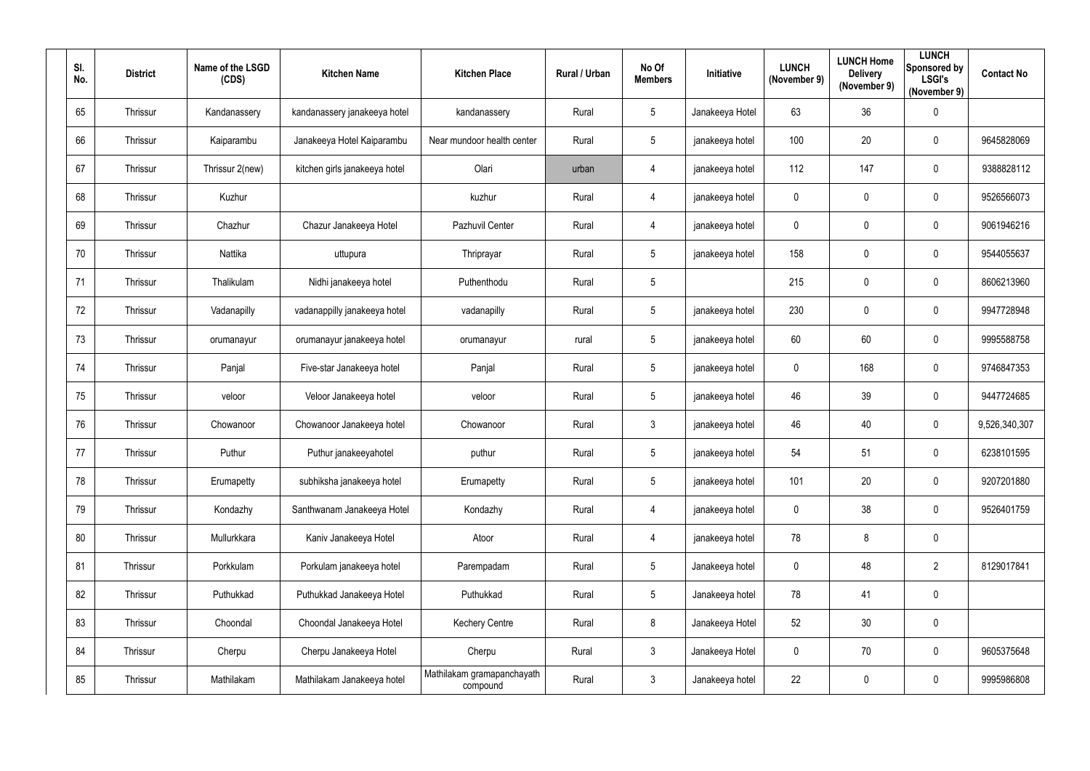| SI.<br>No. | <b>District</b> | Name of the LSGD<br>(CDS) | <b>Kitchen Name</b>           | <b>Kitchen Place</b>                   | Rural / Urban | No Of<br><b>Members</b> | Initiative      | <b>LUNCH</b><br>(November 9) | <b>LUNCH Home</b><br><b>Delivery</b><br>(November 9) | <b>LUNCH</b><br>Sponsored by<br><b>LSGI's</b><br>(November 9) | <b>Contact No</b> |
|------------|-----------------|---------------------------|-------------------------------|----------------------------------------|---------------|-------------------------|-----------------|------------------------------|------------------------------------------------------|---------------------------------------------------------------|-------------------|
| 65         | Thrissur        | Kandanassery              | kandanassery janakeeya hotel  | kandanassery                           | Rural         | $5\phantom{.0}$         | Janakeeya Hotel | 63                           | 36                                                   | $\overline{0}$                                                |                   |
| 66         | Thrissur        | Kaiparambu                | Janakeeya Hotel Kaiparambu    | Near mundoor health center             | Rural         | $5\phantom{.0}$         | janakeeya hotel | 100                          | 20                                                   | $\overline{0}$                                                | 9645828069        |
| 67         | Thrissur        | Thrissur 2(new)           | kitchen girls janakeeya hotel | Olari                                  | urban         | $\overline{4}$          | janakeeya hotel | 112                          | 147                                                  | $\overline{0}$                                                | 9388828112        |
| 68         | Thrissur        | Kuzhur                    |                               | kuzhur                                 | Rural         | 4                       | janakeeya hotel | $\overline{0}$               | 0                                                    | $\mathbf 0$                                                   | 9526566073        |
| 69         | Thrissur        | Chazhur                   | Chazur Janakeeya Hotel        | Pazhuvil Center                        | Rural         | 4                       | janakeeya hotel | $\mathbf 0$                  | 0                                                    | $\overline{0}$                                                | 9061946216        |
| 70         | Thrissur        | Nattika                   | uttupura                      | Thriprayar                             | Rural         | $5\phantom{.0}$         | janakeeya hotel | 158                          | 0                                                    | $\overline{0}$                                                | 9544055637        |
| 71         | Thrissur        | Thalikulam                | Nidhi janakeeya hotel         | Puthenthodu                            | Rural         | $5\phantom{.0}$         |                 | 215                          | 0                                                    | $\mathbf 0$                                                   | 8606213960        |
| 72         | Thrissur        | Vadanapilly               | vadanappilly janakeeya hotel  | vadanapilly                            | Rural         | $5\phantom{.0}$         | janakeeya hotel | 230                          | 0                                                    | $\overline{0}$                                                | 9947728948        |
| 73         | Thrissur        | orumanayur                | orumanayur janakeeya hotel    | orumanayur                             | rural         | $5\phantom{.0}$         | janakeeya hotel | 60                           | 60                                                   | $\overline{0}$                                                | 9995588758        |
| 74         | Thrissur        | Panjal                    | Five-star Janakeeya hotel     | Panjal                                 | Rural         | $5\phantom{.0}$         | janakeeya hotel | $\mathbf 0$                  | 168                                                  | $\overline{0}$                                                | 9746847353        |
| 75         | Thrissur        | veloor                    | Veloor Janakeeya hotel        | veloor                                 | Rural         | $5\phantom{.0}$         | janakeeya hotel | 46                           | 39                                                   | $\overline{0}$                                                | 9447724685        |
| 76         | Thrissur        | Chowanoor                 | Chowanoor Janakeeya hotel     | Chowanoor                              | Rural         | $\mathbf{3}$            | janakeeya hotel | 46                           | 40                                                   | $\overline{0}$                                                | 9,526,340,307     |
| 77         | Thrissur        | Puthur                    | Puthur janakeeyahotel         | puthur                                 | Rural         | 5                       | janakeeya hotel | 54                           | 51                                                   | $\mathbf 0$                                                   | 6238101595        |
| 78         | Thrissur        | Erumapetty                | subhiksha janakeeya hotel     | Erumapetty                             | Rural         | $5\phantom{.0}$         | janakeeya hotel | 101                          | 20                                                   | $\overline{0}$                                                | 9207201880        |
| 79         | Thrissur        | Kondazhy                  | Santhwanam Janakeeya Hotel    | Kondazhy                               | Rural         | $\overline{4}$          | janakeeya hotel | $\mathbf 0$                  | 38                                                   | $\overline{0}$                                                | 9526401759        |
| 80         | Thrissur        | Mullurkkara               | Kaniv Janakeeya Hotel         | Atoor                                  | Rural         | $\overline{4}$          | janakeeya hotel | 78                           | 8                                                    | $\overline{0}$                                                |                   |
| 81         | Thrissur        | Porkkulam                 | Porkulam janakeeya hotel      | Parempadam                             | Rural         | 5 <sub>5</sub>          | Janakeeya hotel | $\mathbf 0$                  | 48                                                   | $\overline{2}$                                                | 8129017841        |
| 82         | Thrissur        | Puthukkad                 | Puthukkad Janakeeya Hotel     | Puthukkad                              | Rural         | $5\overline{)}$         | Janakeeya hotel | 78                           | 41                                                   | $\overline{0}$                                                |                   |
| 83         | Thrissur        | Choondal                  | Choondal Janakeeya Hotel      | <b>Kechery Centre</b>                  | Rural         | 8                       | Janakeeya Hotel | 52                           | 30                                                   | $\overline{0}$                                                |                   |
| 84         | Thrissur        | Cherpu                    | Cherpu Janakeeya Hotel        | Cherpu                                 | Rural         | $\mathbf{3}$            | Janakeeya Hotel | $\mathbf 0$                  | 70                                                   | $\overline{0}$                                                | 9605375648        |
| 85         | Thrissur        | Mathilakam                | Mathilakam Janakeeya hotel    | Mathilakam gramapanchayath<br>compound | Rural         | $\mathbf{3}$            | Janakeeya hotel | 22                           | 0                                                    | $\overline{0}$                                                | 9995986808        |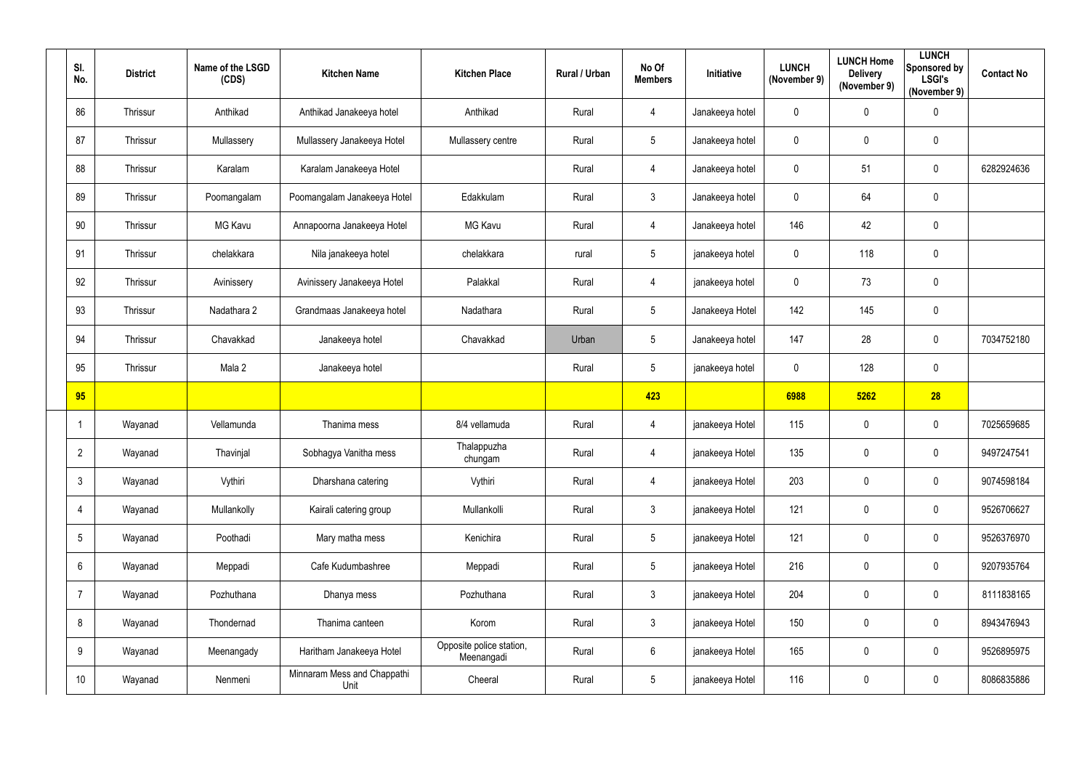| SI.<br>No.      | <b>District</b> | Name of the LSGD<br>(CDS) | <b>Kitchen Name</b>                 | <b>Kitchen Place</b>                   | Rural / Urban | No Of<br><b>Members</b> | Initiative      | <b>LUNCH</b><br>(November 9) | <b>LUNCH Home</b><br><b>Delivery</b><br>(November 9) | <b>LUNCH</b><br>Sponsored by<br><b>LSGI's</b><br>(November 9) | <b>Contact No</b> |
|-----------------|-----------------|---------------------------|-------------------------------------|----------------------------------------|---------------|-------------------------|-----------------|------------------------------|------------------------------------------------------|---------------------------------------------------------------|-------------------|
| 86              | Thrissur        | Anthikad                  | Anthikad Janakeeya hotel            | Anthikad                               | Rural         | 4                       | Janakeeya hotel | $\mathbf 0$                  | $\mathbf 0$                                          | $\mathbf 0$                                                   |                   |
| 87              | Thrissur        | Mullassery                | Mullassery Janakeeya Hotel          | Mullassery centre                      | Rural         | $5\phantom{.0}$         | Janakeeya hotel | $\mathbf 0$                  | $\mathbf 0$                                          | $\mathbf 0$                                                   |                   |
| 88              | Thrissur        | Karalam                   | Karalam Janakeeya Hotel             |                                        | Rural         | 4                       | Janakeeya hotel | $\mathbf 0$                  | 51                                                   | $\mathbf 0$                                                   | 6282924636        |
| 89              | Thrissur        | Poomangalam               | Poomangalam Janakeeya Hotel         | Edakkulam                              | Rural         | $\mathbf{3}$            | Janakeeya hotel | $\mathbf 0$                  | 64                                                   | $\mathbf 0$                                                   |                   |
| 90              | Thrissur        | <b>MG Kavu</b>            | Annapoorna Janakeeya Hotel          | <b>MG Kavu</b>                         | Rural         | $\overline{4}$          | Janakeeya hotel | 146                          | 42                                                   | $\mathbf 0$                                                   |                   |
| 91              | Thrissur        | chelakkara                | Nila janakeeya hotel                | chelakkara                             | rural         | $5\phantom{.0}$         | janakeeya hotel | $\overline{0}$               | 118                                                  | $\mathbf 0$                                                   |                   |
| 92              | Thrissur        | Avinissery                | Avinissery Janakeeya Hotel          | Palakkal                               | Rural         | 4                       | janakeeya hotel | $\mathbf 0$                  | 73                                                   | $\mathbf 0$                                                   |                   |
| 93              | Thrissur        | Nadathara 2               | Grandmaas Janakeeya hotel           | Nadathara                              | Rural         | $5\phantom{.0}$         | Janakeeya Hotel | 142                          | 145                                                  | $\mathbf 0$                                                   |                   |
| 94              | Thrissur        | Chavakkad                 | Janakeeya hotel                     | Chavakkad                              | Urban         | 5                       | Janakeeya hotel | 147                          | 28                                                   | $\mathbf 0$                                                   | 7034752180        |
| 95              | Thrissur        | Mala 2                    | Janakeeya hotel                     |                                        | Rural         | $5\phantom{.0}$         | janakeeya hotel | $\mathbf 0$                  | 128                                                  | $\mathbf 0$                                                   |                   |
| 95              |                 |                           |                                     |                                        |               | 423                     |                 | 6988                         | 5262                                                 | 28                                                            |                   |
|                 | Wayanad         | Vellamunda                | Thanima mess                        | 8/4 vellamuda                          | Rural         | 4                       | janakeeya Hotel | 115                          | $\mathbf 0$                                          | $\boldsymbol{0}$                                              | 7025659685        |
| $\overline{2}$  | Wayanad         | Thavinjal                 | Sobhagya Vanitha mess               | Thalappuzha<br>chungam                 | Rural         | 4                       | janakeeya Hotel | 135                          | $\mathbf 0$                                          | $\mathbf 0$                                                   | 9497247541        |
| $\mathbf{3}$    | Wayanad         | Vythiri                   | Dharshana catering                  | Vythiri                                | Rural         | $\overline{4}$          | janakeeya Hotel | 203                          | $\mathbf 0$                                          | $\pmb{0}$                                                     | 9074598184        |
| 4               | Wayanad         | Mullankolly               | Kairali catering group              | Mullankolli                            | Rural         | $\mathfrak{Z}$          | janakeeya Hotel | 121                          | $\mathbf 0$                                          | $\pmb{0}$                                                     | 9526706627        |
| $5\phantom{.0}$ | Wayanad         | Poothadi                  | Mary matha mess                     | Kenichira                              | Rural         | $\sqrt{5}$              | janakeeya Hotel | 121                          | $\mathbf 0$                                          | $\pmb{0}$                                                     | 9526376970        |
| $6^{\circ}$     | Wayanad         | Meppadi                   | Cafe Kudumbashree                   | Meppadi                                | Rural         | $5\phantom{.0}$         | janakeeya Hotel | 216                          | $\mathbf 0$                                          | $\pmb{0}$                                                     | 9207935764        |
| $\overline{7}$  | Wayanad         | Pozhuthana                | Dhanya mess                         | Pozhuthana                             | Rural         | $\mathfrak{Z}$          | janakeeya Hotel | 204                          | $\mathbf 0$                                          | $\boldsymbol{0}$                                              | 8111838165        |
| 8               | Wayanad         | Thondernad                | Thanima canteen                     | Korom                                  | Rural         | $\mathfrak{Z}$          | janakeeya Hotel | 150                          | $\mathbf 0$                                          | $\pmb{0}$                                                     | 8943476943        |
| 9               | Wayanad         | Meenangady                | Haritham Janakeeya Hotel            | Opposite police station,<br>Meenangadi | Rural         | $6\overline{6}$         | janakeeya Hotel | 165                          | $\mathbf 0$                                          | $\boldsymbol{0}$                                              | 9526895975        |
| 10              | Wayanad         | Nenmeni                   | Minnaram Mess and Chappathi<br>Unit | Cheeral                                | Rural         | 5                       | janakeeya Hotel | 116                          | $\mathbf 0$                                          | $\pmb{0}$                                                     | 8086835886        |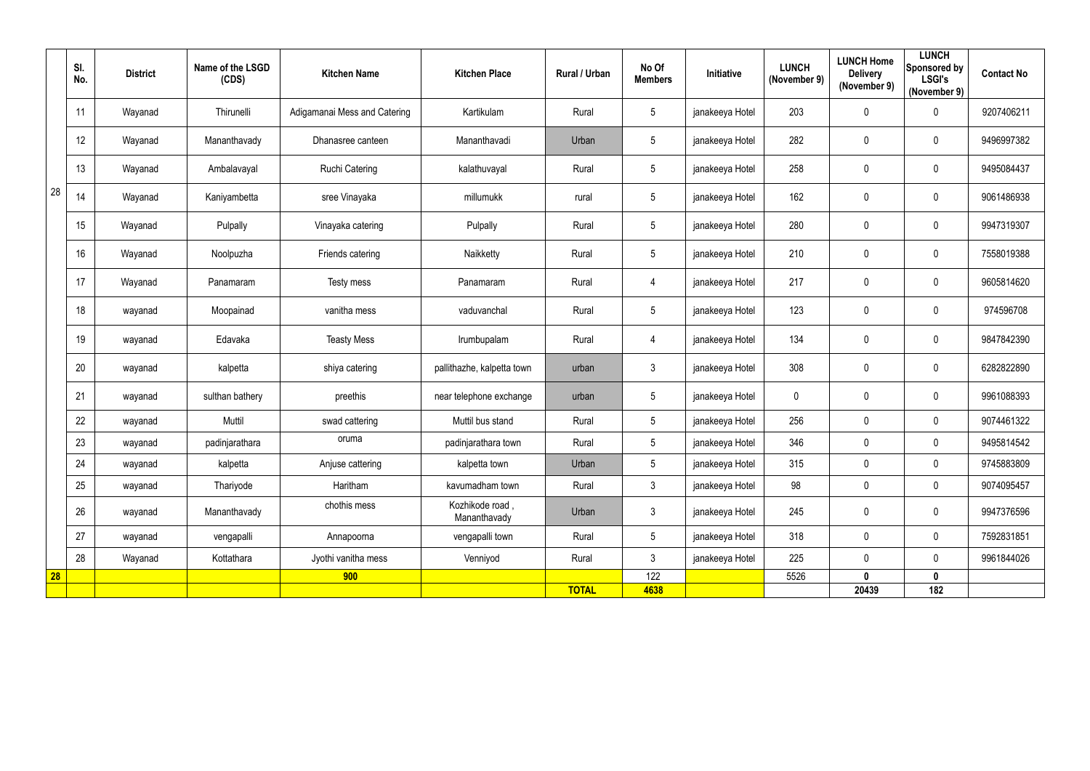|           | SI.<br>No. | <b>District</b> | Name of the LSGD<br>(CDS) | <b>Kitchen Name</b>          | <b>Kitchen Place</b>            | Rural / Urban | No Of<br><b>Members</b> | Initiative      | <b>LUNCH</b><br>(November 9) | <b>LUNCH Home</b><br><b>Delivery</b><br>(November 9) | <b>LUNCH</b><br>Sponsored by<br><b>LSGI's</b><br>(November 9) | <b>Contact No</b> |
|-----------|------------|-----------------|---------------------------|------------------------------|---------------------------------|---------------|-------------------------|-----------------|------------------------------|------------------------------------------------------|---------------------------------------------------------------|-------------------|
|           | 11         | Wayanad         | Thirunelli                | Adigamanai Mess and Catering | Kartikulam                      | Rural         | $5\phantom{.0}$         | janakeeya Hotel | 203                          | 0                                                    | $\mathbf 0$                                                   | 9207406211        |
|           | 12         | Wayanad         | Mananthavady              | Dhanasree canteen            | Mananthavadi                    | Urban         | $5\phantom{.0}$         | janakeeya Hotel | 282                          | $\pmb{0}$                                            | $\mathbf 0$                                                   | 9496997382        |
|           | 13         | Wayanad         | Ambalavayal               | <b>Ruchi Catering</b>        | kalathuvayal                    | Rural         | $5\phantom{.0}$         | janakeeya Hotel | 258                          | 0                                                    | $\overline{0}$                                                | 9495084437        |
| 28        | 14         | Wayanad         | Kaniyambetta              | sree Vinayaka                | millumukk                       | rural         | $5\phantom{.0}$         | janakeeya Hotel | 162                          | 0                                                    | $\mathbf 0$                                                   | 9061486938        |
|           | 15         | Wayanad         | Pulpally                  | Vinayaka catering            | Pulpally                        | Rural         | $5\phantom{.0}$         | janakeeya Hotel | 280                          | 0                                                    | $\overline{0}$                                                | 9947319307        |
|           | 16         | Wayanad         | Noolpuzha                 | Friends catering             | Naikketty                       | Rural         | $5\phantom{.0}$         | janakeeya Hotel | 210                          | 0                                                    | $\mathbf 0$                                                   | 7558019388        |
|           | 17         | Wayanad         | Panamaram                 | Testy mess                   | Panamaram                       | Rural         | 4                       | janakeeya Hotel | 217                          | 0                                                    | $\mathbf 0$                                                   | 9605814620        |
|           | 18         | wayanad         | Moopainad                 | vanitha mess                 | vaduvanchal                     | Rural         | $\sqrt{5}$              | janakeeya Hotel | 123                          | $\pmb{0}$                                            | $\overline{0}$                                                | 974596708         |
|           | 19         | wayanad         | Edavaka                   | <b>Teasty Mess</b>           | Irumbupalam                     | Rural         | 4                       | janakeeya Hotel | 134                          | 0                                                    | $\mathbf 0$                                                   | 9847842390        |
|           | 20         | wayanad         | kalpetta                  | shiya catering               | pallithazhe, kalpetta town      | urban         | $\mathfrak{Z}$          | janakeeya Hotel | 308                          | 0                                                    | $\mathbf 0$                                                   | 6282822890        |
|           | 21         | wayanad         | sulthan bathery           | preethis                     | near telephone exchange         | urban         | $5\phantom{.0}$         | janakeeya Hotel | 0                            | 0                                                    | $\overline{0}$                                                | 9961088393        |
|           | 22         | wayanad         | Muttil                    | swad cattering               | Muttil bus stand                | Rural         | $5\phantom{.0}$         | janakeeya Hotel | 256                          | 0                                                    | $\overline{0}$                                                | 9074461322        |
|           | 23         | wayanad         | padinjarathara            | oruma                        | padinjarathara town             | Rural         | $5\phantom{.0}$         | janakeeya Hotel | 346                          | 0                                                    | $\overline{0}$                                                | 9495814542        |
|           | 24         | wayanad         | kalpetta                  | Anjuse cattering             | kalpetta town                   | Urban         | $5\phantom{.0}$         | janakeeya Hotel | 315                          | 0                                                    | $\mathbf 0$                                                   | 9745883809        |
|           | 25         | wayanad         | Thariyode                 | Haritham                     | kavumadham town                 | Rural         | $\mathfrak{Z}$          | janakeeya Hotel | 98                           | $\pmb{0}$                                            | $\mathbf 0$                                                   | 9074095457        |
|           | 26         | wayanad         | Mananthavady              | chothis mess                 | Kozhikode road,<br>Mananthavady | Urban         | $\mathfrak{Z}$          | janakeeya Hotel | 245                          | $\pmb{0}$                                            | $\overline{0}$                                                | 9947376596        |
|           | 27         | wayanad         | vengapalli                | Annapoorna                   | vengapalli town                 | Rural         | $5\phantom{.0}$         | janakeeya Hotel | 318                          | $\pmb{0}$                                            | $\overline{0}$                                                | 7592831851        |
|           | 28         | Wayanad         | Kottathara                | Jyothi vanitha mess          | Venniyod                        | Rural         | $\mathfrak{Z}$          | janakeeya Hotel | 225                          | $\pmb{0}$                                            | $\overline{0}$                                                | 9961844026        |
| <b>28</b> |            |                 |                           | 900                          |                                 |               | 122                     |                 | 5526                         | $\mathbf 0$                                          | $\mathbf 0$                                                   |                   |
|           |            |                 |                           |                              |                                 | <b>TOTAL</b>  | 4638                    |                 |                              | 20439                                                | 182                                                           |                   |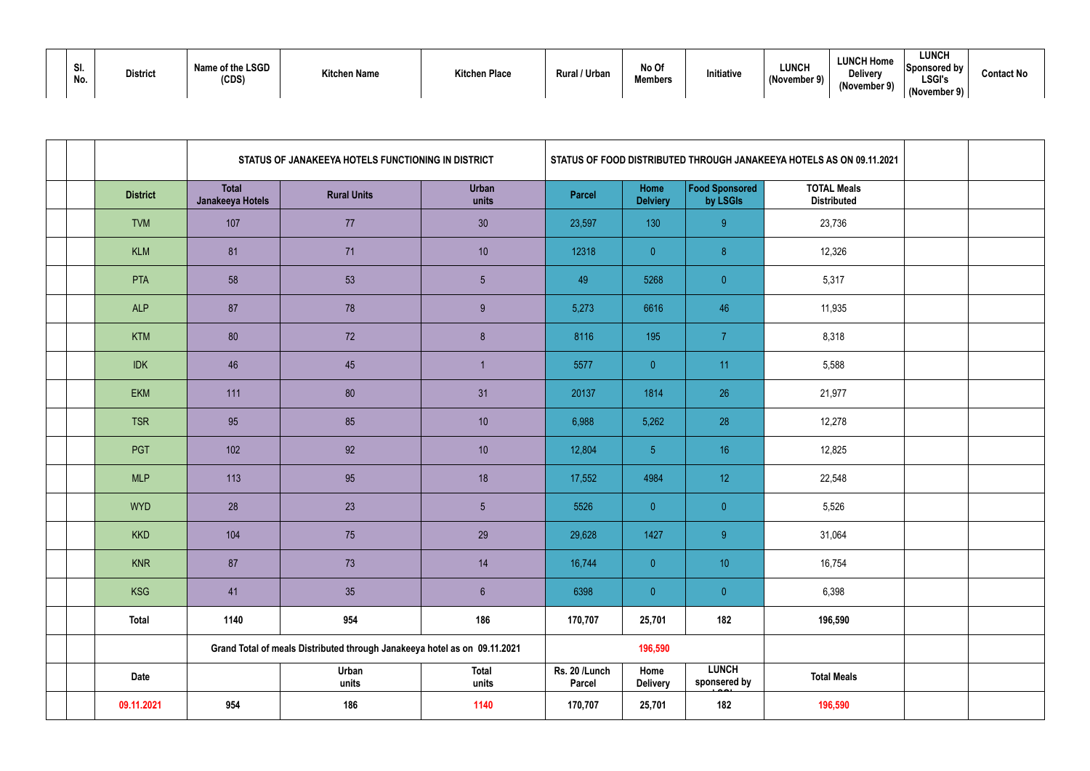| <b>CI</b><br>. JI<br>No. | <b>District</b> | Name of the LSGD<br>(CDS) | <b>Kitchen Name</b> | <b>Kitchen Place</b> | Rural / Urban | No Of<br><b>Members</b> | Initiative | <b>LUNCH</b><br>(November 9) | <b>LUNCH Home</b><br><b>Delivery</b><br>(November 9) |
|--------------------------|-----------------|---------------------------|---------------------|----------------------|---------------|-------------------------|------------|------------------------------|------------------------------------------------------|
|--------------------------|-----------------|---------------------------|---------------------|----------------------|---------------|-------------------------|------------|------------------------------|------------------------------------------------------|

|  |                 |                                  | STATUS OF JANAKEEYA HOTELS FUNCTIONING IN DISTRICT                        |                       |                                |                         |                                   | STATUS OF FOOD DISTRIBUTED THROUGH JANAKEEYA HOTELS AS ON 09.11.2021 |  |
|--|-----------------|----------------------------------|---------------------------------------------------------------------------|-----------------------|--------------------------------|-------------------------|-----------------------------------|----------------------------------------------------------------------|--|
|  | <b>District</b> | <b>Total</b><br>Janakeeya Hotels | <b>Rural Units</b>                                                        | <b>Urban</b><br>units | <b>Parcel</b>                  | Home<br><b>Delviery</b> | <b>Food Sponsored</b><br>by LSGIs | <b>TOTAL Meals</b><br><b>Distributed</b>                             |  |
|  | <b>TVM</b>      | 107                              | 77                                                                        | 30 <sup>°</sup>       | 23,597                         | 130                     | 9 <sup>°</sup>                    | 23,736                                                               |  |
|  | <b>KLM</b>      | 81                               | 71                                                                        | 10                    | 12318                          | $\overline{0}$          | 8 <sup>°</sup>                    | 12,326                                                               |  |
|  | <b>PTA</b>      | 58                               | 53                                                                        | 5 <sup>5</sup>        | 49                             | 5268                    | $\overline{0}$                    | 5,317                                                                |  |
|  | <b>ALP</b>      | 87                               | 78                                                                        | 9                     | 5,273                          | 6616                    | 46                                | 11,935                                                               |  |
|  | <b>KTM</b>      | 80                               | 72                                                                        | 8                     | 8116                           | 195                     | $\overline{7}$                    | 8,318                                                                |  |
|  | <b>IDK</b>      | 46                               | 45                                                                        |                       | 5577                           | $\overline{0}$          | 11                                | 5,588                                                                |  |
|  | <b>EKM</b>      | 111                              | 80                                                                        | 31                    | 20137                          | 1814                    | 26                                | 21,977                                                               |  |
|  | <b>TSR</b>      | 95                               | 85                                                                        | 10                    | 6,988                          | 5,262                   | 28                                | 12,278                                                               |  |
|  | PGT             | 102                              | 92                                                                        | 10                    | 12,804                         | 5 <sub>1</sub>          | 16                                | 12,825                                                               |  |
|  | <b>MLP</b>      | 113                              | 95                                                                        | 18                    | 17,552                         | 4984                    | 12                                | 22,548                                                               |  |
|  | <b>WYD</b>      | 28                               | 23                                                                        | $5\phantom{.0}$       | 5526                           | $\overline{0}$          | $\overline{0}$                    | 5,526                                                                |  |
|  | <b>KKD</b>      | 104                              | 75                                                                        | 29                    | 29,628                         | 1427                    | 9 <sup>°</sup>                    | 31,064                                                               |  |
|  | <b>KNR</b>      | 87                               | 73                                                                        | 14                    | 16,744                         | $\overline{0}$          | 10 <sup>°</sup>                   | 16,754                                                               |  |
|  | <b>KSG</b>      | 41                               | 35                                                                        | $6\overline{6}$       | 6398                           | $\pmb{0}$               | $\overline{0}$                    | 6,398                                                                |  |
|  | <b>Total</b>    | 1140                             | 954                                                                       | 186                   | 170,707                        | 25,701                  | 182                               | 196,590                                                              |  |
|  |                 |                                  | Grand Total of meals Distributed through Janakeeya hotel as on 09.11.2021 |                       |                                | 196,590                 |                                   |                                                                      |  |
|  | <b>Date</b>     |                                  | Urban<br>units                                                            | <b>Total</b><br>units | Rs. 20 /Lunch<br><b>Parcel</b> | Home<br><b>Delivery</b> | <b>LUNCH</b><br>sponsered by      | <b>Total Meals</b>                                                   |  |
|  | 09.11.2021      | 954                              | 186                                                                       | 1140                  | 170,707                        | 25,701                  | 182                               | 196,590                                                              |  |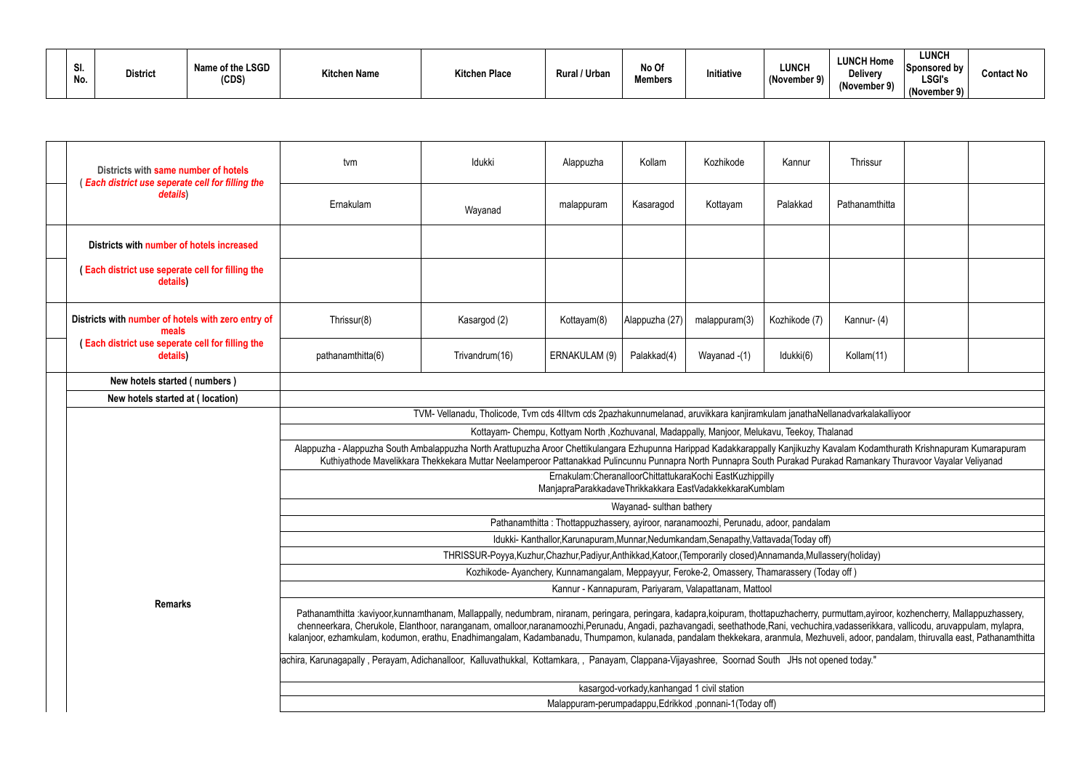| וט.<br>No. | <b>District</b> | Name of the LSGD<br>(CDS) | <b>Kitchen Name</b> | <b>Kitchen Place</b> | ' / Urban<br><b>Rural</b> | No Of<br>Members | Initiative | <b>LUNCH</b><br>(November 9) | <b>LUNCH Home</b><br>Delivery<br>(November 9) | <b>LUNCH</b><br><b>Sponsored by</b><br><b>LSGI's</b><br>(November 9) | <b>Contact No</b> |
|------------|-----------------|---------------------------|---------------------|----------------------|---------------------------|------------------|------------|------------------------------|-----------------------------------------------|----------------------------------------------------------------------|-------------------|
|------------|-----------------|---------------------------|---------------------|----------------------|---------------------------|------------------|------------|------------------------------|-----------------------------------------------|----------------------------------------------------------------------|-------------------|

| Districts with same number of hotels<br><b>Each district use seperate cell for filling the</b><br>details) | tvm                                                                                                                                             | Idukki                                                                                                                    | Alappuzha                                                                                     | Kollam                                      | Kozhikode                                                | Kannur        | Thrissur                                                                                                                                                                                                                                                                                                                                                                                                                                                                                                                                                             |  |
|------------------------------------------------------------------------------------------------------------|-------------------------------------------------------------------------------------------------------------------------------------------------|---------------------------------------------------------------------------------------------------------------------------|-----------------------------------------------------------------------------------------------|---------------------------------------------|----------------------------------------------------------|---------------|----------------------------------------------------------------------------------------------------------------------------------------------------------------------------------------------------------------------------------------------------------------------------------------------------------------------------------------------------------------------------------------------------------------------------------------------------------------------------------------------------------------------------------------------------------------------|--|
|                                                                                                            | Ernakulam                                                                                                                                       | Wayanad                                                                                                                   | malappuram                                                                                    | Kasaragod                                   | Kottayam                                                 | Palakkad      | Pathanamthitta                                                                                                                                                                                                                                                                                                                                                                                                                                                                                                                                                       |  |
| Districts with number of hotels increased                                                                  |                                                                                                                                                 |                                                                                                                           |                                                                                               |                                             |                                                          |               |                                                                                                                                                                                                                                                                                                                                                                                                                                                                                                                                                                      |  |
| (Each district use seperate cell for filling the<br>details)                                               |                                                                                                                                                 |                                                                                                                           |                                                                                               |                                             |                                                          |               |                                                                                                                                                                                                                                                                                                                                                                                                                                                                                                                                                                      |  |
| Districts with number of hotels with zero entry of<br>meals                                                | Thrissur(8)                                                                                                                                     | Kasargod (2)                                                                                                              | Kottayam(8)                                                                                   | Alappuzha (27)                              | malappuram(3)                                            | Kozhikode (7) | Kannur-(4)                                                                                                                                                                                                                                                                                                                                                                                                                                                                                                                                                           |  |
| (Each district use seperate cell for filling the<br>details)                                               | pathanamthitta(6)                                                                                                                               | Trivandrum(16)                                                                                                            | ERNAKULAM (9)                                                                                 | Palakkad(4)                                 | Wayanad -(1)                                             | Idukki(6)     | Kollam(11)                                                                                                                                                                                                                                                                                                                                                                                                                                                                                                                                                           |  |
| New hotels started (numbers)                                                                               |                                                                                                                                                 |                                                                                                                           |                                                                                               |                                             |                                                          |               |                                                                                                                                                                                                                                                                                                                                                                                                                                                                                                                                                                      |  |
| New hotels started at (location)                                                                           |                                                                                                                                                 |                                                                                                                           |                                                                                               |                                             |                                                          |               |                                                                                                                                                                                                                                                                                                                                                                                                                                                                                                                                                                      |  |
|                                                                                                            |                                                                                                                                                 | TVM-Vellanadu, Tholicode, Tvm cds 4IItvm cds 2pazhakunnumelanad, aruvikkara kanjiramkulam janathaNellanadvarkalakalliyoor |                                                                                               |                                             |                                                          |               |                                                                                                                                                                                                                                                                                                                                                                                                                                                                                                                                                                      |  |
|                                                                                                            |                                                                                                                                                 |                                                                                                                           | Kottayam- Chempu, Kottyam North , Kozhuvanal, Madappally, Manjoor, Melukavu, Teekoy, Thalanad |                                             |                                                          |               |                                                                                                                                                                                                                                                                                                                                                                                                                                                                                                                                                                      |  |
|                                                                                                            |                                                                                                                                                 |                                                                                                                           |                                                                                               |                                             |                                                          |               | Alappuzha - Alappuzha South Ambalappuzha North Arattupuzha Aroor Chettikulangara Ezhupunna Harippad Kadakkarappally Kanjikuzhy Kavalam Kodamthurath Krishnapuram Kumarapuram<br>Kuthiyathode Mavelikkara Thekkekara Muttar Neelamperoor Pattanakkad Pulincunnu Punnapra North Punnapra South Purakad Purakad Ramankary Thuravoor Vayalar Veliyanad                                                                                                                                                                                                                   |  |
|                                                                                                            |                                                                                                                                                 |                                                                                                                           | ManjapraParakkadaveThrikkakkara EastVadakkekkaraKumblam                                       |                                             | Ernakulam:CheranalloorChittattukaraKochi EastKuzhippilly |               |                                                                                                                                                                                                                                                                                                                                                                                                                                                                                                                                                                      |  |
|                                                                                                            |                                                                                                                                                 |                                                                                                                           |                                                                                               | Wayanad- sulthan bathery                    |                                                          |               |                                                                                                                                                                                                                                                                                                                                                                                                                                                                                                                                                                      |  |
|                                                                                                            |                                                                                                                                                 |                                                                                                                           | Pathanamthitta: Thottappuzhassery, ayiroor, naranamoozhi, Perunadu, adoor, pandalam           |                                             |                                                          |               |                                                                                                                                                                                                                                                                                                                                                                                                                                                                                                                                                                      |  |
|                                                                                                            |                                                                                                                                                 |                                                                                                                           | Idukki- Kanthallor, Karunapuram, Munnar, Nedumkandam, Senapathy, Vattavada (Today off)        |                                             |                                                          |               |                                                                                                                                                                                                                                                                                                                                                                                                                                                                                                                                                                      |  |
|                                                                                                            |                                                                                                                                                 | THRISSUR-Poyya, Kuzhur, Chazhur, Padiyur, Anthikkad, Katoor, (Temporarily closed) Annamanda, Mullassery (holiday)         |                                                                                               |                                             |                                                          |               |                                                                                                                                                                                                                                                                                                                                                                                                                                                                                                                                                                      |  |
|                                                                                                            |                                                                                                                                                 |                                                                                                                           | Kozhikode-Ayanchery, Kunnamangalam, Meppayyur, Feroke-2, Omassery, Thamarassery (Today off)   |                                             |                                                          |               |                                                                                                                                                                                                                                                                                                                                                                                                                                                                                                                                                                      |  |
|                                                                                                            |                                                                                                                                                 |                                                                                                                           |                                                                                               |                                             | Kannur - Kannapuram, Pariyaram, Valapattanam, Mattool    |               |                                                                                                                                                                                                                                                                                                                                                                                                                                                                                                                                                                      |  |
| <b>Remarks</b>                                                                                             |                                                                                                                                                 |                                                                                                                           |                                                                                               |                                             |                                                          |               | Pathanamthitta :kaviyoor,kunnamthanam, Mallappally, nedumbram, niranam, peringara, peringara, kadapra,koipuram, thottapuzhacherry, purmuttam,ayiroor, kozhencherry, Mallappuzhassery,<br>chenneerkara, Cherukole, Elanthoor, naranganam, omalloor,naranamoozhi,Perunadu, Angadi, pazhavangadi, seethathode,Rani, vechuchira,vadasserikkara, vallicodu, aruvappulam, mylapra,<br>kalanjoor, ezhamkulam, kodumon, erathu, Enadhimangalam, Kadambanadu, Thumpamon, kulanada, pandalam thekkekara, aranmula, Mezhuveli, adoor, pandalam, thiruvalla east, Pathanamthitta |  |
|                                                                                                            | achira, Karunagapally, Perayam, Adichanalloor, Kalluvathukkal, Kottamkara,, Panayam, Clappana-Vijayashree, Soornad South JHs not opened today." |                                                                                                                           |                                                                                               |                                             |                                                          |               |                                                                                                                                                                                                                                                                                                                                                                                                                                                                                                                                                                      |  |
|                                                                                                            |                                                                                                                                                 |                                                                                                                           |                                                                                               | kasargod-vorkady, kanhangad 1 civil station |                                                          |               |                                                                                                                                                                                                                                                                                                                                                                                                                                                                                                                                                                      |  |
|                                                                                                            |                                                                                                                                                 |                                                                                                                           |                                                                                               |                                             | Malappuram-perumpadappu, Edrikkod, ponnani-1 (Today off) |               |                                                                                                                                                                                                                                                                                                                                                                                                                                                                                                                                                                      |  |